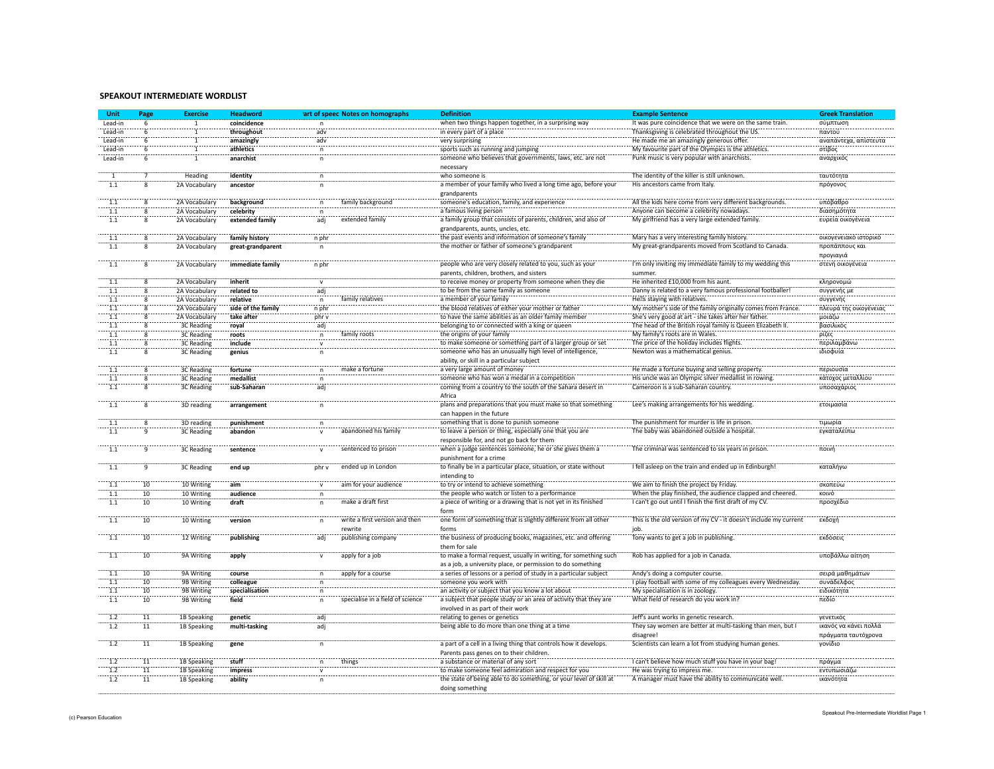## **SPEAKOUT
INTERMEDIATE
WORDLIST**

| Unit             | Page            | <b>Exercise</b>   | <b>Headword</b>    |                      | 'art of speec Notes on homographs | <b>Definition</b>                                                                                                    | <b>Example Sentence</b>                                                    | <b>Greek Translation</b> |
|------------------|-----------------|-------------------|--------------------|----------------------|-----------------------------------|----------------------------------------------------------------------------------------------------------------------|----------------------------------------------------------------------------|--------------------------|
| Lead-in          |                 | 1                 | coincidence        |                      |                                   | when two things happen together, in a surprising way                                                                 | It was pure coincidence that we were on the same train.                    | σύμπτωση                 |
| Lead-in          |                 |                   | throughout         | adv                  |                                   | in every part of a place                                                                                             | Thanksgiving is celebrated throughout the US.                              | παντού                   |
| Lead-in          |                 | Ŧ                 | amazingly          | adv                  |                                   | very surprising                                                                                                      | He made me an amazingly generous offer.                                    | αναπάντεχα, απίστευτα    |
| Lead-in          |                 | ï                 | athletics          | $\overline{p}$       |                                   | sports such as running and jumping                                                                                   | My favourite part of the Olympics is the athletics.                        | στίβος                   |
| Lead-in          |                 | T                 | anarchist          |                      |                                   | someone who believes that governments, laws, etc. are not                                                            | Punk music is very popular with anarchists.                                | αναρχικός                |
|                  |                 |                   |                    |                      |                                   | necessary                                                                                                            |                                                                            |                          |
|                  |                 | Heading           | identity           |                      |                                   | who someone is                                                                                                       | The identity of the killer is still unknown.                               | ταυτότητα                |
| 1.1              |                 | 2A Vocabulary     | ancestor           |                      |                                   | a member of your family who lived a long time ago, before your                                                       | His ancestors came from Italy.                                             | πρόγονος                 |
|                  |                 |                   |                    |                      |                                   | grandnarents                                                                                                         |                                                                            |                          |
|                  |                 | 2A Vocabulary     | background         |                      | family background                 | someone's education, family, and experience                                                                          | All the kids here come from very different backgrounds                     | υπόβαθρο                 |
| 1.1              |                 | 2A Vocabulary     | celebrity          |                      |                                   | a famous living person                                                                                               | Anyone can become a celebrity nowadays.                                    | διασημότητα              |
| $\overline{1.1}$ |                 | 2A Vocabulary     | extended family    | adj                  | extended family                   | a family group that consists of parents, children, and also of                                                       | My girlfriend has a very large extended family                             | ευρεία οικογένεια        |
|                  |                 |                   |                    |                      |                                   | grandparents, aunts, uncles, etc.                                                                                    |                                                                            |                          |
| 1.1              |                 | 2A Vocabulary     | family history     | n phr                |                                   | the past events and information of someone's family                                                                  | Mary has a very interesting family history.                                | οικογενειακό ιστορικό    |
| 1.1              |                 | 2A Vocabulary     | great-grandparent  |                      |                                   | the mother or father of someone's grandparent                                                                        | My great-grandparents moved from Scotland to Canada                        | προπάππους και           |
|                  |                 |                   |                    |                      |                                   |                                                                                                                      |                                                                            | προγιαγιά                |
| $\overline{1.1}$ |                 | 2A Vocabulary     | immediate family   | n phr                |                                   | people who are very closely related to you, such as your                                                             | I'm only inviting my immediate family to my wedding this                   | στενή οικογένεια         |
|                  |                 |                   |                    |                      |                                   | parents, children, brothers, and sisters                                                                             | summer.                                                                    |                          |
| 1.1              |                 | 2A Vocabulary     | inherit            |                      |                                   | to receive money or property from someone when they die                                                              | He inherited £10,000 from his aunt.                                        | κληρονομώ                |
| 1.1              |                 | 2A Vocabulary     | related to         | adj                  |                                   | to be from the same family as someone                                                                                | Danny is related to a very famous professional footballer!                 | συγγενής με              |
| 1.1              |                 |                   | relative           |                      |                                   | a member of your family                                                                                              | He s staying with relatives.                                               |                          |
|                  |                 | 2A Vocabulary     |                    | $\mathsf n$<br>n phr | family relatives                  |                                                                                                                      |                                                                            | συγγενής                 |
| $1.1$            |                 | 2A Vocabulary     | side of the family |                      |                                   | the blood relatives of either your mother or father                                                                  | My mother's side of the family originally comes from France.               | πλευρά της οικογένειας   |
| 1.1              |                 | 2A Vocabulary     | take after         | phr v                |                                   | to have the same abilities as an older family member                                                                 | She's very good at art - she takes after her father.                       | μοιάζω                   |
| $\overline{1.1}$ |                 | 3C Reading        | royal              | adj                  |                                   | belonging to or connected with a king or queen                                                                       | The head of the British royal family is Queen Elizabeth II.                | βασιλικός                |
| $\overline{1.1}$ |                 | 3C Reading        | roots              | 'n                   | family roots                      | the origins of your family                                                                                           | My family's roots are in Wales.                                            | ρίζες                    |
| 1.1              |                 | <b>3C Reading</b> | include            |                      |                                   | to make someone or something part of a larger group or set                                                           | The price of the holiday includes flights.                                 | περιλαμβάνω              |
| '1.1             |                 | 3C Reading        | genius             |                      |                                   | someone who has an unusually high level of intelligence,                                                             | Newton was a mathematical genius.                                          | ιδιοφυία                 |
|                  |                 |                   |                    |                      |                                   | ability, or skill in a particular subject                                                                            |                                                                            |                          |
| 1.1              |                 | 3C Reading        | fortune            | n                    | make a fortune                    | a very large amount of money                                                                                         | He made a fortune buying and selling property                              | περιουσία                |
| 1.1              |                 | 3C Reading        | medallist          |                      |                                   | someone who has won a medal in a competition                                                                         | His uncle was an Olympic silver medallist in rowing                        | κάτοχος μεταλλίου        |
| 1.1              |                 | 3C Reading        | sub-Saharan        | adi                  |                                   | coming from a country to the south of the Sahara desert in                                                           | Cameroon is a sub-Saharan country.                                         | υποσαχάριος              |
|                  |                 |                   |                    |                      |                                   | Africa                                                                                                               |                                                                            |                          |
| $\overline{1.1}$ | 8               | 3D reading        | arrangement        | $\mathsf{n}$         |                                   | plans and preparations that you must make so that something                                                          | Lee's making arrangements for his wedding.                                 | ετοιμασία                |
|                  |                 |                   |                    |                      |                                   | can happen in the future                                                                                             |                                                                            |                          |
| 1.1              | 8               | 3D reading        | punishment         | $\mathsf n$          |                                   | something that is done to punish someone                                                                             | The punishment for murder is life in prison.                               | τιμωρία                  |
| 1.1              | $\mathbf{q}$    | <b>3C Reading</b> | abandon            | $\mathbf v$          | abandoned his family              | to leave a person or thing, especially one that you are                                                              | The baby was abandoned outside a hospital.                                 | εγκαταλείπω              |
|                  |                 |                   |                    |                      |                                   | responsible for, and not go back for them                                                                            |                                                                            |                          |
| 1.1              | q               | <b>3C Reading</b> | sentence           | $\mathbf{v}$         | sentenced to prison               | when a judge sentences someone, he or she gives them a                                                               | The criminal was sentenced to six years in prison.                         | ποινή                    |
|                  |                 |                   |                    |                      |                                   | punishment for a crime                                                                                               |                                                                            |                          |
| $\overline{1.1}$ |                 | 3C Reading        | end up             | nhr v                | ended up in London                | to finally be in a particular place, situation, or state without                                                     | I fell asleep on the train and ended up in Edinburgh!                      | καταλήνω                 |
|                  |                 |                   |                    |                      |                                   | intending to                                                                                                         |                                                                            |                          |
| 1.1              | 10              | 10 Writing        | aim                |                      | aim for your audience             | to try or intend to achieve something                                                                                | We aim to finish the project by Friday.                                    | σκοπεύω                  |
| 1.1              | $10^{-}$        | 10 Writing        | audience           |                      |                                   | the people who watch or listen to a performance                                                                      | When the play finished, the audience clapped and cheered.                  | KOLVÓ                    |
| 1.1              | $10^{-}$        | 10 Writing        | draft              |                      | make a draft first                | a piece of writing or a drawing that is not yet in its finished                                                      | I can't go out until I finish the first draft of my CV.                    | προσχέδιο                |
|                  |                 |                   |                    |                      |                                   | form                                                                                                                 |                                                                            |                          |
| 1.1              | 10              | 10 Writing        | version            |                      | write a first version and then    | one form of something that is slightly different from all other                                                      | This is the old version of my CV - it doesn't include my current           | εκδοχή                   |
|                  |                 |                   |                    |                      | rewrite                           | forms                                                                                                                |                                                                            |                          |
| $\overline{1.1}$ | $10^{\circ}$    | 12 Writing        | publishing         | adj                  | publishing company                | the business of producing books, magazines, etc. and offering                                                        | Tony wants to get a job in publishing                                      | εκδόσεις                 |
|                  |                 |                   |                    |                      |                                   | them for sale                                                                                                        |                                                                            |                          |
| $\overline{1.1}$ | 10              | 9A Writing        | apply              | $\mathsf{v}$         | apply for a job                   | to make a formal request, usually in writing, for something such                                                     | Rob has applied for a job in Canada.                                       | υποβάλλω αίτηση          |
|                  |                 |                   |                    |                      |                                   | as a job, a university place, or permission to do something                                                          |                                                                            |                          |
| 1.1              | 10              | 9A Writing        | course             | $\mathsf{n}$         | apply for a course                | a series of lessons or a period of study in a particular subject                                                     | Andy's doing a computer course.                                            | σειρά μαθημάτων          |
|                  | 10 <sup>1</sup> | 9B Writing        | colleague          |                      |                                   |                                                                                                                      | I play football with some of my colleagues every Wednesday.                | συνάδελφος               |
| 1.1              |                 |                   |                    | $\mathbf{n}$         |                                   | someone you work with                                                                                                |                                                                            |                          |
| 1.1              | 10              | 9B Writing        | specialisation     | n                    | specialise in a field of science  | an activity or subject that you know a lot about<br>a subject that people study or an area of activity that they are | My specialisation is in zoology.<br>What field of research do you work in? | ειδικότητα<br>πεδίο      |
| 1.1              | 10              | 9B Writing        | field              | $\overline{p}$       |                                   |                                                                                                                      |                                                                            |                          |
|                  |                 |                   |                    |                      |                                   | involved in as part of their work                                                                                    |                                                                            |                          |
| 1.2              | $\overline{11}$ | 1B Speaking       | genetic            | adj                  |                                   | relating to genes or genetics                                                                                        | Jeff's aunt works in genetic research.                                     | γενετικός                |
| 1.2              | 11              | 1B Speaking       | multi-tasking      | adj                  |                                   | being able to do more than one thing at a time                                                                       | They say women are better at multi-tasking than men, but I                 | ικανός να κάνει πολλά    |
|                  |                 |                   |                    |                      |                                   |                                                                                                                      | disagree!                                                                  | πράγματα ταυτόχρονα      |
| 1.2              | 11              | 1B Speaking       | gene               | $\mathsf{n}$         |                                   | a part of a cell in a living thing that controls how it develops.                                                    | Scientists can learn a lot from studying human genes.                      | γονίδιο                  |
|                  |                 |                   |                    |                      |                                   | Parents pass genes on to their children.                                                                             |                                                                            |                          |
| 1.2              | 11              | 1B Speaking       | stuff              | n                    | things                            | a substance or material of any sort                                                                                  | I can't believe how much stuff you have in your bag!                       | πράγμα                   |
| 1.2              | $\overline{11}$ | 1B Speaking       | impress            |                      |                                   | to make someone feel admiration and respect for you                                                                  | He was trying to impress me.                                               | εντυπωσιάζω              |
| 1.2              | 11              | 1B Speaking       | ability            | $\overline{p}$       |                                   | the state of being able to do something, or your level of skill at                                                   | A manager must have the ability to communicate well                        | ικανότητα                |
|                  |                 |                   |                    |                      |                                   | doing something                                                                                                      |                                                                            |                          |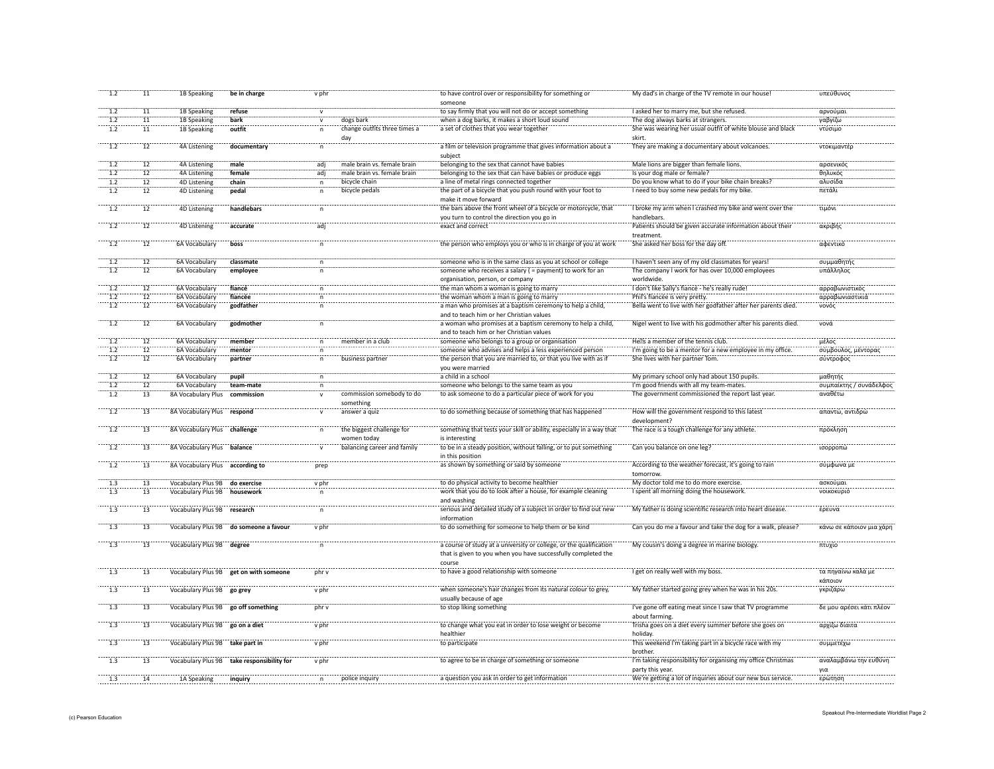| 1.2              | 11              | 1B Speaking                     | be in charge                               | v phr        |                                         | to have control over or responsibility for something or<br>someone                                                                            | My dad's in charge of the TV remote in our house!                                | υπεύθυνος                     |
|------------------|-----------------|---------------------------------|--------------------------------------------|--------------|-----------------------------------------|-----------------------------------------------------------------------------------------------------------------------------------------------|----------------------------------------------------------------------------------|-------------------------------|
| 1.2              | 11              | 1B Speaking                     | refuse                                     | $\mathsf{v}$ |                                         | to say firmly that you will not do or accept something                                                                                        | I asked her to marry me, but she refused.                                        | αρνούμαι                      |
| 1.2              | 11              | 1B Speaking                     | bark                                       | $\mathsf{v}$ | dogs bark                               | when a dog barks, it makes a short loud sound                                                                                                 | The dog always barks at strangers.                                               | γαβγίζω                       |
| 1.2              | 11              | 1B Speaking                     | outfit                                     | $\mathsf{n}$ | change outfits three times a<br>day     | a set of clothes that you wear together                                                                                                       | She was wearing her usual outfit of white blouse and black<br>skirt.             | ντύσιμο                       |
| $\overline{1.2}$ | $\overline{12}$ | 4A Listening                    | documentary                                | n            |                                         | a film or television programme that gives information about a<br>subject                                                                      | They are making a documentary about volcanoes.                                   | ντοκιμαντέρ                   |
| 1.2              | $\overline{12}$ | 4A Listening                    | male                                       | adi          | male brain vs. female brain             | belonging to the sex that cannot have babies                                                                                                  | Male lions are bigger than female lions.                                         | αρσενικός                     |
| 1.2              | ïï              | 4A Listening                    | female                                     | adj          | male brain vs. female brain             | belonging to the sex that can have babies or produce eggs                                                                                     | Is your dog male or female?                                                      | θηλυκός                       |
| 1.2              | 12              | 4D Listening                    | chain                                      | $\mathsf{n}$ | bicycle chain                           | a line of metal rings connected together                                                                                                      | Do you know what to do if your bike chain breaks?                                | αλυσίδα                       |
| 1.2              | 12              | <b>4D Listening</b>             | pedal                                      | n            | bicycle pedals                          | the part of a bicycle that you push round with your foot to<br>make it move forward                                                           | I need to buy some new pedals for my bike.                                       | πετάλι                        |
| 1.2              | $\overline{12}$ | 4D Listening                    | handlebars                                 |              |                                         | the bars above the front wheel of a bicycle or motorcycle, that<br>you turn to control the direction you go in                                | I broke my arm when I crashed my bike and went over the<br>handlebars.           | τιμόνι                        |
| $\frac{1}{2}$    | $\overline{12}$ | 4D Listening                    | accurate                                   | adj          |                                         | exact and correct                                                                                                                             | Patients should be given accurate information about their<br>treatment           | ακριβής                       |
| $\overline{1.2}$ | $\overline{12}$ | 6A Vocabulary                   | boss                                       |              |                                         | the person who employs you or who is in charge of you at work                                                                                 | She asked her boss for the day off.                                              | αφεντικό                      |
| 1.2              | $\overline{12}$ | 6A Vocabular                    | classmate                                  |              |                                         | someone who is in the same class as you at school or college                                                                                  | I haven't seen any of my old classmates for years!                               | συμμαθητή                     |
| $\overline{1.2}$ | $\overline{12}$ | 6A Vocabulary                   | employee                                   | n            |                                         | someone who receives a salary ( = payment) to work for an<br>organisation, person, or company                                                 | The company I work for has over 10,000 employees<br>worldwide.                   | υπάλληλος                     |
| 1.2              | 12              | 6A Vocabulary                   | fiancé                                     | $\mathsf{n}$ |                                         | the man whom a woman is going to marry                                                                                                        | I don't like Sally's fiancé - he's really rude!                                  | αρραβωνιστικός                |
| 1.2              | $\overline{12}$ | 6A Vocabulary                   | fiancée                                    | n            |                                         | the woman whom a man is going to marry                                                                                                        | Phil's fiancée is very pretty.                                                   | αρραβωνιαστικιά               |
| 1.2              | 12              | 6A Vocabulary                   | godfather                                  | $\mathsf{n}$ |                                         | a man who promises at a baptism ceremony to help a child,                                                                                     | Bella went to live with her godfather after her parents died.                    | νονός                         |
| $\overline{1.2}$ | $\overline{12}$ | 6A Vocabulary                   |                                            | $\mathsf{n}$ |                                         | and to teach him or her Christian values<br>a woman who promises at a baptism ceremony to help a child,                                       | Nigel went to live with his godmother after his parents died.                    | νονά                          |
|                  |                 |                                 | godmother                                  |              | member in a club                        | and to teach him or her Christian values                                                                                                      | He samember of the tennis club.                                                  | μέλος                         |
| 1.2              | 12              | 6A Vocabulary                   | member                                     | $\mathsf n$  |                                         | someone who belongs to a group or organisation                                                                                                |                                                                                  |                               |
| 1.2<br>1.2       | $\overline{12}$ | 6A Vocabulary                   | mentor                                     | n            |                                         | someone who advises and helps a less experienced person                                                                                       | I'm going to be a mentor for a new employee in my office.                        | σύμβουλος, μέντορας           |
|                  | 12              | 6A Vocabulary                   | partner                                    | $\mathsf{n}$ | business partner                        | the person that you are married to, or that you live with as if<br>you were married                                                           | She lives with her partner Tom.                                                  | σύντροφος                     |
| $\overline{1.2}$ | $\overline{12}$ | 6A Vocabulary                   | pupil                                      | n            |                                         | a child in a school                                                                                                                           | My primary school only had about 150 pupils.                                     | μαθητής                       |
| 1.2              | $\overline{12}$ | 6A Vocabulary                   | team-mate                                  | $\mathsf n$  |                                         | someone who belongs to the same team as you                                                                                                   | I'm good friends with all my team-mates.                                         | συμπαίκτης / συνάδελφος       |
| 1.2              | 13              | 8A Vocabulary Plus              | commission                                 |              | commission somebody to do<br>something  | to ask someone to do a particular piece of work for you                                                                                       | The government commissioned the report last year                                 | αναθέτω                       |
| 1.2              | $\overline{13}$ | 8A Vocabulary Plus respond      |                                            |              | answer a quiz                           | to do something because of something that has happened                                                                                        | How will the government respond to this latest<br>development?                   | απαντώ, αντιδρώ               |
| $\frac{1}{2}$    | $\overline{13}$ | 8A Vocabulary Plus challenge    |                                            |              | the biggest challenge fo<br>women today | something that tests your skill or ability, especially in a way that<br>is interesting                                                        | The race is a tough challenge for any athlete.                                   | πρόκληση                      |
| $\overline{1.2}$ | $\overline{13}$ | 8A Vocabulary Plus balance      |                                            |              | balancing career and family             | to be in a steady position, without falling, or to put something<br>in this position                                                          | Can you balance on one leg?                                                      | ισορροπώ                      |
| 1.2              | 13              | 8A Vocabulary Plus according to |                                            | prep         |                                         | as shown by something or said by someone                                                                                                      | According to the weather forecast, it's going to rain<br>tomorrow                | σύμφωνα με                    |
| 1.3              | 13              | Vocabulary Plus 9B do exercise  |                                            | v phr        |                                         | to do physical activity to become healthier                                                                                                   | My doctor told me to do more exercise.                                           | ασκούμαι                      |
| 1.3              | 13              | Vocabulary Plus 9B              | housework                                  | $\mathsf{n}$ |                                         | work that you do to look after a house, for example cleaning<br>and washing                                                                   | I spent all morning doing the housework.                                         | νοικοκυριό                    |
| 1.3              | 13              | Vocabulary Plus 9B research     |                                            | $\mathsf{n}$ |                                         | serious and detailed study of a subject in order to find out new<br>information                                                               | My father is doing scientific research into heart disease.                       | έρευνα                        |
| $\overline{1.3}$ | $\overline{13}$ | Vocabulary Plus 9B              | do someone a favour                        | v phr        |                                         | to do something for someone to help them or be kind                                                                                           | Can you do me a favour and take the dog for a walk, please?                      | κάνω σε κάποιον μια χάρη      |
| $\overline{1.3}$ | $\overline{13}$ | Vocabulary Plus 9B degree       |                                            | $\mathsf{n}$ |                                         | a course of study at a university or college, or the qualification<br>that is given to you when you have successfully completed the<br>course | My cousin's doing a degree in marine biology                                     | πτυχίο                        |
| $\overline{1.3}$ | 13              | Vocabulary Plus 9B              | get on with someone                        | phr v        |                                         | to have a good relationship with someone                                                                                                      | I get on really well with my boss.                                               | τα πηγαίνω καλά με<br>κάποιον |
| 1.3              | 13              | Vocabulary Plus 9B go grey      |                                            | v phr        |                                         | when someone's hair changes from its natural colour to grey,<br>usually because of age                                                        | My father started going grey when he was in his 20s.                             | γκριζάρω                      |
| 1.3              | 13              |                                 | Vocabulary Plus 9B go off something        | phr v        |                                         | to stop liking something                                                                                                                      | I've gone off eating meat since I saw that TV programme<br>about farming.        | δε μου αρέσει κάτι πλέον      |
| $\overline{1.3}$ | $\overline{13}$ | Vocabulary Plus 9B go on a diet |                                            | v phr        |                                         | to change what you eat in order to lose weight or become<br>healthier                                                                         | Trisha goes on a diet every summer before she goes on<br>holidav.                | αρχίζω δίαιτα                 |
| $\overline{1.3}$ | 13              | Vocabulary Plus 9B take part in |                                            | v phi        |                                         | to participate                                                                                                                                | This weekend I'm taking part in a bicycle race with my<br>brother.               | συμμετέχω                     |
| $\frac{1}{1.3}$  | $\overline{13}$ |                                 | Vocabulary Plus 9B take responsibility for | v phr        |                                         | to agree to be in charge of something or someone                                                                                              | I'm taking responsibility for organising my office Christmas<br>party this year. | αναλαμβάνω την ευθύνη<br>νια  |
| $\overline{1.3}$ | $\overline{14}$ | 1A Speaking                     | inquiry                                    | n            | police inquiry                          | a question you ask in order to get information                                                                                                | We're getting a lot of inquiries about our new bus service.                      | ερώτηση                       |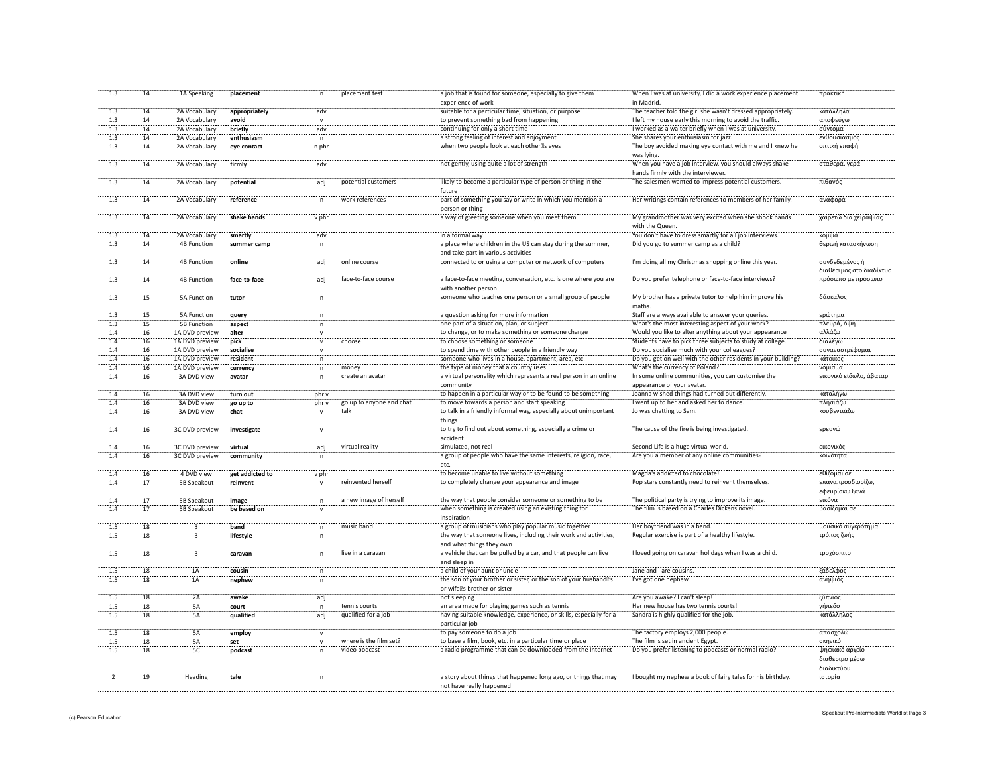| 1.3              | 14              | 1A Speaking        | placement       | n                  | placement test           | a job that is found for someone, especially to give them<br>experience of work                      | When I was at university, I did a work experience placement<br>in Madrid.                    | πρακτική                           |
|------------------|-----------------|--------------------|-----------------|--------------------|--------------------------|-----------------------------------------------------------------------------------------------------|----------------------------------------------------------------------------------------------|------------------------------------|
| 1.3              | 14              | 2A Vocabulary      |                 | adv                |                          | suitable for a particular time, situation, or purpose                                               | The teacher told the girl she wasn't dressed appropriately.                                  | κατάλληλα                          |
|                  |                 |                    | appropriately   |                    |                          |                                                                                                     |                                                                                              |                                    |
| 1.3              | 14              | 2A Vocabulary      | avoid           |                    |                          | to prevent something bad from happening                                                             | I left my house early this morning to avoid the traffic.                                     | αποφεύγω                           |
| 1.3              | 14              | 2A Vocabulary      | briefly         | adv                |                          | continuing for only a short time                                                                    | I worked as a waiter briefly when I was at university.                                       | σύντομα                            |
| 1.3              | 14              | 2A Vocabulary      | enthusiasm      |                    |                          | a strong feeling of interest and enjoyment                                                          | She shares your enthusiasm for jazz.                                                         | ενθουσιασμό                        |
| 1.3              | 14              | 2A Vocabulary      | eye contact     | n phr              |                          | when two people look at each other seyes                                                            | The boy avoided making eye contact with me and I knew he<br>was lying.                       | οπτική επαφή                       |
| 1.3              | 14              | 2A Vocabulary      | firmly          | adv                |                          | not gently, using quite a lot of strength                                                           | When you have a job interview, you should always shake<br>hands firmly with the interviewer. | σταθερά, γερά                      |
| $\overline{1.3}$ | 14              | 2A Vocabulary      | potential       | adj                | potential customers      | likely to become a particular type of person or thing in the<br>future                              | The salesmen wanted to impress potential customers.                                          | πιθανός                            |
| $\overline{1.3}$ | $\overline{14}$ | 2A Vocabulary      | reference       | n                  | work references          | part of something you say or write in which you mention a<br>person or thing                        | Her writings contain references to members of her family                                     | αναφορά                            |
| $\frac{1}{1.3}$  | $\overline{14}$ | 2A Vocabulary      | shake hands     | $\overline{v}$ phr |                          | a way of greeting someone when you meet them                                                        | My grandmother was very excited when she shook hands<br>with the Queen.                      | χαιρετώ δια χειραψίας              |
| $\overline{1.3}$ | 14              | 2A Vocabulary      | smartly         | adv                |                          | in a formal way                                                                                     | You don't have to dress smartly for all job interviews.                                      | κομψά                              |
| 1.3              | 14              | <b>4B Function</b> | summer camp     | n                  |                          | a place where children in the US can stay during the summer,<br>and take part in various activities | Did you go to summer camp as a child?                                                        | θερινή κατασκήνωση                 |
| $\overline{1.3}$ | $\overline{14}$ | <b>4B Function</b> | online          | adj                | online course            | connected to or using a computer or network of computers                                            | I'm doing all my Christmas shopping online this year.                                        | συνδεδεμένος ή                     |
|                  |                 |                    |                 |                    |                          |                                                                                                     |                                                                                              | διαθέσιμος στο διαδίκτυο           |
| 1.3              | 14              | <b>4B Function</b> | face-to-face    | adj                | face-to-face course      | a face-to-face meeting, conversation, etc. is one where you are<br>with another person              | Do you prefer telephone or face-to-face interviews?                                          | πρόσωπο με πρόσωπο                 |
| $\overline{1.3}$ | $\overline{15}$ | 5A Function        | tutor           |                    |                          | someone who teaches one person or a small group of people                                           | My brother has a private tutor to help him improve his<br>maths.                             | δάσκαλος                           |
| 1.3              | $\overline{15}$ | <b>5A Function</b> | query           |                    |                          | a question asking for more information                                                              | Staff are always available to answer your queries                                            | ερώτημα                            |
| 1.3              | 15              | 5B Function        | aspect          | n                  |                          | one part of a situation, plan, or subject                                                           | What's the most interesting aspect of your work?                                             | πλευρά, όψη                        |
| 1.4              | 16              | 1A DVD preview     | alter           | $\mathbf{v}$       |                          | to change, or to make something or someone change                                                   | Would you like to alter anything about your appearance                                       | αλλάζω                             |
| 1.4              | 16              | 1A DVD preview     | pick            | v                  | choose                   | to choose something or someone                                                                      | Students have to pick three subjects to study at college.                                    | διαλέγω                            |
| 1.4              | 16              | 1A DVD preview     | socialise       |                    |                          | to spend time with other people in a friendly way                                                   | Do you socialise much with your colleagues?                                                  | συναναστρέφομαι                    |
| 1.4              | 16              | 1A DVD preview     | resident        |                    |                          | someone who lives in a house, apartment, area, etc.                                                 | Do you get on well with the other residents in your building?                                | κάτοικος                           |
|                  |                 |                    |                 | $\mathsf n$        |                          |                                                                                                     |                                                                                              |                                    |
| 1.4              | 16              | 1A DVD preview     | currency        | $\mathsf{n}$       | money                    | the type of money that a country uses                                                               | What's the currency of Poland?                                                               | νόμισμα                            |
| 1.4              | 16              | 3A DVD view        | avatar          | $\mathsf{n}$       | create an avatar         | a virtual personality which represents a real person in an online<br>community                      | In some online communities, you can customise the<br>appearance of your avatar.              | εικονικό είδωλο, άβαταρ            |
| 1.4              | 16              | 3A DVD view        | turn out        | phr v              |                          | to happen in a particular way or to be found to be something                                        | Joanna wished things had turned out differently.                                             | καταλήγω                           |
| 1.4              | 16              | 3A DVD view        | go up to        | phr v              | go up to anyone and chat | to move towards a person and start speaking                                                         | I went up to her and asked her to dance.                                                     | πλησιάζω                           |
| 1.4              | 16              | 3A DVD view        | chat            |                    | talk                     | to talk in a friendly informal way, especially about unimportant<br>things                          | Jo was chatting to Sam.                                                                      | κουβεντιάζω                        |
| $-1.4$           | $\overline{16}$ | 3C DVD preview     | investigate     |                    |                          | to try to find out about something, especially a crime or<br>accident                               | The cause of the fire is being investigated                                                  | ερευνώ                             |
| 1.4              | 16              | 3C DVD preview     | virtual         | adj                | virtual reality          | simulated, not real                                                                                 | Second Life is a huge virtual world.                                                         | ΕΙΚΟνικός                          |
| 1.4              | 16              | 3C DVD preview     | community       |                    |                          | a group of people who have the same interests, religion, race,<br>etc.                              | Are you a member of any online communities                                                   | κοινότητα                          |
| $\overline{1.4}$ | $\overline{16}$ | 4 DVD view         | get addicted to | v phr              |                          | to become unable to live without something                                                          | Magda's addicted to chocolate!                                                               | εθίζομαι σε                        |
| 1.4              | $\overline{17}$ | 5B Speakout        | reinvent        |                    | reinvented herself       | to completely change your appearance and imag                                                       | Pop stars constantly need to reinvent themselves                                             | επαναπροσδιορίζω<br>εφευρίσκω ξανά |
|                  | '17             | 5B Speakout        | image           |                    | a new image of hersel    | the way that people consider someone or something to be                                             | The political party is trying to improve its image                                           | εικόνα                             |
| 1.4              | $\overline{17}$ | 5B Speakout        | be based on     |                    |                          | when something is created using an existing thing for<br>inspiration                                | The film is based on a Charles Dickens novel.                                                | βασίζομαι σε                       |
| $\overline{1.5}$ | 18              |                    | band            |                    | music band               | a group of musicians who play popular music together                                                | Her boyfriend was in a band.                                                                 | μουσικό συγκρότημα                 |
| $\overline{1.5}$ | 18              |                    | lifestyle       |                    |                          | the way that someone lives, including their work and activities,<br>and what things they own        | Regular exercise is part of a healthy lifestyle                                              | τρόπος ζωής                        |
| $\overline{1.5}$ | 18              | ัว                 | caravan         |                    | live in a caravan        | a vehicle that can be pulled by a car, and that people can live<br>and sleep in                     | I loved going on caravan holidays when I was a child                                         | τροχόσπιτο                         |
| 1.5              | 18              | 1A                 | cousin          | n                  |                          | a child of your aunt or uncle                                                                       | Jane and I are cousins.                                                                      | ξάδελφος                           |
| 1.5              | 18              | 1A                 | nephew          | n                  |                          | the son of your brother or sister, or the son of your husband s<br>or wife s brother or sister      | I've got one nephew.                                                                         | ανηψιός                            |
| 1.5              | 18              | 2A                 | awake           | adj                |                          | not sleeping                                                                                        | Are you awake? I can't sleep!                                                                | ξύπνιος                            |
| 1.5              | 18              | 5Ä                 | court           | n                  | tennis courts            | an area made for playing games such as tennis                                                       | Her new house has two tennis courts!                                                         | γήπεδο                             |
| 1.5              | 18              | 5A                 | qualified       | adj                | qualified for a job      | having suitable knowledge, experience, or skills, especially for a<br>particular job                | Sandra is highly qualified for the job.                                                      | κατάλληλος                         |
| $\overline{1.5}$ | $\overline{18}$ | <br>5A             | employ          |                    |                          | to pay someone to do a job                                                                          | The factory employs 2,000 people                                                             | απασχολώ                           |
| 1.5              | 18              | <b>5A</b>          | set             | $\mathsf{v}$       | where is the film set?   | to base a film, book, etc. in a particular time or place                                            | The film is set in ancient Egypt.                                                            | σκηνικό                            |
| 1.5              | 18              | 5C                 | podcast         |                    | video podcast            | a radio programme that can be downloaded from the Internet                                          | Do you prefer listening to podcasts or normal radio?                                         | ψηφιακό αρχεί                      |
|                  |                 |                    |                 |                    |                          |                                                                                                     |                                                                                              | διαθέσιμο μέσω<br>διαδικτύου       |
| $\frac{1}{2}$    |                 | Heading            | tale            |                    |                          | a story about things that happened long ago, or things that may<br>not have really happened         | I bought my nephew a book of fairy tales for his birthday.                                   | ιστορία                            |
|                  |                 |                    |                 |                    |                          |                                                                                                     |                                                                                              |                                    |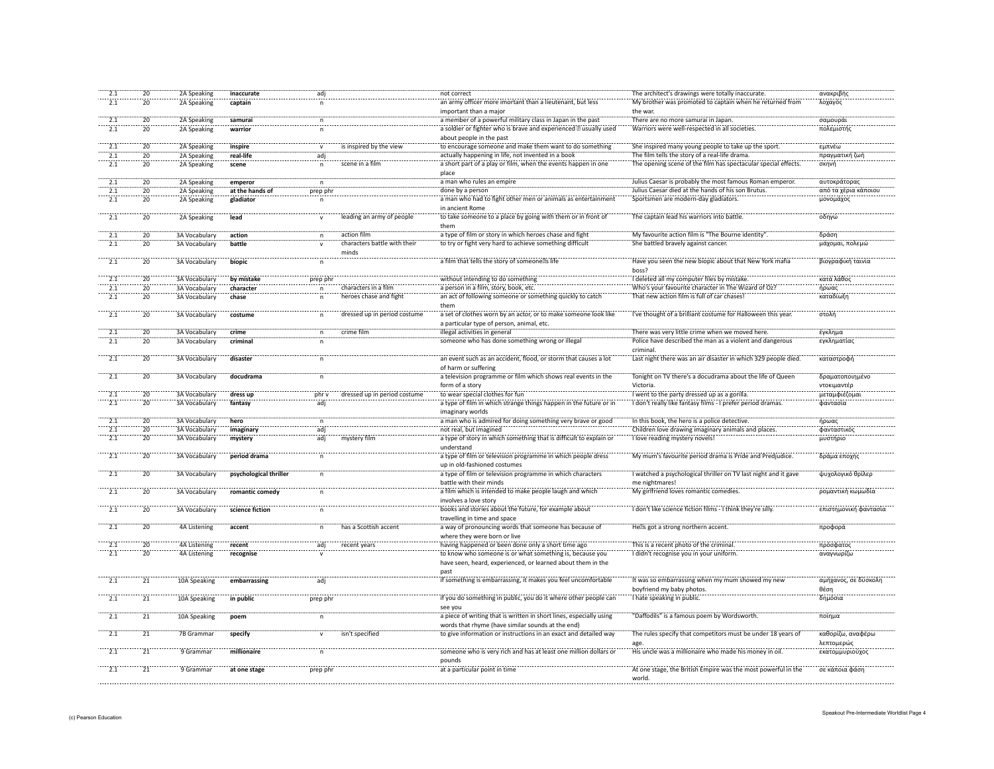| 2.1              | 20              | 2A Speaking          | inaccurate             | adj          |                              | not correct                                                         | The architect's drawings were totally inaccurate.               | ανακριβής             |
|------------------|-----------------|----------------------|------------------------|--------------|------------------------------|---------------------------------------------------------------------|-----------------------------------------------------------------|-----------------------|
| 2.1              | 20              | 2A Speaking          | captain                | $\mathsf{n}$ |                              | an army officer more imortant than a lieutenant, but less           | My brother was promoted to captain when he returned from        | λοχαγός               |
|                  |                 |                      |                        |              |                              | important than a major                                              | the war.                                                        |                       |
|                  |                 |                      |                        |              |                              |                                                                     |                                                                 |                       |
| 2.1              | 20              | 2A Speaking          | samurai                | $\mathsf{n}$ |                              | a member of a powerful military class in Japan in the past          | There are no more samurai in Japan.                             | σαμουράι              |
| 2.1              | 20              | 2A Speaking          | warrior                |              |                              | a soldier or fighter who is brave and experienced usually used      | Warriors were well-respected in all societies.                  | πολεμιστής            |
|                  |                 |                      |                        |              |                              | about people in the past                                            |                                                                 |                       |
| 2.1              | 20              | 2A Speaking          | inspire                | $\mathsf{v}$ | is inspired by the view      | to encourage someone and make them want to do something             | She inspired many young people to take up the sport.            | εμπνέω                |
|                  |                 |                      |                        |              |                              |                                                                     |                                                                 |                       |
| 2.1              | 20              | 2A Speaking          | real-life              | adj          |                              | actually happening in life, not invented in a book                  | The film tells the story of a real-life drama                   | πραγματική ζωή        |
| 2.1              | 20              | 2A Speaking          | scene                  | $\mathsf{n}$ | scene in a film              | a short part of a play or film, when the events happen in one       | The opening scene of the film has spectacular special effects.  | σκηνή                 |
|                  |                 |                      |                        |              |                              | place                                                               |                                                                 |                       |
| 2.1              | $\overline{20}$ | 2A Speaking          | emperor                | n.           |                              | a man who rules an empire                                           | Julius Caesar is probably the most famous Roman emperor.        | αυτοκράτορας          |
| 2.1              | 20              | 2A Speaking          | at the hands of        | prep phr     |                              | done by a person                                                    | Julius Caesar died at the hands of his son Brutus.              | από τα χέρια κάποιου  |
| $\overline{2.1}$ | 20              | 2A Speaking          | gladiator              |              |                              | a man who had to fight other men or animals as entertainment        | Sportsmen are modern-day gladiators.                            | μονομάχος             |
|                  |                 |                      |                        | $\mathsf{n}$ |                              |                                                                     |                                                                 |                       |
|                  |                 |                      |                        |              |                              | in ancient Rome                                                     |                                                                 |                       |
| $\overline{2.1}$ | $\overline{20}$ | 2A Speaking          | lead                   |              | leading an army of people    | to take someone to a place by going with them or in front of        | The captain lead his warriors into battle.                      | οδηγώ                 |
|                  |                 |                      |                        |              |                              | them                                                                |                                                                 |                       |
| 2.1              | $\overline{20}$ | 3A Vocabulary        | action                 |              | action film                  | a type of film or story in which heroes chase and fight             | My favourite action film is "The Bourne identity                | δράση                 |
| 2.1              | $\overline{20}$ |                      | battle                 |              | characters battle with their | to try or fight very hard to achieve something difficult            | She battled bravely against cancer.                             |                       |
|                  |                 | 3A Vocabulary        |                        |              |                              |                                                                     |                                                                 | μάχομαι, πολεμ        |
|                  |                 |                      |                        |              | minds                        |                                                                     |                                                                 |                       |
| $\overline{2.1}$ | $\overline{20}$ | 3A Vocabulary        | biopic                 |              |                              | a film that tells the story of someone s life                       | Have you seen the new biopic about that New York mafia          | βιογραφική ταινία     |
|                  |                 |                      |                        |              |                              |                                                                     | boss?                                                           |                       |
| 2.1              | $\overline{20}$ | 3A Vocabular         | by mistake             | prep phr     |                              | without intending to do something                                   | I deleted all my computer files by mistake.                     | κατά λάθος            |
|                  |                 |                      |                        |              |                              |                                                                     |                                                                 |                       |
| 2.1              | $\overline{20}$ | 3A Vocabulary        | character              |              | characters in a film         | a person in a film, story, book, etc.                               | Who's your favourite character in The Wizard of Oz'             | ήρωας                 |
| $\frac{1}{2.1}$  | $\overline{20}$ | 3A Vocabulary        | chase                  |              | heroes chase and fight       | an act of following someone or something quickly to catch           | That new action film is full of car chases!                     | καταδίωξη             |
|                  |                 |                      |                        |              |                              | them                                                                |                                                                 |                       |
| $\overline{2.1}$ | 20              | 3A Vocabulary        | costume                | $\mathsf{n}$ | dressed up in period costume | a set of clothes worn by an actor, or to make someone look like     | I've thought of a brilliant costume for Halloween this year.    | στολή                 |
|                  |                 |                      |                        |              |                              | a particular type of person, animal, etc.                           |                                                                 |                       |
|                  |                 |                      |                        |              |                              |                                                                     |                                                                 |                       |
| 2.1              | 20              | 3A Vocabulary        | crime                  | n            | crime film                   | illegal activities in general                                       | There was very little crime when we moved here.                 | έγκλημα               |
| 2.1              | 20              | 3A Vocabulary        | criminal               | $\mathsf{n}$ |                              | someone who has done something wrong or illegal                     | Police have described the man as a violent and dangerous        | εγκληματίας           |
|                  |                 |                      |                        |              |                              |                                                                     | criminal                                                        |                       |
| 2.1              | 20              | <b>3A Vocabulary</b> | disaster               | n            |                              | an event such as an accident, flood, or storm that causes a lot     | Last night there was an air disaster in which 329 people died.  | καταστροφή            |
|                  |                 |                      |                        |              |                              |                                                                     |                                                                 |                       |
|                  |                 |                      |                        |              |                              | of harm or suffering                                                |                                                                 |                       |
| $\overline{2.1}$ | $\overline{20}$ | 3A Vocabulary        | docudrama              | n            |                              | a television programme or film which shows real events in the       | Tonight on TV there's a docudrama about the life of Queen       | δραματοποιημένο       |
|                  |                 |                      |                        |              |                              | form of a story                                                     | Victoria                                                        | ντοκιμαντέρ           |
| 2.1              | 20              | 3A Vocabulary        | dress up               | phr v        | dressed up in period costume | to wear special clothes for fun                                     | I went to the party dressed up as a gorilla.                    | μεταμφιέζομαι         |
| 2.1              | 20              | <b>3A Vocabulary</b> | fantasy                | adi          |                              | a type of film in which strange things happen in the future or in   | I don't really like fantasy films - I prefer period dramas.     | φαντασία              |
|                  |                 |                      |                        |              |                              |                                                                     |                                                                 |                       |
|                  |                 |                      |                        |              |                              | imaginary worlds                                                    |                                                                 |                       |
| $\overline{2.1}$ | $\overline{20}$ | 3A Vocabulary        | hero                   | n            |                              | a man who is admired for doing something very brave or good         | In this book, the hero is a police detective.                   | ήρωας                 |
| $\overline{2.1}$ | $\overline{20}$ | 3A Vocabulary        | imaginary              | adj          |                              | not real, but imagined                                              | Children love drawing imaginary animals and places.             | φανταστικό            |
| $\overline{2.1}$ | $\overline{20}$ | 3A Vocabulary        | mystery                | adj          | mystery film                 | a type of story in which something that is difficult to explain or  | I love reading mystery novels!                                  | μυστήριο              |
|                  |                 |                      |                        |              |                              | understand                                                          |                                                                 |                       |
| $\overline{2.1}$ |                 |                      |                        |              |                              |                                                                     |                                                                 |                       |
|                  | $\overline{20}$ | 3A Vocabulary        | period drama           | $\mathsf{n}$ |                              | a type of film or television programme in which people dress        | My mum's favourite period drama is Pride and Predjudice.        | δράμα εποχής          |
|                  |                 |                      |                        |              |                              | up in old-fashioned costumes                                        |                                                                 |                       |
| $\overline{2.1}$ | $\overline{20}$ | 3A Vocabulary        | psychological thriller | $\mathsf{n}$ |                              | a type of film or television programme in which characters          | I watched a psychological thriller on TV last night and it gave | ψυχολογικό θρίλερ     |
|                  |                 |                      |                        |              |                              | battle with their minds                                             | me nightmares!                                                  |                       |
| 2.1              | 20              | 3A Vocabulary        | romantic comedy        | $\sf n$      |                              | a film which is intended to make people laugh and which             | My girlfriend loves romantic comedies.                          | ρομαντική κωμωδία     |
|                  |                 |                      |                        |              |                              |                                                                     |                                                                 |                       |
|                  |                 |                      |                        |              |                              | involves a love story                                               |                                                                 |                       |
| 2.1              | 20              | 3A Vocabulary        | science fiction        | $\sf n$      |                              | books and stories about the future, for example about               | I don't like science fiction films - I think they're silly      | επιστημονική φαντασία |
|                  |                 |                      |                        |              |                              | travelling in time and space                                        |                                                                 |                       |
| $\overline{2.1}$ | $\overline{20}$ | 4A Listening         | accent                 | n            | has a Scottish accent        | a way of pronouncing words that someone has because of              | He s got a strong northern accent.                              | προφορά               |
|                  |                 |                      |                        |              |                              |                                                                     |                                                                 |                       |
|                  |                 |                      |                        |              |                              | where they were born or live                                        |                                                                 |                       |
| 2.1              | 20              | 4A Listening         | recent                 | adj          | recent years                 | having happened or been done only a short time ago                  | This is a recent photo of the criminal.                         | πρόσφατος             |
| $\overline{2.1}$ | $\overline{20}$ | <b>4A Listening</b>  | recognise              |              |                              | to know who someone is or what something is, because you            | I didn't recognise you in your uniform.                         | αναγνωρίζω            |
|                  |                 |                      |                        |              |                              | have seen, heard, experienced, or learned about them in the         |                                                                 |                       |
|                  |                 |                      |                        |              |                              | past                                                                |                                                                 |                       |
| $\overline{2.1}$ | $\overline{21}$ |                      |                        |              |                              |                                                                     |                                                                 |                       |
|                  |                 | 10A Speaking         | embarrassing           | adi          |                              | if something is embarrassing, it makes you feel uncomfortable       | It was so embarrassing when my mum showed my new                | αμήχανος, σε δύσκολη  |
|                  |                 |                      |                        |              |                              |                                                                     | boyfriend my baby photos.                                       | θέση                  |
| $\overline{2.1}$ | 21              | 10A Speaking         | in public              | prep phr     |                              | if you do something in public, you do it where other people can     | Thate speaking in public.                                       | δημόσια               |
|                  |                 |                      |                        |              |                              | see you                                                             |                                                                 |                       |
| 2.1              | 21              | 10A Speaking         | poem                   | n.           |                              | a piece of writing that is written in short lines, especially using | "Daffodils" is a famous poem by Wordsworth.                     | ποίημα                |
|                  |                 |                      |                        |              |                              |                                                                     |                                                                 |                       |
|                  |                 |                      |                        |              |                              | words that rhyme (have similar sounds at the end)                   |                                                                 |                       |
| 2.1              | $\overline{21}$ | <b>7B</b> Grammar    | specify                |              | isn't specified              | to give information or instructions in an exact and detailed way    | The rules specify that competitors must be under 18 years of    | καθορίζω, αναφέρω     |
|                  |                 |                      |                        |              |                              |                                                                     |                                                                 | λεπτομερώς            |
| $\frac{1}{2.1}$  | $\overline{21}$ | 9 Grammar            | millionaire            |              |                              | someone who is very rich and has at least one million dollars or    | His uncle was a millionaire who made his money in oil.          | εκατομμυριούχος       |
|                  |                 |                      |                        |              |                              |                                                                     |                                                                 |                       |
|                  |                 |                      |                        |              |                              | pounds                                                              |                                                                 |                       |
| 2.1              | $\overline{21}$ | 9 Grammar            | at one stage           | prep phr     |                              | at a particular point in time                                       | At one stage, the British Empire was the most powerful in the   | σε κάποια φάση        |
|                  |                 |                      |                        |              |                              |                                                                     | world.                                                          |                       |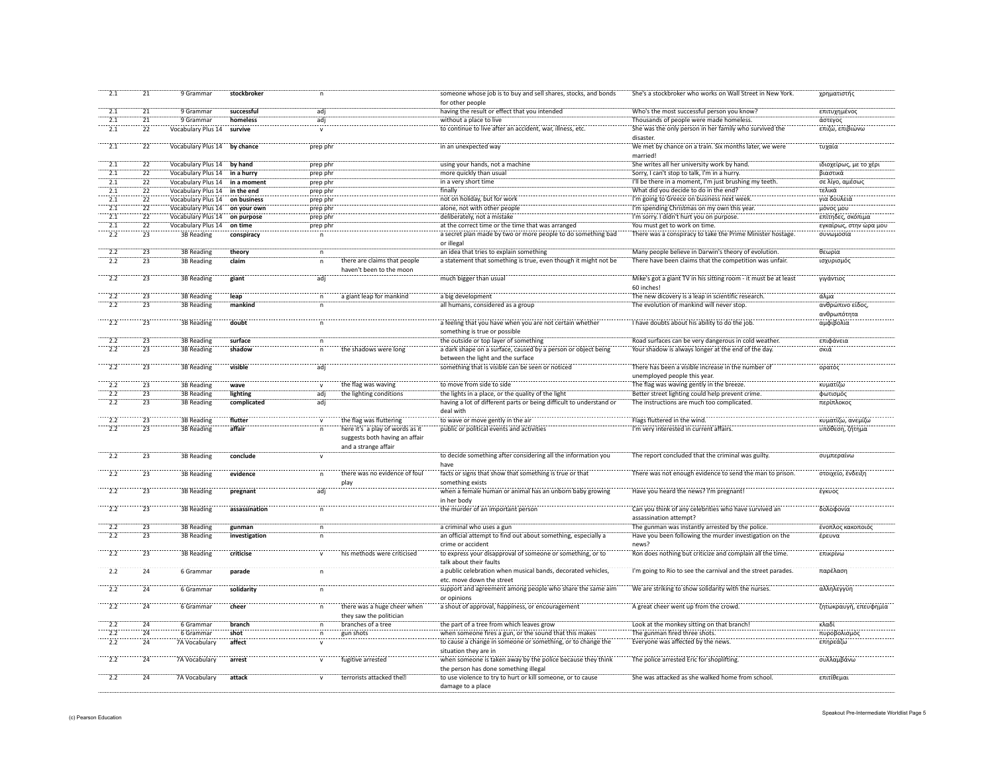| 2.1             | 21              | 9 Grammar                 | stockbroker   |              |                                                                   | someone whose job is to buy and sell shares, stocks, and bonds                   | She's a stockbroker who works on Wall Street in New York.           | χρηματιστής            |
|-----------------|-----------------|---------------------------|---------------|--------------|-------------------------------------------------------------------|----------------------------------------------------------------------------------|---------------------------------------------------------------------|------------------------|
|                 |                 |                           |               |              |                                                                   | for other people                                                                 |                                                                     |                        |
| 2.1             | 21              | 9 Grammar                 | successful    | adj          |                                                                   | having the result or effect that you intended                                    | Who's the most successful person you know?                          | επιτυχημένος           |
| 2.1             | 21              | 9 Grammar                 | homeless      | adj          |                                                                   | without a place to live                                                          | Thousands of people were made homeless.                             | άστεγος                |
|                 |                 |                           |               |              |                                                                   |                                                                                  |                                                                     |                        |
| 2.1             | 22              | Vocabulary Plus 14        | survive       |              |                                                                   | to continue to live after an accident, war, illness, etc.                        | She was the only person in her family who survived the<br>disaster. | επιζώ, επιβιώνω        |
| 2.1             | 22              | Vocabulary Plus 14        | by chance     | prep phr     |                                                                   | in an unexpected way                                                             | We met by chance on a train. Six months later, we were<br>married!  | τυχαία                 |
| 2.1             | $\overline{22}$ | Vocabulary Plus 14        | by hand       | prep phr     |                                                                   | using your hands, not a machine                                                  | She writes all her university work by hand.                         | ιδιοχείρως, με το χέρι |
| 2.1             | 22              | Vocabulary Plus 14        | in a hurry    |              |                                                                   | more quickly than usual                                                          | Sorry, I can't stop to talk, I'm in a hurry.                        | βιαστικά               |
|                 |                 |                           |               | prep phr     |                                                                   |                                                                                  |                                                                     |                        |
| 2.1             | $\overline{22}$ | Vocabulary Plus 14        | in a moment   | prep phr     |                                                                   | in a very short time                                                             | I'll be there in a moment, I'm just brushing my teeth.              | σε λίγο, αμέσως        |
| 2.1             | 22              | Vocabulary Plus 14        | in the end    | prep phr     |                                                                   | finally                                                                          | What did you decide to do in the end?                               | τελικά                 |
| 2.1             | 22              | Vocabulary Plus 14        | on business   | prep phr     |                                                                   | not on holiday, but for work                                                     | I'm going to Greece on business next week.                          | για δουλειά            |
| 2.1             | $\overline{22}$ | <b>Vocabulary Plus 14</b> | on your own   | prep phr     |                                                                   | alone, not with other people                                                     | I'm spending Christmas on my own this year.                         | μόνος μου              |
|                 |                 |                           |               |              |                                                                   |                                                                                  |                                                                     |                        |
| 2.1             | 22              | Vocabulary Plus 14        | on purpose    | prep phr     |                                                                   | deliberately, not a mistake                                                      | I'm sorry. I didn't hurt you on purpose.                            | επίτηδες, σκόπιμα      |
| 2.1             | 22              | Vocabulary Plus 14        | on time       | prep phr     |                                                                   | at the correct time or the time that was arranged                                | You must get to work on time.                                       | εγκαίρως, στην ώρα μου |
| 2.2             | 23              | 3B Reading                | conspiracy    | $\mathsf n$  |                                                                   | a secret plan made by two or more people to do something bad<br>or illegal       | There was a conspiracy to take the Prime Minister hostage.          | συνωμοσία              |
|                 |                 |                           |               |              |                                                                   |                                                                                  |                                                                     |                        |
| 2.2             | $\overline{23}$ | 3B Reading                | theory        | n            |                                                                   | an idea that tries to explain something                                          | Many people believe in Darwin's theory of evolution.                | θεωρία                 |
| 2.2             | 23              | <b>3B Reading</b>         | claim         | n            | there are claims that people<br>haven't been to the moon          | a statement that something is true, even though it might not be                  | There have been claims that the competition was unfair.             | ισχυρισμός             |
| 2.2             | 23              | 3B Reading                | giant         | adj          |                                                                   | much bigger than usual                                                           | Mike's got a giant TV in his sitting room - it must be at least     | γιγάντιος              |
|                 |                 |                           |               |              |                                                                   |                                                                                  | 60 inches!                                                          |                        |
| $\frac{1}{2.2}$ | $\overline{23}$ | 3B Reading                | leap          | n            | a giant leap for mankind                                          | a big development                                                                | The new dicovery is a leap in scientific research                   | άλμα                   |
| 2.2             | 23              | <b>3B Reading</b>         | mankind       |              |                                                                   | all humans, considered as a group                                                | The evolution of mankind will never stop.                           | ανθρώπινο είδοι        |
|                 |                 |                           |               |              |                                                                   |                                                                                  |                                                                     |                        |
|                 |                 |                           |               |              |                                                                   |                                                                                  |                                                                     | ανθρωπότητα            |
| $\frac{1}{2.2}$ | $\overline{23}$ | 3B Reading                | doubt         |              |                                                                   | a feeling that you have when you are not certain whether                         | I have doubts about his ability to do the job.                      | αμφιβολία              |
|                 |                 |                           |               |              |                                                                   | something is true or possible                                                    |                                                                     |                        |
| 2.2             | $\overline{23}$ | 3B Reading                | surface       |              |                                                                   | the outside or top layer of something                                            | Road surfaces can be very dangerous in cold weather.                | επιφάνεια              |
| 2.2             | 23              | 3B Reading                | shadow        |              | the shadows were long                                             | a dark shape on a surface, caused by a person or object being                    | Your shadow is always longer at the end of the day.                 | σκιά                   |
|                 |                 |                           |               |              |                                                                   | between the light and the surface                                                |                                                                     |                        |
| 2.2             | $\overline{23}$ | 3B Reading                | visible       | adj          |                                                                   | something that is visible can be seen or noticed                                 | There has been a visible increase in the number of                  | ορατός                 |
|                 |                 |                           |               |              |                                                                   |                                                                                  |                                                                     |                        |
|                 |                 |                           |               |              |                                                                   |                                                                                  | unemployed people this year.                                        |                        |
| 2.2             | 23              | <b>3B Reading</b>         | wave          | $\mathbf{v}$ | the flag was waving                                               | to move from side to side                                                        | The flag was waving gently in the breeze.                           | κυματίζω               |
| 2.2             | 23              | <b>3B Reading</b>         | lighting      | adi          | the lighting conditions                                           | the lights in a place, or the quality of the light                               | Better street lighting could help prevent crime.                    | φωτισμός               |
|                 |                 |                           |               |              |                                                                   |                                                                                  |                                                                     |                        |
|                 |                 |                           |               |              |                                                                   |                                                                                  |                                                                     |                        |
| 2.2             | $\overline{23}$ | <b>3B Reading</b>         | complicated   | adj          |                                                                   | having a lot of different parts or being difficult to understand or              | The instructions are much too complicated.                          | περίπλοκος             |
|                 |                 |                           |               |              |                                                                   | deal with                                                                        |                                                                     |                        |
| 2.2             | 23              | 3B Reading                | flutter       | $\mathbf{v}$ | the flag was fluttering                                           | to wave or move gently in the air                                                | Flags fluttered in the wind.                                        | κυματίζω, ανεμίζω      |
| 2.2             | 23              | 3B Reading                | affair        | n            | here it's a play of words as it<br>suggests both having an affair | public or political events and activities                                        | I'm very interested in current affairs.                             | υπόθεση, ζήτημα        |
|                 |                 |                           |               |              | and a strange affair                                              |                                                                                  |                                                                     |                        |
| $\frac{1}{2.2}$ | 23              | 3B Reading                | conclude      |              |                                                                   | to decide something after considering all the information you                    | The report concluded that the criminal was guilty.                  | συμπεραίνω             |
|                 |                 |                           |               |              |                                                                   | have                                                                             |                                                                     |                        |
| 2.2             | 23              | 3B Reading                | evidence      |              | there was no evidence of fou                                      | facts or signs that show that something is true or that                          | There was not enough evidence to send the man to prison.            | στοιχείο, ένδειξη      |
|                 |                 |                           |               |              | play                                                              | something exists                                                                 |                                                                     |                        |
| $\overline{22}$ | $\overline{23}$ | 3B Reading                |               | adj          |                                                                   | when a female human or animal has an unborn baby growing                         | Have you heard the news? I'm pregnant!                              | έγκυος                 |
|                 |                 |                           | pregnant      |              |                                                                   |                                                                                  |                                                                     |                        |
|                 |                 |                           |               |              |                                                                   | in her body                                                                      |                                                                     |                        |
| 2.2             | 23              | 3B Reading                | assassination | $\mathsf n$  |                                                                   | the murder of an important person                                                | Can you think of any celebrities who have survived an               | δολοφονία              |
|                 |                 |                           |               |              |                                                                   |                                                                                  | assassination attempt?                                              |                        |
| 2.2             | 23              | 3B Reading                | gunman        | n            |                                                                   | a criminal who uses a gun                                                        | The gunman was instantly arrested by the police.                    | ένοπλος κακοποιός      |
| 2.2             | 23              | 3B Reading                | investigation | n            |                                                                   | an official attempt to find out about something, especially a                    | Have you been following the murder investigation on the             | έρευνα                 |
|                 |                 |                           |               |              |                                                                   | crime or accident                                                                | news?                                                               |                        |
| 2.2             | $\overline{23}$ | 3B Reading                | criticise     |              | his methods were criticised                                       | to express your disapproval of someone or something, or to                       | Ron does nothing but criticize and complain all the time.           | επικρίνω               |
|                 |                 |                           |               |              |                                                                   | talk about their faults                                                          |                                                                     |                        |
| 2.2             | 24              | 6 Gramman                 | parade        | $\mathsf{n}$ |                                                                   | a public celebration when musical bands, decorated vehicles,                     | I'm going to Rio to see the carnival and the street parades.        | παρέλαση               |
|                 |                 |                           |               |              |                                                                   | etc. move down the street                                                        |                                                                     |                        |
| $\frac{1}{2.2}$ | $\overline{24}$ | 6 Gramma                  | solidarity    |              |                                                                   | support and agreement among people who share the same aim                        | We are striking to show solidarity with the nurses.                 | αλληλεγγύη             |
|                 |                 |                           |               |              |                                                                   | or opinions                                                                      |                                                                     |                        |
| 2.2             | $\overline{24}$ | 6 Gramma                  | cheer         |              | there was a huge cheer when                                       | a shout of approval, happiness, or encouragement                                 | A great cheer went up from the crowd.                               | ζητωκραυγή, επευφημία  |
|                 |                 |                           |               |              | they saw the politician                                           |                                                                                  |                                                                     |                        |
| 2.2             | $\frac{1}{24}$  | 6 Gramma                  | branch        |              | branches of a tree                                                | the part of a tree from which leaves grow                                        | Look at the monkey sitting on that branch                           | κλαδί                  |
|                 |                 |                           |               |              |                                                                   |                                                                                  |                                                                     |                        |
| 2.2             | 24              | 6 Grammar                 | shot          |              | gun shots                                                         | when someone fires a gun, or the sound that this makes                           | The gunman fired three shots.                                       | πυροβολισμός           |
| 2.2             | 24              | 7A Vocabulary             | affect        |              |                                                                   | to cause a change in someone or something, or to change the                      | Everyone was affected by the news.                                  | επηρεάζω               |
|                 |                 |                           |               |              |                                                                   | situation they are in                                                            |                                                                     |                        |
| 2.2             | 24              | 7A Vocabulary             | arrest        |              | fugitive arrested                                                 | when someone is taken away by the police because they think                      | The police arrested Eric for shoplifting                            | συλλαμβάνω             |
|                 |                 |                           |               |              |                                                                   | the person has done something illegal                                            |                                                                     |                        |
|                 |                 |                           |               |              |                                                                   |                                                                                  |                                                                     |                        |
| 2.2             | 24              | 7A Vocabulary             | attack        |              | terrorists attacked the                                           | to use violence to try to hurt or kill someone, or to cause<br>damage to a place | She was attacked as she walked home from school.                    | επιτίθεμαι             |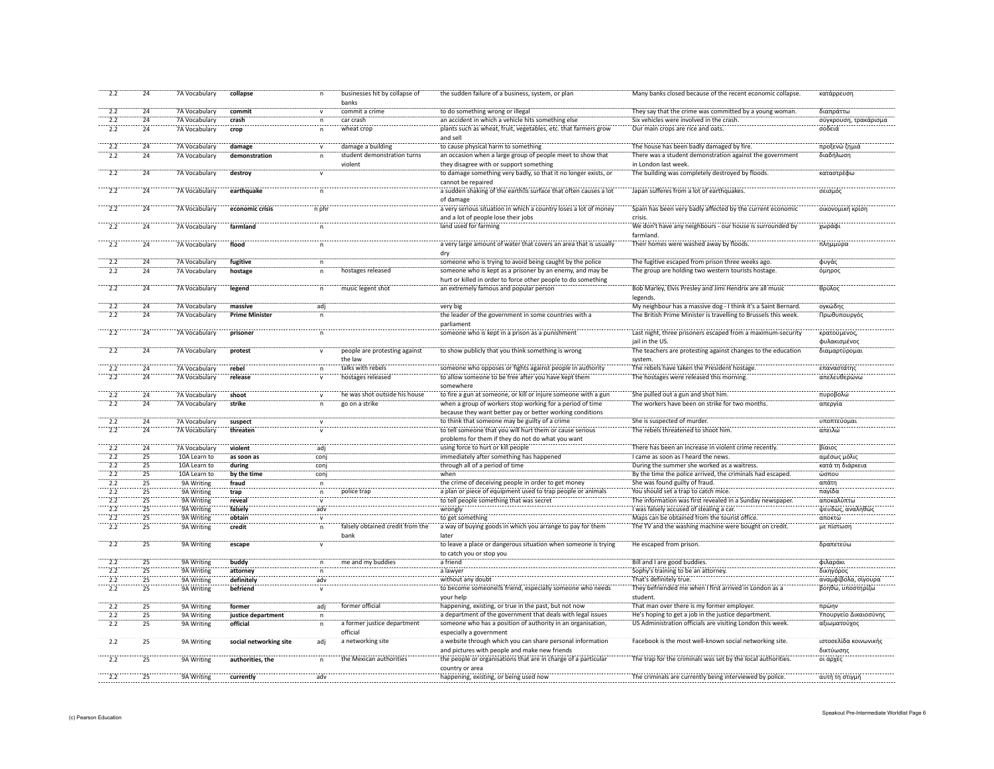| 2.2              | 24              | 7A Vocabulary | collapse               | n            | businesses hit by collapse of<br>banks   | the sudden failure of a business, system, or plan                                                                      | Many banks closed because of the recent economic collapse.                       | κατάρρευση                         |
|------------------|-----------------|---------------|------------------------|--------------|------------------------------------------|------------------------------------------------------------------------------------------------------------------------|----------------------------------------------------------------------------------|------------------------------------|
| 2.2              | 24              | 7A Vocabulary | commit                 | $\mathsf{v}$ | commit a crime                           | to do something wrong or illegal                                                                                       | They say that the crime was committed by a young woman.                          | διαπράττω                          |
| 2.2              | 24              | 7A Vocabulary | crash                  | n            | car crash                                | an accident in which a vehicle hits something else                                                                     | Six vehicles were involved in the crash.                                         | σύγκρουση, τρακάρισμα              |
| 2.2              | 24              | 7A Vocabulary | crop                   | $\mathsf{n}$ | wheat crop                               | plants such as wheat, fruit, vegetables, etc. that farmers grow                                                        | Our main crops are rice and oats.                                                | σοδειά                             |
|                  |                 |               |                        |              |                                          | and sell                                                                                                               |                                                                                  |                                    |
| 2.2              | 24              | 7A Vocabulary | damage                 | $\mathsf{v}$ | damage a building                        | to cause physical harm to something                                                                                    | The house has been badly damaged by fire.                                        | προξενώ ζημιά                      |
| 2.2              | 24              | 7A Vocabulary | demonstration          | n.           | student demonstration turns<br>violent   | an occasion when a large group of people meet to show that<br>they disagree with or support something                  | There was a student demonstration against the government<br>in London last week. | διαδήλωση                          |
| $\overline{2.2}$ | $\overline{24}$ | 7A Vocabulary | destroy                |              |                                          | to damage something very badly, so that it no longer exists, or<br>cannot be repaired                                  | The building was completely destroyed by floods.                                 | καταστρέφω                         |
| $\frac{1}{2.2}$  | 24              | 7A Vocabulary | earthquake             |              |                                          | a sudden shaking of the earth s surface that often causes a lot<br>of damage                                           | Japan sufferes from a lot of earthquakes                                         | σεισμός                            |
| $\overline{2.2}$ | $\overline{24}$ | 7A Vocabulary | economic crisis        | n phr        |                                          | a very serious situation in which a country loses a lot of money<br>and a lot of people lose their jobs                | Spain has been very badly affected by the current economic<br>crisis.            | οικονομική κρίση                   |
| $\overline{2.2}$ | $\overline{24}$ | 7A Vocabulary | farmland               | $\mathsf{n}$ |                                          | land used for farming                                                                                                  | We don't have any neighbours - our house is surrounded by<br>farmland            | χωράφι                             |
| 2.2              | 24              | 7A Vocabulary | flood                  | $\mathsf{n}$ |                                          | a very large amount of water that covers an area that is usually<br>dry                                                | Their homes were washed away by floods.                                          | πλημμύρα                           |
| 2.2              | 24              | 7A Vocabulary | fugitive               | $\mathsf{n}$ |                                          | someone who is trying to avoid being caught by the police                                                              | The fugitive escaped from prison three weeks ago.                                | φυγάς                              |
| 2.2              | 24              | 7A Vocabulary | hostage                | $\mathsf{n}$ | hostages released                        | someone who is kept as a prisoner by an enemy, and may be                                                              | The group are holding two western tourists hostage.                              | όμηρος                             |
| 2.2              | 24              |               |                        |              | music legent shot                        | hurt or killed in order to force other people to do something<br>an extremely famous and popular person                | Bob Marley, Elvis Presley and Jimi Hendrix are all music                         | θρύλος                             |
|                  |                 | 7A Vocabulary | legend                 | $\mathsf{n}$ |                                          |                                                                                                                        | legends.                                                                         |                                    |
| $\overline{2.2}$ | $\overline{24}$ | 7A Vocabulary | massive                | adi          |                                          | very big                                                                                                               | My neighbour has a massive dog - I think it's a Saint Bernard.                   | ογκώδης                            |
| 2.2              | 24              | 7A Vocabulary | <b>Prime Minister</b>  | $\mathsf{n}$ |                                          | the leader of the government in some countries with a                                                                  | The British Prime Minister is travelling to Brussels this week.                  | Πρωθυπουργός                       |
| $\overline{2.2}$ | $\overline{24}$ | 7A Vocabulary | prisoner               |              |                                          | parliament<br>someone who is kept in a prison as a punishment                                                          | Last night, three prisoners escaped from a maximum-security                      | κρατούμενος,                       |
|                  |                 |               |                        |              |                                          |                                                                                                                        | jail in the US.                                                                  | φυλακισμένος                       |
| $\frac{1}{2.2}$  | $\overline{24}$ | 7A Vocabulary | protest                |              | people are protesting against<br>the law | to show publicly that you think something is wrong                                                                     | The teachers are protesting against changes to the education<br>system           | διαμαρτύρομαι                      |
| 2.2              | 24              | 7A Vocabulary | rebel                  |              | talks with rebels                        | someone who opposes or fights against people in authority                                                              | The rebels have taken the President hostage                                      | επαναστάτης                        |
| $\overline{2.2}$ | 24              | 7A Vocabulary | release                | $\mathbf v$  | hostages released                        | to allow someone to be free after you have kept them<br>somewhere                                                      | The hostages were released this morning.                                         | απελευθερώνω                       |
| 2.2              | 24              | 7A Vocabulary | shoot                  |              | he was shot outside his house            | to fire a gun at someone, or kill or injure someone with a gun                                                         | She pulled out a gun and shot him.                                               | πυροβολώ                           |
| 2.2              | 24              | 7A Vocabulary | strike                 | n            | go on a strike                           | when a group of workers stop working for a period of time<br>because they want better pay or better working conditions | The workers have been on strike for two months.                                  | απεργία                            |
| 2.2              | 24              | 7A Vocabulary |                        | $\mathsf{v}$ |                                          | to think that someone may be guilty of a crime                                                                         | She is suspected of murder.                                                      |                                    |
| 2.2              | 24              |               | suspect                |              |                                          |                                                                                                                        | The rebels threatened to shoot him.                                              | υποπτεύομαι<br>απειλώ              |
|                  |                 | 7A Vocabulary | threaten               |              |                                          | to tell someone that you will hurt them or cause serious<br>problems for them if they do not do what you want          |                                                                                  |                                    |
| $\overline{2.2}$ | $\overline{24}$ | 7A Vocabulary | violent                | adj          |                                          | using force to hurt or kill people                                                                                     | There has been an increase in violent crime recently                             | βίαιος                             |
| 2.2              | 25              | 10A Learn to  | as soon as             | conj         |                                          | immediately after something has happened                                                                               | I came as soon as I heard the news.                                              | αμέσως μόλις                       |
| 2.2              | 25              | 10A Learn to  | during                 | coni         |                                          | through all of a period of time                                                                                        | During the summer she worked as a waitress.                                      | κατά τη διάρκεια                   |
| 2.2              | 25              | 10A Learn to  | by the time            | conj         |                                          | when                                                                                                                   | By the time the police arrived, the criminals had escaped.                       | ώσπου                              |
| 2.2              | 25              | 9A Writing    | fraud                  | $\mathsf{n}$ |                                          | the crime of deceiving people in order to get money                                                                    | She was found guilty of fraud.                                                   | απάτη                              |
| 2.2              | 25              | 9A Writing    | trap                   | n            | police trap                              | a plan or piece of equipment used to trap people or animals                                                            | You should set a trap to catch mice.                                             | παγίδα                             |
| 2.2              | $\overline{25}$ | 9A Writing    | reveal                 |              |                                          | to tell people something that was secret                                                                               | The information was first revealed in a Sunday newspaper.                        | αποκαλύπτω                         |
| 2.2              | 25              | 9A Writing    | falsely                | adv          |                                          | wrongly                                                                                                                | I was falsely accused of stealing a car.                                         | ψευδώς, αναληθώς                   |
| 2.2              | $\overline{25}$ | 9A Writing    | obtain                 | V            |                                          | to get something                                                                                                       | Maps can be obtained from the tourist office.                                    | αποκτώ                             |
| $\overline{2.2}$ | $\overline{25}$ | 9A Writing    | credit                 | $\mathsf{n}$ | falsely obtained credit from the         | a way of buying goods in which you arrange to pay for them                                                             | The TV and the washing machine were bought on credit                             | με πίστωση                         |
|                  |                 |               |                        |              | bank                                     | later                                                                                                                  |                                                                                  |                                    |
| 2.2              | 25              | 9A Writing    | escape                 | $\mathsf{v}$ |                                          | to leave a place or dangerous situation when someone is trying<br>to catch you or stop you                             | He escaped from prison.                                                          | δραπετεύω                          |
| 2.2              | 25              | 9A Writing    | buddy                  | n            | me and my buddies                        | a friend                                                                                                               | Bill and I are good buddies.                                                     | φιλαράκι                           |
| 2.2              | 25              | 9A Writing    | attorney               | n            |                                          | a lawver                                                                                                               | Sophy's training to be an attorney.                                              | δικηγόρος                          |
| 2.2              | 25              | 9A Writing    | definitely             | adv          |                                          | without any doubt                                                                                                      | That's definitely true.                                                          | αναμφίβολα, σίγουρα                |
| 2.2              | 25              | 9A Writing    | befriend               | $\mathbf{v}$ |                                          | to become someone s friend, especially someone who needs<br>your help                                                  | They befriended me when I first arrived in London as a<br>student.               | βοηθώ, υποστηρίζω                  |
| 2.2              | $\overline{25}$ | 9A Writing    | former                 | adj          | former official                          | happening, existing, or true in the past, but not now                                                                  | That man over there is my former employer.                                       | πρώην                              |
| 2.2              | 25              | 9A Writing    | justice department     | n            |                                          | a department of the government that deals with legal issues                                                            | He's hoping to get a job in the justice department.                              | Υπουργείο Δικαιοσύνης              |
| 2.2              | 25              | 9A Writing    | official               | n            | a former justice department              | someone who has a position of authority in an organisation,                                                            | US Administration officials are visiting London this week.                       | αξιωματούχος                       |
|                  |                 |               |                        |              | official                                 | especially a government                                                                                                |                                                                                  |                                    |
| 2.2              | 25              | 9A Writing    | social networking site | adj          | a networking site                        | a website through which you can share personal information<br>and pictures with people and make new friends            | Facebook is the most well-known social networking site.                          | ιστοσελίδα κοινωνικής<br>δικτύωσης |
| $\frac{1}{2}$    | $\overline{25}$ | 9A Writing    | authorities, the       |              | the Mexican authorities                  | the people or organisations that are in charge of a particular<br>country or area                                      | The trap for the criminals was set by the local authorities.                     | οι αρχές                           |
| $\frac{1}{2.2}$  | $\overline{25}$ | 9A Writing    | currently              | adv          |                                          | happening, existing, or being used now                                                                                 | The criminals are currently being interviewed by police.                         | αυτή τη στιγμή                     |
|                  |                 |               |                        |              |                                          |                                                                                                                        |                                                                                  |                                    |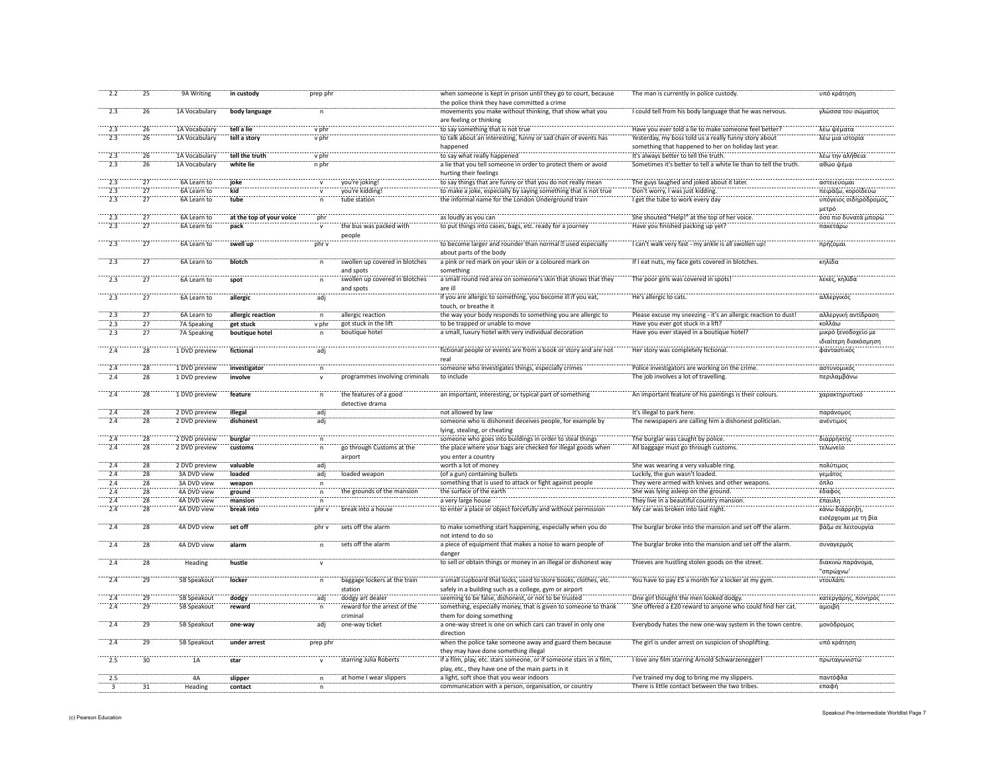| 2.2                               | 25              | 9A Writing    | in custody               | prep phr     |                                | when someone is kept in prison until they go to court, because                                    | The man is currently in police custody.                                                       | υπό κράτηση            |
|-----------------------------------|-----------------|---------------|--------------------------|--------------|--------------------------------|---------------------------------------------------------------------------------------------------|-----------------------------------------------------------------------------------------------|------------------------|
|                                   |                 |               |                          |              |                                | the police think they have committed a crime                                                      |                                                                                               |                        |
| 2.3                               | 26              | 1A Vocabulary | body language            | n            |                                | movements you make without thinking, that show what you                                           | I could tell from his body language that he was nervous.                                      | γλώσσα του σώματος     |
|                                   |                 |               |                          |              |                                | are feeling or thinking                                                                           |                                                                                               |                        |
| 2.3                               | 26              | 1A Vocabulary | tell a lie               | v phr        |                                | to say something that is not true                                                                 | Have you ever told a lie to make someone feel better?                                         | λέω ψέματα             |
| 2.3                               | 26              | 1A Vocabulary | tell a story             | v phr        |                                | to talk about an interesting, funny or sad chain of events has                                    | Yesterday, my boss told us a really funny story about                                         | λέω μια ιστορία        |
|                                   |                 |               |                          |              |                                | happened                                                                                          | something that happened to her on holiday last year.                                          |                        |
| $\overline{2.3}$                  | $\overline{26}$ |               |                          |              |                                | to say what really happened                                                                       |                                                                                               | λέω την αλήθεια        |
|                                   |                 | 1A Vocabulary | tell the truth           | v phr        |                                |                                                                                                   | It's always better to tell the truth.                                                         |                        |
| 2.3                               | $\overline{26}$ | 1A Vocabulary | white lie                | n phr        |                                | a lie that you tell someone in order to protect them or avoid                                     | Sometimes it's better to tell a white lie than to tell the truth.                             | αθώο ψέμα              |
|                                   |                 |               |                          |              |                                | hurting their feelings                                                                            |                                                                                               |                        |
| $\overline{2.3}$                  | $\overline{27}$ | 6A Learn to   | joke                     |              | you're joking!                 | to say things that are funny or that you do not really mean                                       | The guys laughed and joked about it later                                                     | αστειεύομαι            |
| 2.3                               | $\overline{27}$ | 6A Learn to   | kid                      |              | you're kidding!                | to make a joke, especially by saying something that is not true                                   | Don't worry, I was just kidding                                                               | πειράζω, κοροϊδεύω     |
| 2.3                               | 27              | 6A Learn to   | tube                     | n            | tube station                   | the informal name for the London Underground train                                                | I get the tube to work every day                                                              | υπόγειος σιδηρόδρομος, |
|                                   |                 |               |                          |              |                                |                                                                                                   |                                                                                               | μετρό                  |
|                                   | $\overline{27}$ | 6A Learn to   |                          | phr          |                                | as loudly as you can                                                                              | She shouted "Help!" at the top of her voice                                                   |                        |
|                                   |                 |               | at the top of your voice |              |                                |                                                                                                   |                                                                                               | όσο πιο δυνατά μπορώ   |
| 2.3                               | $\overline{27}$ | 6A Learn to   | pack                     |              | the bus was packed with        | to put things into cases, bags, etc. ready for a journey                                          | Have you finished packing up yet?                                                             | πακετάρω               |
|                                   |                 |               |                          |              | people                         |                                                                                                   |                                                                                               |                        |
| $\frac{1}{2.3}$                   | 27              | 6A Learn to   | swell up                 | phr v        |                                | to become larger and rounder than normal used especially                                          | I can't walk very fast - my ankle is all swollen up!                                          | πρήζομαι               |
|                                   |                 |               |                          |              |                                | about parts of the body                                                                           |                                                                                               |                        |
| 2.3                               | 27              | 6A Learn to   | blotch                   | n            | swollen up covered in blotches | a pink or red mark on your skin or a coloured mark on                                             | If I eat nuts, my face gets covered in blotches.                                              | κηλίδα                 |
|                                   |                 |               |                          |              | and spots                      | something                                                                                         |                                                                                               |                        |
| 2.3                               |                 |               |                          |              |                                |                                                                                                   |                                                                                               |                        |
|                                   | 27              | 6A Learn to   | spot                     | $\mathsf{n}$ | swollen up covered in blotches | a small round red area on someone's skin that shows that they                                     | The poor girls was covered in spots!                                                          | λεκές, κηλίδα          |
|                                   |                 |               |                          |              | and spots                      | are ill                                                                                           |                                                                                               |                        |
| 2.3                               | $\overline{27}$ | 6A Learn to   | allergic                 | adj          |                                | if you are allergic to something, you become ill if you eat,                                      | He's allergic to cats.                                                                        | αλλεργικός             |
|                                   |                 |               |                          |              |                                | touch, or breathe it                                                                              |                                                                                               |                        |
| 2.3                               | 27              | 6A Learn to   | allergic reaction        | $\mathsf{n}$ | allergic reaction              | the way your body responds to something you are allergic to                                       | Please excuse my sneezing - it's an allergic reaction to dust!                                | αλλεργική αντίδραση    |
| 2.3                               | 27              | 7A Speaking   | get stuck                | v phr        | got stuck in the lift          | to be trapped or unable to move                                                                   | Have you ever got stuck in a lift?                                                            | κολλάω                 |
| 2.3                               | $\overline{27}$ | 7A Speaking   | boutique hotel           | $\mathsf{n}$ | boutique hotel                 | a small, luxury hotel with very individual decoration                                             | Have you ever stayed in a boutique hotel?                                                     | μικρό ξενοδοχείο με    |
|                                   |                 |               |                          |              |                                |                                                                                                   |                                                                                               |                        |
|                                   |                 |               |                          |              |                                |                                                                                                   |                                                                                               | ιδιαίτερη διακόσμηση   |
| $\overline{2.4}$                  | $\overline{28}$ | 1 DVD preview | fictional                | ädj          |                                | fictional people or events are from a book or story and are not                                   | Her story was completely fictional.                                                           | φανταστικός            |
|                                   |                 |               |                          |              |                                | real                                                                                              |                                                                                               |                        |
| 2.4                               | 28              | 1 DVD preview | investigator             |              |                                | someone who investigates things, especially crimes                                                | Police investigators are working on the crime                                                 | αστυνομικός            |
| 2.4                               | $\overline{28}$ | 1 DVD preview | involve                  |              | programmes involving criminals | to include                                                                                        | The job involves a lot of travelling.                                                         | περιλαμβάνω            |
|                                   |                 |               |                          |              |                                |                                                                                                   |                                                                                               |                        |
| $\frac{1}{2.4}$                   | $\overline{28}$ | 1 DVD preview | feature                  |              | the features of a good         | an important, interesting, or typical part of something                                           | An important feature of his paintings is their colours                                        | χαρακτηριστικό         |
|                                   |                 |               |                          |              |                                |                                                                                                   |                                                                                               |                        |
|                                   |                 |               |                          |              | detective drama                |                                                                                                   |                                                                                               |                        |
| 2.4                               | 28              | 2 DVD preview | illegal                  | adi          |                                | not allowed by law                                                                                | It's illegal to park here.                                                                    | παράνομος              |
| $\overline{2.4}$                  | $\overline{28}$ | 2 DVD preview | dishonest                | adj          |                                | someone who is dishonest deceives people, for example by                                          | The newspapers are calling him a dishonest politician                                         | ανέντιμος              |
|                                   |                 |               |                          |              |                                | lying, stealing, or cheating                                                                      |                                                                                               |                        |
|                                   |                 |               |                          |              |                                |                                                                                                   |                                                                                               |                        |
| 2.4                               | 28              | 2 DVD preview | burglar                  | n            |                                | someone who goes into buildings in order to steal things                                          | The burglar was caught by police.                                                             |                        |
|                                   |                 |               |                          |              |                                |                                                                                                   |                                                                                               | διαρρήκτης             |
| 2.4                               | 28              | 2 DVD preview | customs                  |              | go through Customs at the      | the place where your bags are checked for illegal goods when                                      | All baggage must go through customs.                                                          | τελωνείο               |
|                                   |                 |               |                          |              | airport                        | you enter a country                                                                               |                                                                                               |                        |
| 2.4                               | 28              | 2 DVD preview | valuable                 | adj          |                                | worth a lot of money                                                                              | She was wearing a very valuable ring.                                                         | πολύτιμος              |
| 2.4                               | 28              | 3A DVD view   | loaded                   | adj          | loaded weapon                  | (of a gun) containing bullets                                                                     | Luckily, the gun wasn't loaded.                                                               | γεμάτος                |
| 2.4                               | 28              | 3A DVD view   | weapon                   | $\sf n$      |                                | something that is used to attack or fight against people                                          | They were armed with knives and other weapons.                                                | όπλο                   |
| 2.4                               | 28              | 4A DVD view   | ground                   | $\sf n$      | the grounds of the mansion     | the surface of the earth                                                                          | She was lying asleep on the ground.                                                           | έδαφος                 |
| 2.4                               | 28              | 4A DVD view   | mansion                  | n            |                                | a very large house                                                                                | They live in a beautiful country mansion.                                                     | έπαυλη                 |
|                                   |                 |               |                          |              | break into a house             |                                                                                                   |                                                                                               |                        |
| 2.4                               | 28              | 4A DVD view   | break into               | phr v        |                                | to enter a place or object forcefully and without permission                                      | My car was broken into last night.                                                            | κάνω διάρρηξη,         |
|                                   |                 |               |                          |              |                                |                                                                                                   |                                                                                               | εισέρχομαι με τη βία   |
| 2.4                               | 28              | 4A DVD view   | set off                  | phr v        | sets off the alarm             | to make something start happening, especially when you do                                         | The burglar broke into the mansion and set off the alarm.                                     | βάζω σε λειτουργία     |
|                                   |                 |               |                          |              |                                | not intend to do so                                                                               |                                                                                               |                        |
| 2.4                               | 28              | 4A DVD view   | alarm                    | n            | sets off the alarm             | a piece of equipment that makes a noise to warn people of                                         | The burglar broke into the mansion and set off the alarm.                                     | συναγερμός             |
|                                   |                 |               |                          |              |                                | danger                                                                                            |                                                                                               |                        |
| $\overline{2.4}$                  | $\overline{28}$ | Heading       | hustle                   |              |                                |                                                                                                   | Thieves are hustling stolen goods on the street.                                              | διακινώ παράνομα,      |
|                                   |                 |               |                          |              |                                | to sell or obtain things or money in an illegal or dishonest way                                  |                                                                                               |                        |
|                                   |                 |               |                          |              |                                |                                                                                                   |                                                                                               | "σπρώγνω"              |
| 2.4                               | 29              | 5B Speakout   | locker                   | n            | baggage lockers at the train   | a small cupboard that locks, used to store books, clothes, etc.                                   | You have to pay £5 a month for a locker at my gym                                             | ντουλάπι               |
|                                   |                 |               |                          |              | station                        | safely in a building such as a college, gym or airport                                            |                                                                                               |                        |
|                                   | $\overline{29}$ | 5B Speakout   | dodgy                    | adi          | dodgy art dealer               | seeming to be false, dishonest, or not to be trusted                                              | One girl thought the men looked dodgy.                                                        | κατεργάρης, πονηρό     |
| 2.4                               | $\overline{29}$ | 5B Speakout   | reward                   |              | reward for the arrest of the   | something, especially money, that is given to someone to thank                                    | She offered a £20 reward to anyone who could find her cat.                                    | αμοιβή                 |
|                                   |                 |               |                          |              | criminal                       |                                                                                                   |                                                                                               |                        |
|                                   |                 |               |                          |              |                                | them for doing something                                                                          |                                                                                               |                        |
| 2.4                               | 29              | 5B Speakout   | one-way                  | adj          | one-way ticket                 | a one-way street is one on which cars can travel in only one                                      | Everybody hates the new one-way system in the town centre.                                    | μονόδρομος             |
|                                   |                 |               |                          |              |                                | direction                                                                                         |                                                                                               |                        |
| 2.4                               | 29              | 5B Speakout   | under arrest             | prep phr     |                                | when the police take someone away and guard them because                                          | The girl is under arrest on suspicion of shoplifting.                                         | υπό κράτηση            |
|                                   |                 |               |                          |              |                                | they may have done something illegal                                                              |                                                                                               |                        |
| 2.5                               | 30              | 1A            | star                     |              | starring Julia Roberts         | if a film, play, etc. stars someone, or if someone stars in a film,                               | I love any film starring Arnold Schwarzenegger!                                               | πρωταγωνιστώ           |
|                                   |                 |               |                          |              |                                |                                                                                                   |                                                                                               |                        |
|                                   |                 |               |                          |              |                                | play, etc., they have one of the main parts in it                                                 |                                                                                               |                        |
| $\frac{1}{2.5}$<br>$\overline{3}$ | 31              | 4A<br>Heading | slipper<br>contact       | n<br>$\sf n$ | at home I wear slippers        | a light, soft shoe that you wear indoors<br>communication with a person, organisation, or country | I've trained my dog to bring me my slippers<br>There is little contact between the two tribes | παντόφλα<br>επαφή      |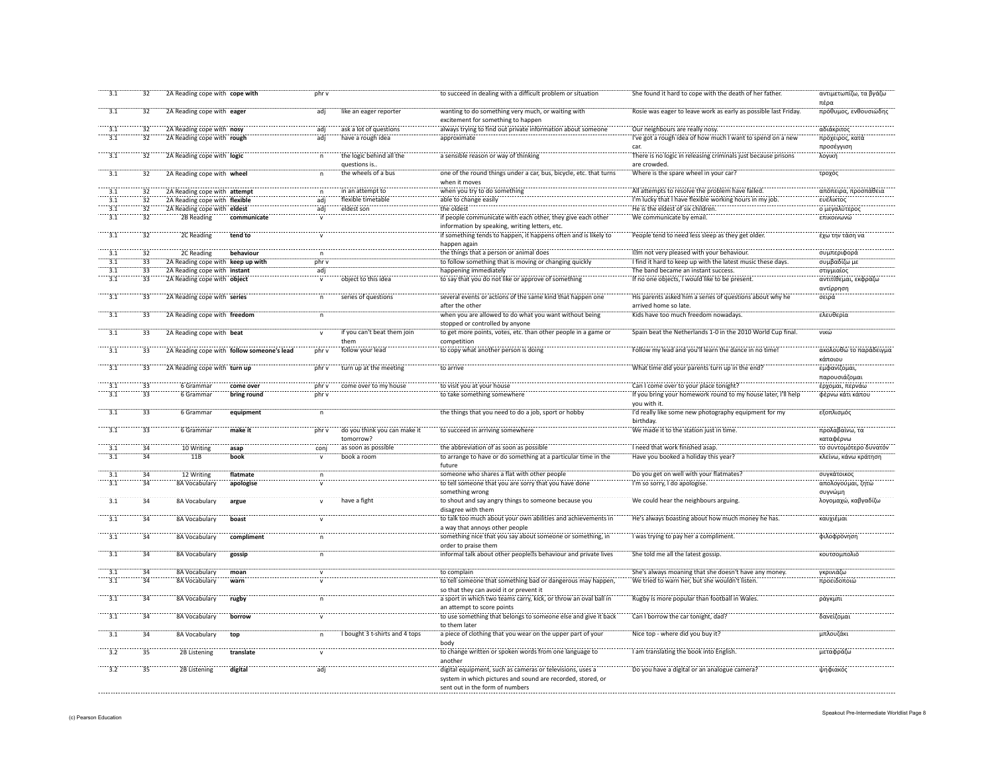| 3.1              | 32              | 2A Reading cope with cope with    |                                            | phr v        |                                | to succeed in dealing with a difficult problem or situation                              | She found it hard to cope with the death of her father.         | αντιμετωπίζω, τα βγάζω<br>πέρα |
|------------------|-----------------|-----------------------------------|--------------------------------------------|--------------|--------------------------------|------------------------------------------------------------------------------------------|-----------------------------------------------------------------|--------------------------------|
| 3.1              | 32              | 2A Reading cope with eager        |                                            | adj          | like an eager reporter         | wanting to do something very much, or waiting with<br>excitement for something to happen | Rosie was eager to leave work as early as possible last Friday. | πρόθυμος, ενθουσιώδης          |
| 3.1              | $\overline{32}$ | 2A Reading cope with nosy         |                                            | adi          | ask a lot of questions         | always trying to find out private information about someone                              | Our neighbours are really nosy.                                 | αδιάκριτος                     |
| 3.1              | 32              | 2A Reading cope with rough        |                                            | adj          | have a rough idea              | approximate                                                                              | I've got a rough idea of how much I want to spend on a new      | πρόχειρος, κατά                |
|                  |                 |                                   |                                            |              |                                |                                                                                          | car.                                                            | προσέγγιση                     |
| $\overline{3.1}$ | 32              | 2A Reading cope with logic        |                                            |              | the logic behind all the       | a sensible reason or way of thinking                                                     | There is no logic in releasing criminals just because prisons   | λογική                         |
|                  |                 |                                   |                                            |              | questions is.                  |                                                                                          | are crowded.                                                    |                                |
| $\overline{3.1}$ |                 |                                   |                                            |              | the wheels of a bus            |                                                                                          |                                                                 |                                |
|                  | 32              | 2A Reading cope with wheel        |                                            |              |                                | one of the round things under a car, bus, bicycle, etc. that turns                       | Where is the spare wheel in your car?                           | τροχός                         |
|                  |                 |                                   |                                            |              |                                | when it moves                                                                            |                                                                 |                                |
| $\overline{3.1}$ | 32              | 2A Reading cope with attempt      |                                            |              | in an attempt to               | when you try to do something                                                             | All attempts to resolve the problem have failed                 | απόπειρα, προσπάθεια           |
| $\overline{3.1}$ | $\overline{32}$ | 2A Reading cope with flexible     |                                            | adj          | flexible timetable             | able to change easily                                                                    | I'm lucky that I have flexible working hours in my job.         | ευέλικτος                      |
| $\overline{3.1}$ | $\overline{32}$ | 2A Reading cope with eldest       |                                            | adi          | eldest son                     | the oldest                                                                               | He is the eldest of six children.                               | ο μεγαλύτερος                  |
| $\overline{3.1}$ | $\overline{32}$ | 2B Reading                        | communicate                                |              |                                | if people communicate with each other, they give each other                              | We communicate by email.                                        | <b>ΕΠΙΚΟΙ</b> ΥΦΙΟΥ            |
|                  |                 |                                   |                                            |              |                                | information by speaking, writing letters, etc.                                           |                                                                 |                                |
| $\frac{1}{3.1}$  | $\overline{32}$ | 2C Reading                        | tend to                                    |              |                                | if something tends to happen, it happens often and is likely to                          | People tend to need less sleep as they get older.               | έχω την τάση να                |
|                  |                 |                                   |                                            |              |                                | happen again                                                                             |                                                                 |                                |
| 3.1              | 32              | 2C Reading                        | behaviour                                  |              |                                | the things that a person or animal does                                                  | I m not very pleased with your behaviour.                       | συμπεριφορά                    |
| 3.1              | $\overline{33}$ | 2A Reading cope with keep up with |                                            | phr v        |                                | to follow something that is moving or changing quickly                                   | I find it hard to keep up with the latest music these days.     | συμβαδίζω με                   |
| $\overline{3.1}$ | $\overline{33}$ | 2A Reading cope with instant      |                                            | adj          |                                | happening immediately                                                                    | The band became an instant success.                             | στιγμιαίος                     |
| $\overline{3.1}$ | 33              |                                   |                                            |              | object to this idea            |                                                                                          | If no one objects, I would like to be present.                  | αντιτίθεμαι, εκφράζω           |
|                  |                 | 2A Reading cope with object       |                                            |              |                                | to say that you do not like or approve of something                                      |                                                                 |                                |
|                  |                 |                                   |                                            |              |                                |                                                                                          |                                                                 | αντίρρηση                      |
| 3.1              | 33              | 2A Reading cope with series       |                                            | $\mathsf{n}$ | series of questions            | several events or actions of the same kind that happen one                               | His parents asked him a series of questions about why he        | σειρά                          |
|                  |                 |                                   |                                            |              |                                | after the other                                                                          | arrived home so late.                                           |                                |
| 3.1              | 33              | 2A Reading cope with freedom      |                                            | $\mathsf{n}$ |                                | when you are allowed to do what you want without being                                   | Kids have too much freedom nowadays.                            | ελευθερία                      |
|                  |                 |                                   |                                            |              |                                | stopped or controlled by anyone                                                          |                                                                 |                                |
| 3.1              | 33              | 2A Reading cope with beat         |                                            | $\mathbf{v}$ | if you can't beat them join    | to get more points, votes, etc. than other people in a game or                           | Spain beat the Netherlands 1-0 in the 2010 World Cup final.     | νικώ                           |
|                  |                 |                                   |                                            |              | them                           | competition                                                                              |                                                                 |                                |
| 3.1              | $\overline{33}$ |                                   | 2A Reading cope with follow someone's lead | phr v        | follow your lead               | to copy what another person is doing                                                     | Follow my lead and you'll learn the dance in no time!           | ακολουθώ το παράδειγμο         |
|                  |                 |                                   |                                            |              |                                |                                                                                          |                                                                 | κάποιου                        |
| $\frac{1}{3.1}$  | 33              | 2A Reading cope with turn up      |                                            | phr v        | turn up at the meeting         | to arrive                                                                                | What time did your parents turn up in the end?                  | εμφανίζομαι,                   |
|                  |                 |                                   |                                            |              |                                |                                                                                          |                                                                 | παρουσιάζομαι                  |
|                  | $\overline{33}$ | 6 Grammar                         | come ove                                   | phr v        | come over to my house          | to visit you at your house                                                               | Can I come over to your place tonight?                          | έρχομαι, περνάω                |
| $-3.1$           | 33              | 6 Grammar                         | bring round                                | phr v        |                                | to take something somewhere                                                              | If you bring your homework round to my house later, I'll help   | φέρνω κάτι κάπου               |
|                  |                 |                                   |                                            |              |                                |                                                                                          | you with it.                                                    |                                |
| $\overline{3.1}$ | $\overline{33}$ | 6 Grammar                         |                                            |              |                                | the things that you need to do a job, sport or hobby                                     |                                                                 | εξοπλισμός                     |
|                  |                 |                                   | equipment                                  | $\mathsf{n}$ |                                |                                                                                          | I'd really like some new photography equipment for my           |                                |
| $\overline{3.1}$ |                 |                                   |                                            |              |                                |                                                                                          | birthdav                                                        |                                |
|                  | 33              | 6 Grammar                         | make it                                    | phr v        | do you think you can make it   | to succeed in arriving somewhere                                                         | We made it to the station just in time.                         | προλαβαίνω, τα                 |
|                  |                 |                                   |                                            |              | tomorrow?                      |                                                                                          |                                                                 | καταφέρνω                      |
| 3.1              | 34              | 10 Writing                        | asap                                       | coni         | as soon as possible            | the abbreviation of as soon as possible                                                  | I need that work finished asap                                  | το συντομότερο δυνατόν         |
| 3.1              | 34              | 11B                               | book                                       | $\mathsf{v}$ | book a room                    | to arrange to have or do something at a particular time in the                           | Have you booked a holiday this year?                            | κλείνω, κάνω κράτηση           |
|                  |                 |                                   |                                            |              |                                | future                                                                                   |                                                                 |                                |
|                  | $\frac{1}{34}$  | 12 Writing                        | flatmate                                   |              |                                | someone who shares a flat with other people                                              | Do you get on well with your flatmates?                         | συγκάτοικος                    |
| 3.1              | 34              | 8A Vocabulary                     | apologise                                  |              |                                | to tell someone that you are sorry that you have done                                    | I'm so sorry, I do apologise.                                   | απολογούμαι, ζητώ              |
|                  |                 |                                   |                                            |              |                                | something wrong                                                                          |                                                                 | συγνώμη                        |
| $\frac{1}{3.1}$  | $\overline{34}$ | 8A Vocabulary                     | argue                                      | $\mathbf{v}$ | have a figh                    | to shout and say angry things to someone because you                                     | We could hear the neighbours arguing.                           | λογομαχώ, καβγαδίζω            |
|                  |                 |                                   |                                            |              |                                | disagree with them                                                                       |                                                                 |                                |
| $\frac{1}{3.1}$  | $\overline{34}$ | 8A Vocabulary                     | boast                                      |              |                                | to talk too much about your own abilities and achievements in                            | He's always boasting about how much money he has                | καυχιέμαι                      |
|                  |                 |                                   |                                            |              |                                | a way that annoys other people                                                           |                                                                 |                                |
| 3.1              | 34              |                                   |                                            |              |                                | something nice that you say about someone or something, in                               | I was trying to pay her a compliment.                           | φιλοφρόνηση                    |
|                  |                 | 8A Vocabulary                     | compliment                                 |              |                                |                                                                                          |                                                                 |                                |
|                  |                 |                                   |                                            |              |                                | order to praise them                                                                     |                                                                 |                                |
| 3.1              | 34              | 8A Vocabulary                     | gossip                                     | $\mathsf{n}$ |                                | informal talk about other people s behaviour and private lives                           | She told me all the latest gossip.                              | κουτσομπολιό                   |
|                  |                 |                                   |                                            |              |                                |                                                                                          |                                                                 |                                |
| 3.1              | 34              | 8A Vocabulary                     | moan                                       | $\mathsf{v}$ |                                | to complain                                                                              | She's always moaning that she doesn't have any money.           | γκρινιάζω                      |
| 3.1              | 34              | 8A Vocabulary                     | warn                                       |              |                                | to tell someone that something bad or dangerous may happen,                              | We tried to warn her, but she wouldn't listen.                  | προειδοποιώ                    |
|                  |                 |                                   |                                            |              |                                | so that they can avoid it or prevent it                                                  |                                                                 |                                |
| $\overline{3.1}$ | $\overline{34}$ | 8A Vocabulary                     | rugby                                      | n            |                                | a sport in which two teams carry, kick, or throw an oval ball in                         | Rugby is more popular than football in Wales                    | ράγκμπι                        |
|                  |                 |                                   |                                            |              |                                | an attempt to score points                                                               |                                                                 |                                |
| $\overline{3.1}$ | $\overline{34}$ | <b>8A Vocabulary</b>              | borrow                                     |              |                                | to use something that belongs to someone else and give it back                           | Can I borrow the car tonight, dad?                              | δανείζομαι                     |
|                  |                 |                                   |                                            |              |                                | to them later                                                                            |                                                                 |                                |
| $\overline{3.1}$ | $\overline{34}$ | 8A Vocabulary                     | top                                        |              | I bought 3 t-shirts and 4 tops | a piece of clothing that you wear on the upper part of your                              | Nice top - where did you buy it?                                | μπλουζάκι                      |
|                  |                 |                                   |                                            |              |                                | body                                                                                     |                                                                 |                                |
| $\overline{3.2}$ | 35              | 2B Listening                      | translate                                  |              |                                | to change written or spoken words from one language to                                   | I am translating the book into English.                         | μεταφράζω                      |
|                  |                 |                                   |                                            |              |                                | another                                                                                  |                                                                 |                                |
| $\frac{1}{3.2}$  | $\overline{35}$ | 2B Listening                      | digital                                    | adj          |                                | digital equipment, such as cameras or televisions, uses a                                | Do you have a digital or an analogue camera?                    | ψηφιακός                       |
|                  |                 |                                   |                                            |              |                                | system in which pictures and sound are recorded, stored, or                              |                                                                 |                                |
|                  |                 |                                   |                                            |              |                                | sent out in the form of numbers                                                          |                                                                 |                                |
|                  |                 |                                   |                                            |              |                                |                                                                                          |                                                                 |                                |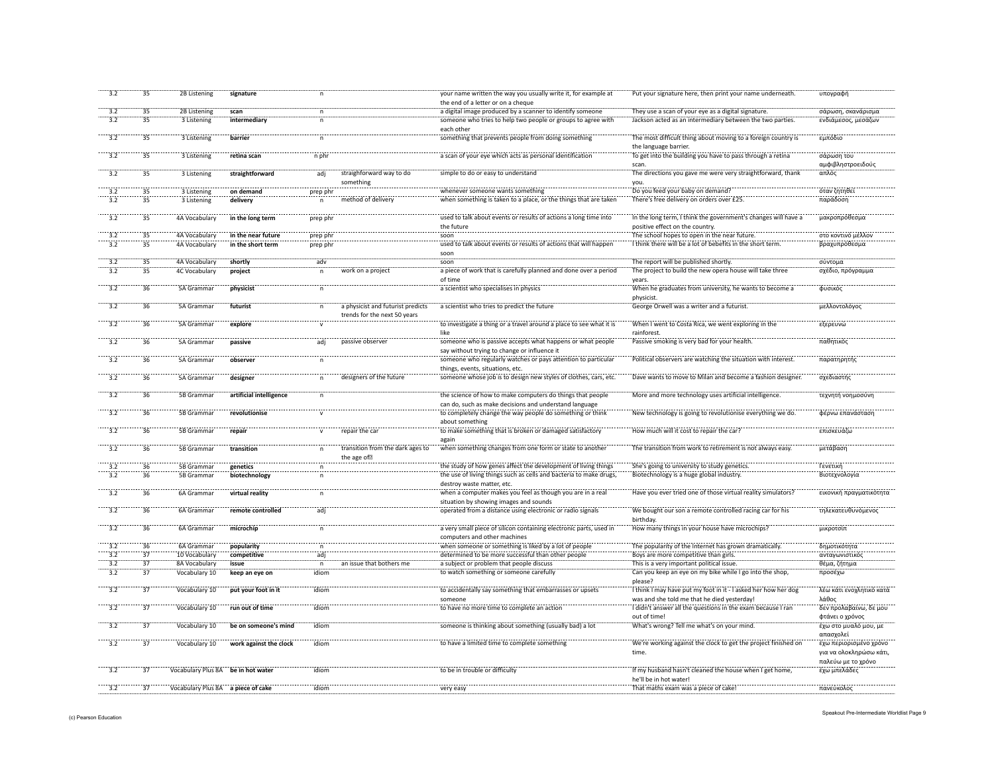| 3.2              | 35              | 2B Listening                       | signature               |              |                                   | your name written the way you usually write it, for example at                           | Put your signature here, then print your name underneath       | υπογραφή                 |
|------------------|-----------------|------------------------------------|-------------------------|--------------|-----------------------------------|------------------------------------------------------------------------------------------|----------------------------------------------------------------|--------------------------|
|                  |                 |                                    |                         |              |                                   | the end of a letter or on a cheque                                                       |                                                                |                          |
| 3.2              | 35              | 2B Listening                       | scan                    | n            |                                   | a digital image produced by a scanner to identify someone                                | They use a scan of your eye as a digital signature.            | σάρωση, σκανάρισμα       |
| 3.2              | 35              | 3 Listening                        | intermediary            | n.           |                                   | someone who tries to help two people or groups to agree with                             | Jackson acted as an intermediary between the two parties.      | ενδιάμεσος, μεσάζων      |
|                  |                 |                                    |                         |              |                                   | each other                                                                               |                                                                |                          |
| 3.2              | 35              | 3 Listening                        | barrier                 | n            |                                   | something that prevents people from doing something                                      | The most difficult thing about moving to a foreign country is  | εμπόδιο                  |
|                  |                 |                                    |                         |              |                                   |                                                                                          | the language barrier.                                          |                          |
| 3.2              | 35              | 3 Listening                        | retina scan             | n phr        |                                   | a scan of your eye which acts as personal identification                                 | To get into the building you have to pass through a retinal    | σάρωση του               |
|                  |                 |                                    |                         |              |                                   |                                                                                          | scan.                                                          | αμφιβληστροειδούς        |
| $\frac{1}{3.2}$  | $\overline{35}$ | 3 Listening                        | straightforward         | adj          | straighforward way to do          | simple to do or easy to understand                                                       | The directions you gave me were very straightforward, thank    | απλός                    |
|                  |                 |                                    |                         |              | something                         |                                                                                          |                                                                |                          |
| 3.2              | 35              | 3 Listening                        | on demand               |              |                                   | whenever someone wants something                                                         | you.<br>Do you feed your baby on demand?                       | όταν ζητηθεί             |
| 3.2              | 35              | 3 Listening                        | delivery                | prep phr     | method of delivery                | when something is taken to a place, or the things that are taken                         | There's free delivery on orders over £25                       | παράδοση                 |
|                  |                 |                                    |                         |              |                                   |                                                                                          |                                                                |                          |
|                  |                 |                                    |                         |              |                                   |                                                                                          |                                                                |                          |
| $\frac{1}{3.2}$  | 35              | 4A Vocabulary                      | in the long term        | prep phr     |                                   | used to talk about events or results of actions a long time into                         | In the long term, I think the government's changes will have a | μακροπρόθεσμα            |
|                  |                 |                                    |                         |              |                                   | the future                                                                               | positive effect on the country.                                |                          |
| 3.2              | 35              | 4A Vocabulary                      | in the near future      | prep phr     |                                   | soon                                                                                     | The school hopes to open in the near future.                   | στο κοντινό μέλλον       |
| 3.2              | 35              | 4A Vocabulary                      | in the short term       | prep phr     |                                   | used to talk about events or results of actions that will happen                         | I think there will be a lot of bebefits in the short term.     | βραχυπρόθεσμα            |
|                  |                 |                                    |                         |              |                                   | soon                                                                                     |                                                                |                          |
| 3.2              | 35              | 4A Vocabulary                      | shortly                 | adv          |                                   | soon                                                                                     | The report will be published shortly.                          | σύντομα                  |
| 3.2              | 35              | <b>4C Vocabulary</b>               | project                 | n            | work on a project                 | a piece of work that is carefully planned and done over a period                         | The project to build the new opera house will take three       | σχέδιο, πρόγραμμα        |
|                  |                 |                                    |                         |              |                                   | of time                                                                                  | years.                                                         |                          |
| 3.2              | 36              | 5A Grammar                         | physicist               | $\mathsf{n}$ |                                   | a scientist who specialises in physics                                                   | When he graduates from university, he wants to become a        | φυσικός                  |
|                  |                 |                                    |                         |              |                                   |                                                                                          | physicist                                                      |                          |
| 3.2              | 36              | 5A Grammar                         | futurist                |              | a physicist and futurist predicts | a scientist who tries to predict the future                                              | George Orwell was a writer and a futurist.                     | μελλοντολόγος            |
|                  |                 |                                    |                         |              | trends for the next 50 years      |                                                                                          |                                                                |                          |
|                  | 36              | 5A Grammar                         | explore                 |              |                                   | to investigate a thing or a travel around a place to see what it is                      | When I went to Costa Rica, we went exploring in the            | εξερευνώ                 |
|                  |                 |                                    |                         |              |                                   |                                                                                          | rainforest                                                     |                          |
| 3.2              | 36              | 5A Grammar                         | passive                 |              |                                   | someone who is passive accepts what happens or what people                               | Passive smoking is very bad for your health.                   | παθητικός                |
|                  |                 |                                    |                         | adj          | passive observer                  |                                                                                          |                                                                |                          |
|                  |                 |                                    |                         |              |                                   | say without trying to change or influence it                                             |                                                                |                          |
| $\overline{3.2}$ | 36              | 5A Grammar                         | observer                | n            |                                   | someone who regularly watches or pays attention to particular                            | Political observers are watching the situation with interest.  | παρατηρητής              |
|                  |                 |                                    |                         |              |                                   | things, events, situations, etc.                                                         |                                                                |                          |
| 3.2              | 36              | 5A Grammar                         | designer                | $\mathsf{n}$ | designers of the future           | someone whose job is to design new styles of clothes, cars, etc.                         | Dave wants to move to Milan and become a fashion designer.     | σχεδιαστής               |
|                  |                 |                                    |                         |              |                                   |                                                                                          |                                                                |                          |
| 3.2              | 36              | 5B Grammar                         | artificial intelligence | n            |                                   | the science of how to make computers do things that people                               | More and more technology uses artificial intelligence.         | τεχνητή νοημοσύνη        |
|                  |                 |                                    |                         |              |                                   | can do, such as make decisions and understand language                                   |                                                                |                          |
| $\overline{3.2}$ | 36              | 5B Grammar                         | revolutionise           | v            |                                   | to completely change the way people do something or think                                | New technology is going to revolutionise everything we do.     | φέρνω επανάσταση         |
|                  |                 |                                    |                         |              |                                   | about something                                                                          |                                                                |                          |
| 3.2              | $\overline{36}$ | 5B Grammar                         | repair                  | $\mathsf{v}$ | repair the car                    | to make something that is broken or damaged satisfactory                                 | How much will it cost to repair the car?                       | επισκευάζω               |
|                  |                 |                                    |                         |              |                                   | again                                                                                    |                                                                |                          |
| 3.2              | 36              | 5B Grammar                         | transition              | n.           | transition from the dark ages to  | when something changes from one form or state to another                                 | The transition from work to retirement is not always easy.     | μετάβαση                 |
|                  |                 |                                    |                         |              | the age of                        |                                                                                          |                                                                |                          |
| $\overline{3.2}$ | 36              | 5B Grammar                         | genetics                |              |                                   | the study of how genes affect the development of living things                           | She's going to university to study genetics.                   | Γενετική                 |
| 3.2              | 36              | 5B Gramma                          | biotechnology           |              |                                   | the use of living things such as cells and bacteria to make drugs,                       | Biotechnology is a huge global industry.                       | Βιοτεχνολογία            |
|                  |                 |                                    |                         |              |                                   |                                                                                          |                                                                |                          |
| 3.2              | 36              | 6A Grammar                         |                         |              |                                   | destroy waste matter, etc.<br>when a computer makes you feel as though you are in a real | Have you ever tried one of those virtual reality simulators?   | εικονική πραγματικότητα  |
|                  |                 |                                    | virtual reality         | n            |                                   |                                                                                          |                                                                |                          |
|                  |                 |                                    |                         |              |                                   | situation by showing images and sounds                                                   |                                                                |                          |
| 3.2              | 36              | 6A Grammar                         | remote controlled       | adj          |                                   | operated from a distance using electronic or radio signals                               | We bought our son a remote controlled racing car for his       | τηλεκατευθυνόμενος       |
|                  |                 |                                    |                         |              |                                   |                                                                                          | birthdav                                                       |                          |
| 3.2              | 36              | 6A Grammar                         | microchip               | n            |                                   | a very small piece of silicon containing electronic parts, used in                       | How many things in your house have microchips?                 | μικροτσίπ                |
|                  |                 |                                    |                         |              |                                   | computers and other machines                                                             |                                                                |                          |
| 3.2              | 36              | 6A Grammar                         | popularity              |              |                                   | when someone or something is liked by a lot of people                                    | The popularity of the Internet has grown dramatically          | δημοτικότητα             |
| 3.2              | 37              | 10 Vocabulary                      | competitive             | adj          |                                   | determined to be more successful than other people                                       | Boys are more competitive than girls.                          | ανταγωνιστικός           |
| 3.2              | 37              | 8A Vocabulary                      | issue                   | $\mathsf{n}$ | an issue that bothers me          | a subject or problem that people discuss                                                 | This is a very important political issue.                      | θέμα, ζήτημα             |
| 3.2              | 37              | Vocabulary 10                      | keep an eye on          | idiom        |                                   | to watch something or someone carefully                                                  | Can you keep an eye on my bike while I go into the shop,       | προσέχω                  |
|                  |                 |                                    |                         |              |                                   |                                                                                          | please?                                                        |                          |
| 3.2              | $\overline{37}$ | Vocabulary 10                      | put your foot in it     | idiom        |                                   | to accidentally say something that embarrasses or upsets                                 | I think I may have put my foot in it - I asked her how her dog | λέω κάτι ενοχλητικό κατά |
|                  |                 |                                    |                         |              |                                   | someone                                                                                  | was and she told me that he died yesterday!                    | λάθος                    |
|                  | 37              | Vocabulary 10                      | run out of time         | idiom        |                                   | to have no more time to complete an action                                               | I didn't answer all the questions in the exam because I ran    | δεν προλαβαίνω, δε μου   |
|                  |                 |                                    |                         |              |                                   |                                                                                          | out of time!                                                   |                          |
|                  |                 |                                    |                         |              |                                   |                                                                                          |                                                                | φτάνει ο χρόνος          |
| 3.2              | $\overline{37}$ | Vocabulary 10                      | be on someone's mind    | idiom        |                                   | someone is thinking about something (usually bad) a lot                                  | What's wrong? Tell me what's on your mind.                     | έχω στο μυαλό μου, με    |
|                  |                 |                                    |                         |              |                                   |                                                                                          |                                                                | απασχολεί                |
| $\overline{3.2}$ | 37              | Vocabulary 10                      | work against the clock  | idiom        |                                   | to have a limited time to complete something                                             | We're working against the clock to get the project finished on | έχω περιορισμένο χρόνο   |
|                  |                 |                                    |                         |              |                                   |                                                                                          | time.                                                          | για να ολοκληρώσω κάτι,  |
|                  |                 |                                    |                         |              |                                   |                                                                                          |                                                                | παλεύω με το χρόνο       |
| $\overline{3.2}$ | $\overline{37}$ | Vocabulary Plus 8A be in hot water |                         | idiom        |                                   | to be in trouble or difficulty                                                           | If my husband hasn't cleaned the house when I get home,        | έχω μπελάδες             |
|                  |                 |                                    |                         |              |                                   |                                                                                          | he'll be in hot water!                                         |                          |
|                  | 37              | Vocabulary Plus 8A a piece of cake |                         | idiom        |                                   | very easy                                                                                | That maths exam was a piece of cake!                           | πανεύκολος               |
|                  |                 |                                    |                         |              |                                   |                                                                                          |                                                                |                          |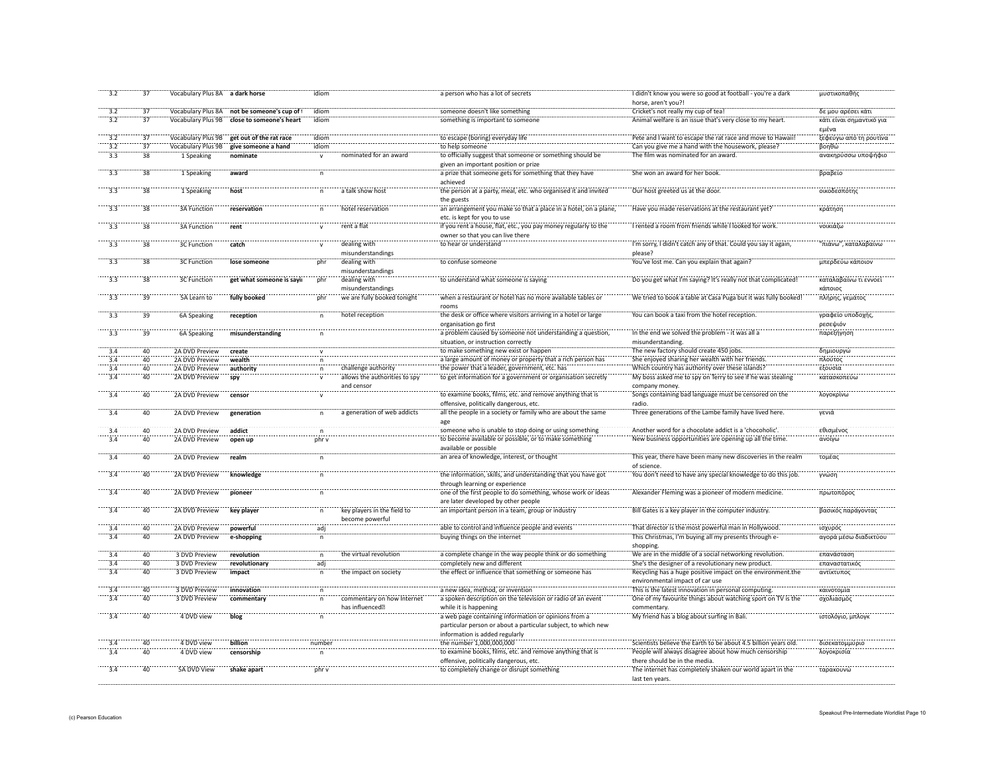| 3.2              | 37              | Vocabulary Plus 8A a dark horse |                           | idiom        |                                                | a person who has a lot of secrets                                                                                                                       | I didn't know you were so good at football - you're a dark<br>horse, aren't you?!              | μυστικοπαθής                      |
|------------------|-----------------|---------------------------------|---------------------------|--------------|------------------------------------------------|---------------------------------------------------------------------------------------------------------------------------------------------------------|------------------------------------------------------------------------------------------------|-----------------------------------|
| 3.2              | 37              | Vocabulary Plus 8A              | not be someone's cup of 1 | idiom        |                                                | someone doesn't like something                                                                                                                          | Cricket's not really my cup of tea!                                                            | δε μου αρέσει κάτι                |
| $\overline{3.2}$ | $\overline{37}$ | Vocabulary Plus 9B              | close to someone's heart  | idiom        |                                                | something is important to someone                                                                                                                       | Animal welfare is an issue that's very close to my heart.                                      | κάτι είναι σημαντικό για<br>εμένα |
| 3.2              | 37              | Vocabulary Plus 9B              | get out of the rat race   | idiom        |                                                | to escape (boring) everyday life                                                                                                                        | Pete and I want to escape the rat race and move to Hawaii!                                     | ξεφεύγω από τη ρουτίνα            |
| 3.2              | $\overline{37}$ | Vocabulary Plus 9B              | give someone a hand       | idiom        |                                                | to help someone                                                                                                                                         | Can you give me a hand with the housework, please?                                             | βοηθώ                             |
| 3.3              | 38              | 1 Speaking                      | nominate                  | $\mathsf{v}$ | nominated for an award                         | to officially suggest that someone or something should be                                                                                               | The film was nominated for an award.                                                           | ανακηρύσσω υποψήφιο               |
|                  |                 |                                 |                           |              |                                                | given an important position or prize                                                                                                                    |                                                                                                |                                   |
| 3.3              | 38              | 1 Speaking                      | award                     | n            |                                                | a prize that someone gets for something that they have<br>achieved                                                                                      | She won an award for her book                                                                  | βραβείο                           |
| $\frac{1}{3}$    | $\overline{38}$ | 1 Speaking                      | host                      | n            | a talk show host                               | the person at a party, meal, etc. who organised it and invited<br>the guests                                                                            | Our host greeted us at the door.                                                               | οικοδεσπότης                      |
| $\frac{1}{3.3}$  | $\overline{38}$ | 3A Function                     | reservation               | $\mathsf{n}$ | hotel reservation                              | an arrangement you make so that a place in a hotel, on a plane,<br>etc. is kept for you to use                                                          | Have you made reservations at the restaurant yet?                                              | κράτηση                           |
| $\overline{3.3}$ | $\overline{38}$ | 3A Function                     | rent                      |              | rent a flat                                    | if you rent a house, flat, etc., you pay money regularly to the<br>owner so that you can live there                                                     | I rented a room from friends while I looked for work.                                          | νοικιάζω                          |
| 3.3              | $\overline{38}$ | <b>3C Function</b>              | catch                     |              | dealing with<br>misunderstandings              | to hear or understand                                                                                                                                   | I'm sorry, I didn't catch any of that. Could you say it again,<br>please?                      | "πιάνω", καταλαβαίνω              |
| 3.3              | 38              | <b>3C Function</b>              | lose someone              | phr          | dealing with<br>misunderstandings              | to confuse someone                                                                                                                                      | You've lost me. Can you explain that again?                                                    | μπερδεύω κάποιον                  |
| $\overline{3.3}$ | 38              | 3C Function                     | get what someone is sayir | phr          | dealing with<br>misunderstandings              | to understand what someone is saying                                                                                                                    | Do you get what I'm saying? It's really not that complicated!                                  | καταλαβαίνω τι εννοεί<br>κάποιος  |
| 3.3              | 39              | 5A Learn to                     | fully booked              | phr          | we are fully booked tonight                    | when a restaurant or hotel has no more available tables or<br>rooms                                                                                     | We tried to book a table at Casa Puga but it was fully booked!                                 | πλήρης, γεμάτος                   |
| 3.3              | $\overline{39}$ | 6A Speaking                     | reception                 | $\mathsf{n}$ | hotel reception                                | the desk or office where visitors arriving in a hotel or large                                                                                          | You can book a taxi from the hotel reception.                                                  | γραφείο υποδοχής                  |
| 3.3              | 39              | 6A Speaking                     | misunderstanding          |              |                                                | organisation go first<br>a problem caused by someone not understanding a question,                                                                      | In the end we solved the problem - it was all a                                                | ρεσεψιόν<br>παρεξήγηση            |
|                  |                 |                                 |                           |              |                                                | situation, or instruction correctly                                                                                                                     | misunderstanding.                                                                              |                                   |
| 3.4              | 40              | 2A DVD Preview                  | create                    |              |                                                | to make something new exist or happen                                                                                                                   | The new factory should create 450 jobs.                                                        | δημιουργώ                         |
| 3.4              | 40              | 2A DVD Preview                  | wealth                    | n            |                                                | a large amount of money or property that a rich person has                                                                                              | She enjoyed sharing her wealth with her friends.                                               | πλούτος                           |
| 3.4              | 40              | 2A DVD Preview                  | authority                 | $\mathsf{n}$ | challenge authority                            | the power that a leader, government, etc. has                                                                                                           | Which country has authority over these islands?                                                | εξουσία                           |
| 3.4              | 40              | 2A DVD Preview                  | spy                       |              | allows the authorities to spy<br>and censor    | to get information for a government or organisation secretly                                                                                            | My boss asked me to spy on Terry to see if he was stealing<br>company money.                   | κατασκοπεύι                       |
| 3.4              | 40              | 2A DVD Preview                  | censor                    | $\mathbf{v}$ |                                                | to examine books, films, etc. and remove anything that is<br>offensive, politically dangerous, etc.                                                     | Songs containing bad language must be censored on the<br>radio.                                | λογοκρίνω                         |
| 3.4              | 40              | 2A DVD Preview                  | generation                | $\mathsf{n}$ | a generation of web addicts                    | all the people in a society or family who are about the same<br>age                                                                                     | Three generations of the Lambe family have lived here.                                         | γενιά                             |
| 3.4              | 40              | 2A DVD Preview                  | addict                    | n            |                                                | someone who is unable to stop doing or using something                                                                                                  | Another word for a chocolate addict is a 'chocoholic'                                          | εθισμένος                         |
| 3.4              | 40              | 2A DVD Preview                  | open up                   | phr v        |                                                | to become available or possible, or to make something<br>available or possible                                                                          | New business opportunities are opening up all the time.                                        | ανοίγω                            |
| 3.4              | 40              | 2A DVD Preview                  | realm                     |              |                                                | an area of knowledge, interest, or thought                                                                                                              | This year, there have been many new discoveries in the realm<br>of science                     | τομέας                            |
| 3.4              | 40              | 2A DVD Preview                  | knowledge                 |              |                                                | the information, skills, and understanding that you have got<br>through learning or experience                                                          | You don't need to have any special knowledge to do this job.                                   | γνώση                             |
| 3.4              | $40^{\circ}$    | 2A DVD Preview                  | pioneer                   |              |                                                | one of the first people to do something, whose work or ideas<br>are later developed by other people                                                     | Alexander Fleming was a pioneer of modern medicine.                                            | πρωτοπόροι                        |
| 3.4              | 40              | 2A DVD Preview                  | key player                | $\mathsf{n}$ | key players in the field to<br>become powerful | an important person in a team, group or industry                                                                                                        | Bill Gates is a key player in the computer industry.                                           | βασικός παράγοντας                |
| 3.4              | 40              | 2A DVD Preview                  | powerful                  | adj          |                                                | able to control and influence people and events                                                                                                         | That director is the most powerful man in Hollywood.                                           | ισχυρός                           |
| 3.4              | 40              | 2A DVD Preview                  | e-shopping                | $\mathsf{n}$ |                                                | buying things on the internet                                                                                                                           | This Christmas, I'm buying all my presents through e-<br>shopping.                             | αγορά μέσω διαδικτύου             |
| 3.4              | 40              | 3 DVD Preview                   | revolution                | $\mathsf{n}$ | the virtual revolution                         | a complete change in the way people think or do something                                                                                               | We are in the middle of a social networking revolution.                                        | επανάσταση                        |
| 3.4              | 40              | 3 DVD Preview                   | revolutionary             | adj          |                                                | completely new and different                                                                                                                            | She's the designer of a revolutionary new product.                                             | επαναστατικός                     |
| 3.4              | 40              | 3 DVD Preview                   | impact                    | n            | the impact on society                          | the effect or influence that something or someone has                                                                                                   | Recycling has a huge positive impact on the environment.the<br>environmental impact of car use | αντίκτυπος                        |
| 3.4              | 40              | 3 DVD Preview                   | innovation                | $\mathsf{n}$ |                                                | a new idea, method, or invention                                                                                                                        | This is the latest innovation in personal computing.                                           | καινοτομία                        |
| 3.4              | 40              | 3 DVD Preview                   | commentary                | $\mathsf{n}$ | commentary on how Internet                     | a spoken description on the television or radio of an event                                                                                             | One of my favourite things about watching sport on TV is the                                   | σχολιασμός                        |
|                  |                 |                                 |                           |              | has influenced                                 | while it is happening                                                                                                                                   | commentary.                                                                                    |                                   |
| $\overline{3.4}$ | 40              | 4 DVD view                      | blog                      |              |                                                | a web page containing information or opinions from a<br>particular person or about a particular subject, to which new<br>information is added regularly | My friend has a blog about surfing in Bali                                                     | ιστολόγιο, μπλογκ                 |
| $\overline{3.4}$ | 40              | 4 DVD view                      | billion                   | number       |                                                | the number 1,000,000,000                                                                                                                                | Scientists believe the Earth to be about 4.5 billion years old.                                | δισεκατομμύριο                    |
| 3.4              | 40              | 4 DVD view                      | censorship                |              |                                                | to examine books, films, etc. and remove anything that is<br>offensive, politically dangerous, etc.                                                     | People will always disagree about how much censorship<br>there should be in the media.         | λογοκρισία                        |
| $\frac{1}{3.4}$  | $\frac{1}{40}$  | 5A DVD View                     | shake apart               | phr v        |                                                | to completely change or disrupt something                                                                                                               | The internet has completely shaken our world apart in the<br>last ten years.                   | ταρακουνώ                         |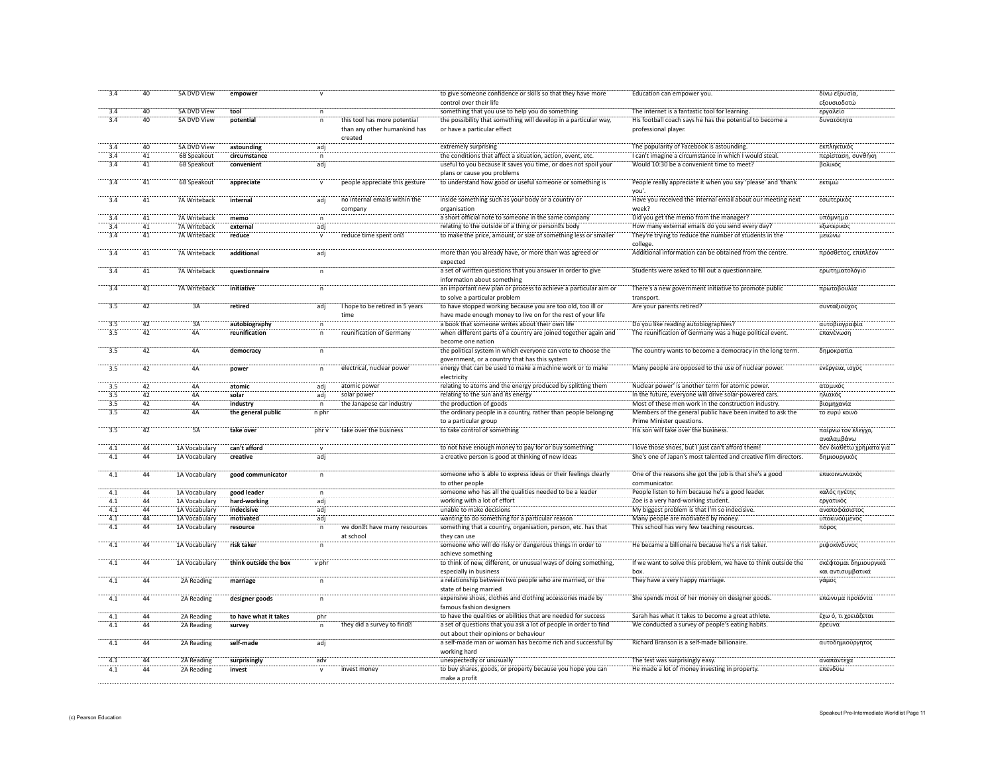| 3.4                | 40              | <b>5A DVD View</b> | empower               |                  |                                 | to give someone confidence or skills so that they have more               | Education can empower you                                      | δίνω εξουσία,           |
|--------------------|-----------------|--------------------|-----------------------|------------------|---------------------------------|---------------------------------------------------------------------------|----------------------------------------------------------------|-------------------------|
|                    |                 |                    |                       |                  |                                 | control over their life                                                   |                                                                | εξουσιοδοτώ             |
| 3.4                | 40              | 5A DVD View        | tool                  | $\mathsf{n}$     |                                 | something that you use to help you do something                           | The internet is a fantastic tool for learning.                 | εργαλείο                |
| 3.4                | 40              | <b>5A DVD View</b> | potential             | $\mathsf{n}$     | this tool has more potential    | the possibility that something will develop in a particular way,          | His football coach says he has the potential to become a       | δυνατότητα              |
|                    |                 |                    |                       |                  | than any other humankind has    | or have a particular effect                                               | professional player.                                           |                         |
|                    |                 |                    |                       |                  | created                         |                                                                           |                                                                |                         |
| $\overline{3.4}$   | 40              | 5A DVD View        | astounding            | adj              |                                 | extremely surprising                                                      | The popularity of Facebook is astounding                       | εκπληκτικός             |
| 3.4                | 41              | 6B Speakout        | circumstance          | $\mathsf{n}$     |                                 | the conditions that affect a situation, action, event, etc.               | I can't imagine a circumstance in which I would steal.         | περίσταση, συνθήκη      |
| 3.4                | 41              | 6B Speakout        | convenient            | adj              |                                 | useful to you because it saves you time, or does not spoil your           | Would 10:30 be a convenient time to meet?                      | βολικός                 |
|                    |                 |                    |                       |                  |                                 | plans or cause you problems                                               |                                                                |                         |
| $\overline{3.4}$   | $\overline{41}$ | 6B Speakout        | appreciate            |                  | people appreciate this gesture  | to understand how good or useful someone or something is                  | People really appreciate it when you say 'please' and 'thank   | εκτιμώ                  |
|                    |                 |                    |                       |                  |                                 |                                                                           | vou'                                                           |                         |
| 3.4                | 41              | 7A Writeback       | internal              | adi <sup>-</sup> | no internal emails within the   | inside something such as your body or a country or                        | Have you received the internal email about our meeting next    | εσωτερικός              |
|                    |                 |                    |                       |                  |                                 |                                                                           | week?                                                          |                         |
| 3.4                | $\overline{41}$ | 7A Writeback       |                       |                  | company                         | organisation<br>a short official note to someone in the same company      | Did you get the memo from the manager.                         | .<br>υπόμνημα           |
|                    |                 |                    | memo                  | n                |                                 |                                                                           |                                                                |                         |
| 3.4<br>3.4         | 41              | 7A Writeback       | external              | adj              |                                 | relating to the outside of a thing or person s body                       | How many external emails do you send every day?                | εξωτερικός              |
|                    | 41              | 7A Writeback       | reduce                |                  | reduce time spent on            | to make the price, amount, or size of something less or smaller           | They're trying to reduce the number of students in the         | μειώνω                  |
|                    |                 |                    |                       |                  |                                 |                                                                           | college.                                                       |                         |
| 3.4                | 41              | 7A Writeback       | additional            | adj              |                                 | more than you already have, or more than was agreed or                    | Additional information can be obtained from the centre.        | πρόσθετος, επιπλέον     |
|                    |                 |                    |                       |                  |                                 | expected                                                                  |                                                                |                         |
| 3.4                | 41              | 7A Writeback       | questionnaire         | n                |                                 | a set of written questions that you answer in order to give               | Students were asked to fill out a questionnaire.               | ερωτηματολόγιο          |
|                    |                 |                    |                       |                  |                                 | information about something                                               |                                                                |                         |
| 3.4                | 41              | 7A Writeback       | initiative            | $\mathsf{n}$     |                                 | an important new plan or process to achieve a particular aim or           | There's a new government initiative to promote public          | πρωτοβουλία             |
|                    |                 |                    |                       |                  |                                 | to solve a particular problem                                             | transport.                                                     |                         |
| 3.5                | 42              | 3A                 | retired               | adj              | I hope to be retired in 5 years | to have stopped working because you are too old, too ill or               | Are your parents retired?                                      | συνταξιούχος            |
|                    |                 |                    |                       |                  | time                            | have made enough money to live on for the rest of your life               |                                                                |                         |
|                    | 42              | 3A                 | autobiography         |                  |                                 | a book that someone writes about their own life                           | Do you like reading autobiographies?                           | αυτοβιογραφίο           |
| 3.5                | 42              | ÄÄ                 | reunification         | n                | reunification of Germany        | when different parts of a country are joined together again and           | The reunification of Germany was a huge political event.       | επανένωση               |
|                    |                 |                    |                       |                  |                                 | become one nation                                                         |                                                                |                         |
| 3.5                | 42              | 4A                 |                       |                  |                                 |                                                                           | The country wants to become a democracy in the long term.      |                         |
|                    |                 |                    | democracy             |                  |                                 | the political system in which everyone can vote to choose the             |                                                                | δημοκρατία              |
|                    | 42              |                    |                       |                  |                                 | government, or a country that has this system                             |                                                                |                         |
| $\frac{13.5}{3.5}$ |                 | <br>4A             | power                 | n                | electrical, nuclear power       | energy that can be used to make a machine work or to make                 | Many people are opposed to the use of nuclear power.           | ενέργεια, ισχύς         |
|                    |                 |                    |                       |                  |                                 | electricity                                                               |                                                                |                         |
| 3.5                | 42              | 4A                 | atomic                | adj              | atomic power                    | relating to atoms and the energy produced by splitting them               | Nuclear power' is another term for atomic power.               | ατομικός                |
| 3.5                | 42              | 4A                 | solar                 | adi              | solar power                     | relating to the sun and its energy                                        | In the future, everyone will drive solar-powered cars.         | ηλιακός                 |
| 3.5                | 42              | 4A                 | industry              |                  | the Janapese car industry       | the production of goods                                                   | Most of these men work in the construction industry.           | βιομηχανία              |
| $\overline{3.5}$   | 42              | 4A                 | the general public    | n phr            |                                 | the ordinary people in a country, rather than people belonging            | Members of the general public have been invited to ask the     | το ευρύ κοινό           |
|                    |                 |                    |                       |                  |                                 | to a particular group                                                     | Prime Minister questions.                                      |                         |
| 3.5                | 42              | 5Ä                 | take over             | phr v            | take over the business          | to take control of something                                              | His son will take over the business.                           | παίρνω τον έλεγχο,      |
|                    |                 |                    |                       |                  |                                 |                                                                           |                                                                | αναλαμβάνω              |
| 4.1                | 44              | 1A Vocabulary      | can't afford          | $\mathsf{v}$     |                                 | to not have enough money to pay for or buy something                      | I love those shoes, but I just can't afford them!              | δεν διαθέτω χρήματα για |
| 4.1                | 44              | 1A Vocabulary      | creative              | adj              |                                 | a creative person is good at thinking of new ideas                        | She's one of Japan's most talented and creative film directors | δημιουργικός            |
|                    |                 |                    |                       |                  |                                 |                                                                           |                                                                |                         |
| 4.1                | $\overline{44}$ | 1A Vocabulary      | good communicator     |                  |                                 | someone who is able to express ideas or their feelings clearly            | One of the reasons she got the job is that she's a good        | επικοινωνιακό           |
|                    |                 |                    |                       |                  |                                 | to other people                                                           | communicator.                                                  |                         |
| 4.1                | 44              | 1A Vocabulary      | good leader           |                  |                                 | someone who has all the qualities needed to be a leader                   | People listen to him because he's a good leader                | καλός ηγέτης            |
| 4.1                | 44              | 1A Vocabulary      | hard-working          | adi <sup>.</sup> |                                 | working with a lot of effort                                              | Zoe is a very hard-working student.                            | εργατικός               |
| 4.1                | 44              | 1A Vocabulary      | indecisive            | adi              |                                 | unable to make decisions                                                  | My biggest problem is that I'm so indecisive.                  | αναποφάσιστος           |
| 4.1                | 44              | 1A Vocabulary      | motivated             | adj              |                                 | wanting to do something for a particular reason                           | Many people are motivated by money.                            | υποκινούμενος           |
| 4.1                | 44              | 1A Vocabulary      | resource              |                  | we don t have many resources    | something that a country, organisation, person, etc. has that             | This school has very few teaching resources                    | πόρος                   |
|                    |                 |                    |                       |                  |                                 |                                                                           |                                                                |                         |
| $-4.1$             | 44              |                    |                       |                  | at school                       | they can use<br>someone who will do risky or dangerous things in order to | He became a billionaire because he's a risk taker.             | ριψοκίνδυνος            |
|                    |                 | 1A Vocabulary      | risk taker            |                  |                                 |                                                                           |                                                                |                         |
|                    |                 |                    |                       |                  |                                 | achieve something                                                         |                                                                |                         |
| $\overline{4.1}$   | 44              | 1A Vocabulary      | think outside the box | v ph             |                                 | to think of new, different, or unusual ways of doing something,           | If we want to solve this problem, we have to think outside the | σκέφτομαι δημιουργικά   |
|                    |                 |                    |                       |                  |                                 | especially in business                                                    |                                                                | και αντισυμβατικά       |
| $-4.1$             | 44              | 2A Reading         | marriage              | $\mathsf{n}$     |                                 | a relationship between two people who are married, or the                 | They have a very happy marriage                                | γάμος                   |
|                    |                 |                    |                       |                  |                                 | state of being married                                                    |                                                                |                         |
| $-4.1$             | $\overline{44}$ | 2A Reading         | designer goods        | $\mathsf{n}$     |                                 | expensive shoes, clothes and clothing accessories made by                 | She spends most of her money on designer goods.                | επώνυμα προϊόντα        |
|                    |                 |                    |                       |                  |                                 | famous fashion designers                                                  |                                                                |                         |
| 4.1                | 44              | 2A Reading         | to have what it takes | phr              |                                 | to have the qualities or abilities that are needed for success            | Sarah has what it takes to become a great athlete.             | έχω ό, τι χρειάζεται    |
| 4.1                | 44              | 2A Reading         | survey                | $\mathsf{n}$     | they did a survey to find       | a set of questions that you ask a lot of people in order to find          | We conducted a survey of people's eating habits.               | έρευνα                  |
|                    |                 |                    |                       |                  |                                 | out about their opinions or behaviour                                     |                                                                |                         |
| 4.1                | 44              | 2A Reading         | self-made             | adj              |                                 | a self-made man or woman has become rich and successful by                | Richard Branson is a self-made billionaire                     | αυτοδημιούργητος        |
|                    |                 |                    |                       |                  |                                 | working hard                                                              |                                                                |                         |
| 4.1                | $\Delta\Delta$  | 2A Reading         | surprisingly          | adv              |                                 | unexpectedly or unusually                                                 | The test was surprisingly easy.                                | αναπάντεχα              |
| 4.1                | $\overline{44}$ | 2A Reading         | invest                |                  | invest money                    | to buy shares, goods, or property because you hope you can                | He made a lot of money investing in property                   | επενδύω                 |
|                    |                 |                    |                       |                  |                                 | make a profit                                                             |                                                                |                         |
|                    |                 |                    |                       |                  |                                 |                                                                           |                                                                |                         |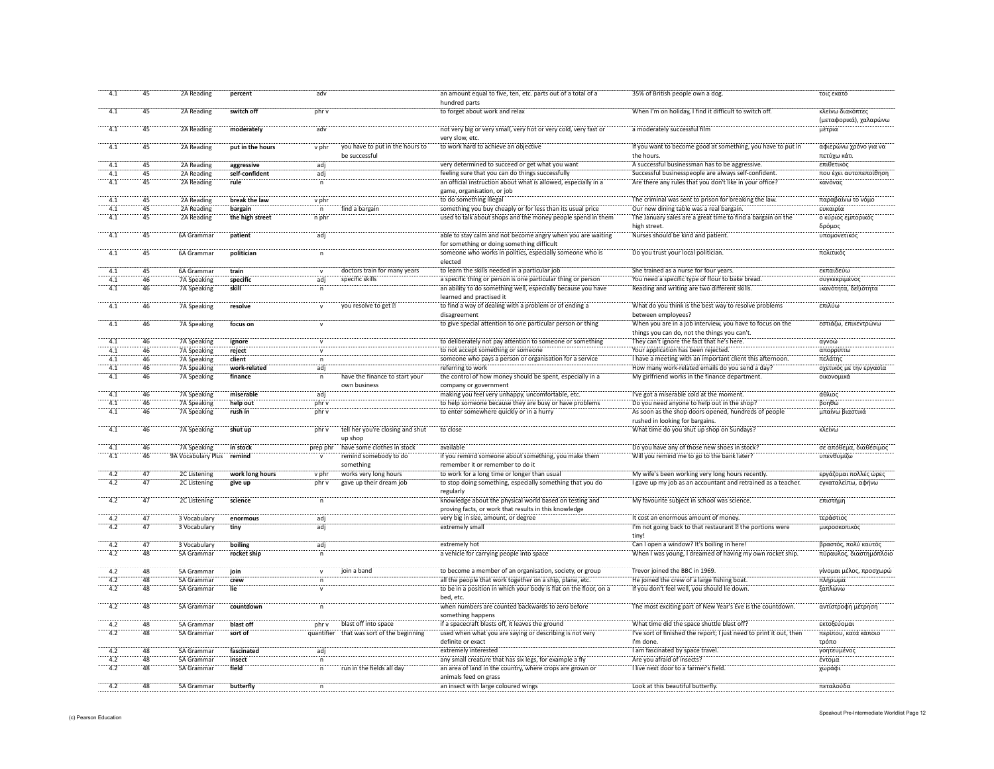| 4.1              | 45              | 2A Reading                 | percent          | adv            |                                                  | an amount equal to five, ten, etc. parts out of a total of a<br>hundred parts                             | 35% of British people own a dog                                                            | τοις εκατό                                 |
|------------------|-----------------|----------------------------|------------------|----------------|--------------------------------------------------|-----------------------------------------------------------------------------------------------------------|--------------------------------------------------------------------------------------------|--------------------------------------------|
| 4.1              | 45              | 2A Reading                 | switch off       | phr v          |                                                  | to forget about work and relax                                                                            | When I'm on holiday, I find it difficult to switch off.                                    | κλείνω διακόπτες<br>(μεταφορικά), χαλαρώνω |
| 4.1              | 45              | 2A Reading                 | moderately       | adv            |                                                  | not very big or very small, very hot or very cold, very fast or                                           | a moderately successful film                                                               | μέτρια                                     |
|                  |                 |                            |                  |                |                                                  | very slow, etc.                                                                                           |                                                                                            |                                            |
| $\overline{4.1}$ | $\overline{45}$ | 2A Reading                 | put in the hours | v phr          | you have to put in the hours to<br>be successful | to work hard to achieve an objective                                                                      | If you want to become good at something, you have to put in<br>the hours.                  | αφιερώνω χρόνο για να<br>πετύχω κάτι       |
|                  | 45              | 2A Reading                 | aggressive       | ädj            |                                                  | very determined to succeed or get what you want                                                           | A successful businessman has to be aggressive                                              | επιθετικός                                 |
| 4.1              | 45              | 2A Reading                 | self-confident   | adj            |                                                  | feeling sure that you can do things successfully                                                          | Successful businesspeople are always self-confident.                                       | που έχει αυτοπεποίθηση                     |
| $-4.1$           | 45              | 2A Reading                 | rule             |                |                                                  | an official instruction about what is allowed, especially in<br>game, organisation, or job                | Are there any rules that you don't like in your office?                                    | κανόνας                                    |
| $-4.1$           | $\overline{45}$ | 2A Reading                 | break the law    | v phr          |                                                  | to do something illegal                                                                                   | The criminal was sent to prison for breaking the law.                                      | παραβαίνω το νόμο                          |
|                  | 45              | 2A Reading                 | bargain          | $\mathsf{n}$   | find a bargair                                   | something you buy cheaply or for less than its usual price                                                | Our new dining table was a real bargain.                                                   | ευκαιρία                                   |
| 4.1              | $\overline{45}$ | 2A Reading                 | the high street  | n phr          |                                                  | used to talk about shops and the money people spend in them                                               | The January sales are a great time to find a bargain on the                                | ο κύριος εμπορικός                         |
|                  |                 |                            |                  |                |                                                  |                                                                                                           | high street.                                                                               | δρόμος                                     |
| 4.1              | $\overline{45}$ | 6A Gramma                  | patient          | adi            |                                                  | able to stay calm and not become angry when you are waiting<br>for something or doing something difficult | Nurses should be kind and patient                                                          | υπομονετικός                               |
| 4.1              | 45              | 6A Grammar                 | politician       | $\mathsf{n}$   |                                                  | someone who works in politics, especially someone who is<br>elected                                       | Do you trust your local politician.                                                        | πολιτικός                                  |
| 4.1              | 45              | 6A Grammar                 | train            | $\mathsf{v}$   | doctors train for many years                     | to learn the skills needed in a particular job                                                            | She trained as a nurse for four years.                                                     | εκπαιδεύω                                  |
| 4.1              | 46              | 7A Speaking                | specific         | adj            | specific skills                                  | a specific thing or person is one particular thing or person                                              | You need a specific type of flour to bake bread.                                           | συγκεκριμένος                              |
| 4.1              | 46              | 7A Speaking                | skill            | n              |                                                  | an ability to do something well, especially because you have<br>learned and practised it                  | Reading and writing are two different skills.                                              | ικανότητα, δεξιότητα                       |
| 4.1              | 46              | 7A Speaking                | resolve          | $\mathsf{v}$   | you resolve to get                               | to find a way of dealing with a problem or of ending a<br>disagreement                                    | What do you think is the best way to resolve problems<br>between employees?                | επιλύω                                     |
| $-4.1$           | 46              | 7A Speaking                | focus on         |                |                                                  | to give special attention to one particular person or thing                                               | When you are in a job interview, you have to focus on the                                  | εστιάζω, επικεντρώνω                       |
| 4.1              |                 |                            |                  |                |                                                  | to deliberately not pay attention to someone or something                                                 | things you can do, not the things you can't.<br>They can't ignore the fact that he's here. | αγνοώ                                      |
| $-4.1$           | 46<br>46        | 7A Speaking                | ignore<br>reject |                |                                                  |                                                                                                           | Your application has been rejected                                                         |                                            |
| 4.1              | 46              | 7A Speaking<br>7A Speaking | client           |                |                                                  | to not accept something or someone<br>someone who pays a person or organisation for a service             | I have a meeting with an important client this afternoon                                   | απορρίπτ<br>πελάτης                        |
| 4.1              | 46              | 7A Speaking                | work-related     | äďi            |                                                  | referring to work                                                                                         | How many work-related emails do you send a day?                                            | σχετικός με την εργασία                    |
| $-4.1$           | 46              | 7A Speaking                | finance          |                | have the finance to start you                    | the control of how money should be spent, especially in a                                                 | My girlfriend works in the finance department.                                             | οικονομικά                                 |
|                  |                 |                            |                  |                | own business                                     | company or government                                                                                     |                                                                                            |                                            |
| 4.1              | 46              | 7A Speaking                | miserable        | adi            |                                                  | making you feel very unhappy, uncomfortable, etc.                                                         | I've got a miserable cold at the moment                                                    | άθλιος                                     |
| $-4.1$           | 46              | 7A Speaking                | help out         | phr v          |                                                  | to help someone because they are busy or have problems                                                    | Do you need anyone to help out in the shop?                                                | $β$ onθώ                                   |
| 4.1              | 46              | 7A Speaking                | rush in          | phr v          |                                                  | to enter somewhere quickly or in a hurry                                                                  | As soon as the shop doors opened, hundreds of people<br>rushed in looking for bargains.    | μπαίνω βιαστικο                            |
| $-4.1$           | 46              | 7A Speaking                | shut up          | phr v          | tell her you're closing and shut<br>up shop      | to close                                                                                                  | What time do you shut up shop on Sundays?                                                  | κλείνω                                     |
| $-4.1$           | 46              | 7A Speaking                | in stock         | prep phr       | have some clothes in stock                       | available                                                                                                 | Do you have any of those new shoes in stock?                                               | σε απόθεμα, διαθέσιμος                     |
| 4.1              | 46              | 9A Vocabulary Plus         | remind           |                | remind somebody to do<br>something               | if you remind someone about something, you make then<br>remember it or remember to do it                  | Will you remind me to go to the bank later?                                                | υπενθυμίζω                                 |
|                  | $\overline{47}$ | 2C Listening               | work long hours  | v phr          | works very long hours                            | to work for a long time or longer than usual                                                              | My wife's been working very long hours recently.                                           | εργάζομαι πολλές ώρες                      |
| 4.2              | 47              | 2C Listening               | give up          | nhr v          | gave up their dream job                          | to stop doing something, especially something that you do                                                 | I gave up my job as an accountant and retrained as a teacher                               | εγκαταλείπω, αφήνω                         |
| 4.2              | 47              | 2C Listening               | science          |                |                                                  | regularly<br>knowledge about the physical world based on testing and                                      | My favourite subject in school was science.                                                | επιστήμη                                   |
|                  |                 |                            |                  |                |                                                  | proving facts, or work that results in this knowledge                                                     |                                                                                            |                                            |
| 4.2              | 47              | 3 Vocabulary               | enormous         | adj            |                                                  | very big in size, amount, or degree                                                                       | It cost an enormous amount of money.                                                       | τεράστιος                                  |
| 4.2              | 47              | 3 Vocabulary               | tiny             | adi            |                                                  | extremely small                                                                                           | I'm not going back to that restaurant the portions were<br>tiny!                           | μικροσκοπικός                              |
| 4.2              | 47              | 3 Vocabulary               | boiling          | adj            |                                                  | extremely hot                                                                                             | Can I open a window? It's boiling in here!                                                 | βραστός, πολύ καυτός                       |
| 4.2              | 48              | 5A Grammar                 | rocket ship      | $\overline{p}$ |                                                  | a vehicle for carrying people into space                                                                  | When I was young, I dreamed of having my own rocket ship                                   | πύραυλος, διαστημόπλοιο                    |
| 4.2              | 48              | 5A Grammar                 | join             |                | join a band                                      | to become a member of an organisation, society, or group                                                  | Trevor joined the BBC in 1969.                                                             | γίνομαι μέλος, προσχωρώ                    |
| 4.2              | 48              | 5A Grammar                 | crew             | n              |                                                  | all the people that work together on a ship, plane, etc.                                                  | He joined the crew of a large fishing boat                                                 | πλήρωμα                                    |
| 4.2              | 48              | 5A Grammar                 | lie              |                |                                                  | to be in a position in which your body is flat on the floor, on a<br>bed, etc.                            | If you don't feel well, you should lie down.                                               | ξαπλώνω                                    |
| $\frac{1}{4.2}$  | 48              | 5A Grammar                 | countdown        |                |                                                  | when numbers are counted backwards to zero before<br>something happens                                    | The most exciting part of New Year's Eve is the countdown.                                 | αντίστροφη μέτρηση                         |
|                  | $\overline{48}$ | 5A Gramma                  | blast off        | phr v          | blast off into space                             | if a spacecraft blasts off, it leaves the ground                                                          | What time did the space shuttle blast off?                                                 | εκτοξεύομαι                                |
| $-4.2$           | $\overline{48}$ | 5A Grammar                 | sort of          | quantifier     | that was sort of the beginning                   | used when what you are saying or describing is not ver-                                                   | I've sort of finished the report; I just need to print it out, then                        | περίπου, κατά κάποιο                       |
|                  | 48              | 5A Gramma                  | fascinated       |                |                                                  | definite or exact                                                                                         | I'm done.                                                                                  | τρόπο                                      |
| 4.2              | 48              | 5A Grammar                 | insect           | $\mathsf{n}$   |                                                  | extremely interested<br>any small creature that has six legs, for example a fly                           | I am fascinated by space travel<br>Are you afraid of insects?                              | γοητευμένο<br>έντομα                       |
| 4.2              | 48              | 5A Grammar                 | field            |                | run in the fields all day                        | an area of land in the country, where crops are grown or                                                  | I live next door to a farmer's field                                                       | χωράφι                                     |
|                  |                 |                            |                  |                |                                                  | animals feed on grass                                                                                     |                                                                                            |                                            |
| 4.2              | 48              | 5A Grammar                 | butterfly        | n              |                                                  | an insect with large coloured wings                                                                       | Look at this beautiful butterfly                                                           | πεταλούδα                                  |
|                  |                 |                            |                  |                |                                                  |                                                                                                           |                                                                                            |                                            |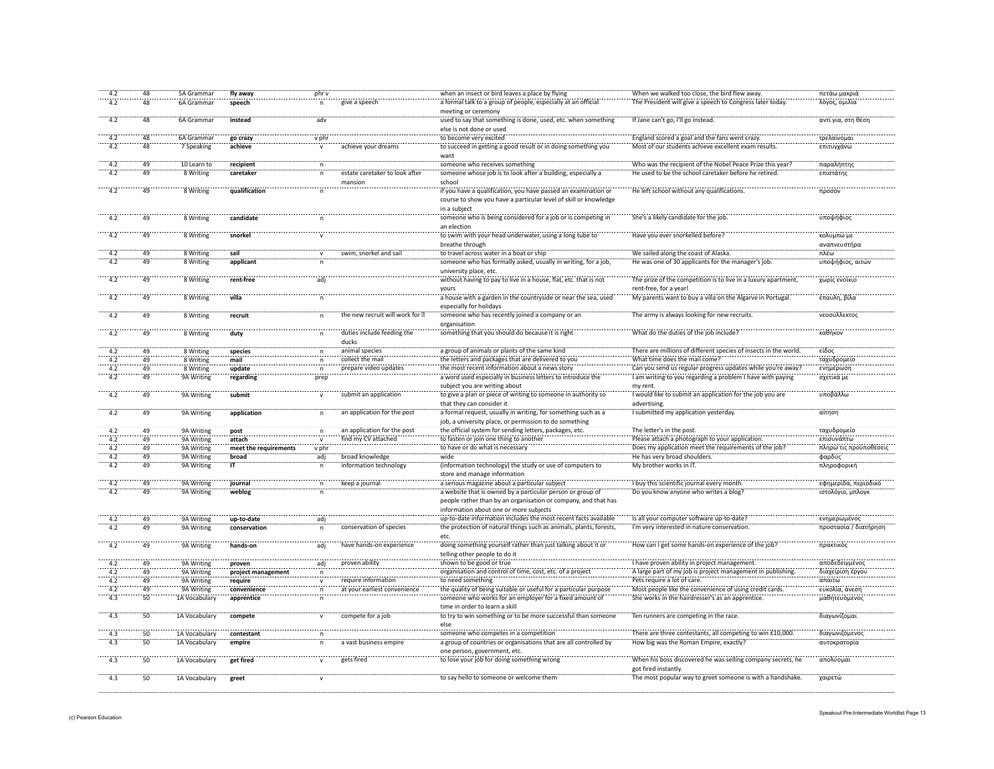| 4.2              | 48              | 5A Grammar    | fly away              | phr v        |                                | when an insect or bird leaves a place by flying                    | When we walked too close, the bird flew away.                   | πετάω μακριά           |
|------------------|-----------------|---------------|-----------------------|--------------|--------------------------------|--------------------------------------------------------------------|-----------------------------------------------------------------|------------------------|
| 4.2              | 48              | 6A Grammar    | speech                | $\mathsf{n}$ | give a speech                  | a formal talk to a group of people, especially at an official      | The President will give a speech to Congress later today.       | λόγος, ομιλία          |
|                  |                 |               |                       |              |                                | meeting or ceremony                                                |                                                                 |                        |
| 4.2              | 48              | 6A Grammar    | instead               | adv          |                                | used to say that something is done, used, etc. when something      | If Jane can't go, I'll go instead.                              | αντί για, στη θέση     |
|                  |                 |               |                       |              |                                | else is not done or used                                           |                                                                 |                        |
| 4.2              | 48              | 6A Grammar    | go crazy              | v phr        |                                | to become very excited                                             | England scored a goal and the fans went crazy.                  | τρελαίνομαι            |
| 4.2              | 48              | 7 Speaking    | achieve               |              | achieve your dreams            | to succeed in getting a good result or in doing something you      | Most of our students achieve excellent exam results             | επιτυγχάνω             |
|                  |                 |               |                       |              |                                | want                                                               |                                                                 |                        |
| 4.2              | 49              | 10 Learn to   | recipient             | $\mathsf{n}$ |                                | someone who receives something                                     | Who was the recipient of the Nobel Peace Prize this year?       | παραλήπτης             |
| 4.2              | 49              | 8 Writing     | caretaker             | $\mathsf{n}$ | estate caretaker to look after | someone whose job is to look after a building, especially a        | He used to be the school caretaker before he retired.           | επιστάτης              |
|                  |                 |               |                       |              | mansion                        | school                                                             |                                                                 |                        |
| 4.2              | 49              | 8 Writing     | qualification         |              |                                | if you have a qualification, you have passed an examination or     | He left school without any qualifications.                      | προσόν                 |
|                  |                 |               |                       |              |                                | course to show you have a particular level of skill or knowledge   |                                                                 |                        |
|                  |                 |               |                       |              |                                | in a subject                                                       |                                                                 |                        |
| 4.2              | 49              | 8 Writing     | candidate             | n            |                                | someone who is being considered for a job or is competing in       | She's a likely candidate for the job.                           | υποψήφιος              |
|                  |                 |               |                       |              |                                | an election                                                        |                                                                 |                        |
| 4.2              | 49              | 8 Writing     | snorkel               | $\mathsf{v}$ |                                | to swim with your head underwater, using a long tube to            | Have you ever snorkelled before?                                | κολυμπώ με             |
|                  |                 |               |                       |              |                                | breathe through                                                    |                                                                 | αναπνευστήρα           |
| 4.2              | 49              | 8 Writing     | sail                  | $\mathbf{v}$ | swim, snorkel and sail         | to travel across water in a boat or ship                           | We sailed along the coast of Alaska.                            | πλέω                   |
| 4.2              | 49              | 8 Writing     | applicant             | n            |                                | someone who has formally asked, usually in writing, for a job,     | He was one of 30 applicants for the manager's job.              | υποψήφιος, αιτών       |
|                  |                 |               |                       |              |                                | university place, etc.                                             |                                                                 |                        |
| 4.2              | 49              | 8 Writing     | rent-free             | adj          |                                | without having to pay to live in a house, flat, etc. that is not   | The prize of the competition is to live in a luxury apartment,  | χωρίς ενοίκιο          |
|                  |                 |               |                       |              |                                | vours                                                              | rent-free, for a year                                           |                        |
| $-4.2$           | $\overline{49}$ | 8 Writing     | villa                 | n            |                                | a house with a garden in the countryside or near the sea, used     | My parents want to buy a villa on the Algarve in Portugal.      | έπαυλη, βίλα           |
|                  |                 |               |                       |              |                                | especially for holidays                                            |                                                                 |                        |
| 4.2              | 49              | 8 Writing     | recruit               |              | the new recruit will work for  | someone who has recently joined a company or an                    | The army is always looking for new recruits.                    | νεοσύλλεκτος           |
|                  |                 |               |                       |              |                                | organisation                                                       |                                                                 |                        |
| 4.2              | 49              | 8 Writing     | duty                  |              | duties include feeding the     | something that you should do because it is right                   | What do the duties of the job include?                          | καθήκον                |
|                  |                 |               |                       |              | ducks                          |                                                                    |                                                                 |                        |
| 4.2              | 49              | 8 Writing     | species               |              | animal species                 | a group of animals or plants of the same kind                      | There are millions of different species of insects in the world | είδος                  |
| 4.2              | 49              | 8 Writing     | mail                  |              | collect the mail               | the letters and packages that are delivered to you                 | What time does the mail come?                                   | ταχυδρομείς            |
| 4.2              | 49              | 8 Writing     | update                |              | prepare video updates          | the most recent information about a news story                     | Can you send us regular progress updates while you're away?     | ενημέρωση              |
| 4.2              | 49              | 9A Writing    | regarding             | prep         |                                | a word used especially in business letters to introduce the        | I am writing to you regarding a problem I have with paying      | σχετικά με             |
|                  |                 |               |                       |              |                                | subject you are writing about                                      | my rent                                                         |                        |
| 4.2              | 49              | 9A Writing    | submit                |              | submit an application          | to give a plan or piece of writing to someone in authority so      | I would like to submit an application for the job you are       | υποβάλλω               |
|                  |                 |               |                       |              |                                | that they can consider it                                          | advertising.                                                    |                        |
| 4.2              | 49              | 9A Writing    | application           | $\mathsf{n}$ | an application for the post    | a formal request, usually in writing, for something such as a      | I submitted my application yesterday.                           | αίτηση                 |
|                  |                 |               |                       |              |                                | job, a university place, or permission to do something             |                                                                 |                        |
| 4.2              | 49              | 9A Writing    | post                  | n            | an application for the post    | the official system for sending letters, packages, etc.            | The letter's in the post                                        | ταχυδρομείο            |
| 4.2              | 49              | 9A Writing    | attach                | $\mathsf{v}$ | find my CV attached            | to fasten or join one thing to another                             | Please attach a photograph to your application                  | επισυνάπτω             |
| 4.2              | 49              | 9A Writing    | meet the requirements | v phr        |                                | to have or do what is necessary                                    | Does my application meet the requirements of the job?           | πληρώ τις προϋποθέσεις |
| 4.2              | 49              | 9A Writing    | broad                 | adj          | broad knowledge                | wide                                                               | He has very broad shoulders.                                    | φαρδύς                 |
| 4.2              | 49              | 9A Writing    | ÏΤ                    | n.           | information technology         | (information technology) the study or use of computers to          | My brother works in IT.                                         | πληροφορική            |
|                  |                 |               |                       |              |                                | store and manage information                                       |                                                                 |                        |
| 4.2              | 49              | 9A Writing    | journal               | $\mathsf{n}$ | keep a journal                 | a serious magazine about a particular subject                      | I buy this scientific journal every month                       | εφημερίδα, περιοδικό   |
| 4.2              | 49              | 9A Writing    | weblog                | $\mathsf{n}$ |                                | a website that is owned by a particular person or group of         | Do you know anyone who writes a blog?                           | ιστολόγιο, μπλογκ      |
|                  |                 |               |                       |              |                                | people rather than by an organisation or company, and that has     |                                                                 |                        |
|                  |                 |               |                       |              |                                | information about one or more subjects                             |                                                                 |                        |
|                  | 49              | 9A Writing    | up-to-date            | adj          |                                | up-to-date information includes the most recent facts available    | Is all your computer software up-to-date?                       | <b>ΕΥΠΗΣΡΟΔΙΣΥΟΣ</b>   |
| $-4.2$           | 49              | 9A Writing    | conservation          | n            | conservation of species        | the protection of natural things such as animals, plants, forests, | I'm very interested in nature conservation.                     | προστασία / διατήρηση  |
|                  |                 |               |                       |              |                                | etc.                                                               |                                                                 |                        |
| $-4.2$           | 49              | 9A Writing    | hands-on              | adj          | have hands-on experience       | doing something yourself rather than just talking about it or      | How can I get some hands-on experience of the job?              | πρακτικός              |
|                  |                 |               |                       |              |                                | telling other people to do it                                      |                                                                 |                        |
| 42               | 49              | 9A Writing    | proven                | adj          | proven ability                 | shown to be good or true                                           | I have proven ability in project management.                    | αποδεδειγμένος         |
| 4.2              | 49              | 9A Writing    | project management    | n            |                                | organisation and control of time, cost, etc. of a project          | A large part of my job is project management in publishing.     | διαχείριση έργου       |
| 4.2              | 49              | 9A Writing    | require               |              | require information            | to need something                                                  | Pets require a lot of care.                                     | απαιτώ                 |
| 4.2              | 49              | 9A Writing    | convenience           |              | at your earliest convenience   | the quality of being suitable or useful for a particular purpose   | Most people like the convenience of using credit cards.         | ευκολία, άνεση         |
| $-4.3$           | 50              | 1A Vocabulary | apprentice            |              |                                | someone who works for an employer for a fixed amount of            | She works in the hairdresser's as an apprentice.                | μαθητευόμενος          |
|                  |                 |               |                       |              |                                | time in order to learn a skill                                     |                                                                 |                        |
| $\overline{4.3}$ | 50              | 1A Vocabulary | compete               | $\mathsf{v}$ | compete for a job              | to try to win something or to be more successful than someone      | Ten runners are competing in the race.                          | διαγωνίζομαι           |
|                  |                 |               |                       |              |                                | else                                                               |                                                                 |                        |
| 4.3              | 50              | 1A Vocabulary | contestant            | $\mathsf{n}$ |                                | someone who competes in a competition                              | There are three contestants, all competing to win £10,000.      | διαγωνιζόμενος         |
| 4.3              | 50              | 1A Vocabulary | empire                | n            | a vast business empire         | a group of countries or organisations that are all controlled by   | How big was the Roman Empire, exactly?                          | αυτοκρατορία           |
|                  |                 |               |                       |              |                                | one person, government, etc.                                       |                                                                 |                        |
| 4.3              | 50              | 1A Vocabulary | get fired             | $\mathsf{v}$ | gets fired                     | to lose your job for doing something wrong                         | When his boss discovered he was selling company secrets, he     | απολύομαι              |
|                  |                 |               |                       |              |                                |                                                                    | got fired instantly.                                            |                        |
| $-4.3$           | $50^{\circ}$    | 1A Vocabulary | greet                 |              |                                | to say hello to someone or welcome them                            | The most popular way to greet someone is with a handshake.      | χαιρετώ                |
|                  |                 |               |                       |              |                                |                                                                    |                                                                 |                        |
|                  |                 |               |                       |              |                                |                                                                    |                                                                 |                        |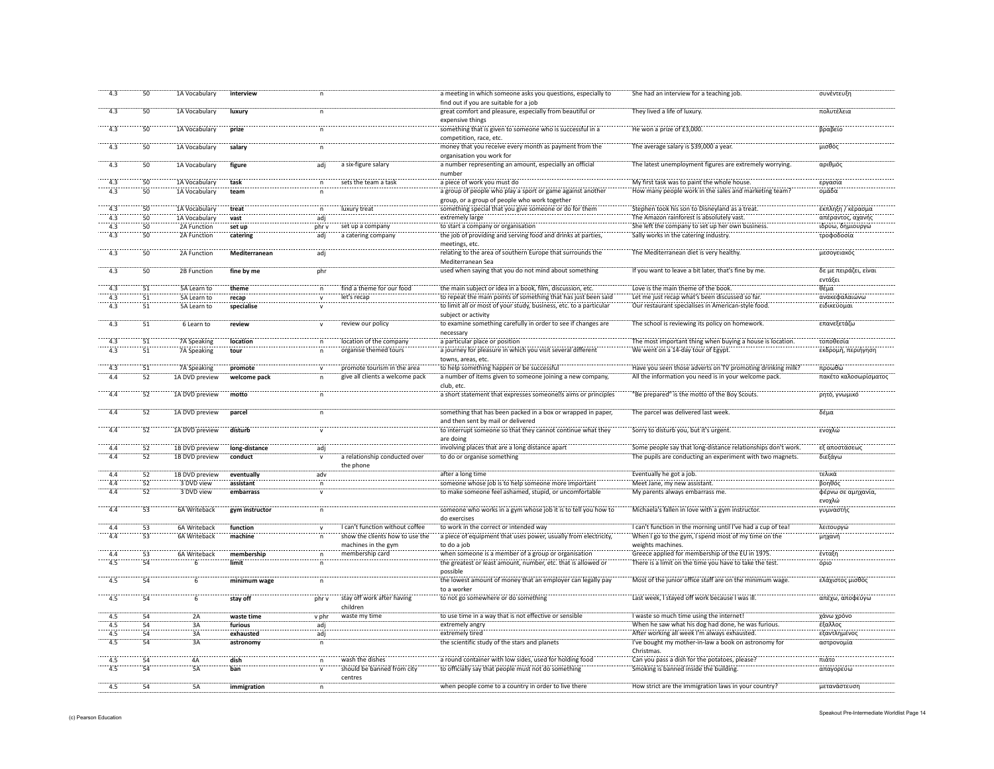| 4.3        | 50                    | 1A Vocabulary                | interview      | $\mathsf{n}$            |                                 | a meeting in which someone asks you questions, especially to       | She had an interview for a teaching job.                                                      | συνέντευξη                            |
|------------|-----------------------|------------------------------|----------------|-------------------------|---------------------------------|--------------------------------------------------------------------|-----------------------------------------------------------------------------------------------|---------------------------------------|
|            |                       |                              |                |                         |                                 | find out if you are suitable for a job                             |                                                                                               |                                       |
| 4.3        | 50                    | 1A Vocabulary                | luxury         | n                       |                                 | great comfort and pleasure, especially from beautiful or           | They lived a life of luxury.                                                                  | πολυτέλεια                            |
|            |                       |                              |                |                         |                                 | expensive things                                                   |                                                                                               |                                       |
| 4.3        | 50                    | 1A Vocabulary                | prize          |                         |                                 | something that is given to someone who is successful in a          | He won a prize of £3,000.                                                                     | βραβείο                               |
|            |                       |                              |                |                         |                                 | competition, race, etc.                                            |                                                                                               |                                       |
| $-4.3$     | 50                    | 1A Vocabulary                | salary         |                         |                                 | money that you receive every month as payment from the             | The average salary is \$39,000 a year.                                                        | μισθός                                |
|            |                       |                              |                |                         |                                 | organisation you work for                                          |                                                                                               |                                       |
| $-4.3$     | $\overline{50}$       | 1A Vocabulary                | figure         | <br>adj                 | a six-figure salary             | a number representing an amount, especially an official            | The latest unemployment figures are extremely worrying                                        | αριθμός                               |
|            |                       |                              |                |                         |                                 | number                                                             |                                                                                               |                                       |
| 4.3        | 50                    | 1A Vocabulary                | task           | n                       | sets the team a task            | a piece of work you must do                                        | My first task was to paint the whole house.                                                   | εργασίο                               |
| $-4.3$     | 50                    | 1A Vocabulary                | team           |                         |                                 | a group of people who play a sport or game against another         | How many people work in the sales and marketing team?                                         | ομάδα                                 |
|            |                       |                              |                |                         |                                 | group, or a group of people who work together                      | Stephen took his son to Disneyland as a treat.                                                |                                       |
| 4.3<br>4.3 | 50<br>$\overline{50}$ | 1A Vocabulary                | treat          | n                       | luxury treat                    | something special that you give someone or do for them             |                                                                                               | έκπληξη / κέρασμα                     |
| 4.3        | 50                    | 1A Vocabulary<br>2A Function | vast<br>set up | adi<br>phr v            | set up a company                | extremely large<br>to start a company or organisation              | The Amazon rainforest is absolutely vast.<br>She left the company to set up her own business. | απέραντος, αχανής<br>ιδρύω, δημιουργώ |
| 4.3        | 50                    |                              |                |                         | a catering company              | the job of providing and serving food and drinks at parties.       | Sally works in the catering industry.                                                         | τροφοδοσία                            |
|            |                       | 2A Function                  | catering       | adj                     |                                 | meetings, etc.                                                     |                                                                                               |                                       |
| 4.3        | 50                    | 2A Function                  | Mediterranean  | adj                     |                                 | relating to the area of southern Europe that surrounds the         | The Mediterranean diet is very healthy.                                                       | μεσογειακός                           |
|            |                       |                              |                |                         |                                 | Mediterranean Sea                                                  |                                                                                               |                                       |
| 4.3        | 50                    | 2B Function                  | fine by me     | phr                     |                                 | used when saying that you do not mind about something              | If you want to leave a bit later, that's fine by me.                                          | δε με πειράζει, είναι                 |
|            |                       |                              |                |                         |                                 |                                                                    |                                                                                               | εντάξει                               |
| 4.3        | 51                    | 5A Learn to                  | theme          | $\mathsf{n}$            | find a theme for our food       | the main subject or idea in a book, film, discussion, etc.         | Love is the main theme of the book.                                                           | θέμα                                  |
| 4.3        | 51                    | 5A Learn to                  | recap          |                         | let's recap                     | to repeat the main points of something that has just been said     | Let me just recap what's been discussed so far                                                | ανακεφαλαιώνω                         |
| 4.3        | 51                    | 5A Learn to                  | specialise     | $\mathsf{v}$            |                                 | to limit all or most of your study, business, etc. to a particular | Our restaurant specialises in American-style food.                                            | ειδικεύομαι                           |
|            |                       |                              |                |                         |                                 | subject or activity                                                |                                                                                               |                                       |
| $-4.3$     | $\overline{51}$       | 6 Learn to                   | review         |                         | review our policy               | to examine something carefully in order to see if changes are      | The school is reviewing its policy on homework.                                               | επανεξετάζω                           |
|            |                       |                              |                |                         |                                 | necessary                                                          |                                                                                               |                                       |
| 4.3        | $\overline{51}$       | 7A Speaking                  | location       |                         | location of the company         | a particular place or position                                     | The most important thing when buying a house is location.                                     | τοποθεσία                             |
| 4.3        | $\overline{51}$       | 7A Speaking                  | tour           |                         | organise themed tours           | a journey for pleasure in which you visit several different        | We went on a 14-day tour of Egypt.                                                            | εκδρομή, περιήγηση                    |
|            |                       |                              |                |                         |                                 | towns, areas, etc.                                                 |                                                                                               |                                       |
|            | $\overline{51}$       | 7A Speaking                  | promote        |                         | promote tourism in the area     | to help something happen or be successful                          | Have you seen those adverts on TV promoting drinking milk?                                    | προωθώ                                |
| 4.4        | 52                    | 1A DVD preview               | welcome pack   |                         | give all clients a welcome pack | a number of items given to someone joining a new company           | All the information you need is in your welcome pack.                                         | πακέτο καλοσωρίσματος                 |
|            |                       |                              |                |                         |                                 | club, etc.                                                         |                                                                                               |                                       |
| $-4.4$     | 52                    | 1A DVD preview               | motto          |                         |                                 | a short statement that expresses someone s aims or principles      | "Be prepared" is the motto of the Boy Scouts.                                                 | ρητό, γνωμικό                         |
|            |                       |                              |                |                         |                                 |                                                                    |                                                                                               |                                       |
| 4.4        | 52                    | 1A DVD preview               | parcel         |                         |                                 | something that has been packed in a box or wrapped in paper,       | The parcel was delivered last week.                                                           | δέμα                                  |
|            |                       |                              |                |                         |                                 | and then sent by mail or delivered                                 |                                                                                               |                                       |
| 4.4        | 52                    | 1A DVD preview               | disturb        |                         |                                 | to interrupt someone so that they cannot continue what they        | Sorry to disturb you, but it's urgent.                                                        | ενοχλώ                                |
|            |                       |                              |                |                         |                                 | are doing                                                          |                                                                                               |                                       |
| 4.4        | 52                    | 1B DVD preview               | long-distance  | adj                     |                                 | involving places that are a long distance apart                    | Some people say that long-distance relationships don't work.                                  | εξ αποστάσεως                         |
| 4.4        | 52                    | 1B DVD preview               | conduct        |                         | a relationship conducted over   | to do or organise something                                        | The pupils are conducting an experiment with two magnets.                                     | διεξάγω                               |
|            |                       |                              |                |                         | the phone                       |                                                                    |                                                                                               |                                       |
| 4.4        | $\overline{52}$       | 1B DVD preview               | eventually     | $\dddot{\mathsf{a}}$ dv |                                 | after a long time                                                  | Eventually he got a job.                                                                      | τελικά                                |
| 4.4        | 52                    | 3 DVD view                   | assistant      | n                       |                                 | someone whose job is to help someone more important                | Meet Jane, my new assistant                                                                   | βοηθός                                |
| 4.4        | 52                    | 3 DVD view                   | embarrass      | $\mathsf{v}$            |                                 | to make someone feel ashamed, stupid, or uncomfortable             | My parents always embarrass me                                                                | φέρνω σε αμηχανία,                    |
|            |                       |                              |                |                         |                                 |                                                                    |                                                                                               | ενοχλώ                                |
| 4.4        | $\overline{53}$       | 6A Writeback                 | gym instructor | $\mathsf{n}$            |                                 | someone who works in a gym whose job it is to tell you how to      | Michaela's fallen in love with a gym instructor.                                              | γυμναστής                             |
|            |                       |                              |                |                         |                                 | do exercises                                                       |                                                                                               |                                       |
| 4.4        | $\overline{53}$       | 6A Writeback                 | function       |                         | I can't function without coffee | to work in the correct or intended way                             | I can't function in the morning until I've had a cup of tea!                                  | λειτουργι                             |
| 4.4        | $\overline{53}$       | 6A Writeback                 | machine        |                         | show the clients how to use the | a piece of equipment that uses power, usually from electricity,    | When I go to the gym, I spend most of my time on the                                          | μηχανή                                |
|            |                       |                              |                |                         | machines in the gym             | to do a job                                                        | weights machines.                                                                             |                                       |
|            | 53                    | 6A Writeback                 | membership     | n                       | membership card                 | when someone is a member of a group or organisation                | Greece applied for membership of the EU in 1975.                                              | ένταξη                                |
| 4.5        | 54                    | ີຣ                           | limit          |                         |                                 | the greatest or least amount, number, etc. that is allowed or      | There is a limit on the time you have to take the test                                        | όριο                                  |
|            |                       |                              |                |                         |                                 | possible                                                           |                                                                                               |                                       |
| 4.5        | 54                    | ิ์ธ์                         | minimum wage   | n                       |                                 | the lowest amount of money that an employer can legally pay        | Most of the junior office staff are on the minimum wage                                       | ελάχιστος μισθός                      |
|            |                       |                              |                |                         |                                 | to a worker                                                        |                                                                                               |                                       |
| 4.5        | $\overline{54}$       |                              | stay off       | phr v                   | stay off work after having      | to not go somewhere or do something                                | Last week, I stayed off work because I was ill                                                | απέχω, αποφεύγω                       |
|            |                       |                              |                |                         | children                        |                                                                    |                                                                                               |                                       |
| 4.5        | 54                    | 2A                           | waste time     | v phr                   | waste my time                   | to use time in a way that is not effective or sensible             | I waste so much time using the internet!                                                      | χάνω χρόνο                            |
| 4.5        | 54                    | 3A                           | furious        | adi                     |                                 | extremely angry                                                    | When he saw what his dog had done, he was furious.                                            | έξαλλος                               |
| 4.5        | 54                    | 3A                           | exhausted      | adj                     |                                 | extremely tired                                                    | After working all week I'm always exhausted.                                                  | εξαντλημένος                          |
| 4.5        | 54                    | 3A                           | astronomy      | $\mathsf{n}$            |                                 | the scientific study of the stars and planets                      | I've bought my mother-in-law a book on astronomy for                                          | αστρονομία                            |
|            |                       |                              |                |                         |                                 |                                                                    | Christmas.                                                                                    |                                       |
| 4.5        |                       | 4A                           | dish           | $\mathsf{n}$            | wash the dishes                 | a round container with low sides, used for holding food            | Can you pass a dish for the potatoes, please?                                                 | πιάτο                                 |
|            |                       |                              |                |                         |                                 |                                                                    |                                                                                               |                                       |
|            | 54                    |                              |                | $\mathsf{v}$            |                                 |                                                                    |                                                                                               |                                       |
| 4.5        | 54                    | 5A                           | ban            |                         | should be banned from city      | to officially say that people must not do something                | Smoking is banned inside the building.                                                        | απαγορεύω                             |
| 4.5        | 54                    | 5Ä                           | immigration    | $\mathsf{n}$            | centres                         | when people come to a country in order to live there               | How strict are the immigration laws in your country?                                          | μετανάστευση                          |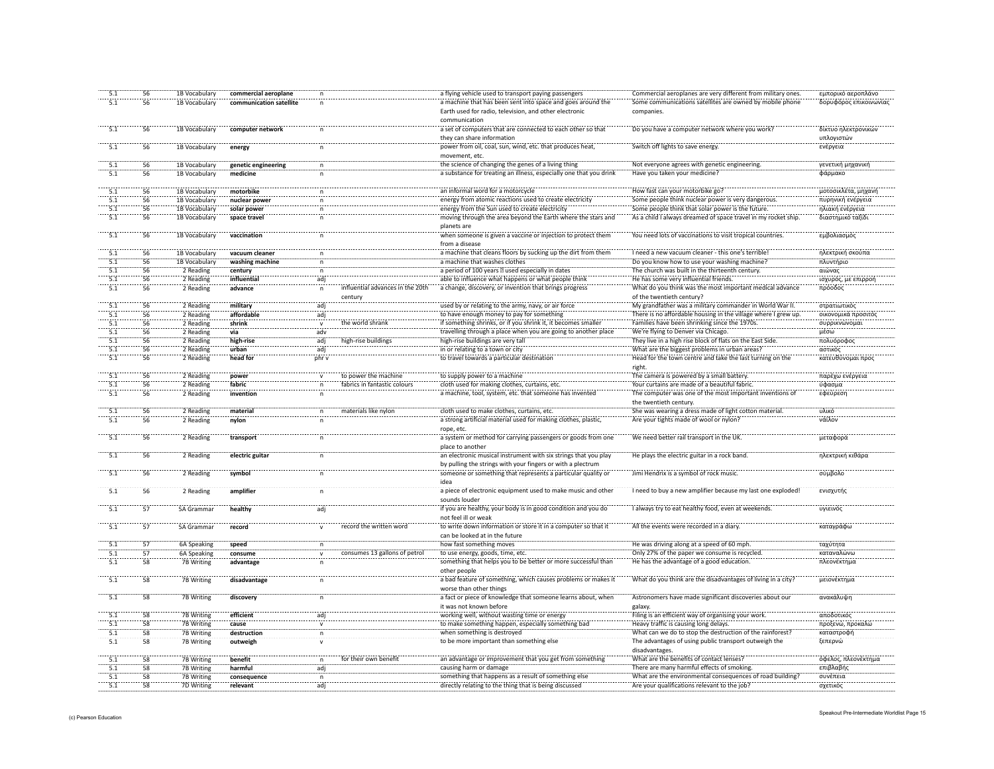|                  | 56              | 1B Vocabulary            | commercial aeroplane    |                       |                               | a flying vehicle used to transport paying passengers               | Commercial aeroplanes are very different from military ones.   | εμπορικό αεροπλάνο     |
|------------------|-----------------|--------------------------|-------------------------|-----------------------|-------------------------------|--------------------------------------------------------------------|----------------------------------------------------------------|------------------------|
| 5.1              | 56              | 1B Vocabulary            | communication satellite |                       |                               | a machine that has been sent into space and goes around the        | Some communications satellites are owned by mobile phone       | δορυφόρος επικοινωνίας |
|                  |                 |                          |                         |                       |                               | Earth used for radio, television, and other electronic             | companies.                                                     |                        |
|                  |                 |                          |                         |                       |                               | communication                                                      |                                                                |                        |
| 5.1              | 56              | 1B Vocabulary            | computer network        | $\mathsf{n}$          |                               | a set of computers that are connected to each other so that        | Do you have a computer network where you work?                 | δίκτυο ηλεκτρονικών    |
|                  |                 |                          |                         |                       |                               | they can share information                                         |                                                                | υπλογιστών             |
| $\overline{5.1}$ | 56              | 1B Vocabulary            | energy                  |                       |                               | power from oil, coal, sun, wind, etc. that produces heat           | Switch off lights to save energy.                              | ενέργεια               |
|                  |                 |                          |                         |                       |                               | movement, etc.                                                     |                                                                |                        |
|                  | 56              | 1B Vocabulary            | genetic engineering     |                       |                               | the science of changing the genes of a living thing                | Not everyone agrees with genetic engineering                   | γενετική μηχανική      |
| 5.1              | 56              | 1B Vocabulary            | medicine                |                       |                               | a substance for treating an illness, especially one that you drink | Have you taken your medicine?                                  | φάρμακο                |
|                  |                 |                          |                         |                       |                               |                                                                    |                                                                |                        |
|                  | 56              | 1B Vocabulary            | motorbike               |                       |                               | an informal word for a motorcycle                                  | How fast can your motorbike go                                 | μοτοσικλέτα, μηχανή    |
| $\overline{5.1}$ | 56              | 1B Vocabulary            | nuclear power           |                       |                               | energy from atomic reactions used to create electricity            | Some people think nuclear power is very dangerous              | πυρηνική ενέργεια      |
|                  | <br>56          | 1B Vocabulary            | solar power             |                       |                               | energy from the Sun used to create electricity                     | Some people think that solar power is the future.              | ηλιακή ενέργεια        |
| $\overline{5.1}$ | 56              | 1B Vocabulary            | space travel            |                       |                               | moving through the area beyond the Earth where the stars and       | As a child I always dreamed of space travel in my rocket ship. | διαστημικό ταξίδι      |
|                  |                 |                          |                         |                       |                               | planets are                                                        |                                                                |                        |
| 5.1              | 56              | 1B Vocabulary            | vaccination             |                       |                               | when someone is given a vaccine or injection to protect them       | You need lots of vaccinations to visit tropical countries.     | εμβολιασμός            |
|                  |                 |                          |                         |                       |                               | from a disease                                                     |                                                                |                        |
| 5.1              | 56              | 1B Vocabulary            | vacuum cleaner          | $\mathsf{n}$          |                               | a machine that cleans floors by sucking up the dirt from them      | I need a new vacuum cleaner - this one's terrible!             | ηλεκτρική σκούπα       |
| 5.1              | 56              | 1B Vocabulary            | washing machine         | n                     |                               | a machine that washes clothes                                      | Do you know how to use your washing machine?                   | πλυντήριο              |
| 5.1              | 56              | 2 Reading                | century                 | n                     |                               | a period of 100 years used especially in dates                     | The church was built in the thirteenth century.                | αιώνας                 |
| 5.1              | 56              | 2 Reading                | influential             | adj                   |                               | able to influence what happens or what people think                | He has some very influential friends.                          | ισχυρός, με επιρροή    |
| 5.1              | 56              | 2 Reading                | advance                 | $\mathsf{n}$          | influential advances          | a change, discovery, or invention that brings progress             | What do you think was the most important medical advance       | πρόοδος                |
|                  |                 |                          |                         |                       | century                       |                                                                    | of the twentieth century?                                      |                        |
| 5.1              | 56              | 2 Reading                | military                | adj                   |                               | used by or relating to the army, navy, or air force                | My grandfather was a military commander in World War II        | στρατιωτικός           |
| 5.1              | 56              | 2 Reading                | affordable              | adj                   |                               | to have enough money to pay for something                          | There is no affordable housing in the village where I grew up. | οικονομικά προσιτός    |
| $\overline{5.1}$ | 56              | 2 Reading                | shrink                  | $\mathsf{v}$          | the world shrank              | if something shrinks, or if you shrink it, it becomes smaller      | Families have been shrinking since the 1970s.                  | συρρικνώνομαι          |
| 5.1              | 56              | 2 Reading                | via                     | adv                   |                               | travelling through a place when you are going to another place     | We're flying to Denver via Chicago.                            | μέσω                   |
| 5.1              | 56              | 2 Reading                | high-rise               | adi                   | high-rise buildings           | high-rise buildings are very tall                                  | They live in a high rise block of flats on the East Side.      | πολυόροφος             |
| $\overline{5.1}$ | 56              | 2 Reading                | urban                   | adi.                  |                               | in or relating to a town or city                                   | What are the biggest problems in urban areas?                  | αστικός                |
| 5.1              | 56              | 2 Reading                | head for                | phr v                 |                               | to travel towards a particular destination                         | Head for the town centre and take the last turning on the      | κατευθύνομαι προ       |
|                  |                 |                          |                         |                       |                               |                                                                    | right.                                                         |                        |
|                  | 56              | 2 Reading                | power                   |                       | to power the machine          | to supply power to a machine                                       | The camera is powered by a small battery.                      | παρέχω ενέργεια        |
| 5.1              | 56              | 2 Reading                | fabric                  |                       | fabrics in fantastic colours  | cloth used for making clothes, curtains, etc.                      | Your curtains are made of a beautiful fabric                   | ύφασμα                 |
| 5.1              | 56              | 2 Reading                | invention               | n                     |                               | a machine, tool, system, etc. that someone has invented            | The computer was one of the most important inventions of       | εφεύρεση               |
|                  |                 |                          |                         |                       |                               |                                                                    | the twentieth century.                                         |                        |
| 5.1              | 56              | 2 Reading                | material                | n                     | materials like nylon          | cloth used to make clothes, curtains, etc.                         | She was wearing a dress made of light cotton material          | υλικό                  |
| 5.1              | 56              | 2 Reading                | nylon                   |                       |                               | a strong artificial material used for making clothes, plastic,     | Are your tights made of wool or nylon?                         | νάϊλον                 |
|                  |                 |                          |                         |                       |                               | rope, etc                                                          |                                                                |                        |
| 5.1              | 56              | 2 Reading                | transport               | $\mathsf{n}$          |                               | a system or method for carrying passengers or goods from one       | We need better rail transport in the UK.                       | μεταφορά               |
|                  |                 |                          |                         |                       |                               | place to another                                                   |                                                                |                        |
| 5.1              | 56              | 2 Reading                | electric guitar         |                       |                               | an electronic musical instrument with six strings that you play    | He plays the electric guitar in a rock band                    | ηλεκτρική κιθάρα       |
|                  |                 |                          |                         |                       |                               | by pulling the strings with your fingers or with a plectrum        |                                                                |                        |
|                  | 56              | 2 Reading                | symbol                  |                       |                               | someone or something that represents a particular quality or       | Jimi Hendrix is a symbol of rock music                         | σύμβολο                |
|                  |                 |                          |                         |                       |                               | idea                                                               |                                                                |                        |
| 5.1              | 56              | 2 Reading                | amplifier               |                       |                               | a piece of electronic equipment used to make music and other       | I need to buy a new amplifier because my last one exploded!    | ενισχυτής              |
|                  |                 |                          |                         |                       |                               | sounds louder                                                      |                                                                |                        |
| 5.1              | 57              | 5A Grammar               | healthy                 | adj                   |                               | if you are healthy, your body is in good condition and you do      | I always try to eat healthy food, even at weekends.            | υγιεινός               |
|                  |                 |                          |                         |                       |                               | not feel ill or weak                                               |                                                                |                        |
| $\overline{5.1}$ | 57              | 5A Gramma                | record                  | $\mathsf{v}$          | record the written word       | to write down information or store it in a computer so that it     | All the events were recorded in a diary.                       | καταγράφω              |
|                  |                 |                          |                         |                       |                               | can be looked at in the future                                     |                                                                |                        |
| 5.1              | 57              | 6A Speaking              | speed                   | n                     |                               | how fast something moves                                           | He was driving along at a speed of 60 mph.                     | ταχύτητα               |
| 5.1              | 57              | 6A Speaking              | consume                 |                       | consumes 13 gallons of petrol | to use energy, goods, time, etc.                                   | Only 27% of the paper we consume is recycled                   | καταναλώνω             |
| 5.1              | 58              | <b>7B Writing</b>        | advantage               | $\mathsf{n}$          |                               | something that helps you to be better or more successful than      | He has the advantage of a good education.                      | πλεονέκτημα            |
|                  |                 |                          |                         |                       |                               | other people                                                       |                                                                |                        |
| 5.1              | 58              | 7B Writing               | disadvantage            | $\mathsf{n}$          |                               | a bad feature of something, which causes problems or makes it      | What do you think are the disadvantages of living in a city?   | μειονέκτημα            |
|                  |                 |                          |                         |                       |                               | worse than other things                                            |                                                                |                        |
| 5.1              | 58              | <b>7B Writing</b>        | discovery               | n                     |                               | a fact or piece of knowledge that someone learns about, when       | Astronomers have made significant discoveries about our        | ανακάλυψη              |
|                  |                 |                          |                         |                       |                               | it was not known before                                            | galaxy.                                                        |                        |
| 5.1              | 58              | 7B Writing               | efficient               | adj                   |                               | working well, without wasting time or energy                       | Filing is an efficient way of organising your work.            | αποδοτικός             |
| 5.1              | 58              | 7B Writing               | cause                   | $\mathbf v$           |                               | to make something happen, especially something bad                 | Heavy traffic is causing long delays.                          | προξενώ, προκαλώ       |
| 5.1              | $\overline{58}$ | 7B Writing               | destruction             |                       |                               | when something is destroyed                                        | What can we do to stop the destruction of the rainforest?      | καταστροφή             |
| 5.1              | 58              |                          |                         | n                     |                               | to be more important than something else                           | The advantages of using public transport outweigh the          | ξεπερνώ                |
|                  |                 | 7B Writing               | outweigh                |                       |                               |                                                                    | disadvantages.                                                 |                        |
| $\overline{5.1}$ | 58              | 7B Writing               | benefit                 | n                     | for their own benefit         | an advantage or improvement that you get from something            | What are the benefits of contact lenses?                       | όφελος, πλεονέκτημα    |
| 5.1              | 58              |                          | harmful                 |                       |                               | causing harm or damage                                             | There are many harmful effects of smoking                      | επιβλαβής              |
| 5.1              | 58              | 7B Writing<br>7B Writing | consequence             | adj<br>$\overline{p}$ |                               | something that happens as a result of something else               | What are the environmental consequences of road building?      | συνέπεια               |
| 5.1              | $\overline{58}$ | 7D Writing               | relevant                | adi                   |                               | directly relating to the thing that is being discussed             | Are your qualifications relevant to the job?                   | σχετικός               |
|                  |                 |                          |                         |                       |                               |                                                                    |                                                                |                        |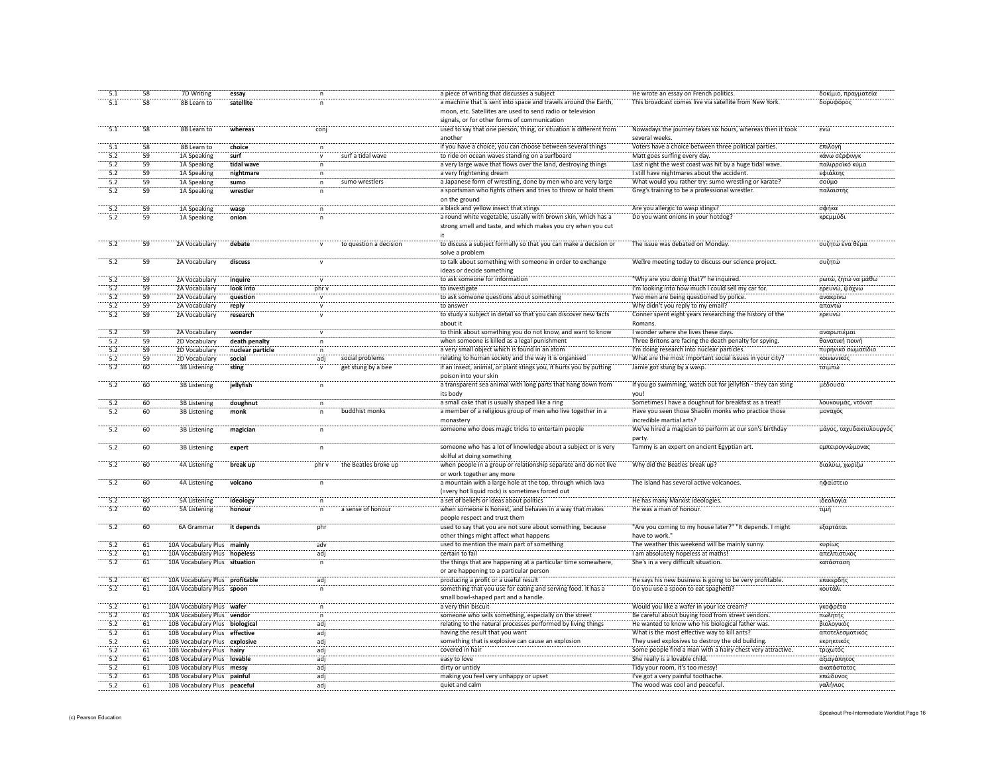| 5.1              | 58 | 7D Writing                     | essay            |              |                        | a piece of writing that discusses a subject                        | He wrote an essay on French politics.                        | δοκίμιο, πραγματεία     |
|------------------|----|--------------------------------|------------------|--------------|------------------------|--------------------------------------------------------------------|--------------------------------------------------------------|-------------------------|
| 5.1              | 58 | 8B Learn to                    | satellite        |              |                        | a machine that is sent into space and travels around the Earth,    | This broadcast comes live via satellite from New York.       | δορυφόρος               |
|                  |    |                                |                  |              |                        |                                                                    |                                                              |                         |
|                  |    |                                |                  |              |                        | moon, etc. Satellites are used to send radio or television         |                                                              |                         |
|                  |    |                                |                  |              |                        | signals, or for other forms of communication                       |                                                              |                         |
| 5.1              | 58 | 8B Learn to                    | whereas          | coni         |                        | used to say that one person, thing, or situation is different from | Nowadays the journey takes six hours, whereas then it took   | FVI                     |
|                  |    |                                |                  |              |                        |                                                                    |                                                              |                         |
|                  |    |                                |                  |              |                        | another                                                            | several weeks.                                               |                         |
| $\overline{5.1}$ | 58 | 8B Learn to                    | choice           |              |                        | if you have a choice, you can choose between several things        | Voters have a choice between three political parties         | επιλογή                 |
| 5.2              | 59 | 1A Speaking                    | surf             |              | surf a tidal wave      | to ride on ocean waves standing on a surfboard                     | Matt goes surfing every day.                                 | κάνω σέρφιν             |
| 5.2              | 59 |                                |                  |              |                        |                                                                    |                                                              |                         |
|                  |    | 1A Speaking                    | tidal wave       |              |                        | a very large wave that flows over the land, destroying things      | Last night the west coast was hit by a huge tidal wave.      | παλιρροϊκό κύμο         |
| 5.2              | 59 | 1A Speaking                    | nightmare        |              |                        | a very frightening dream                                           | I still have nightmares about the accident.                  | εφιάλτης                |
| 5.2              | 59 | 1A Speaking                    | sumo             | $\mathsf{n}$ | sumo wrestlers         | a Japanese form of wrestling, done by men who are very large       | What would you rather try: sumo wrestling or karate?         | σούμο                   |
| 5.2              | 59 | 1A Speaking                    | wrestler         |              |                        | a sportsman who fights others and tries to throw or hold them      | Greg's training to be a professional wrestler.               | παλαιστής               |
|                  |    |                                |                  |              |                        |                                                                    |                                                              |                         |
|                  |    |                                |                  |              |                        | on the ground                                                      |                                                              |                         |
| 5.2              | 59 | 1A Speaking                    | wasp             |              |                        | a black and yellow insect that stings                              | Are you allergic to wasp stings?                             | σφήκα                   |
| 5.2              | 59 | 1A Speaking                    | onion            |              |                        | a round white vegetable, usually with brown skin, which has a      | Do you want onions in your hotdog                            | κρεμμύδι                |
|                  |    |                                |                  |              |                        |                                                                    |                                                              |                         |
|                  |    |                                |                  |              |                        | strong smell and taste, and which makes you cry when you cut       |                                                              |                         |
|                  |    |                                |                  |              |                        | it                                                                 |                                                              |                         |
| $-5.2$           | 59 | 2A Vocabulary                  | debate           |              | to question a decision | to discuss a subject formally so that you can make a decision or   | The issue was debated on Monday                              | συζητώ ένα θέμα         |
|                  |    |                                |                  |              |                        | solve a problem                                                    |                                                              |                         |
|                  |    |                                |                  |              |                        |                                                                    |                                                              |                         |
| $\overline{5.2}$ | 59 | 2A Vocabulary                  | discuss          |              |                        | to talk about something with someone in order to exchange          | We re meeting today to discuss our science project           | συζητώ                  |
|                  |    |                                |                  |              |                        | ideas or decide something                                          |                                                              |                         |
| 5.2              | 59 | 2A Vocabulary                  | inquire          |              |                        | to ask someone for information                                     | "Why are you doing that?" he inquired.                       | ρωτώ, ζητώ να μάθω      |
|                  |    |                                |                  |              |                        |                                                                    |                                                              |                         |
| 5.2              | 59 | 2A Vocabulary                  | look into        | phr v        |                        | to investigate                                                     | I'm looking into how much I could sell my car for.           | ερευνώ, ψάχνω           |
| 5.2              | 59 | 2A Vocabulary                  | question         | $\mathsf{v}$ |                        | to ask someone questions about something                           | Two men are being questioned by police.                      | ανακρίνω                |
| 5.2              | 59 | 2A Vocabulary                  | reply            | $\mathsf{v}$ |                        | to answer                                                          | Why didn't you reply to my email?                            | απαντώ                  |
| 5.2              | 59 | 2A Vocabulary                  |                  |              |                        | to study a subject in detail so that you can discover new facts    | Conner spent eight years researching the history of the      |                         |
|                  |    |                                | research         |              |                        |                                                                    |                                                              | ερευνώ                  |
|                  |    |                                |                  |              |                        | about it                                                           | Romans                                                       |                         |
| 5.2              | 59 | 2A Vocabulary                  | wonder           | $\mathsf{v}$ |                        | to think about something you do not know, and want to know         | I wonder where she lives these days.                         | αναρωτιέμαι             |
| 5.2              | 59 | 2D Vocabulary                  | death penalty    | $\mathsf{n}$ |                        | when someone is killed as a legal punishment                       | Three Britons are facing the death penalty for spying.       | θανατική ποινή          |
|                  |    |                                |                  |              |                        |                                                                    |                                                              |                         |
| 5.2              | 59 | 2D Vocabulary                  | nuclear particle | $\mathsf{n}$ |                        | a very small object which is found in an atom                      | I'm doing research into nuclear particles.                   | πυρηνικό σωματίδιο      |
| 5.2              | 59 | 2D Vocabulary                  | social           | adj          | social problems        | relating to human society and the way it is organised              | What are the most important social issues in your city?      | κοινωνικός              |
| 5.2              | 60 | <b>3B Listening</b>            | sting            |              | get stung by a bee     | if an insect, animal, or plant stings you, it hurts you by putting | Jamie got stung by a wasp.                                   | τσιμπώ                  |
|                  |    |                                |                  |              |                        |                                                                    |                                                              |                         |
|                  |    |                                |                  |              |                        | poison into your skin                                              |                                                              |                         |
| 5.2              | 60 | <b>3B Listening</b>            | jellyfish        | n            |                        | a transparent sea animal with long parts that hang down from       | If you go swimming, watch out for jellyfish - they can sting | μέδουσα                 |
|                  |    |                                |                  |              |                        | its body                                                           | voul                                                         |                         |
| 5.2              | 60 | 3B Listening                   | doughnut         | n            |                        | a small cake that is usually shaped like a ring                    | Sometimes I have a doughnut for breakfast as a treat!        | λουκουμάς, ντόνατ       |
|                  |    |                                |                  |              |                        |                                                                    |                                                              |                         |
| 5.2              | 60 | 3B Listening                   | monk             | n.           | buddhist monks         | a member of a religious group of men who live together in a        | Have you seen those Shaolin monks who practice those         | μοναχός                 |
|                  |    |                                |                  |              |                        | monastery                                                          | incredible martial arts?                                     |                         |
| 5.2              | 60 | 3B Listening                   | magiciar         |              |                        | someone who does magic tricks to entertain people                  | We've hired a magician to perform at our son's birthday      | μάγος, ταχυδακτυλουργός |
|                  |    |                                |                  |              |                        |                                                                    |                                                              |                         |
|                  |    |                                |                  |              |                        |                                                                    | party                                                        |                         |
| $\frac{1}{5.2}$  | 60 | 3B Listening                   | expert           |              |                        | someone who has a lot of knowledge about a subject or is very      | Tammy is an expert on ancient Egyptian art                   | εμπειρογνώμονας         |
|                  |    |                                |                  |              |                        | skilful at doing something                                         |                                                              |                         |
| $\frac{1}{5}$    | 60 | 4A Listening                   | break up         | phr v        | the Beatles broke up   | when people in a group or relationship separate and do not live    | Why did the Beatles break up?                                | διαλύω, χωρίζω          |
|                  |    |                                |                  |              |                        |                                                                    |                                                              |                         |
|                  |    |                                |                  |              |                        | or work together any more                                          |                                                              |                         |
| $\overline{5.2}$ | 60 | 4A Listening                   | volcano          | n            |                        | a mountain with a large hole at the top, through which lava        | The island has several active volcanoes.                     | ηφαίστειο               |
|                  |    |                                |                  |              |                        | (=very hot liquid rock) is sometimes forced out                    |                                                              |                         |
| 5.2              | 60 | <b>5A Listening</b>            | ideology         |              |                        | a set of beliefs or ideas about politics                           | He has many Marxist ideologies.                              | ιδεολογία               |
|                  |    |                                |                  | n            |                        |                                                                    |                                                              |                         |
| 5.2              | 60 | 5A Listening                   | honour           | n            | a sense of honour      | when someone is honest, and behaves in a way that makes            | He was a man of honour.                                      | τιμή                    |
|                  |    |                                |                  |              |                        | people respect and trust them                                      |                                                              |                         |
| 5.2              | 60 | 6A Grammar                     | it depends       | phr          |                        | used to say that you are not sure about something, because         | "Are you coming to my house later?" "It depends. I might     | εξαρτάται               |
|                  |    |                                |                  |              |                        |                                                                    |                                                              |                         |
|                  |    |                                |                  |              |                        | other things might affect what happens                             | have to work.'                                               |                         |
| 5.2              | 61 | 10A Vocabulary Plus mainly     |                  | adv          |                        | used to mention the main part of something                         | The weather this weekend will be mainly sunny.               | κυρίως                  |
| 5.2              | 61 | 10A Vocabulary Plus hopeless   |                  | adj          |                        | certain to fail                                                    | I am absolutely hopeless at maths!                           | απελπιστικός            |
| 5.2              | 61 | 10A Vocabulary Plus situation  |                  |              |                        | the things that are happening at a particular time somewhere,      | She's in a very difficult situation.                         | κατάσταση               |
|                  |    |                                |                  |              |                        |                                                                    |                                                              |                         |
|                  |    |                                |                  |              |                        | or are happening to a particular person                            |                                                              |                         |
| $\frac{1}{5.2}$  | 61 | 10A Vocabulary Plus profitable |                  | adi          |                        | producing a profit or a useful result                              | He says his new business is going to be very profitable.     | επικερδής               |
| 5.2              | 61 | 10A Vocabulary Plus spoon      |                  | n.           |                        | something that you use for eating and serving food. It has a       | Do you use a spoon to eat spaghetti?                         | κουτάλι                 |
|                  |    |                                |                  |              |                        | small bowl-shaped part and a handle.                               |                                                              |                         |
| $\overline{5.2}$ |    |                                |                  |              |                        |                                                                    |                                                              |                         |
|                  | 61 | 10A Vocabulary Plus wafer      |                  |              |                        | a very thin biscuit                                                | Would you like a wafer in your ice cream?                    | <br>γκοφρέτα            |
| 5.2              | 61 | 10A Vocabulary Plus vendor     |                  |              |                        | someone who sells something, especially on the street              | Be careful about buying food from street vendors             | πωλητής                 |
| 5.2              | 61 | 10B Vocabulary Plus biological |                  | adi          |                        | relating to the natural processes performed by living things       | He wanted to know who his biological father was.             | βιολογικός              |
| $-5.2$           |    |                                |                  |              |                        | having the result that you want                                    | What is the most effective way to kill ants?                 | αποτελεσματικό          |
|                  | 61 | 10B Vocabulary Plus effective  |                  | adj          |                        |                                                                    |                                                              |                         |
| 5.2              | 61 | 10B Vocabulary Plus explosive  |                  | adj          |                        | something that is explosive can cause an explosion                 | They used explosives to destroy the old building.            | εκρηκτικός              |
| 5.2              | 61 | 10B Vocabulary Plus hairy      |                  | adi          |                        | covered in hair                                                    | Some people find a man with a hairy chest very attractive    | τριχωτός                |
| 5.2              | 61 | 10B Vocabulary Plus lovable    |                  | adj          |                        | easy to love                                                       | She really is a lovable child.                               | αξιαγάπητος             |
| 5.2              |    |                                |                  |              |                        |                                                                    | Tidy your room, it's too messy!                              | ακατάστατος             |
|                  |    |                                |                  |              |                        |                                                                    |                                                              |                         |
|                  | 61 | 10B Vocabulary Plus messy      |                  | adi          |                        | dirty or untidy                                                    |                                                              |                         |
| 5.2              | 61 | 10B Vocabulary Plus painful    |                  | adj          |                        | making you feel very unhappy or upset                              | I've got a very painful toothache                            | επώδυνος                |
| 5.2              | 61 | 10B Vocabulary Plus peaceful   |                  | adj          |                        | quiet and calm                                                     | The wood was cool and peaceful.                              | γαλήνιος                |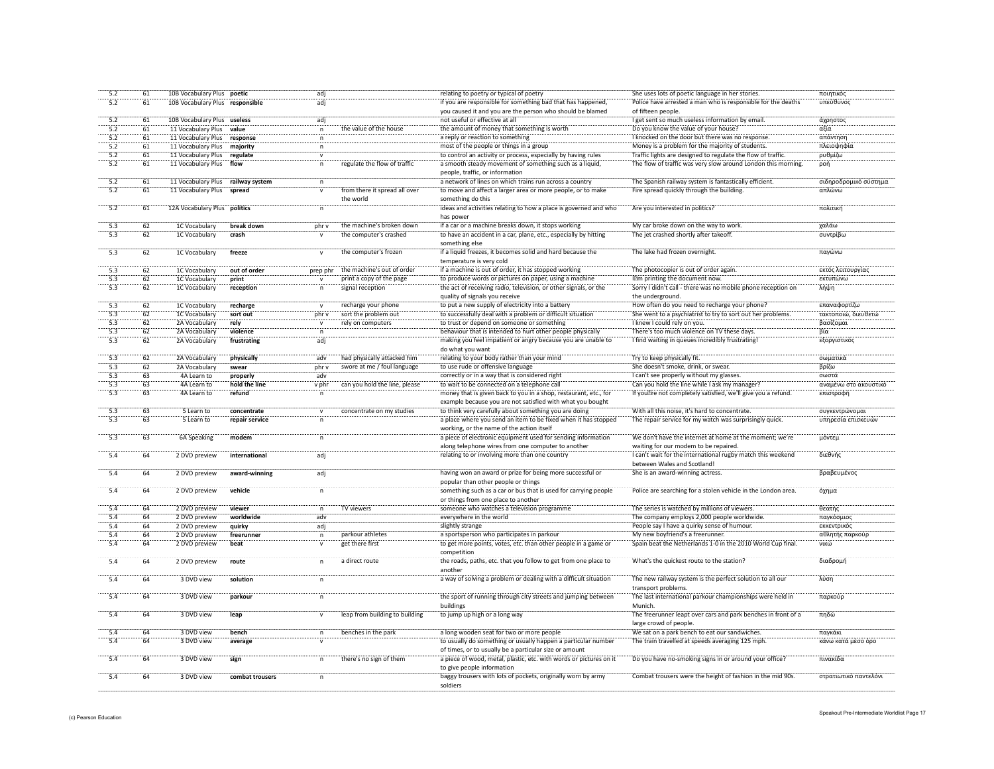| 5.2              | 61              | 10B Vocabulary Plus poetic        |                 | adj                     |                                | relating to poetry or typical of poetry                            | She uses lots of poetic language in her stories               | ποιητικός             |
|------------------|-----------------|-----------------------------------|-----------------|-------------------------|--------------------------------|--------------------------------------------------------------------|---------------------------------------------------------------|-----------------------|
| 5.2              | 61              | 10B Vocabulary Plus responsible   |                 | adj                     |                                | if you are responsible for something bad that has happened,        | Police have arrested a man who is responsible for the deaths  | υπεύθυνος             |
|                  |                 |                                   |                 |                         |                                | you caused it and you are the person who should be blamed          | of fifteen people.                                            |                       |
| 5.2              | 61              | 10B Vocabulary Plus useless       |                 | adj                     |                                | not useful or effective at all                                     | I get sent so much useless information by email.              | άχρηστος              |
| 5.2              | 61              | 11 Vocabulary Plus                | value           |                         | the value of the house         | the amount of money that something is worth                        | Do you know the value of your house?                          | αξία                  |
|                  |                 |                                   |                 | $\mathsf{n}$            |                                |                                                                    |                                                               |                       |
| 5.2              | 61              | 11 Vocabulary Plus                | response        | n                       |                                | a reply or reaction to something                                   | I knocked on the door but there was no response.              | απάντηση              |
| 5.2              | 61              | 11 Vocabulary Plus                | majority        | n.                      |                                | most of the people or things in a group                            | Money is a problem for the majority of students.              | πλειοψηφία            |
| 5.2              | 61              | 11 Vocabulary Plus                | regulate        | $\mathsf{v}$            |                                | to control an activity or process, especially by having rules      | Traffic lights are designed to regulate the flow of traffic.  | ρυθμίζω               |
| 5.2              | 61              | 11 Vocabulary Plus                | flow            | $\mathsf{n}$            | regulate the flow of traffic   | a smooth steady movement of something such as a liquid,            | The flow of traffic was very slow around London this morning. | ροή                   |
|                  |                 |                                   |                 |                         |                                | people, traffic, or information                                    |                                                               |                       |
| 5.2              | 61              | 11 Vocabulary Plus railway system |                 | n                       |                                | a network of lines on which trains run across a country            | The Spanish railway system is fantastically efficient.        | σιδηροδρομικό σύστημα |
| 5.2              | 61              | 11 Vocabulary Plus                | spread          | $\overline{\mathsf{v}}$ | from there it spread all over  |                                                                    | Fire spread quickly through the building.                     | απλώνω                |
|                  |                 |                                   |                 |                         |                                | to move and affect a larger area or more people, or to make        |                                                               |                       |
|                  |                 |                                   |                 |                         | the world                      | something do this                                                  |                                                               |                       |
| 5.2              | 61              | 12A Vocabulary Plus politics      |                 | $\mathsf{n}$            |                                | ideas and activities relating to how a place is governed and who   | Are you interested in politics?                               | πολιτική              |
|                  |                 |                                   |                 |                         |                                | has nower                                                          |                                                               |                       |
| $\frac{1}{5.3}$  | $\overline{62}$ | 1C Vocabulary                     | break down      | nhr v                   | the machine's broken down      | if a car or a machine breaks down, it stops working                | My car broke down on the way to work                          | γαλάω                 |
| 5.3              | 62              | 1C Vocabulary                     | crash           |                         | the computer's crashed         | to have an accident in a car, plane, etc., especially by hitting   | The jet crashed shortly after takeoff.                        | συντρίβα              |
|                  |                 |                                   |                 |                         |                                | something else                                                     |                                                               |                       |
| 5.3              | 62              |                                   |                 |                         |                                | if a liquid freezes, it becomes solid and hard because the         |                                                               |                       |
|                  |                 | 1C Vocabulary                     | freeze          |                         | the computer's frozen          |                                                                    | The lake had frozen overnight                                 | παγώνω                |
|                  |                 |                                   |                 |                         |                                | temperature is very cold                                           |                                                               |                       |
|                  | 62              | 1C Vocabulary                     | out of order    | prep phr                | the machine's out of order     | if a machine is out of order, it has stopped working               | The photocopier is out of order again                         | εκτός λειτουργίας     |
| 5.3              | 62              | 1C Vocabulary                     | print           |                         | print a copy of the page       | to produce words or pictures on paper, using a machine             | 1 m printing the document now.                                | <b>ΕΚΤ</b> υπώνω      |
| $\overline{53}$  | 62              | 1C Vocabulary                     | reception       |                         | signal reception               | the act of receiving radio, television, or other signals, or the   | Sorry I didn't call - there was no mobile phone reception on  | λήψη                  |
|                  |                 |                                   |                 |                         |                                | quality of signals you receive                                     | the underground.                                              |                       |
|                  |                 |                                   |                 |                         |                                |                                                                    |                                                               |                       |
| 5.3              | 62              | 1C Vocabulary                     | recharge        |                         | recharge your phone            | to put a new supply of electricity into a battery                  | How often do you need to recharge your phone?                 | επαναφορτίζω          |
| 5.3              | 62              | 1C Vocabulary                     | sort out        | phr v                   | sort the problem out           | to successfully deal with a problem or difficult situation         | She went to a psychiatrist to try to sort out her problems    | τακτοποιώ, διευθετώ   |
| 5.3              | 62              | 2A Vocabulary                     | rely            |                         | rely on computers              | to trust or depend on someone or something                         | I knew I could rely on you.                                   | βασίζομαι             |
| 5.3              | 62              | 2A Vocabulary                     | violence        | n                       |                                | behaviour that is intended to hurt other people physically         | There's too much violence on TV these days                    | Βία                   |
| $\overline{5.3}$ | 62              | 2A Vocabulary                     | frustrating     | ädi                     |                                | making you feel impatient or angry because you are unable to       | I find waiting in queues incredibly frustrating               | εξοργιστικός          |
|                  |                 |                                   |                 |                         |                                |                                                                    |                                                               |                       |
|                  |                 |                                   |                 |                         |                                | do what you want                                                   |                                                               |                       |
| 5.3              | 62              | 2A Vocabulary                     | physically      | adv                     | had physically attacked him    | relating to your body rather than your mind                        | Try to keep physically fit.                                   | σωματικά              |
| 5.3              | 62              | 2A Vocabulary                     | swear           | phr v                   | swore at me / foul language    | to use rude or offensive language                                  | She doesn't smoke, drink, or swea                             | βρίζω                 |
| 5.3              | 63              | 4A Learn to                       | properly        | adv                     |                                | correctly or in a way that is considered right                     | I can't see properly without my glasses                       | σωστά                 |
| 5.3              | 63              | 4A Learn to                       | hold the line   | v phr                   | can you hold the line, please  | to wait to be connected on a telephone call                        | Can you hold the line while I ask my manager                  | αναμένω στο ακουστικό |
| $\overline{5.3}$ | 63              | 4A Learn to                       | refund          | $\mathsf{n}$            |                                | money that is given back to you in a shop, restaurant, etc., for   | If you re not completely satisfied, we'll give you a refund.  | επιστροφή             |
|                  |                 |                                   |                 |                         |                                |                                                                    |                                                               |                       |
|                  |                 |                                   |                 |                         |                                | example because you are not satisfied with what you bought         |                                                               |                       |
| 5.3              | 63              | 5 Learn to                        | concentrate     |                         | concentrate on my studies      | to think very carefully about something you are doing              | With all this noise, it's hard to concentrate.                | συγκεντρώνομαι        |
| 5.3              | 63              | 5 Learn to                        | repair service  |                         |                                | a place where you send an item to be fixed when it has stopped     | The repair service for my watch was surprisingly quick        | υπηρεσία επισκευών    |
|                  |                 |                                   |                 |                         |                                | working, or the name of the action itself                          |                                                               |                       |
| $\overline{5.3}$ | 63              | <b>6A Speaking</b>                | modem           |                         |                                | a piece of electronic equipment used for sending information       | We don't have the internet at home at the moment; we're       | μόντεμ                |
|                  |                 |                                   |                 |                         |                                | along telephone wires from one computer to another                 | waiting for our modem to be repaired.                         |                       |
|                  |                 |                                   |                 |                         |                                |                                                                    |                                                               |                       |
| 5.4              | 64              | 2 DVD preview                     | international   | adj                     |                                | relating to or involving more than one country                     | I can't wait for the international rugby match this weekend   | διεθνής               |
|                  |                 |                                   |                 |                         |                                |                                                                    | between Wales and Scotland!                                   |                       |
| 5.4              | 64              | 2 DVD preview                     | award-winning   | adj                     |                                | having won an award or prize for being more successful or          | She is an award-winning actress.                              | βραβευμένος           |
|                  |                 |                                   |                 |                         |                                | popular than other people or things                                |                                                               |                       |
| 5.4              | 64              | 2 DVD preview                     | vehicle         | n                       |                                | something such as a car or bus that is used for carrying people    | Police are searching for a stolen vehicle in the London area. | όχημα                 |
|                  |                 |                                   |                 |                         |                                |                                                                    |                                                               |                       |
|                  |                 |                                   |                 |                         |                                | or things from one place to another                                |                                                               |                       |
| $\overline{5.4}$ | 64              | 2 DVD preview                     | viewer          |                         | TV viewers                     | someone who watches a television programme                         | The series is watched by millions of viewers                  | θεατής                |
| 5.4              | 64              | 2 DVD preview                     | worldwide       | adv                     |                                | everywhere in the world                                            | The company employs 2,000 people worldwide                    | παγκόσμιος            |
| 5.4              | 64              | 2 DVD preview                     | quirky          | adj                     |                                | slightly strange                                                   | People say I have a quirky sense of humour.                   | εκκεντρικός           |
| 5.4              | 64              | 2 DVD preview                     | freerunner      | $\overline{p}$          | parkour athletes               | a sportsperson who participates in parkour                         | My new boyfriend's a freerunner.                              | αθλητής παρκούρ       |
| 5.4              | 64              |                                   |                 |                         | get there first                | to get more points, votes, etc. than other people in a game or     | Spain beat the Netherlands 1-0 in the 2010 World Cup final.   | νικώ                  |
|                  |                 | 2 DVD preview                     | beat            |                         |                                |                                                                    |                                                               |                       |
|                  |                 |                                   |                 |                         |                                | competition                                                        |                                                               |                       |
| $-5.4$           | 64              | 2 DVD preview                     | route           |                         | a direct route                 | the roads, paths, etc. that you follow to get from one place to    | What's the quickest route to the station?                     | διαδρομη              |
|                  |                 |                                   |                 |                         |                                | another                                                            |                                                               |                       |
| 5.4              | 64              | 3 DVD view                        | solution        |                         |                                | a way of solving a problem or dealing with a difficult situation   | The new railway system is the perfect solution to all our     | λύση                  |
|                  |                 |                                   |                 |                         |                                |                                                                    | transport problems.                                           |                       |
|                  |                 |                                   |                 |                         |                                |                                                                    |                                                               |                       |
| 5.4              | 64              | 3 DVD view                        | parkour         |                         |                                | the sport of running through city streets and jumping between      | The last international parkour championships were held in     | παρκούρ               |
|                  |                 |                                   |                 |                         |                                | buildings                                                          | Munich                                                        |                       |
| 5.4              | 64              | 3 DVD view                        | leap            | $\mathbf{v}$            | leap from building to building | to jump up high or a long way                                      | The freerunner leapt over cars and park benches in front of a | πηδώ                  |
|                  |                 |                                   |                 |                         |                                |                                                                    | large crowd of people.                                        |                       |
| 5.4              | 64              | 3 DVD view                        | bench           | $\mathsf{n}$            | benches in the park            | a long wooden seat for two or more people                          | We sat on a park bench to eat our sandwiches.                 | παγκάκι               |
|                  |                 |                                   |                 |                         |                                |                                                                    |                                                               |                       |
| 5.4              | 64              | 3 DVD view                        | average         |                         |                                | to usually do something or usually happen a particular number      | The train travelled at speeds averaging 125 mph.              | κάνω κατά μέσο όρο    |
|                  |                 |                                   |                 |                         |                                | of times, or to usually be a particular size or amount             |                                                               |                       |
| 5.4              | 64              | 3 DVD view                        | sign            | $\mathsf{n}$            | there's no sign of them        | a piece of wood, metal, plastic, etc. with words or pictures on it | Do you have no-smoking signs in or around your office?        | πινακίδα              |
|                  |                 |                                   |                 |                         |                                | to give people information                                         |                                                               |                       |
| 5.4              | 64              | 3 DVD view                        | combat trousers |                         |                                | baggy trousers with lots of pockets, originally worn by army       | Combat trousers were the height of fashion in the mid 90s.    | στρατιωτικό παντελόνι |
|                  |                 |                                   |                 |                         |                                |                                                                    |                                                               |                       |
|                  |                 |                                   |                 |                         |                                | soldiers                                                           |                                                               |                       |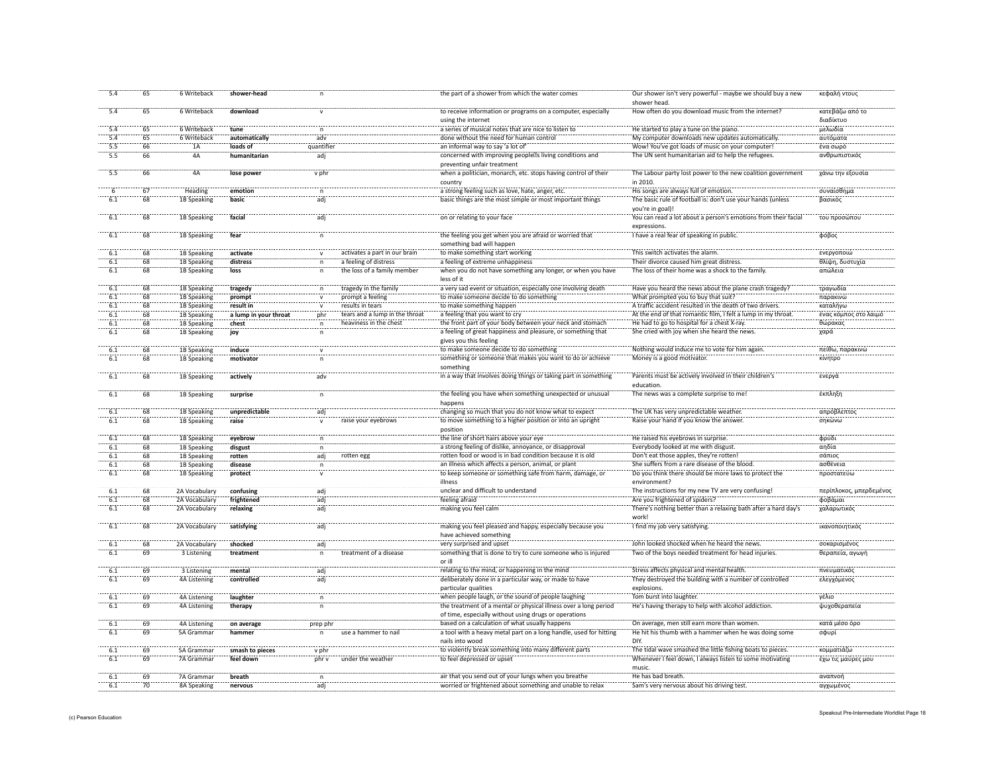| 5.4              | 65              | 6 Writeback         | shower-head           |              |                                | the part of a shower from which the water comes                   | Our shower isn't very powerful - maybe we should buy a new<br>shower head. | κεφαλή ντους            |
|------------------|-----------------|---------------------|-----------------------|--------------|--------------------------------|-------------------------------------------------------------------|----------------------------------------------------------------------------|-------------------------|
| 5.4              | 65              | 6 Writeback         | download              | $\mathsf{v}$ |                                | to receive information or programs on a computer, especially      | How often do you download music from the internet?                         | κατεβάζω από το         |
|                  |                 |                     |                       |              |                                | using the internet                                                |                                                                            | διαδίκτυο               |
| 5.4              | 65              | 6 Writeback         | tune                  | n            |                                | a series of musical notes that are nice to listen to              | He started to play a tune on the piano.                                    | μελωδία                 |
| 5.4              | 65              | 6 Writeback         | automatically         | adv          |                                | done without the need for human control                           | My computer downloads new updates automatically                            | αυτόματα                |
|                  |                 |                     |                       |              |                                | an informal way to say 'a lot of'                                 | Wow! You've got loads of music on your computer!                           | ένα σωρό                |
| 5.5              | 66              | 1A                  | loads of              | quantifier   |                                |                                                                   |                                                                            |                         |
| 5.5              | 66              | 4A                  | humanitarian          | adi          |                                | concerned with improving people sliving conditions and            | The UN sent humanitarian aid to help the refugees.                         | ανθρωπιστικός           |
|                  |                 |                     |                       |              |                                | preventing unfair treatment                                       |                                                                            |                         |
| 5.5              | $\overline{66}$ | 4Ä                  | lose power            | v phi        |                                | when a politician, monarch, etc. stops having control of their    | The Labour party lost power to the new coalition government                | χάνω την εξουσί         |
|                  |                 |                     |                       |              |                                | country                                                           | in 2010.                                                                   |                         |
|                  | 67              | Heading             | emotion               |              |                                | a strong feeling such as love, hate, anger, etc.                  | His songs are always full of emotion.                                      | συναίσθημα              |
|                  | 68              | 1B Speaking         | basic                 | adi          |                                | basic things are the most simple or most important things         | The basic rule of football is: don't use your hands (unless                | βασικός                 |
|                  |                 |                     |                       |              |                                |                                                                   | vou're in goal)!                                                           |                         |
| 6.1              | 68              | 1B Speaking         | facial                |              |                                | on or relating to your face                                       | You can read a lot about a person's emotions from their facial             | του προσώπου            |
|                  |                 |                     |                       |              |                                |                                                                   | expressions.                                                               |                         |
| 6.1              | 68              | 1B Speaking         | fear                  |              |                                | the feeling you get when you are afraid or worried that           | I have a real fear of speaking in public.                                  | φόβος                   |
|                  |                 |                     |                       |              |                                | something bad will happen                                         |                                                                            |                         |
|                  |                 |                     |                       |              |                                |                                                                   |                                                                            |                         |
| 6.1              | 68              | 1B Speaking         | activate              |              | activates a part in our brain  | to make something start working                                   | This switch activates the alarm.                                           | ενεργοποιώ              |
| 6.1              | 68              | 1B Speaking         | distress              |              | a feeling of distress          | a feeling of extreme unhappiness                                  | Their divorce caused him great distress                                    | θλίψη, δυστυχία         |
| 6.1              | $-68$           | 1B Speaking         | loss                  |              | the loss of a family member    | when you do not have something any longer, or when you have       | The loss of their home was a shock to the family                           | απώλεια                 |
|                  |                 |                     |                       |              |                                | less of it                                                        |                                                                            |                         |
| 6.1              | 68              | 1B Speaking         | tragedy               | n            | tragedy in the family          | a very sad event or situation, especially one involving death     | Have you heard the news about the plane crash tragedy?                     | τραγωδία                |
| 6.1              | 68              | 1B Speaking         | prompt                | $\mathsf{v}$ | prompt a feeling               | to make someone decide to do something                            | What prompted you to buy that suit?                                        | παρακινώ                |
| 6.1              | 68              | 1B Speaking         | result in             |              | results in tears               | to make something happen                                          | A traffic accident resulted in the death of two drivers.                   | καταλήγω                |
| 6.1              | 68              | 1B Speaking         | a lump in your throat | phr          | tears and a lump in the throat | a feeling that you want to cry                                    | At the end of that romantic film, I felt a lump in my throat.              | ένας κόμπος στο λαιμό   |
| 6.1              | 68              | 1B Speaking         | chest                 | n            | heaviness in the chest         | the front part of your body between your neck and stomach         | He had to go to hospital for a chest X-ray.                                | θώρακας                 |
| 6.1              | 68              | 1B Speaking         | joy                   |              |                                | a feeling of great happiness and pleasure, or something that      | She cried with joy when she heard the news.                                | χαρά                    |
|                  |                 |                     |                       |              |                                | gives you this feeling                                            |                                                                            |                         |
| 6.1              | 68              | 1B Speaking         |                       |              |                                | to make someone decide to do something                            | Nothing would induce me to vote for him again.                             | πείθω, παρακινώ         |
|                  |                 |                     | induce                |              |                                |                                                                   |                                                                            |                         |
| 6.1              | 68              | 1B Speaking         | motivator             |              |                                | something or someone that makes you want to do or achieve         | Money is a good motivator.                                                 | κίνητρο                 |
|                  |                 |                     |                       |              |                                | something                                                         |                                                                            |                         |
| 6.1              | 68              | 1B Speaking         | actively              | adv          |                                | in a way that involves doing things or taking part in something   | Parents must be actively involved in their children's                      | ενεργά                  |
|                  |                 |                     |                       |              |                                |                                                                   | education                                                                  |                         |
| 6.1              | 68              | 1B Speaking         | surprise              | $\mathsf{n}$ |                                | the feeling you have when something unexpected or unusual         | The news was a complete surprise to me!                                    | έκπληξη                 |
|                  |                 |                     |                       |              |                                | happens                                                           |                                                                            |                         |
| 6.1              | 68              | 1B Speaking         | unpredictable         | adi          |                                | changing so much that you do not know what to expect              | The UK has very unpredictable weather.                                     | απρόβλεπτος             |
| 6.1              | 68              | 1B Speaking         | raise                 |              | raise your evebrows            | to move something to a higher position or into an upright         | Raise your hand if you know the answer.                                    | σηκώνω                  |
|                  |                 |                     |                       |              |                                | position                                                          |                                                                            |                         |
| 6.1              | 68              | 1B Speaking         | eyebrow               |              |                                | the line of short hairs above your eye                            | He raised his eyebrows in surprise.                                        | φρύδι                   |
| 6.1              | 68              | 1B Speaking         | disgust               |              |                                | a strong feeling of dislike, annoyance, or disapproval            | Everybody looked at me with disgust.                                       | αηδία                   |
| $\overline{6.1}$ | 68              | 1B Speaking         | rotten                | adi          | rotten eg                      | rotten food or wood is in bad condition because it is old         | Don't eat those apples, they're rotten!                                    | σάπιος                  |
|                  | 68              | 1B Speaking         | disease               |              |                                | an illness which affects a person, animal, or plant               | She suffers from a rare disease of the blood                               | ασθένεια                |
| 6.1<br>6.1       | 68              |                     |                       | n            |                                |                                                                   |                                                                            |                         |
|                  |                 | 1B Speaking         | protect               |              |                                | to keep someone or something safe from harm, damage, or           | Do you think there should be more laws to protect the                      | προστατεύω              |
|                  |                 |                     |                       |              |                                | illness                                                           | environment?                                                               |                         |
| 6.1              | 68              | 2A Vocabulary       | confusing             | adi          |                                | unclear and difficult to understand                               | The instructions for my new TV are very confusing!                         | περίπλοκος, μπερδεμένος |
| 6.1              | 68              | 2A Vocabulary       | frightened            | adj          |                                | feeling afraid                                                    | Are you frightened of spiders?                                             | φοβάμαι                 |
| 6.1              | 68              | 2A Vocabulary       | relaxing              | adi          |                                | making you feel calm                                              | There's nothing better than a relaxing bath after a hard day's             | χαλαρωτικός             |
|                  |                 |                     |                       |              |                                |                                                                   | work!                                                                      |                         |
| $-6.1$           | $-68$           | 2A Vocabulary       | satisfying            | <br>adi      |                                | making you feel pleased and happy, especially because you         | I find my job very satisfying                                              | ικανοποιητικό           |
|                  |                 |                     |                       |              |                                | have achieved something                                           |                                                                            |                         |
| 6.1              | 68              | 2A Vocabulary       | shocked               | adj          |                                | very surprised and upset                                          | John looked shocked when he heard the news                                 | σοκαρισμένος            |
| 6.1              | 69              | 3 Listening         | treatment             |              | treatment of a disease         | something that is done to try to cure someone who is injured      | Two of the boys needed treatment for head injuries                         | θεραπεία, αγωγι         |
|                  |                 |                     |                       |              |                                | or ill                                                            |                                                                            |                         |
| 6.1              | 69              | 3 Listening         | mental                | adj          |                                | relating to the mind, or happening in the mind                    | Stress affects physical and mental health.                                 | πνευματικός             |
| 6.1              | $-69$           |                     |                       |              |                                |                                                                   | They destroyed the building with a number of controlled                    |                         |
|                  |                 | 4A Listening        | controlled            | adi          |                                | deliberately done in a particular way, or made to have            |                                                                            | ελεγχόμενος             |
|                  |                 |                     |                       |              |                                | particular qualities                                              | explosions.                                                                |                         |
| 6.1              | 69              | <b>4A Listening</b> | laughter              | n            |                                | when people laugh, or the sound of people laughing                | Tom burst into laughter.                                                   | νέλιο                   |
| 6.1              | 69              | 4A Listening        | therapy               | n            |                                | the treatment of a mental or physical illness over a long period  | He's having therapy to help with alcohol addiction.                        | ψυχοθεραπεία            |
|                  |                 |                     |                       |              |                                | of time, especially without using drugs or operations             |                                                                            |                         |
| 6.1              | 69              | <b>4A Listening</b> | on average            | prep phr     |                                | based on a calculation of what usually happens                    | On average, men still earn more than women                                 | κατά μέσο όρο           |
| 6.1              | 69              | 5A Grammar          | hammer                | n            | use a hammer to nai            | a tool with a heavy metal part on a long handle, used for hitting | He hit his thumb with a hammer when he was doing some                      | σφυρί                   |
|                  |                 |                     |                       |              |                                | nails into wood                                                   | DIY.                                                                       |                         |
| 6.1              | 69              | 5A Grammar          | smash to pieces       | v phr        |                                | to violently break something into many different parts            | The tidal wave smashed the little fishing boats to pieces.                 | κομματιάζω              |
| 6.1              | 69              | 7A Grammar          | feel down             | phr v        | under the weathe               | to feel depressed or upset                                        | Whenever I feel down, I always listen to some motivating                   | έχω τις μαύρες μου      |
|                  |                 |                     |                       |              |                                |                                                                   | music                                                                      |                         |
| 6.1              | 69              | 7A Grammar          | breath                | n            |                                | air that you send out of your lungs when you breathe              | He has bad breath.                                                         | αναπνοή                 |
|                  |                 |                     | nervous               | adi          |                                | worried or frightened about something and unable to relax         | Sam's very nervous about his driving test.                                 | αγχωμένος               |
| 6.1              | 70              | 8A Speaking         |                       |              |                                |                                                                   |                                                                            |                         |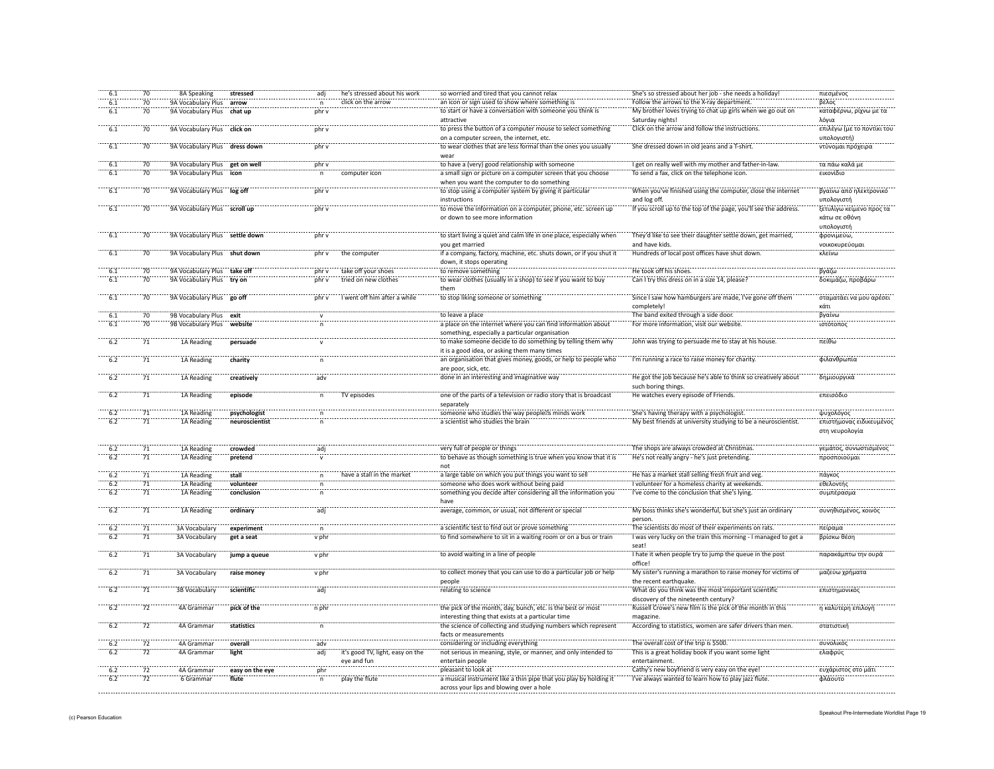| 6.1              | 70              | 8A Speaking                    | stressed        | adj          | he's stressed about his work     | so worried and tired that you cannot relax                                                                    | She's so stressed about her job - she needs a holiday!           | πιεσμένος                  |
|------------------|-----------------|--------------------------------|-----------------|--------------|----------------------------------|---------------------------------------------------------------------------------------------------------------|------------------------------------------------------------------|----------------------------|
| 6.1              | 70              | 9A Vocabulary Plus             | arrow           | n            | click on the arrow               | an icon or sign used to show where something is                                                               | Follow the arrows to the X-ray department.                       | βέλος                      |
| 6.1              | 70              | 9A Vocabulary Plus             | chat up         | phr v        |                                  | to start or have a conversation with someone you think is                                                     | My brother loves trying to chat up girls when we go out on       | καταφέρνω, ρίχνω με τα     |
|                  |                 |                                |                 |              |                                  | attractive                                                                                                    | Saturday nights!                                                 | λόγια                      |
| 6.1              | 70              | 9A Vocabulary Plus click on    |                 | phr v        |                                  | to press the button of a computer mouse to select something                                                   | Click on the arrow and follow the instructions.                  | επιλέγω (με το ποντίκι του |
|                  |                 |                                |                 |              |                                  | on a computer screen, the internet, etc.                                                                      |                                                                  | υπολογιστή)                |
| 6.1              | 70              | 9A Vocabulary Plus dress down  |                 | phr v        |                                  | to wear clothes that are less formal than the ones you usually                                                | She dressed down in old jeans and a T-shirt.                     | ντύνομαι πρόχειρα          |
|                  |                 |                                |                 |              |                                  | wea                                                                                                           |                                                                  |                            |
| 6.1              | 70              | 9A Vocabulary Plus get on well |                 | phr v        |                                  | to have a (very) good relationship with someone                                                               | I get on really well with my mother and father-in-law.           | τα πάω καλά με             |
| 6.1              | $70^{\circ}$    | 9A Vocabulary Plus icon        |                 |              | computer icon                    | a small sign or picture on a computer screen that you choose                                                  | To send a fax, click on the telephone icon.                      | εικονίδιο                  |
|                  |                 |                                |                 |              |                                  | when you want the computer to do something                                                                    |                                                                  |                            |
| 6.1              | 70              | 9A Vocabulary Plus log off     |                 | phr v        |                                  | to stop using a computer system by giving it particular                                                       | When you've finished using the computer, close the internet      | βγαίνω από ηλεκτρονικό     |
|                  |                 |                                |                 |              |                                  | instructions                                                                                                  | and log off.                                                     | υπολογιστή                 |
| 6.1              | 70              | 9A Vocabulary Plus scroll up   |                 | nhr v        |                                  | to move the information on a computer, phone, etc. screen up                                                  | If you scroll up to the top of the page, you'll see the address. | ξετυλίγω κείμενο προς τα   |
|                  |                 |                                |                 |              |                                  | or down to see more information                                                                               |                                                                  | κάτω σε οθόνη              |
|                  |                 |                                |                 |              |                                  |                                                                                                               |                                                                  | υπολογιστή                 |
| 6.1              | 70              | 9A Vocabulary Plus settle down |                 | phr v        |                                  | to start living a quiet and calm life in one place, especially when                                           | They'd like to see their daughter settle down, get married,      | φρονιμεύω,                 |
|                  |                 |                                |                 |              |                                  | you get married                                                                                               | and have kids.                                                   | νοικοκυρεύομαι             |
| 6.1              | 70              | 9A Vocabulary Plus shut down   |                 | phr v        | the computer                     | if a company, factory, machine, etc. shuts down, or if you shut it                                            | Hundreds of local post offices have shut down.                   | κλείνω                     |
|                  |                 |                                |                 |              |                                  | down, it stops operating                                                                                      |                                                                  |                            |
| 6.1              | $\frac{1}{70}$  | 9A Vocabulary Plus take off    |                 | phr v        | take off your shoes              | to remove something                                                                                           | He took off his shoes.                                           | βγάζω                      |
| 6.1              | 70              | 9A Vocabulary Plus             | try on          | phr v        | tried on new clothes             | to wear clothes (usually in a shop) to see if you want to buy                                                 | Can I try this dress on in a size 14, please?                    | δοκιμάζω, προβάρω          |
|                  |                 |                                |                 |              |                                  | them                                                                                                          |                                                                  |                            |
| $\overline{6.1}$ | 70              | 9A Vocabulary Plus             | go off          | phr v        | I went off him after a while     | to stop liking someone or something                                                                           | Since I saw how hamburgers are made, I've gone off them          | σταματάει να μου αρέσει    |
|                  |                 |                                |                 |              |                                  |                                                                                                               | completely                                                       | κάτι                       |
| 6.1              | 70              | 9B Vocabulary Plus exit        |                 |              |                                  | to leave a place                                                                                              | The band exited through a side door.                             | βγαίνω                     |
| 6.1              | 70              | 9B Vocabulary Plus             | website         |              |                                  | a place on the internet where you can find information about                                                  | For more information, visit our website.                         | ιστότοπος                  |
|                  |                 |                                |                 |              |                                  | something, especially a particular organisation                                                               |                                                                  |                            |
| $-6.2$           | $\overline{71}$ | 1A Reading                     | persuade        |              |                                  | to make someone decide to do something by telling them why                                                    | John was trying to persuade me to stay at his house              | πείθω                      |
|                  |                 |                                |                 |              |                                  | it is a good idea, or asking them many times                                                                  |                                                                  |                            |
| 6.2              | 71              | 1A Reading                     | charity         |              |                                  | an organisation that gives money, goods, or help to people who                                                | I'm running a race to raise money for charity.                   | φιλανθρωπία                |
|                  |                 |                                |                 |              |                                  | are poor, sick, etc.                                                                                          |                                                                  |                            |
| 6.2              | 71              | 1A Reading                     | creatively      | adv          |                                  | done in an interesting and imaginative way                                                                    | He got the job because he's able to think so creatively about    | δημιουργικά                |
|                  |                 |                                |                 |              |                                  |                                                                                                               | such boring things.                                              |                            |
| 6.2              | $\overline{71}$ | 1A Reading                     | episode         | $\mathsf{n}$ | TV episodes                      | one of the parts of a television or radio story that is broadcast                                             | He watches every episode of Friends.                             | επεισόδιο                  |
|                  |                 |                                |                 |              |                                  | separately                                                                                                    |                                                                  |                            |
|                  |                 |                                |                 |              |                                  |                                                                                                               |                                                                  |                            |
| 6.2              | $\overline{71}$ | 1A Reading                     | psychologist    |              |                                  | someone who studies the way people s minds work                                                               | She's having therapy with a psychologist.                        | ψυχολόγος                  |
| 6.2              | $\overline{71}$ | 1A Reading                     | neuroscientist  |              |                                  | a scientist who studies the brain                                                                             | My best friends at university studying to be a neuroscientist    | επιστήμονας ειδικευμένος   |
|                  |                 |                                |                 |              |                                  |                                                                                                               |                                                                  | στη νευρολογία             |
|                  |                 |                                |                 |              |                                  |                                                                                                               |                                                                  |                            |
| 6.2              | 71              | 1A Reading                     | crowded         |              |                                  | very full of people or things                                                                                 | The shops are always crowded at Christmas                        | γεμάτος, συνωστισμένος     |
| 6.2              | 71              | 1A Reading                     | pretend         |              |                                  | to behave as though something is true when you know that it is                                                | He's not really angry - he's just pretending.                    | προσποιούμαι               |
|                  |                 |                                |                 |              |                                  | not                                                                                                           |                                                                  |                            |
| 6.2              | 71              | 1A Reading                     | stall           |              | have a stall in the market       | a large table on which you put things you want to sell                                                        | He has a market stall selling fresh fruit and veg.               | πάγκος                     |
| 6.2              | $\overline{71}$ | 1A Reading                     | volunteer       |              |                                  | someone who does work without being paid                                                                      | I volunteer for a homeless charity at weekends.                  | εθελοντής                  |
| 6.2              | 71              | 1A Reading                     | conclusion      |              |                                  | something you decide after considering all the information you                                                | I've come to the conclusion that she's lying.                    | συμπέρασμα                 |
|                  |                 |                                |                 |              |                                  | have                                                                                                          |                                                                  |                            |
| 6.2              | $\overline{71}$ | 1A Reading                     | ordinary        | adi          |                                  | average, common, or usual, not different or special                                                           | My boss thinks she's wonderful, but she's just an ordinary       | συνηθισμένος, κοινός       |
|                  |                 |                                |                 |              |                                  |                                                                                                               | nerson                                                           |                            |
| 6.2              | 71              | 3A Vocabulary                  | experiment      | $\mathsf{n}$ |                                  | a scientific test to find out or prove something                                                              | The scientists do most of their experiments on rats.             | πείραμα                    |
| 6.2              | 71              | 3A Vocabulary                  | get a seat      | v phr        |                                  | to find somewhere to sit in a waiting room or on a bus or train                                               | I was very lucky on the train this morning - I managed to get a  | βρίσκω θέση                |
|                  |                 |                                |                 |              |                                  |                                                                                                               | seat!                                                            |                            |
| 6.2              | 71              | 3A Vocabulary                  | jump a queue    | v phr        |                                  | to avoid waiting in a line of people                                                                          | I hate it when people try to jump the queue in the post          | παρακάμπτω την ουρά        |
|                  |                 |                                |                 |              |                                  |                                                                                                               | office!                                                          |                            |
| 6.2              | $\overline{71}$ | 3A Vocabulary                  | raise money     | v phr        |                                  | to collect money that you can use to do a particular job or help                                              | My sister's running a marathon to raise money for victims of     | μαζεύω χρήματα             |
|                  |                 |                                |                 |              |                                  | people                                                                                                        | the recent earthquake.                                           |                            |
| 6.2              | 71              | 3B Vocabulary                  | scientific      | adi          |                                  | relating to science                                                                                           | What do you think was the most important scientific              | επιστημονικός              |
|                  |                 |                                |                 |              |                                  |                                                                                                               | discovery of the nineteenth century?                             |                            |
| $-6.2$           | 72              | 4A Grammar                     | pick of the     | n phr        |                                  | the pick of the month, day, bunch, etc. is the best or most                                                   | Russell Crowe's new film is the pick of the month in this        | η καλύτερη επιλογή         |
|                  |                 |                                |                 |              |                                  | interesting thing that exists at a particular time                                                            | magazine.                                                        |                            |
| 6.2              | $\overline{72}$ | 4A Grammar                     | statistics      | n            |                                  | the science of collecting and studying numbers which represent                                                | According to statistics, women are safer drivers than men.       | στατιστική                 |
|                  |                 |                                |                 |              |                                  | facts or measurements                                                                                         |                                                                  |                            |
| 6.2              | 72              | 4A Grammar                     | overall         | adv          |                                  | considering or including everything                                                                           | The overall cost of the trip is \$500.                           | συνολικός                  |
| 6.2              | 72              | 4A Grammar                     | light           | adj          | it's good TV, light, easy on the | not serious in meaning, style, or manner, and only intended to                                                | This is a great holiday book if you want some light              | ελαφρύς                    |
|                  |                 |                                |                 |              | eye and fun                      | entertain people                                                                                              | entertainment.                                                   |                            |
| 6.2              | 72              | 4A Grammar                     | easy on the eye | phr          |                                  | pleasant to look at                                                                                           | Cathy's new boyfriend is very easy on the eye!                   | ευχάριστος στο μάτι        |
| 6.2              | 72              | 6 Grammar                      | flute           | n.           | play the flute                   | a musical instrument like a thin pipe that you play by holding it<br>across your lips and blowing over a hole | I've always wanted to learn how to play jazz flute.              | φλάουτο                    |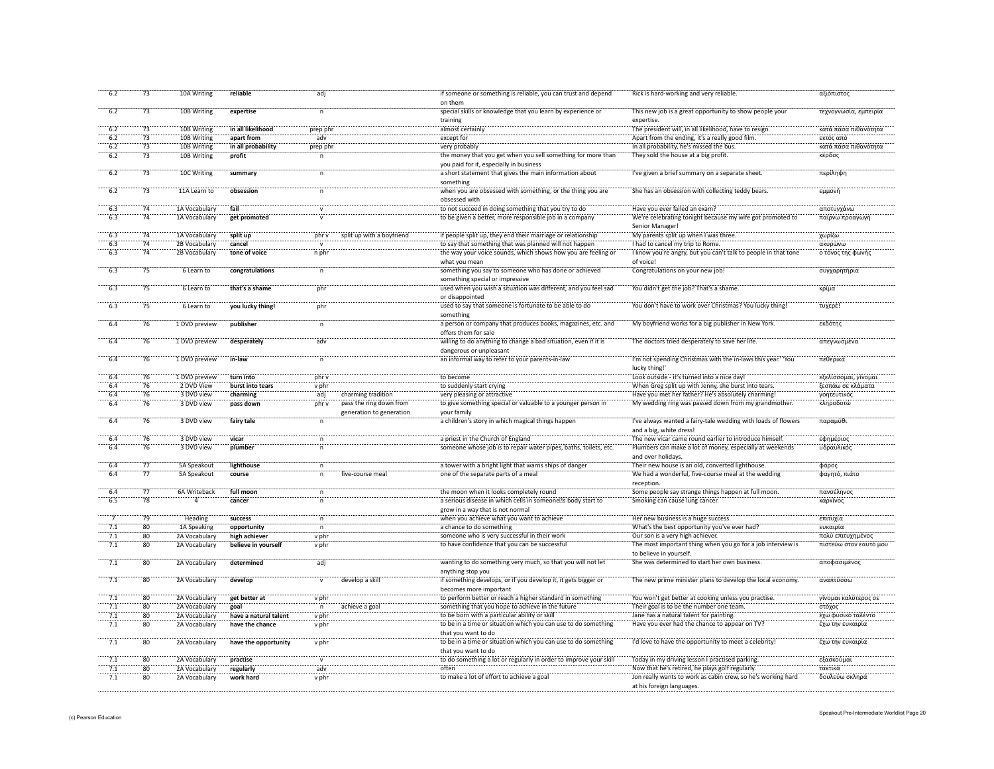| 6.2             | 73              | 10A Writing   | reliable              | adj            |                                                     | if someone or something is reliable, you can trust and depend<br>on them                        | Rick is hard-working and very reliable                                                    | αξιόπιστος             |
|-----------------|-----------------|---------------|-----------------------|----------------|-----------------------------------------------------|-------------------------------------------------------------------------------------------------|-------------------------------------------------------------------------------------------|------------------------|
| 6.2             | 73              | 10B Writing   | expertise             | $\overline{p}$ |                                                     | special skills or knowledge that you learn by experience or<br>training                         | This new job is a great opportunity to show people your<br>expertise.                     | τεχνογνωσία, εμπειρία  |
| 6.2             | 73              | 10B Writing   | in all likelihood     | prep phr       |                                                     | almost certainly                                                                                | The president will, in all likelihood, have to resign.                                    | κατά πάσα πιθανότητα   |
| 6.2             | 73              | 10B Writing   | apart from            | adv            |                                                     | except for                                                                                      | Apart from the ending, it's a really good film.                                           | εκτός από              |
| 6.2             | 73              | 10B Writing   | in all probability    | prep phr       |                                                     | very probably                                                                                   | In all probability, he's missed the bus.                                                  | κατά πάσα πιθανότητα   |
| 6.2             | 73              | 10B Writing   | profit                | $\overline{p}$ |                                                     | the money that you get when you sell something for more than                                    | They sold the house at a big profit.                                                      | κέρδος                 |
|                 |                 |               |                       |                |                                                     | you paid for it, especially in business                                                         |                                                                                           |                        |
| 6.2             | 73              | 10C Writing   | summary               |                |                                                     | a short statement that gives the main information about<br>something                            | I've given a brief summary on a separate sheet                                            | περίληψη               |
| $-6.2$          | 73              | 11A Learn to  | obsession             |                |                                                     | when you are obsessed with something, or the thing you are<br>obsessed with                     | She has an obsession with collecting teddy bears.                                         | εμμονή                 |
|                 | $\frac{1}{74}$  | 1A Vocabulary | fail                  |                |                                                     | to not succeed in doing something that you try to do                                            | Have you ever failed an exam?                                                             | αποτυγχάνω             |
| 6.3             | 74              | 1A Vocabulary | get promoted          |                |                                                     | to be given a better, more responsible job in a company                                         | We're celebrating tonight because my wife got promoted to<br>Senior Manager!              | παίρνω προαγωγή        |
| 6.3             | 74              | 1A Vocabulary | split up              | phr v          | split up with a boyfriend                           | if people split up, they end their marriage or relationship                                     | My parents split up when I was three.                                                     | χωρίζω                 |
| 6.3             | 74              | 2B Vocabulary | cancel                |                |                                                     | to say that something that was planned will not happen                                          | I had to cancel my trip to Rome.                                                          | ακυρώνω                |
| 6.3             | 74              | 2B Vocabulary | tone of voice         | n phr          |                                                     | the way your voice sounds, which shows how you are feeling or<br>what you mean                  | I know you're angry, but you can't talk to people in that tone<br>of voice!               | ο τόνος της φωνι       |
| 6.3             | 75              | 6 Learn to    | congratulations       |                |                                                     | something you say to someone who has done or achieved<br>something special or impressive        | Congratulations on your new job!                                                          | συγχαρητήρια           |
| 6.3             | 75              | 6 Learn to    | that's a shame        | phr            |                                                     | used when you wish a situation was different, and you feel sad<br>or disappointed               | You didn't get the job? That's a shame.                                                   | κρίμα                  |
| 6.3             | 75              | 6 Learn to    | you lucky thing!      | phr            |                                                     | used to say that someone is fortunate to be able to do<br>something                             | You don't have to work over Christmas? You lucky thing!                                   | τυχερέ!                |
| 6.4             | 76              | 1 DVD preview | publisher             |                |                                                     | a person or company that produces books, magazines, etc. and<br>offers them for sale            | My boyfriend works for a big publisher in New York.                                       | εκδότης                |
| 6.4             | 76              | 1 DVD preview | desperately           | adv            |                                                     | willing to do anything to change a bad situation, even if it is<br>dangerous or unpleasant      | The doctors tried desperately to save her life.                                           | απεγνωσμένα            |
|                 | 76              | 1 DVD preview | in-law                |                |                                                     | an informal way to refer to your parents-in-law                                                 | I'm not spending Christmas with the in-laws this year." 'You<br>lucky thing!              | πεθερικά               |
| 6.4             | 76              | 1 DVD preview | turn into             | nhr v          |                                                     | to become                                                                                       | Look outside - it's turned into a nice day!                                               | εξελίσσομαι, γίνομαι   |
| 6.4             | 76              | 2 DVD View    | burst into tears      | v phr          |                                                     | to suddenly start crying                                                                        | When Greg split up with Jenny, she burst into tears.                                      | ξεσπάω σε κλάματα      |
| 6.4             | 76              | 3 DVD view    | charming              | adj            | charming tradition                                  | very pleasing or attractive                                                                     | Have you met her father? He's absolutely charming!                                        | γοητευτικός            |
| 6.4             | 76              | 3 DVD view    | pass down             | phr v          | pass the ring down from<br>generation to generation | to give something special or valuable to a younger person in<br>vour family                     | My wedding ring was passed down from my grandmother.                                      | κληροδοτώ              |
| 6.4             | 76              | 3 DVD view    | fairy tale            | $\mathsf{n}$   |                                                     | a children's story in which magical things happen                                               | I've always wanted a fairy-tale wedding with loads of flowers<br>and a big, white dress!  | παραμύθι               |
| 6.4             | 76              | 3 DVD view    | vicar                 | $\overline{p}$ |                                                     | a priest in the Church of England                                                               | The new vicar came round earlier to introduce himself.                                    | εφημέριος              |
| 6.4             | 76              | 3 DVD view    | plumber               |                |                                                     | someone whose job is to repair water pipes, baths, toilets, etc.                                | Plumbers can make a lot of money, especially at weekends<br>and over holidays.            | υδραυλικός             |
| 6.4             | 77              | 5A Speakout   | lighthouse            | $\mathsf{n}$   |                                                     | a tower with a bright light that warns ships of danger                                          | Their new house is an old, converted lighthouse.                                          | φάρος                  |
| 6.4             | 77              | 5A Speakout   | course                | 'n             | five-course meal                                    | one of the separate parts of a meal                                                             | We had a wonderful, five-course meal at the wedding<br>reception                          | φαγητό, πιάτο          |
| 6.4             | 77              | 6A Writeback  | full moon             | $\overline{p}$ |                                                     | the moon when it looks completely round                                                         | Some people say strange things happen at full moon.                                       | πανσέληνος             |
| 6.5             | 78              | ā             | cancer                |                |                                                     | a serious disease in which cells in someone s body start to<br>grow in a way that is not normal | Smoking can cause lung cancer.                                                            | καρκίνος               |
|                 | 79              | Heading       | success               | $\mathsf{n}$   |                                                     | when you achieve what you want to achieve                                                       | Her new business is a huge success.                                                       | επιτυχία               |
| 7.1             | 80              | 1A Speaking   | opportunity           |                |                                                     | a chance to do something                                                                        | What's the best opportunity you've ever had?                                              | ευκαιρία               |
| 7.1             | 80              | 2A Vocabulary | high achiever         | v phr          |                                                     | someone who is very successful in their work                                                    | Our son is a very high achiever.                                                          | πολύ επιτυχημένος      |
| 7.1             | 80              | 2A Vocabulary | believe in yourself   | v phr          |                                                     | to have confidence that you can be successful                                                   | The most important thing when you go for a job interview is<br>to believe in yourself.    | πιστεύω στον εαυτό μου |
| 7.1             | 80              | 2A Vocabulary | determined            | adj            |                                                     | wanting to do something very much, so that you will not let<br>anything stop you                | She was determined to start her own business.                                             | αποφασιμένος           |
| $\frac{1}{7.1}$ | $\overline{80}$ | 2A Vocabulary | $d$ evelop            |                | develop a skill                                     | if something develops, or if you develop it, it gets bigger or<br>becomes more important        | The new prime minister plans to develop the local economy.                                | αναπτύσσω              |
| 7.1             | 80              | 2A Vocabulary | get better at         | v phr          |                                                     | to perform better or reach a higher standard in something                                       | You won't get better at cooking unless you practise                                       | γίνομαι καλύτερος σε   |
| 7.1             | $\overline{80}$ | 2A Vocabulary | goal                  | $\mathsf{n}$   | achieve a goa                                       | something that you hope to achieve in the future                                                | Their goal is to be the number one team.                                                  | στόχος                 |
| 7.1             | $\overline{80}$ | 2A Vocabulary | have a natural talent | v phr          |                                                     | to be born with a particular ability or skill                                                   | Jane has a natural talent for painting.                                                   | έχω φυσικό ταλέντο     |
| 7.1             | $\overline{80}$ | 2A Vocabulary | have the chance       | v phr          |                                                     | to be in a time or situation which you can use to do something<br>that you want to do           | Have you ever had the chance to appear on TV?                                             | έχω την ευκαιρία       |
| 7.1             | 80              | 2A Vocabulary | have the opportunity  | v phr          |                                                     | to be in a time or situation which you can use to do something<br>that you want to do           | I'd love to have the opportunity to meet a celebrity!                                     | έχω την ευκαιρία       |
| 7.1             | 80              | 2A Vocabulary | practise              | $\mathbf{v}$   |                                                     | to do something a lot or regularly in order to improve your skil                                | Today in my driving lesson I practised parking.                                           | εξασκούμαι             |
| 7.1             | 80              | 2A Vocabulary | regularly             | adv            |                                                     | often                                                                                           | Now that he's retired, he plays golf regularly.                                           | τακτικά                |
| 7.1             | $\overline{80}$ | 2A Vocabulary | work hard             | v phr          |                                                     | to make a lot of effort to achieve a goal                                                       | Jon really wants to work as cabin crew, so he's working hard<br>at his foreign languages. | δουλεύω σκληρά         |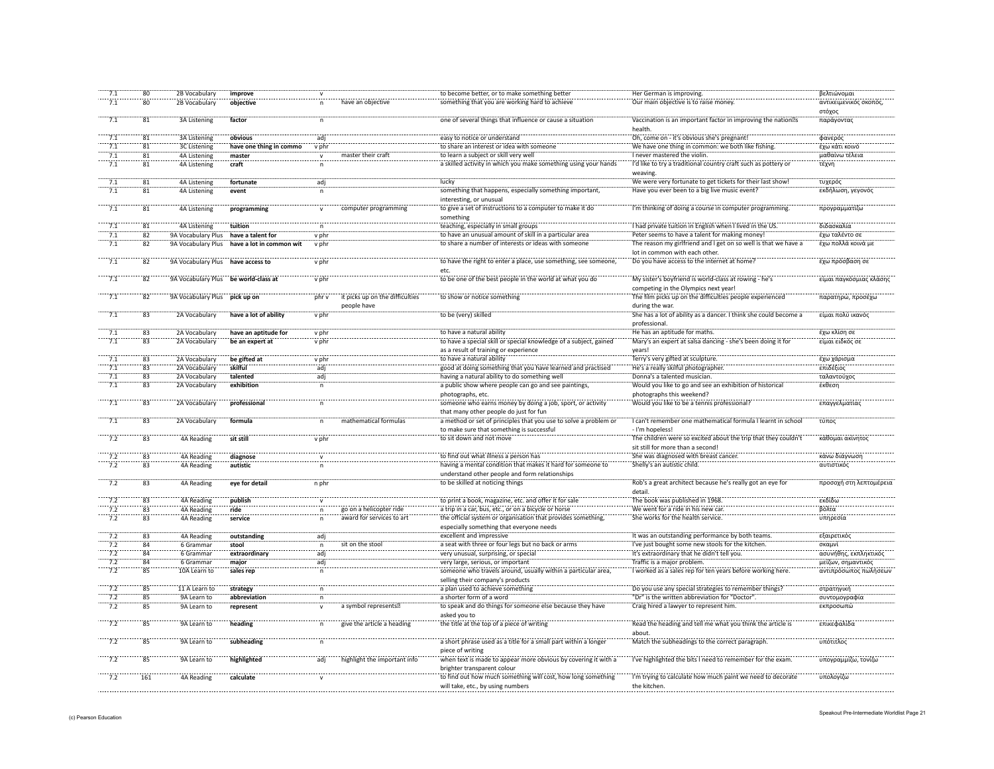| 7.1              | 80                       | 2B Vocabulary                        | improve                  |                |                                 | to become better, or to make something better                     | Her German is improving.                                         | βελτιώνομαι             |
|------------------|--------------------------|--------------------------------------|--------------------------|----------------|---------------------------------|-------------------------------------------------------------------|------------------------------------------------------------------|-------------------------|
| 7.1              | 80                       | 2B Vocabulary                        | objective                | $\mathsf{n}$   | have an objective               | something that you are working hard to achieve                    | Our main objective is to raise money.                            | αντικειμενικός σκοπός   |
|                  |                          |                                      |                          |                |                                 |                                                                   |                                                                  |                         |
|                  |                          |                                      |                          |                |                                 |                                                                   |                                                                  | στόχος                  |
| 7.1              | 81                       | <b>3A Listening</b>                  | factor                   | $\mathsf{n}$   |                                 | one of several things that influence or cause a situation         | Vaccination is an important factor in improving the nation s     | παράγοντας              |
|                  |                          |                                      |                          |                |                                 |                                                                   | health                                                           |                         |
| 7.1              | 81                       | <b>3A Listening</b>                  | obvious                  | adj            |                                 | easy to notice or understand                                      | Oh, come on - it's obvious she's pregnant!                       | φανερός                 |
| 7.1              | 81                       | 3C Listening                         | have one thing in commo  | v phr          |                                 | to share an interest or idea with someone                         | We have one thing in common: we both like fishing.               | έχω κάτι κοινό          |
| 7.1              | 81                       | <b>4A Listening</b>                  | master                   | $\mathsf{v}$   | master their craft              | to learn a subject or skill very well                             | I never mastered the violin.                                     | μαθαίνω τέλεια          |
| 7.1              | 81                       | <b>4A Listening</b>                  | craft                    | $\mathsf{n}$   |                                 | a skilled activity in which you make something using your hands   | I'd like to try a traditional country craft such as pottery or   | τέχνη                   |
|                  |                          |                                      |                          |                |                                 |                                                                   |                                                                  |                         |
|                  |                          |                                      |                          |                |                                 |                                                                   | weaving.                                                         |                         |
| 7.1              | $\overline{81}$          | 4A Listening                         | fortunate                | adj            |                                 | lucky                                                             | We were very fortunate to get tickets for their last show!       | τυχερός                 |
| 7.1              | 81                       | <b>4A Listening</b>                  | event                    |                |                                 | something that happens, especially something important,           | Have you ever been to a big live music event?                    | εκδήλωση, γεγονός       |
|                  |                          |                                      |                          |                |                                 | interesting, or unusual                                           |                                                                  |                         |
| $\overline{7.1}$ | 81                       | 4A Listening                         | programming              | $\mathsf{v}$   | computer programming            | to give a set of instructions to a computer to make it do         | I'm thinking of doing a course in computer programming           | προγραμματίζω           |
|                  |                          |                                      |                          |                |                                 | something                                                         |                                                                  |                         |
|                  | $\overline{\textbf{81}}$ |                                      |                          |                |                                 | teaching, especially in small groups                              | I had private tuition in English when I lived in the US.         | διδασκαλία              |
|                  |                          | 4A Listening                         | tuition                  |                |                                 |                                                                   |                                                                  |                         |
| 7.1              | 82                       | 9A Vocabulary Plus                   | have a talent for        | v phr          |                                 | to have an unusual amount of skill in a particular are            | Peter seems to have a talent for making money!                   | έχω ταλέντο σι          |
| $\overline{7.1}$ | 82                       | 9A Vocabulary Plus                   | have a lot in common wit | v phr          |                                 | to share a number of interests or ideas with someone              | The reason my girlfriend and I get on so well is that we have a  | έχω πολλά κοινά με      |
|                  |                          |                                      |                          |                |                                 |                                                                   | lot in common with each other.                                   |                         |
| $\frac{1}{7.1}$  | 82                       | 9A Vocabulary Plus                   | have access to           | v phr          |                                 | to have the right to enter a place, use something, see someone,   | Do you have access to the internet at home?                      | έχω πρόσβαση σε         |
|                  |                          |                                      |                          |                |                                 | etc.                                                              |                                                                  |                         |
| 7.1              | 82                       | 9A Vocabulary Plus be world-class at |                          | v phr          |                                 | to be one of the best people in the world at what you do          | My sister's boyfriend is world-class at rowing - he's            | είμαι παγκόσμιας κλάσης |
|                  |                          |                                      |                          |                |                                 |                                                                   |                                                                  |                         |
|                  |                          |                                      |                          |                |                                 |                                                                   | competing in the Olympics next year!                             |                         |
| $\overline{7.1}$ | 82                       | 9A Vocabulary Plus pick up on        |                          | phr v          | it picks up on the difficulties | to show or notice something                                       | The film picks up on the difficulties people experienced         | παρατηρώ, προσέχω       |
|                  |                          |                                      |                          |                | people have                     |                                                                   | during the war.                                                  |                         |
| 7.1              | 83                       | 2A Vocabulary                        | have a lot of ability    | v phr          |                                 | to be (very) skilled                                              | She has a lot of ability as a dancer. I think she could become a | είμαι πολύ ικανός       |
|                  |                          |                                      |                          |                |                                 |                                                                   | professional.                                                    |                         |
| 7.1              | 83                       | 2A Vocabulary                        | have an aptitude for     | v phr          |                                 | to have a natural ability                                         | He has an aptitude for maths.                                    | έχω κλίση σε            |
| 7.1              | 83                       | 2A Vocabulary                        |                          | v phr          |                                 | to have a special skill or special knowledge of a subject, gained | Mary's an expert at salsa dancing - she's been doing it for      | είμαι ειδκός σε         |
|                  |                          |                                      | be an expert at          |                |                                 |                                                                   |                                                                  |                         |
|                  |                          |                                      |                          |                |                                 | as a result of training or experience                             | years!                                                           |                         |
| 7.1              | $\overline{83}$          | 2A Vocabulary                        | be gifted at             | v phr          |                                 | to have a natural ability                                         | Terry's very gifted at sculpture.                                | έχω χάρισμα             |
| 7.1              | 83                       | 2A Vocabulary                        | skilful                  | adj            |                                 | good at doing something that you have learned and practised       | He's a really skilful photographer.                              | επιδέξιος               |
| 7.1              | 83                       | 2A Vocabulary                        | talented                 | adj            |                                 | having a natural ability to do something well                     | Donna's a talented musician.                                     | ταλαντούχος             |
| 7.1              | 83                       | 2A Vocabulary                        | exhibition               | n              |                                 | a public show where people can go and see paintings,              | Would you like to go and see an exhibition of historical         | έκθεση                  |
|                  |                          |                                      |                          |                |                                 | photographs, etc.                                                 | photographs this weekend?                                        |                         |
| $\overline{7.1}$ | $\overline{83}$          | 2A Vocabulary                        | professional             |                |                                 |                                                                   |                                                                  | επαγγελματίας           |
|                  |                          |                                      |                          |                |                                 | someone who earns money by doing a job, sport, or activity        | Would you like to be a tennis professional?                      |                         |
|                  |                          |                                      |                          |                |                                 | that many other people do just for fun                            |                                                                  |                         |
| 7.1              | $\overline{83}$          | 2A Vocabulary                        | formula                  |                | mathematical formulas           | a method or set of principles that you use to solve a problem or  | I can't remember one mathematical formula I learnt in school     | τύπος                   |
|                  |                          |                                      |                          |                |                                 | to make sure that something is successful                         | - I'm hopeless!                                                  |                         |
| $\frac{1}{7.2}$  | $\overline{83}$          | 4A Reading                           | sit still                | v phr          |                                 | to sit down and not move                                          | The children were so excited about the trip that they couldn't   | κάθομαι ακίνητος        |
|                  |                          |                                      |                          |                |                                 |                                                                   | sit still for more than a second!                                |                         |
|                  |                          |                                      |                          |                |                                 | to find out what illness a person has                             | She was diagnosed with breast cancer.                            | κάνω διάγνωση           |
| 7.2              | 83                       | 4A Reading                           | diagnose                 |                |                                 |                                                                   |                                                                  |                         |
| 7.2              | 83                       | 4A Reading                           | autistic                 |                |                                 | having a mental condition that makes it hard for someone to       | Shelly's an autistic child.                                      | αυτιστικός              |
|                  |                          |                                      |                          |                |                                 | understand other people and form relationships                    |                                                                  |                         |
| 7.2              | 83                       | <b>4A Reading</b>                    | eye for detail           | n phr          |                                 | to be skilled at noticing things                                  | Rob's a great architect because he's really got an eye for       | προσοχή στη λεπτομέρεια |
|                  |                          |                                      |                          |                |                                 |                                                                   | detail.                                                          |                         |
| 7.2              | 83                       | 4A Reading                           | publish                  | $\mathsf{v}$   |                                 | to print a book, magazine, etc. and offer it for sale             | The book was published in 1968.                                  | εκδίδω                  |
| 7.2              | 83                       | 4A Reading                           | ride                     | n              | go on a helicopter ride         | a trip in a car, bus, etc., or on a bicycle or horse              | We went for a ride in his new car.                               | βόλτα                   |
| 7.2              |                          |                                      |                          |                |                                 | the official system or organisation that provides something,      | She works for the health service.                                | υπηρεσία                |
|                  | 83                       | 4A Reading                           | service                  | n              | award for services to art       |                                                                   |                                                                  |                         |
|                  |                          |                                      |                          |                |                                 | especially something that everyone needs                          |                                                                  |                         |
| 7.2              | 83                       | 4A Reading                           | outstanding              | adj            |                                 | excellent and impressive                                          | It was an outstanding performance by both teams.                 | εξαιρετικός             |
| 7.2              | 84                       | 6 Grammar                            | stool                    | $\mathsf{n}$   | sit on the stool                | a seat with three or four legs but no back or arms                | I've just bought some new stools for the kitchen.                | σκαμνί                  |
| 7.2              | 84                       | 6 Grammar                            | extraordinary            | adj            |                                 | very unusual, surprising, or special                              | It's extraordinary that he didn't tell you.                      | ασυνήθης, εκπληκτικός   |
| 7.2              | 84                       | 6 Grammar                            | major                    | adj            |                                 | very large, serious, or important                                 | Traffic is a major problem.                                      | μείζων, σημαντικός      |
| 7.2              | 85                       | 10A Learn to                         | sales rep                | $\overline{p}$ |                                 | someone who travels around, usually within a particular area,     | I worked as a sales rep for ten years before working here.       | αντιπρόσωπος πωλήσεων   |
|                  |                          |                                      |                          |                |                                 |                                                                   |                                                                  |                         |
|                  |                          |                                      |                          |                |                                 | selling their company's products                                  |                                                                  |                         |
| 7.2              | 85                       | 11 A Learn to                        | strategy                 | n              |                                 | a plan used to achieve something                                  | Do you use any special strategies to remember things?            | στρατηγική              |
| 7.2              | 85                       | 9A Learn to                          | abbreviation             | $\mathsf{n}$   |                                 | a shorter form of a word                                          | "Dr" is the written abbreviation for "Doctor".                   | συντομογραφία           |
| 7.2              | 85                       | 9A Learn to                          | represent                |                | a symbol represents             | to speak and do things for someone else because they have         | Craig hired a lawyer to represent him.                           | εκπροσωπώ               |
|                  |                          |                                      |                          |                |                                 | asked you to                                                      |                                                                  |                         |
| 7.2              | 85                       | 9A Learn to                          | heading                  | $\mathsf{n}$   | give the article a heading      |                                                                   | Read the heading and tell me what you think the article is       | επικεφαλίδα             |
|                  |                          |                                      |                          |                |                                 | the title at the top of a piece of writing                        |                                                                  |                         |
|                  |                          |                                      |                          |                |                                 |                                                                   |                                                                  |                         |
| 7.2              | $\overline{85}$          | 9A Learn to                          | subheading               | n              |                                 | a short phrase used as a title for a small part within a longer   | Match the subheadings to the correct paragraph.                  | υπότιτλος               |
|                  |                          |                                      |                          |                |                                 | piece of writing                                                  |                                                                  |                         |
| $\frac{1}{7.2}$  | $\overline{85}$          | 9A Learn to                          | highlighted              | adi            | highlight the important info    | when text is made to appear more obvious by covering it with a    | I've highlighted the bits I need to remember for the exam        | υπογραμμίζω, τονίζω     |
|                  |                          |                                      |                          |                |                                 | brighter transparent colour                                       |                                                                  |                         |
| $\frac{1}{7.2}$  |                          |                                      |                          |                |                                 |                                                                   |                                                                  |                         |
|                  | 161                      | 4A Reading                           | calculate                |                |                                 | to find out how much something will cost, how long something      | I'm trying to calculate how much paint we need to decorate       | υπολογίζω               |
|                  |                          |                                      |                          |                |                                 | will take, etc., by using numbers                                 | the kitchen.                                                     |                         |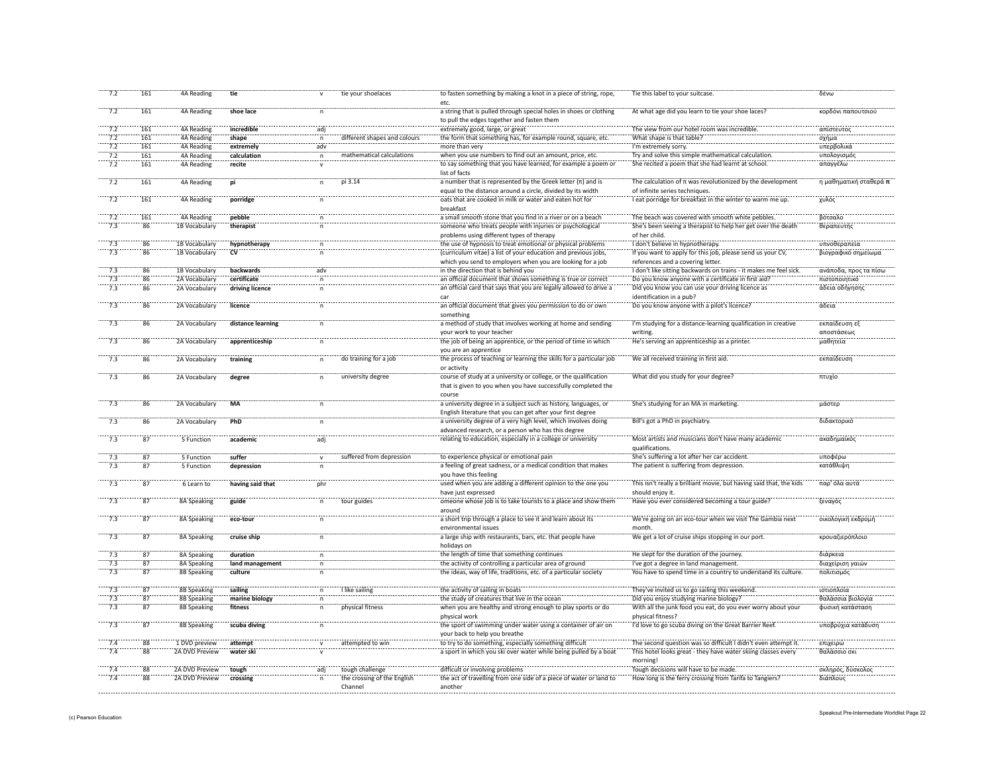| 7.2             | 161                        | <b>4A Reading</b>  | tie                  |                | tie your shoelaces           | to fasten something by making a knot in a piece of string, rope,<br>etc.                                                          | Tie this label to your suitcase.                                                                 | δένω                        |
|-----------------|----------------------------|--------------------|----------------------|----------------|------------------------------|-----------------------------------------------------------------------------------------------------------------------------------|--------------------------------------------------------------------------------------------------|-----------------------------|
| 7.2             | 161                        | 4A Reading         | shoe lace            | $\mathsf n$    |                              | a string that is pulled through special holes in shoes or clothing<br>to pull the edges together and fasten them                  | At what age did you learn to tie your shoe laces?                                                | κορδόνι παπουτσιού          |
| 7.2             | 161                        | 4A Reading         | incredible           | adj            |                              | extremely good, large, or great                                                                                                   | The view from our hotel room was incredible.                                                     | απίστευτος                  |
| 7.2             | 161                        | 4A Reading         | shape                | n              | different shapes and colours | the form that something has, for example round, square, etc.                                                                      | What shape is that table?                                                                        | σχήμα                       |
| 7.2             | 161                        | 4A Reading         | extremely            | adv            |                              | more than very                                                                                                                    | I'm extremely sorry.                                                                             | υπερβολικά                  |
| 7.2             | 161                        | 4A Reading         | calculation          | $\overline{p}$ | mathematical calculations    | when you use numbers to find out an amount, price, etc.                                                                           | Try and solve this simple mathematical calculation.                                              | υπολογισμός                 |
| 7.2             | 161                        | 4A Reading         | recite               |                |                              | to say something that you have learned, for example a poem or                                                                     | She recited a poem that she had learnt at school.                                                | απαγγέλω                    |
|                 |                            |                    |                      | $\mathsf{v}$   |                              | list of facts                                                                                                                     |                                                                                                  |                             |
| 7.2             | 161                        | 4A Reading         | pi                   | $\mathsf{n}$   | pi 3.14                      | a number that is represented by the Greek letter $(n)$ and is<br>equal to the distance around a circle, divided by its width      | The calculation of $\pi$ was revolutionized by the development<br>of infinite series techniques. | η μαθηματική σταθερά π      |
| $\cdots$ 7.2    | 161                        | 4A Reading         | porridge             | n              |                              | oats that are cooked in milk or water and eaten hot for<br>breakfast                                                              | I eat porridge for breakfast in the winter to warm me up.                                        | χυλός                       |
| 7.2             | 161                        | 4A Reading         | pebble               |                |                              | a small smooth stone that you find in a river or on a beach                                                                       | The beach was covered with smooth white pebbles.                                                 | βότσαλο                     |
| 7.3             | 86                         | 1B Vocabulary      | therapist            |                |                              | someone who treats people with injuries or psychological                                                                          | She's been seeing a therapist to help her get over the death                                     | θεραπευτής                  |
|                 |                            |                    |                      |                |                              | problems using different types of therapy                                                                                         | of her child.                                                                                    |                             |
| 7.3             | 86                         | 1B Vocabulary      | hypnotherapy         |                |                              | the use of hypnosis to treat emotional or physical problems                                                                       | I don't believe in hypnotherapy                                                                  | υπνοθεραπεία                |
| 7.3             | $\overline{86}$            | 1B Vocabulary      | $\dddot{\mathbf{c}}$ |                |                              | (curriculum vitae) a list of your education and previous jobs,                                                                    | If you want to apply for this job, please send us your CV,                                       | βιογραφικό σημείωμα         |
|                 |                            |                    |                      |                |                              | which you send to employers when you are looking for a job                                                                        | references and a covering letter.                                                                |                             |
| 7.3             | $\overline{86}$            | 1B Vocabulary      | backwards            | adv            |                              | in the direction that is behind you                                                                                               | I don't like sitting backwards on trains - it makes me feel sick.                                | ανάποδα, προς τα πίσω       |
| 7.3             | 86                         | 2A Vocabulary      | certificate          | $\mathsf{n}$   |                              | an official document that shows something is true or correct                                                                      | Do you know anyone with a certificate in first aid?                                              | πιστοποιητικό               |
| 7.3             | 86                         | 2A Vocabulary      | driving licence      |                |                              | an official card that says that you are legally allowed to drive a                                                                | Did you know you can use your driving licence as                                                 | άδεια οδήγησης              |
|                 |                            |                    |                      |                |                              | car                                                                                                                               | identification in a pub?                                                                         |                             |
|                 |                            |                    |                      |                |                              |                                                                                                                                   |                                                                                                  |                             |
| 7.3             | 86                         | 2A Vocabulary      | licence              | $\mathsf{n}$   |                              | an official document that gives you permission to do or own<br>something                                                          | Do you know anyone with a pilot's licence?                                                       | άδεια                       |
| 7.3             | 86                         | 2A Vocabulary      | distance learning    | n              |                              | a method of study that involves working at home and sending<br>your work to your teacher                                          | I'm studying for a distance-learning qualification in creative<br>writing.                       | εκπαίδευση εξ<br>αποστάσεως |
| 7.3             | 86                         | 2A Vocabulary      | apprenticeship       | n              |                              | the job of being an apprentice, or the period of time in which<br>you are an apprentice                                           | He's serving an apprenticeship as a printer.                                                     | μαθητεία                    |
| $\frac{1}{7.3}$ | 86                         | 2A Vocabulary      | training             |                | do training for a job        | the process of teaching or learning the skills for a particular job<br>or activity                                                | We all received training in first aid.                                                           | εκπαίδευση                  |
| 7.3             | 86                         | 2A Vocabulary      | degree               |                | university degree            | course of study at a university or college, or the qualification<br>that is given to you when you have successfully completed the | What did you study for your degree?                                                              | πτυχίο                      |
|                 |                            |                    |                      |                |                              | course                                                                                                                            |                                                                                                  |                             |
| 7.3             | 86                         | 2A Vocabulary      | <b>MA</b>            | n              |                              | a university degree in a subject such as history, languages, or<br>English literature that you can get after your first degree    | She's studying for an MA in marketing.                                                           | μάστερ                      |
| 7.3             | 86                         | 2A Vocabulary      | <b>PhD</b>           | $\mathsf{n}$   |                              | a university degree of a very high level, which involves doing<br>advanced research, or a person who has this degree              | Bill's got a PhD in psychiatry.                                                                  | διδακτορικό                 |
| 7.3             | 87                         | 5 Function         | academic             | adj            |                              | relating to education, especially in a college or university                                                                      | Most artists and musicians don't have many academic<br>qualifications.                           | ακαδημαϊκός                 |
| 7.3             | $\overline{87}$            | 5 Function         | suffer               |                | suffered from depression     | to experience physical or emotional pain                                                                                          | She's suffering a lot after her car accident.                                                    | υποφέρω                     |
| 7.3             | 87                         | 5 Function         | depression           |                |                              | a feeling of great sadness, or a medical condition that makes                                                                     | The patient is suffering from depression.                                                        | κατάθλιψι                   |
|                 |                            |                    |                      |                |                              | you have this feeling                                                                                                             |                                                                                                  |                             |
| 7.3             | 87                         | 6 Learn to         | having said that     | phr            |                              | used when you are adding a different opinion to the one you                                                                       | This isn't really a brilliant movie, but having said that, the kids                              | παρ' όλα αυτά               |
|                 |                            |                    |                      |                |                              | have just expressed                                                                                                               | should enjoy it.                                                                                 |                             |
| 7.3             | $\overline{87}$            | 8A Speaking        | guide                | $\mathsf{n}$   | tour guides                  | omeone whose job is to take tourists to a place and show them                                                                     | Have you ever considered becoming a tour guide?                                                  | ξεναγός                     |
| $\frac{1}{7.3}$ | $\overline{87}$            | 8A Speaking        | eco-tour             | n              |                              | a short trip through a place to see it and learn about its<br>environmental issues                                                | We're going on an eco-tour when we visit The Gambia next<br>month.                               | οικολογική εκδρομή          |
| 7.3             | 87                         | 8A Speaking        | cruise ship          | $\mathsf{n}$   |                              | a large ship with restaurants, bars, etc. that people have<br>holidays on                                                         | We get a lot of cruise ships stopping in our port.                                               | κρουαζιερόπλοιο             |
| 7.3             | 87                         | 8A Speaking        | duration             | $\mathsf{n}$   |                              | the length of time that something continues                                                                                       | He slept for the duration of the journey.                                                        | διάρκεια                    |
| 7.3             | 87                         | 8A Speaking        | land management      | n              |                              | the activity of controlling a particular area of ground                                                                           | I've got a degree in land management.                                                            | διαχείριση γαιών            |
| 7.3             | 87                         | 8B Speaking        | culture              | n              |                              | the ideas, way of life, traditions, etc. of a particular society                                                                  | You have to spend time in a country to understand its culture.                                   | πολιτισμός                  |
|                 |                            |                    |                      |                |                              |                                                                                                                                   |                                                                                                  |                             |
| 7.3             | 87                         | <b>8B Speaking</b> | sailing              | n              | I like sailing               | the activity of sailing in boats                                                                                                  | They've invited us to go sailing this weekend.                                                   | ιστιοπλοϊα                  |
| 7.3             | 87                         | 8B Speaking        | marine biology       | $\overline{p}$ |                              | the study of creatures that live in the ocean                                                                                     | Did you enjoy studying marine biology?                                                           | θαλάσσια βιολογία           |
| 7.3             | 87                         | 8B Speaking        | fitness              | $\mathsf n$    | physical fitness             | when you are healthy and strong enough to play sports or do<br>physical work                                                      | With all the junk food you eat, do you ever worry about your<br>physical fitness?                | φυσική κατάσταση            |
| 7.3             | 87                         | 8B Speaking        | scuba diving         |                |                              | the sport of swimming under water using a container of air on<br>your back to help you breathe                                    | I'd love to go scuba diving on the Great Barrier Reef.                                           | υποβρύχια κατάδυση          |
|                 | $\overline{88}$            | 1 DVD preview      | attempt              |                | attempted to win             | to try to do something, especially something difficult                                                                            | The second question was so difficult I didn't even attempt it.                                   | επιχειρώ                    |
| 7.4             | 88                         | 2A DVD Preview     | water ski            |                |                              | a sport in which you ski over water while being pulled by a boat                                                                  | This hotel looks great - they have water skiing classes every<br>morning!                        | θαλάσσιο σκι                |
|                 | 88                         | 2A DVD Preview     | tough                | adi            | tough challenge              | difficult or involving problems                                                                                                   | Tough decisions will have to be made.                                                            | σκληρός, δύσκολος           |
| 7.4             | $\overline{\phantom{0}88}$ | 2A DVD Preview     | crossing             |                | the crossing of the English  | the act of travelling from one side of a piece of water or land to                                                                | How long is the ferry crossing from Tarifa to Tangiers?                                          | διάπλους                    |
|                 |                            |                    |                      |                | Channel                      | another                                                                                                                           |                                                                                                  |                             |
|                 |                            |                    |                      |                |                              |                                                                                                                                   |                                                                                                  |                             |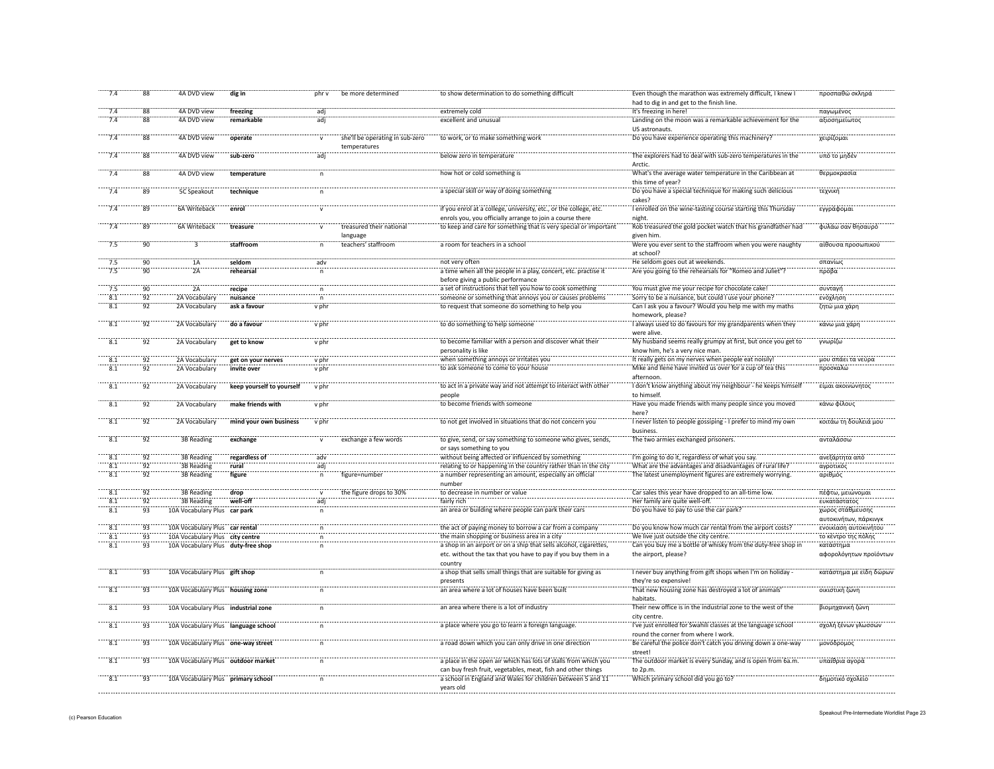| 7.4              | 88              | 4A DVD view                         | dig in                    | phr v          | be more determined                              | to show determination to do something difficult                                                                                     | Even though the marathon was extremely difficult, I knew I<br>had to dig in and get to the finish line. | προσπαθώ σκληρά                           |
|------------------|-----------------|-------------------------------------|---------------------------|----------------|-------------------------------------------------|-------------------------------------------------------------------------------------------------------------------------------------|---------------------------------------------------------------------------------------------------------|-------------------------------------------|
| 7.4              | 88              | 4A DVD view                         | freezing                  | adj            |                                                 | extremely cold                                                                                                                      | It's freezing in here!                                                                                  | παγωμένος                                 |
| 7.4              | 88              | 4A DVD view                         | remarkable                | adj            |                                                 | excellent and unusual                                                                                                               | Landing on the moon was a remarkable achievement for the                                                | αξιοσημείωτος                             |
|                  |                 |                                     |                           |                |                                                 |                                                                                                                                     | US astronauts.                                                                                          |                                           |
| 7.4              | 88              | 4A DVD view                         | operate                   | $\mathsf{v}$   | she'll be operating in sub-zero<br>temperatures | to work, or to make something work                                                                                                  | Do you have experience operating this machinery?                                                        | χειρίζομαι                                |
| $\frac{1}{7.4}$  | 88              | 4A DVD view                         | sub-zero                  | adi"           |                                                 | below zero in temperature                                                                                                           | The explorers had to deal with sub-zero temperatures in the<br>Arctic                                   | υπό το μηδέν                              |
| 7.4              | 88              | 4A DVD view                         | temperature               |                |                                                 | how hot or cold something is                                                                                                        | What's the average water temperature in the Caribbean at<br>this time of year?                          | θερμοκρασίο                               |
| 7.4              | 89              | 5C Speakout                         | technique                 |                |                                                 | a special skill or way of doing something                                                                                           | Do you have a special technique for making such delicious<br>cakes?                                     | τεχνική                                   |
| 7.4              | 89              | 6A Writeback                        | enrol                     |                |                                                 | if you enrol at a college, university, etc., or the college, etc.<br>enrols you, you officially arrange to join a course there      | I enrolled on the wine-tasting course starting this Thursday<br>night.                                  | εγγράφομαι                                |
| 7.4              | 89              | 6A Writeback                        | treasure                  | $\mathbf{v}$   | treasured their national                        | to keep and care for something that is very special or important                                                                    | Rob treasured the gold pocket watch that his grandfather had                                            | φυλάω σαν θησαυρό                         |
|                  |                 |                                     |                           |                | language                                        |                                                                                                                                     | given him.                                                                                              |                                           |
| 7.5              | 90              |                                     | staffroom                 | n              | teachers' staffroom                             | a room for teachers in a school                                                                                                     | Were you ever sent to the staffroom when you were naughty<br>at school?                                 | αίθουσα προσωπικού                        |
| 7.5              | 90              | 1Ä                                  | seldom                    | adv            |                                                 | not very often                                                                                                                      | He seldom goes out at weekends.                                                                         | σπανίως                                   |
| 7.5              | $\overline{90}$ | $\overline{2A}$                     | rehearsal                 |                |                                                 | a time when all the people in a play, concert, etc. practise it<br>before giving a public performance                               | Are you going to the rehearsals for "Romeo and Juliet"?                                                 | πρόβα                                     |
| $-7.5$           | 90              | $\overline{2A}$                     | recipe                    |                |                                                 | a set of instructions that tell you how to cook something                                                                           | You must give me your recipe for chocolate cake!                                                        | συνταγή                                   |
| 8.1              | 92              | 2A Vocabular                        | nuisance                  |                |                                                 | someone or something that annoys you or causes problems                                                                             | Sorry to be a nuisance, but could I use your phone?                                                     | ενόχληση                                  |
| 8.1              | 92              | 2A Vocabulary                       | ask a favour              | v phr          |                                                 | to request that someone do something to help you                                                                                    | Can I ask you a favour? Would you help me with my maths<br>homework, please?                            | ζητώ μια χάρι                             |
| $\overline{8.1}$ | $\overline{92}$ | 2A Vocabulary                       | do a favour               | v phr          |                                                 | to do something to help someone                                                                                                     | I always used to do favours for my grandparents when they<br>were alive                                 | κάνω μια χάρη                             |
| $\overline{8.1}$ | 92              | 2A Vocabulary                       | get to know               | v phr          |                                                 | to become familiar with a person and discover what their<br>personality is like                                                     | My husband seems really grumpy at first, but once you get to<br>know him, he's a very nice man          | γνωρίζω                                   |
| 8.1              | 92              | 2A Vocabulary                       | get on your nerves        | v phr          |                                                 | when something annoys or irritates you                                                                                              | It really gets on my nerves when people eat noisily                                                     | μου σπάει τα νεύρα                        |
| 8.1              | 92              | 2A Vocabulary                       | invite over               | v phr          |                                                 | to ask someone to come to your house                                                                                                | Mike and Ilene have invited us over for a cup of tea this<br>afternoon                                  | προσκαλώ                                  |
| 8.1              | 92              | 2A Vocabulary                       | keep yourself to yourself | v phr          |                                                 | to act in a private way and not attempt to interact with other<br>people                                                            | I don't know anything about my neighbour - he keeps himself<br>to himself.                              | είμαι ακοινώνητος                         |
| 8.1              | 92              | 2A Vocabulary                       | make friends with         | v phr          |                                                 | to become friends with someone                                                                                                      | Have you made friends with many people since you moved<br>here?                                         | κάνω φίλους                               |
| $\frac{1}{8.1}$  | $\overline{92}$ | 2A Vocabulary                       | mind your own business    | v phr          |                                                 | to not get involved in situations that do not concern you                                                                           | I never listen to people gossiping - I prefer to mind my own<br>business                                | κοιτάω τη δουλειά μου                     |
| 8.1              | 92              | 3B Reading                          | exchange                  |                | exchange a few words                            | to give, send, or say something to someone who gives, sends,<br>or says something to you                                            | The two armies exchanged prisoners.                                                                     | ανταλάσσω                                 |
| $\frac{1}{8.1}$  | 92              | 3B Reading                          |                           |                |                                                 | without being affected or influenced by something                                                                                   | I'm going to do it, regardless of what you say.                                                         | ανεξάρτητα από                            |
| $\overline{8.1}$ | $\overline{92}$ | 3B Reading                          | regardless of<br>rural    | adv<br>adj     |                                                 | relating to or happening in the country rather than in the city                                                                     | What are the advantages and disadvantages of rural life?                                                | αγροτικός                                 |
| 8.1              | $\overline{92}$ | 3B Reading                          | figure                    | n              | figure=number                                   | a number representing an amount, especially an official<br>number                                                                   | The latest unemployment figures are extremely worrying.                                                 | αριθμός                                   |
| $\overline{8.1}$ | 92              | 3B Reading                          | drop                      |                | the figure drops to 30%                         | to decrease in number or value                                                                                                      | Car sales this year have dropped to an all-time low.                                                    | πέφτω, μειώνομαι                          |
| 8.1              | 92              | 3B Reading                          | well-off                  | adi            |                                                 | fairly rich                                                                                                                         | Her family are quite well-off.                                                                          | ευκατάστατος                              |
| $\overline{8.1}$ | 93              | 10A Vocabulary Plus car park        |                           | $\overline{p}$ |                                                 | an area or building where people can park their cars                                                                                | Do you have to pay to use the car park?                                                                 | χώρος στάθμευσης<br>αυτοκινήτων, πάρκινγκ |
| 8.1              | 93              | 10A Vocabulary Plus car rental      |                           |                |                                                 | the act of paying money to borrow a car from a company                                                                              | Do you know how much car rental from the airport costs?                                                 | ενοικίαση αυτοκινήτου                     |
| 8.1              | 93              | 10A Vocabulary Plus city centre     |                           |                |                                                 | the main shopping or business area in a city                                                                                        | We live just outside the city centre.                                                                   | το κέντρο της πόλης                       |
| $rac{1}{8.1}$    | .93             | 10A Vocabulary Plus duty-free shop  |                           |                |                                                 | a shop in an airport or on a ship that sells alcohol, cigarettes,<br>etc. without the tax that you have to pay if you buy them in a | Can you buy me a bottle of whisky from the duty-free shop in<br>the airport, please?                    | κατάστημα<br>αφορολόγητων προϊόντων       |
| 8.1              | 93              | 10A Vocabulary Plus gift shop       |                           | $\mathsf{n}$   |                                                 | country<br>a shop that sells small things that are suitable for giving as                                                           | I never buy anything from gift shops when I'm on holiday                                                | κατάστημα με είδη δώρων                   |
| 8.1              | 93              | 10A Vocabulary Plus housing zone    |                           | $\mathsf{n}$   |                                                 | presents<br>an area where a lot of houses have been built                                                                           | they're so expensive!<br>That new housing zone has destroyed a lot of animals'                          | οικιστική ζώνη                            |
| $\frac{1}{8.1}$  | 93              | 10A Vocabulary Plus industrial zone |                           |                |                                                 | an area where there is a lot of industry                                                                                            | habitats<br>Their new office is in the industrial zone to the west of the                               | βιομηχανική ζώνη                          |
| $\overline{8.1}$ | 93              | 10A Vocabulary Plus language school |                           | $\mathsf{n}$   |                                                 | a place where you go to learn a foreign language.                                                                                   | city centre.<br>I've just enrolled for Swahili classes at the language school                           | σχολή ξένων γλωσσών                       |
| $\frac{1}{8.1}$  | 93              | 10A Vocabulary Plus one-way street  |                           |                |                                                 | a road down which you can only drive in one direction                                                                               | round the corner from where I work.<br>Be careful the police don't catch you driving down a one-way     | μονόδρομος                                |
|                  |                 |                                     |                           |                |                                                 |                                                                                                                                     | street                                                                                                  |                                           |
| 8.1              | 93              | 10A Vocabulary Plus outdoor market  |                           | $\mathsf{n}$   |                                                 | a place in the open air which has lots of stalls from which you<br>can buy fresh fruit, vegetables, meat, fish and other things     | The outdoor market is every Sunday, and is open from 6a.m.<br>to 2p.m.                                  | υπαίθρια αγορά                            |
| 8.1              | 93              | 10A Vocabulary Plus primary school  |                           | $\mathsf{n}$   |                                                 | a school in England and Wales for children between 5 and 11<br>years old                                                            | Which primary school did you go to?                                                                     | δημοτικό σχολείο                          |
|                  |                 |                                     |                           |                |                                                 |                                                                                                                                     |                                                                                                         |                                           |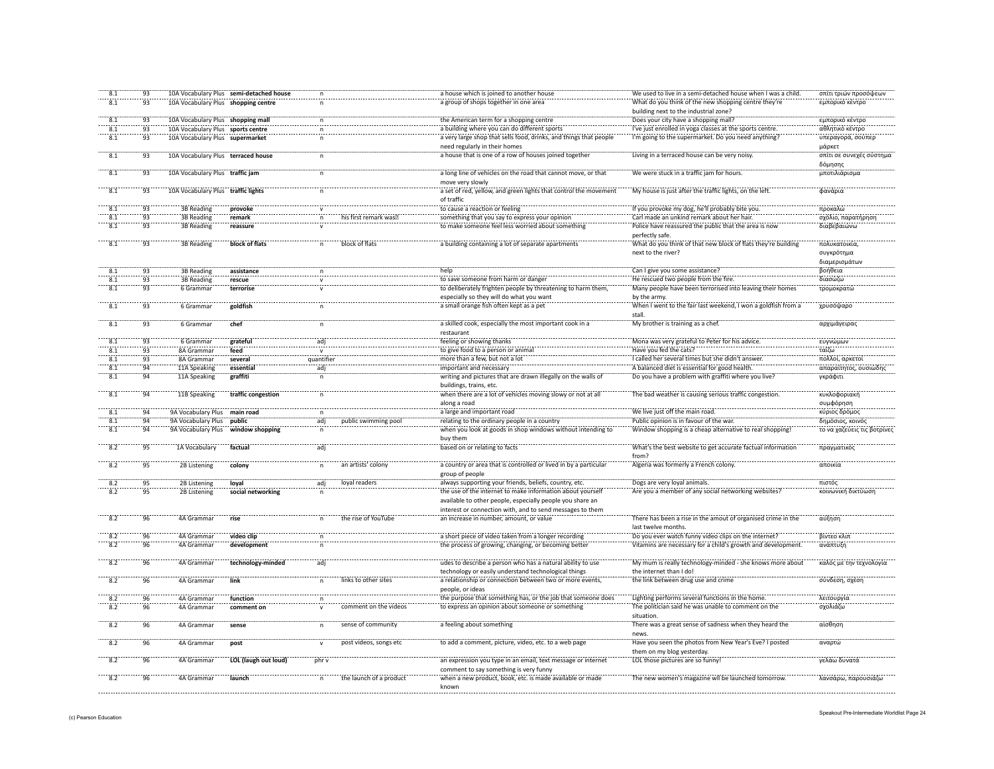| 8.1              | 93              |                                     | 10A Vocabulary Plus semi-detached house |                     |                         | a house which is joined to another house                                                                             | We used to live in a semi-detached house when I was a child                                       | σπίτι τριών προσόψεων                           |
|------------------|-----------------|-------------------------------------|-----------------------------------------|---------------------|-------------------------|----------------------------------------------------------------------------------------------------------------------|---------------------------------------------------------------------------------------------------|-------------------------------------------------|
| 8.1              | 93              | 10A Vocabulary Plus shopping centre |                                         |                     |                         | a group of shops together in one area                                                                                | What do you think of the new shopping centre they're                                              | εμπορικό κέντρο                                 |
|                  |                 |                                     |                                         |                     |                         |                                                                                                                      | building next to the industrial zone?                                                             |                                                 |
| 8.1              | 93              | 10A Vocabulary Plus shopping mall   |                                         | n.                  |                         | the American term for a shopping centre                                                                              | Does your city have a shopping mall?                                                              | εμπορικό κέντρο                                 |
| 8.1              | 93              | 10A Vocabulary Plus sports centre   |                                         | $\mathsf{n}$        |                         | a building where you can do different sports                                                                         | I've just enrolled in yoga classes at the sports centre.                                          | αθλητικό κέντρο                                 |
| 8.1              | 93              | 10A Vocabulary Plus supermarket     |                                         | $\mathsf{n}$        |                         | a very large shop that sells food, drinks, and things that people                                                    | I'm going to the supermarket. Do you need anything?                                               | υπεραγορά, σούπερ                               |
|                  |                 |                                     |                                         |                     |                         | need regularly in their homes                                                                                        |                                                                                                   | μάρκετ                                          |
| 8.1              | 93              | 10A Vocabulary Plus terraced house  |                                         | $\mathsf{n}$        |                         | a house that is one of a row of houses joined together                                                               | Living in a terraced house can be very noisy.                                                     | σπίτι σε συνεχές σύστημο                        |
|                  |                 |                                     |                                         |                     |                         |                                                                                                                      |                                                                                                   | δόμησης                                         |
| $\overline{8.1}$ | 93              | 10A Vocabulary Plus traffic jam     |                                         |                     |                         | a long line of vehicles on the road that cannot move, or that                                                        | We were stuck in a traffic jam for hours.                                                         | μποτιλιάρισμο                                   |
|                  |                 |                                     |                                         |                     |                         | move very slowly                                                                                                     |                                                                                                   |                                                 |
| $\frac{1}{8.1}$  | 93              | 10A Vocabulary Plus traffic lights  |                                         |                     |                         | a set of red, yellow, and green lights that control the movement                                                     | My house is just after the traffic lights, on the left                                            | φανάρια                                         |
|                  |                 |                                     |                                         |                     |                         | of traffic                                                                                                           |                                                                                                   |                                                 |
| $\overline{8.1}$ | $\overline{93}$ | 3B Reading                          | provoke                                 |                     |                         | to cause a reaction or feeling                                                                                       | If you provoke my dog, he'll probably bite you                                                    | προκαλώ                                         |
| 8.1              | 93              | <b>3B Reading</b>                   | remark                                  | n                   | his first remark was    | something that you say to express your opinion                                                                       | Carl made an unkind remark about her hair.                                                        | σχόλιο, παρατήρηση                              |
| $\frac{1}{8.1}$  | 93              | 3B Reading                          | reassure                                |                     |                         | to make someone feel less worried about something                                                                    | Police have reassured the public that the area is now                                             | διαβεβαιώνω                                     |
|                  |                 |                                     |                                         |                     |                         |                                                                                                                      | perfectly safe.                                                                                   |                                                 |
| $\overline{8.1}$ | 93              | 3B Reading                          | block of flats                          |                     | block of flats          | a building containing a lot of separate apartments                                                                   | What do you think of that new block of flats they're building                                     | πολυκατοικία,                                   |
|                  |                 |                                     |                                         |                     |                         |                                                                                                                      | next to the river?                                                                                | συγκρότημα                                      |
|                  |                 |                                     |                                         |                     |                         |                                                                                                                      |                                                                                                   | διαμερισμάτων                                   |
| 8.1              | 93              | <b>3B Reading</b>                   | assistance                              | $\mathsf{n}$        |                         | help                                                                                                                 | Can I give you some assistance?                                                                   | βοήθεια                                         |
| 8.1              | 93              | 3B Reading                          | rescue                                  |                     |                         | to save someone from harm or danger                                                                                  | He rescued two people from the fire.                                                              | διασώζω                                         |
| 8.1              | 93              | 6 Grammar                           | terrorise                               | $\mathsf{v}$        |                         | to deliberately frighten people by threatening to harm them,                                                         | Many people have been terrorised into leaving their homes                                         | τρομοκρατώ                                      |
|                  |                 |                                     |                                         |                     |                         | especially so they will do what you want                                                                             | by the army.                                                                                      |                                                 |
| 8.1              | 93              | 6 Gramman                           | goldfish                                | $\mathsf{n}$        |                         | a small orange fish often kept as a pet                                                                              | When I went to the fair last weekend, I won a goldfish from a                                     | χρυσόψαρο                                       |
|                  |                 |                                     |                                         |                     |                         |                                                                                                                      | stall                                                                                             |                                                 |
| 8.1              | 93              | 6 Grammar                           | chef                                    |                     |                         | a skilled cook, especially the most important cook in a                                                              | My brother is training as a chef.                                                                 | αρχιμάγειρας                                    |
|                  |                 |                                     |                                         |                     |                         | restaurant                                                                                                           |                                                                                                   |                                                 |
| 8.1              | 93              | 6 Gramma                            | grateful                                | adi                 |                         | feeling or showing thanks                                                                                            | Mona was very grateful to Peter for his advice                                                    | ευγνώμων                                        |
| 8.1              | 93              | 8A Grammar                          | feed                                    |                     |                         | to give food to a person or animal                                                                                   | Have you fed the cats?                                                                            | ταϊζω                                           |
| 8.1              | 93              | 8A Grammar                          | several                                 | quantifier          |                         | more than a few, but not a lot                                                                                       | I called her several times but she didn't answer.                                                 | πολλοί, αρκετοί                                 |
| 8.1              | 94              | 11A Speaking                        | essential                               | adi                 |                         | important and necessary                                                                                              | A balanced diet is essential for good health.                                                     | απαραίτητος, ουσιώδης                           |
| 8.1              | $\frac{2}{94}$  | 11A Speaking                        | graffiti                                | n                   |                         | writing and pictures that are drawn illegally on the walls of                                                        | Do you have a problem with graffiti where you live?                                               | γκράφιτι                                        |
|                  |                 |                                     |                                         |                     |                         | buildings, trains, etc.                                                                                              |                                                                                                   |                                                 |
| 8.1              | 94              | 11B Speaking                        | traffic congestion                      | n                   |                         | when there are a lot of vehicles moving slowy or not at all                                                          | The bad weather is causing serious traffic congestion                                             | κυκλοφοριακι                                    |
|                  |                 |                                     |                                         |                     |                         | along a road                                                                                                         |                                                                                                   | συμφόρηση                                       |
|                  |                 |                                     |                                         |                     |                         | a large and important road                                                                                           | We live just off the main road.                                                                   |                                                 |
|                  |                 |                                     |                                         |                     |                         |                                                                                                                      |                                                                                                   |                                                 |
| 8.1              | 94              | 9A Vocabulary Plus                  | main road                               | n                   |                         |                                                                                                                      |                                                                                                   | κύριος δρόμος                                   |
| 8.1              | $\overline{94}$ | 9A Vocabulary Plus                  | public                                  | adj                 | public swimming pool    | relating to the ordinary people in a country<br>when you look at goods in shop windows without intending to          | Public opinion is in favour of the war<br>Window shopping is a cheap alternative to real shopping | δημόσιος, κοινός<br>το να χαζεύεις τις βοτρίνες |
| $\overline{8.1}$ | $\overline{94}$ | 9A Vocabulary Plus                  | window shopping                         |                     |                         | buy them                                                                                                             |                                                                                                   |                                                 |
| 8.2              | 95              | 1A Vocabulary                       | factual                                 | adi                 |                         | based on or relating to facts                                                                                        | What's the best website to get accurate factual information                                       | πραγματικός                                     |
|                  |                 |                                     |                                         |                     |                         |                                                                                                                      | from?                                                                                             |                                                 |
| $\overline{8.2}$ | 95              | 2B Listening                        | colony                                  | n                   | an artists' colony      | a country or area that is controlled or lived in by a particular                                                     | Algeria was formerly a French colony.                                                             | αποικία                                         |
|                  |                 |                                     |                                         |                     |                         | group of people                                                                                                      |                                                                                                   |                                                 |
|                  |                 |                                     |                                         |                     |                         |                                                                                                                      |                                                                                                   |                                                 |
| 8.2<br>8.2       | 95<br>95        | 2B Listening<br>2B Listening        | loyal<br>social networking              | adj<br>$\mathsf{n}$ | loyal readers           | always supporting your friends, beliefs, country, etc.<br>the use of the internet to make information about yourself | Dogs are very loyal animals.<br>Are you a member of any social networking websites?               | πιστός<br>κοινωνική δικτύωση                    |
|                  |                 |                                     |                                         |                     |                         |                                                                                                                      |                                                                                                   |                                                 |
|                  |                 |                                     |                                         |                     |                         | available to other people, especially people you share an                                                            |                                                                                                   |                                                 |
| 8.2              | 96              |                                     | rise                                    | n                   |                         | interest or connection with, and to send messages to them                                                            |                                                                                                   |                                                 |
|                  |                 | 4A Grammar                          |                                         |                     | the rise of YouTube     | an increase in number, amount, or value                                                                              | There has been a rise in the amout of organised crime in the<br>last twelve months.               | αύξηση                                          |
| $\overline{8.2}$ | $\overline{96}$ | 4A Grammar                          | video clip                              | n                   |                         | a short piece of video taken from a longer recording                                                                 | Do you ever watch funny video clips on the internet?                                              | βίντεο κλιπ                                     |
| 8.2              | 96              |                                     |                                         |                     |                         |                                                                                                                      | Vitamins are necessary for a child's growth and development.                                      | ανάπτυξη                                        |
|                  |                 | 4A Grammar                          | development                             |                     |                         | the process of growing, changing, or becoming better                                                                 |                                                                                                   |                                                 |
| 8.2              | 96              | 4A Grammar                          |                                         |                     |                         | udes to describe a person who has a natural ability to use                                                           | My mum is really technology-minded - she knows more about                                         | καλός με την τεχνολογία                         |
|                  |                 |                                     | technology-minded                       | adj                 |                         |                                                                                                                      |                                                                                                   |                                                 |
| 8.2              | 96              | 4A Grammar                          | link                                    | n                   | links to other sites    | technology or easily understand technological things                                                                 | the internet than I do!<br>the link between drug use and crime                                    |                                                 |
|                  |                 |                                     |                                         |                     |                         | a relationship or connection between two or more events,                                                             |                                                                                                   | σύνδεση, σχέση                                  |
| 8.2              | 96              | 4A Grammar                          | function                                | n                   |                         | people, or ideas<br>the purpose that something has, or the job that someone does                                     | Lighting performs several functions in the home.                                                  | λειτουργία                                      |
|                  |                 |                                     |                                         | $\mathsf{v}$        | comment on the videos   |                                                                                                                      |                                                                                                   |                                                 |
| 8.2              | 96              | 4A Grammar                          | comment on                              |                     |                         | to express an opinion about someone or something                                                                     | The politician said he was unable to comment on the<br>situation.                                 | σχολιάζω                                        |
| 8.2              | 96              | 4A Grammar                          | sense                                   | $\mathsf{n}$        | sense of community      | a feeling about something                                                                                            | There was a great sense of sadness when they heard the                                            | αίσθηση                                         |
|                  |                 |                                     |                                         |                     |                         |                                                                                                                      | news                                                                                              |                                                 |
| 8.2              | 96              | 4A Grammar                          | post                                    | $\mathsf{v}$        | post videos, songs etc  | to add a comment, picture, video, etc. to a web page                                                                 | Have you seen the photos from New Year's Eve? I posted                                            | αναρτώ                                          |
|                  |                 |                                     |                                         |                     |                         |                                                                                                                      | them on my blog yesterday.                                                                        |                                                 |
| 8.2              | 96              | 4A Grammar                          |                                         | phr v               |                         | an expression you type in an email, text message or internet                                                         | LOL those pictures are so funny                                                                   | γελάω δυνατά                                    |
|                  |                 |                                     | LOL (laugh out loud)                    |                     |                         | comment to say something is very funny                                                                               |                                                                                                   |                                                 |
|                  | 96              | 4A Grammar                          | launch                                  |                     | the launch of a product |                                                                                                                      | The new women's magazine will be launched tomorrow.                                               | λανσάρω, παρουσιάζω                             |
| $-8.2$           |                 |                                     |                                         |                     |                         | when a new product, book, etc. is made available or made<br>known                                                    |                                                                                                   |                                                 |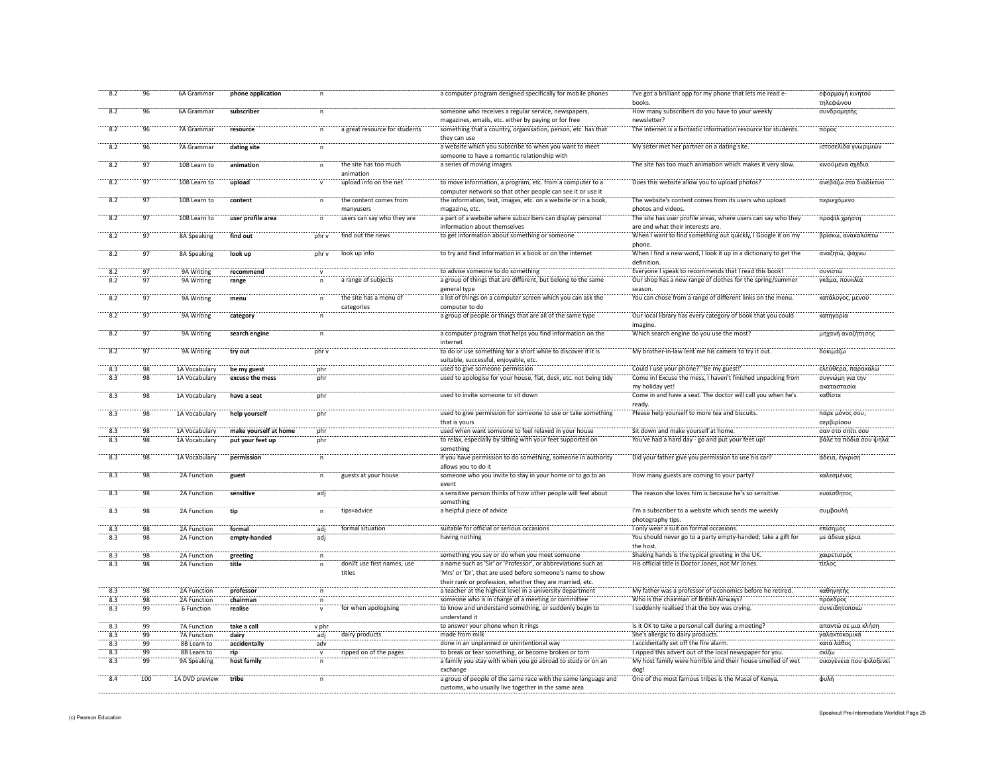| 8.2              | 96              | 6A Grammar                        | phone application     | $\mathsf{n}$ |                                      | a computer program designed specifically for mobile phones                                                                  | I've got a brilliant app for my phone that lets me read e-<br>books.                               | εφαρμογή κινητού<br>τηλεφώνου |
|------------------|-----------------|-----------------------------------|-----------------------|--------------|--------------------------------------|-----------------------------------------------------------------------------------------------------------------------------|----------------------------------------------------------------------------------------------------|-------------------------------|
| 8.2              | 96              | 6A Grammar                        | subscriber            | $\mathsf{n}$ |                                      | someone who receives a regular service, newspapers,                                                                         | How many subscribers do you have to your weekly                                                    | συνδρομητής                   |
|                  |                 |                                   |                       |              |                                      | magazines, emails, etc. either by paying or for free                                                                        | newsletter?                                                                                        |                               |
| 8.2              | 96              | 7A Grammar                        | resource              | $\mathsf{n}$ | a great resource for students        | something that a country, organisation, person, etc. has that<br>they can use                                               | The internet is a fantastic information resource for students.                                     | πόρος                         |
| 8.2              | 96              | 7A Grammar                        | dating site           |              |                                      | a website which you subscribe to when you want to meet<br>someone to have a romantic relationship with                      | My sister met her partner on a dating site.                                                        | ιστοσελίδα γνωριμιών          |
| $\frac{1}{8.2}$  | 97              | 10B Learn to                      | animation             |              | the site has too much<br>animation   | a series of moving images                                                                                                   | The site has too much animation which makes it very slow.                                          | κινούμενα σχέδια              |
| $\overline{8.2}$ | $\overline{97}$ | 10B Learn to                      | upload                |              | upload info on the net               | to move information, a program, etc. from a computer to a                                                                   | Does this website allow you to upload photos?                                                      | ανεβάζω στο διαδίκτυο         |
|                  |                 |                                   |                       |              |                                      | computer network so that other people can see it or use it                                                                  |                                                                                                    |                               |
| 8.2              | 97              | 10B Learn to                      | content               | $\mathsf{n}$ | the content comes from<br>manyusers  | the information, text, images, etc. on a website or in a book,<br>magazine, etc.                                            | The website's content comes from its users who upload<br>photos and videos.                        | περιεχόμενο                   |
| 8.2              | 97              | 10B Learn to                      | user profile area     | n            | users can say who they are           | a part of a website where subscribers can display personal<br>information about themselves                                  | The site has user profile areas, where users can say who they<br>are and what their interests are. | προφίλ χρήστη                 |
| 8.2              | 97              | 8A Speaking                       | find out              | phr v        | find out the news                    | to get information about something or someone                                                                               | When I want to find something out quickly, I Google it on my<br>phone                              | βρίσκω, ανακαλύπτω            |
| 8.2              | 97              | 8A Speaking                       | look up               | phr v        | look up info                         | to try and find information in a book or on the internet                                                                    | When I find a new word, I look it up in a dictionary to get the<br>definition.                     | αναζητώ, ψάχνω                |
| 8.2              | $\overline{97}$ | 9A Writing                        | recommend             |              |                                      | to advise someone to do something                                                                                           | Everyone I speak to recommends that I read this book!                                              | συνιστώ                       |
| 8.2              | 97              | 9A Writing                        | range                 |              | a range of subjects                  | a group of things that are different, but belong to the same<br>general type                                                | Our shop has a new range of clothes for the spring/summer<br>seasor                                | γκάμα, ποικιλία               |
| 8.2              | $\frac{1}{97}$  | 9A Writing                        | menu                  | $\mathsf{n}$ | the site has a menu of               | a list of things on a computer screen which you can ask the                                                                 | You can chose from a range of different links on the menu.                                         | κατάλογος, μενού              |
| $\overline{8.2}$ | $-97$           | 9A Writing                        | category              |              | categories                           | computer to do<br>a group of people or things that are all of the same type                                                 | Our local library has every category of book that you could                                        | κατηγορία                     |
|                  |                 |                                   |                       |              |                                      |                                                                                                                             | imagine                                                                                            |                               |
| 8.2              | 97              | 9A Writing                        | search engine         | $\mathsf{n}$ |                                      | a computer program that helps you find information on the<br>internet                                                       | Which search engine do you use the most?                                                           | μηχανή αναζήτησης             |
| 8.2              | 97              | 9A Writing                        | try out               | phr v        |                                      | to do or use something for a short while to discover if it is                                                               | My brother-in-law lent me his camera to try it out.                                                | δοκιμάζω                      |
| 8.3              | 98              | 1A Vocabulary                     | be my guest           | nhr          |                                      | suitable, successful, enjoyable, etc.<br>used to give someone permission                                                    | Could I use your phone?' 'Be my guest!'                                                            | ελεύθερα, παρακαλώ            |
| 8.3              | 98              | 1A Vocabulary                     | excuse the mess       | phr          |                                      | used to apologise for your house, flat, desk, etc. not being tidy                                                           | Come in! Excuse the mess, I haven't finished unpacking from                                        | συγνώμη για την               |
|                  |                 |                                   |                       |              |                                      |                                                                                                                             | my holiday yet!                                                                                    | ακαταστασία                   |
| $\frac{1}{8.3}$  | 98              | 1A Vocabulary                     | have a seat           | phr          |                                      | used to invite someone to sit down                                                                                          | Come in and have a seat. The doctor will call you when he's                                        | καθίστε                       |
| 8.3              | 98              | 1A Vocabulary                     | help yourself         | phr          |                                      | used to give permission for someone to use or take something                                                                | ready<br>Please help yourself to more tea and biscuits.                                            | πάρε μόνος σου,               |
|                  |                 |                                   |                       |              |                                      | that is yours                                                                                                               |                                                                                                    | σερβιρίσου                    |
| 8.3              | 98              | 1A Vocabular                      | make yourself at home | phr          |                                      | used when want someone to feel relaxed in your house                                                                        | Sit down and make yourself at home.                                                                | σαν στο σπίτι σου             |
| $-8.3$           | 98              | 1A Vocabulary                     | put your feet up      | phr          |                                      | to relax, especially by sitting with your feet supported on                                                                 | You've had a hard day - go and put your feet up!                                                   | βάλε τα πόδια σου ψηλά        |
|                  |                 |                                   |                       |              |                                      | something                                                                                                                   |                                                                                                    |                               |
| 8.3              | 98              | 1A Vocabulary                     | permission            | $\mathsf{n}$ |                                      | if you have permission to do something, someone in authority<br>allows you to do it                                         | Did your father give you permission to use his car?                                                | άδεια, έγκριση                |
| 8.3              | 98              | 2A Function                       | guest                 | n            | guests at your house                 | someone who you invite to stay in your home or to go to an                                                                  | How many guests are coming to your party?                                                          | καλεσμένος                    |
| 8.3              | 98              | 2A Function                       | sensitive             | adj          |                                      | a sensitive person thinks of how other people will feel about<br>something                                                  | The reason she loves him is because he's so sensitive.                                             | ευαίσθητος                    |
| 8.3              | 98              | 2A Function                       | tip                   | n.           | tips=advice                          | a helpful piece of advice                                                                                                   | I'm a subscriber to a website which sends me weekly                                                | συμβουλή                      |
|                  |                 |                                   |                       |              |                                      |                                                                                                                             | photography tips.                                                                                  |                               |
| 8.3              | 98              | 2A Function                       | formal                | adj          | formal situation                     | suitable for official or serious occasions                                                                                  | I only wear a suit on formal occasions.                                                            | επίσημος                      |
| 8.3              | 98              | 2A Function                       | empty-handed          | adj          |                                      | having nothing                                                                                                              | You should never go to a party empty-handed; take a gift for<br>the host                           | με άδεια χέρις                |
| $\overline{8.3}$ | $^{98}$         | 2A Function                       | greeting              |              |                                      | something you say or do when you meet someone                                                                               | Shaking hands is the typical greeting in the UK                                                    | χαιρετισμός                   |
| 8.3              | 98              | 2A Function                       | title                 | n.           | don t use first names, use<br>titles | a name such as 'Sir' or 'Professor', or abbreviations such as<br>'Mrs' or 'Dr', that are used before someone's name to show | His official title is Doctor Jones, not Mr Jones.                                                  | τίτλος                        |
|                  |                 |                                   |                       |              |                                      | their rank or profession, whether they are married, etc.                                                                    |                                                                                                    |                               |
| 8.3              | 98              | 2A Function                       | professor             | n            |                                      | a teacher at the highest level in a university department                                                                   | My father was a professor of economics before he retired.                                          | καθηγητής                     |
| 8.3<br>8.3       | 98<br>99        | 2A Function<br>6 Function         | chairman<br>realise   | $\mathsf{n}$ |                                      | someone who is in charge of a meeting or committee                                                                          | Who is the chairman of British Airways?<br>I suddenly realised that the boy was crying.            | πρόεδρος<br>συνειδητοποιώ     |
|                  |                 |                                   |                       | $\mathsf{v}$ | for when apologising                 | to know and understand something, or suddenly begin to<br>understand it                                                     |                                                                                                    |                               |
| 8.3<br>8.3       | 99<br>99        | <b>7A Function</b>                | take a call           | v phr        |                                      | to answer your phone when it rings                                                                                          | Is it OK to take a personal call during a meeting?                                                 | απαντώ σε μια κλήση           |
| 8.3              | 99              | <b>7A Function</b><br>8B Learn to | dairy                 | adj<br>adv   | dairy products                       | made from milk<br>done in an unplanned or unintentional way                                                                 | She's allergic to dairy products.<br>I accidentally set off the fire alarm.                        | γαλακτοκομικά<br>κατά λάθος   |
| 8.3              | 99              | 8B Learn to                       | accidentally<br>rip   | $\mathbf{v}$ | ripped on of the pages               | to break or tear something, or become broken or torn                                                                        | I ripped this advert out of the local newspaper for you.                                           | σκίζω                         |
| 8.3              | 99              | 9A Speaking                       | host family           | n            |                                      | a family you stay with when you go abroad to study or on an<br>exchange                                                     | My host family were horrible and their house smelled of wet<br>dog!                                | οικογένεια που φιλοξενεί      |
| 8.4              | 100             | 1A DVD preview                    | tribe                 | $\mathsf{n}$ |                                      | a group of people of the same race with the same language and<br>customs, who usually live together in the same area        | One of the most famous tribes is the Masai of Kenya.                                               | φυλή                          |
|                  |                 |                                   |                       |              |                                      |                                                                                                                             |                                                                                                    |                               |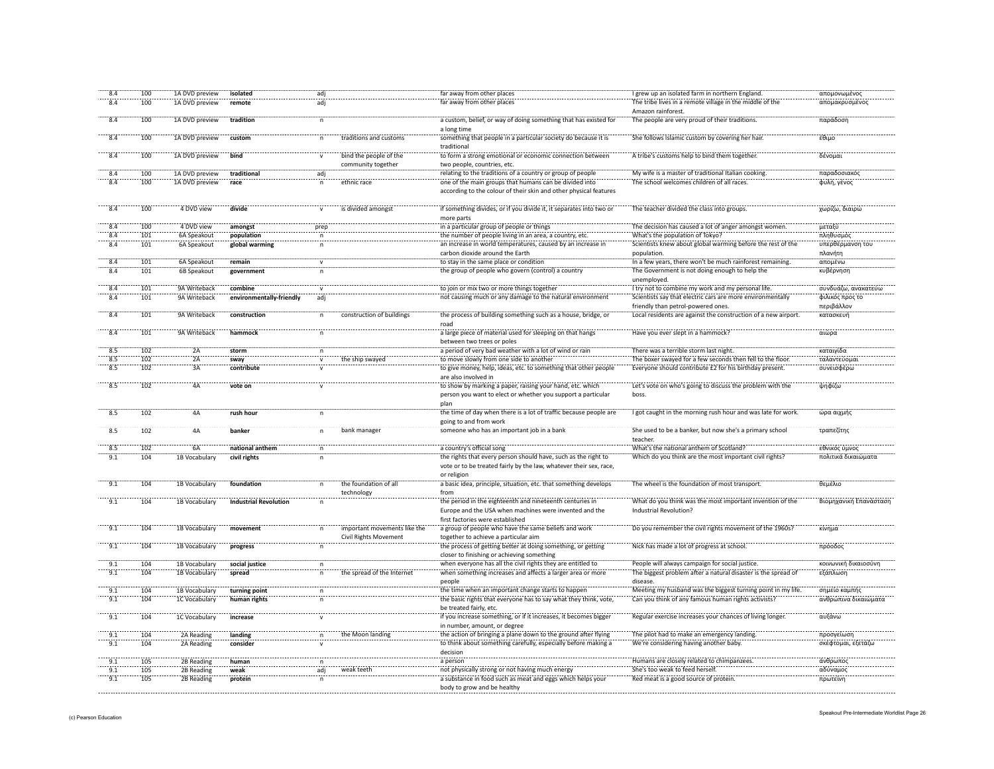| 8.4             | 100 | 1A DVD preview | isolated                     | adi                 |                                                              | far away from other places                                                                                 | I grew up an isolated farm in northern England.                                                  | απομονωμένος                  |
|-----------------|-----|----------------|------------------------------|---------------------|--------------------------------------------------------------|------------------------------------------------------------------------------------------------------------|--------------------------------------------------------------------------------------------------|-------------------------------|
| 8.4             | 100 | 1A DVD preview | remote                       | adj                 |                                                              | far away from other places                                                                                 | The tribe lives in a remote village in the middle of the<br>Amazon rainforest.                   | απομακρυσμένος                |
| 8.4             | 100 | 1A DVD preview | tradition                    | $\mathsf{n}$        |                                                              | a custom, belief, or way of doing something that has existed for<br>a long time                            | The people are very proud of their traditions.                                                   | παράδοση                      |
| 8.4             | 100 | 1A DVD preview | custom                       | n                   | traditions and customs                                       | something that people in a particular society do because it is<br>traditional                              | She follows Islamic custom by covering her hair                                                  | έθιμο                         |
| 8.4             | 100 | 1A DVD preview | hind                         |                     | bind the people of the<br>community together                 | to form a strong emotional or economic connection between<br>two people, countries, etc.                   | A tribe's customs help to bind them together                                                     | δένομαι                       |
| 84              | 100 | 1A DVD preview | traditional                  |                     |                                                              | relating to the traditions of a country or group of people                                                 | My wife is a master of traditional Italian cooking                                               | παραδοσιακό                   |
| 8.4             | 100 | 1A DVD preview | race                         | adj<br>$\mathsf{n}$ | ethnic race                                                  | one of the main groups that humans can be divided into                                                     | The school welcomes children of all races.                                                       | φυλή, γένος                   |
|                 |     |                |                              |                     |                                                              | according to the colour of their skin and other physical features                                          |                                                                                                  |                               |
| 8.4             | 100 | 4 DVD view     | divide                       | $\mathsf{v}$        | is divided amongst                                           | if something divides, or if you divide it, it separates into two or<br>more parts                          | The teacher divided the class into groups.                                                       | χωρίζω, διαιρώ                |
| 8.4             | 100 | 4 DVD view     | amongst                      | prep                |                                                              | in a particular group of people or things                                                                  | The decision has caused a lot of anger amongst women.                                            | μεταξύ                        |
| 8.4             | 101 | 6A Speakout    | population                   | $\mathsf{n}$        |                                                              | the number of people living in an area, a country, etc.                                                    | What's the population of Tokyo?                                                                  | πληθυσμός                     |
| 8.4             | 101 | 6A Speakout    | global warming               | n                   |                                                              | an increase in world temperatures, caused by an increase in<br>carbon dioxide around the Earth             | Scientists knew about global warming before the rest of the<br>population.                       | υπερθέρμανση του<br>πλανήτη   |
| 8.4             | 101 | 6A Speakout    | remain                       | $\mathbf{v}$        |                                                              | to stay in the same place or condition                                                                     | In a few years, there won't be much rainforest remaining.                                        | απομένω                       |
| 8.4             | 101 | 6B Speakout    | government                   | $\mathsf{n}$        |                                                              | the group of people who govern (control) a country                                                         | The Government is not doing enough to help the<br>unemployed.                                    | κυβέρνηση                     |
| 8.4             | 101 | 9A Writeback   | combine                      |                     |                                                              | to join or mix two or more things together                                                                 | I try not to combine my work and my personal life.                                               | συνδυάζω, ανακατεύω           |
| 8.4             | 101 | 9A Writeback   | environmentally-friendly     | adj                 |                                                              | not causing much or any damage to the natural environment                                                  | Scientists say that electric cars are more environmentally<br>friendly than petrol-powered ones. | φιλικός προς το<br>περιβάλλον |
| 8.4             | 101 | 9A Writeback   | construction                 | $\mathsf{n}$        | construction of buildings                                    | the process of building something such as a house, bridge, or                                              | Local residents are against the construction of a new airport.                                   | κατασκευή                     |
| $\frac{1}{8.4}$ | 101 | 9A Writeback   | hammock                      |                     |                                                              | road<br>a large piece of material used for sleeping on that hangs                                          | Have you ever slept in a hammock?                                                                | αιώρα                         |
|                 |     |                |                              |                     |                                                              | between two trees or poles                                                                                 |                                                                                                  |                               |
| 8.5             | 102 | 2A             | storm                        | n                   |                                                              | a period of very bad weather with a lot of wind or rain                                                    | There was a terrible storm last night                                                            | καταιγίδα                     |
| 8.5             | 102 | 2A             | sway                         |                     | the ship swayed                                              | to move slowly from one side to another                                                                    | The boxer swayed for a few seconds then fell to the floor.                                       | ταλαντεύομαι                  |
| 8.5             | 102 | 3A             | contribute                   |                     |                                                              | to give money, help, ideas, etc. to something that other people<br>are also involved in                    | Everyone should contribute £2 for his birthday present.                                          | συνεισφέρω                    |
| $\frac{1}{8.5}$ | 102 | äÄ             | vote on                      |                     |                                                              | to show by marking a paper, raising your hand, etc. which                                                  | Let's vote on who's going to discuss the problem with the                                        | ψηφίζω                        |
|                 |     |                |                              |                     |                                                              | person you want to elect or whether you support a particular                                               | hoss.                                                                                            |                               |
|                 |     |                |                              |                     |                                                              | plan                                                                                                       |                                                                                                  |                               |
| 8.5             | 102 | ΔΔ             | rush hour                    | $\mathsf{n}$        |                                                              | the time of day when there is a lot of traffic because people are<br>going to and from work                | I got caught in the morning rush hour and was late for work.                                     | ώρα αιχμής                    |
| 8.5             | 102 | 4A             | banker                       | $\mathsf{n}$        | bank manager                                                 | someone who has an important job in a bank                                                                 | She used to be a banker, but now she's a primary school<br>teacher                               | τραπεζίτης                    |
| 8.5             | 102 | 6Ä             | national anthem              |                     |                                                              | a country's official song                                                                                  | What's the national anthem of Scotland?                                                          | εθνικός ύμνος                 |
| 9.1             | 104 | 1B Vocabulary  | civil rights                 |                     |                                                              | the rights that every person should have, such as the right to                                             | Which do you think are the most important civil rights?                                          | πολιτικά δικαιώματα           |
|                 |     |                |                              |                     |                                                              | vote or to be treated fairly by the law, whatever their sex, race,<br>or religion                          |                                                                                                  |                               |
| 9.1             | 104 | 1B Vocabulary  | foundation                   |                     | the foundation of all<br>technology                          | a basic idea, principle, situation, etc. that something develops<br>from                                   | The wheel is the foundation of most transport.                                                   | θεμέλιο                       |
| 9.1             | 104 |                | <b>Industrial Revolution</b> |                     |                                                              | the period in the eighteenth and nineteenth centuries in                                                   | What do you think was the most important invention of the                                        | Βιομηχανική Επανάσταση        |
|                 |     | 1B Vocabulary  |                              | n                   |                                                              | Europe and the USA when machines were invented and the<br>first factories were established                 | Industrial Revolution?                                                                           |                               |
| 9.1             | 104 | 1B Vocabulary  | movement                     | $\mathsf{n}$        | important movements like the<br><b>Civil Rights Movement</b> | a group of people who have the same beliefs and work<br>together to achieve a particular aim               | Do you remember the civil rights movement of the 1960s?                                          | κίνημα                        |
| 9.1             | 104 | 1B Vocabulary  | progress                     |                     |                                                              | the process of getting better at doing something, or getting<br>closer to finishing or achieving something | Nick has made a lot of progress at school.                                                       | πρόοδος                       |
| 9.1             | 104 | 1B Vocabulary  | social justice               | n                   |                                                              | when everyone has all the civil rights they are entitled to                                                | People will always campaign for social justice                                                   | κοινωνική δικαιοσύνη          |
| $-9.1$          | 104 | 1B Vocabulary  | spread                       | n                   | the spread of the Internet                                   | when something increases and affects a larger area or more                                                 | The biggest problem after a natural disaster is the spread of                                    | εξάπλωση                      |
| $-9.1$          | 104 | 1B Vocabulary  | turning point                |                     |                                                              | people<br>the time when an important change starts to happen                                               | disease<br>Meeting my husband was the biggest turning point in my life                           | σημείο καμπής                 |
| 9.1             | 104 | 1C Vocabulary  | human rights                 |                     |                                                              | the basic rights that everyone has to say what they think, vote,                                           | Can you think of any famous human rights activists?                                              | ανθρώπινα δικαιώματα          |
| 9.1             | 104 | 1C Vocabulary  | increase                     |                     |                                                              | be treated fairly, etc.<br>if you increase something, or if it increases, it becomes bigger                | Regular exercise increases your chances of living longer.                                        | αυξάνω                        |
|                 |     |                |                              |                     |                                                              | in number, amount, or degree                                                                               |                                                                                                  |                               |
| 9.1             | 104 | 2A Reading     | landing                      | n                   | the Moon landing                                             | the action of bringing a plane down to the ground after flying                                             | The pilot had to make an emergency landing.                                                      | προσγείωση                    |
| 9.1             | 104 | 2A Reading     | consider                     |                     |                                                              | to think about something carefully, especially before making a<br>decision                                 | We're considering having another baby.                                                           | σκέφτομαι, εξετάζω            |
| 9.1             | 105 | 2B Reading     | human                        | $\mathsf{n}$        |                                                              | a person                                                                                                   | Humans are closely related to chimpanzees                                                        | άνθρωπος                      |
| 9.1             | 105 | 2B Reading     | weak                         | adj                 | weak teeth                                                   | not physically strong or not having much energy                                                            | She's too weak to feed herself.                                                                  | αδύναμος                      |
| 9.1             | 105 | 2B Reading     | protein                      | n                   |                                                              | a substance in food such as meat and eggs which helps your                                                 | Red meat is a good source of protein.                                                            | πρωτεϊνη                      |
|                 |     |                |                              |                     |                                                              | body to grow and be healthy                                                                                |                                                                                                  |                               |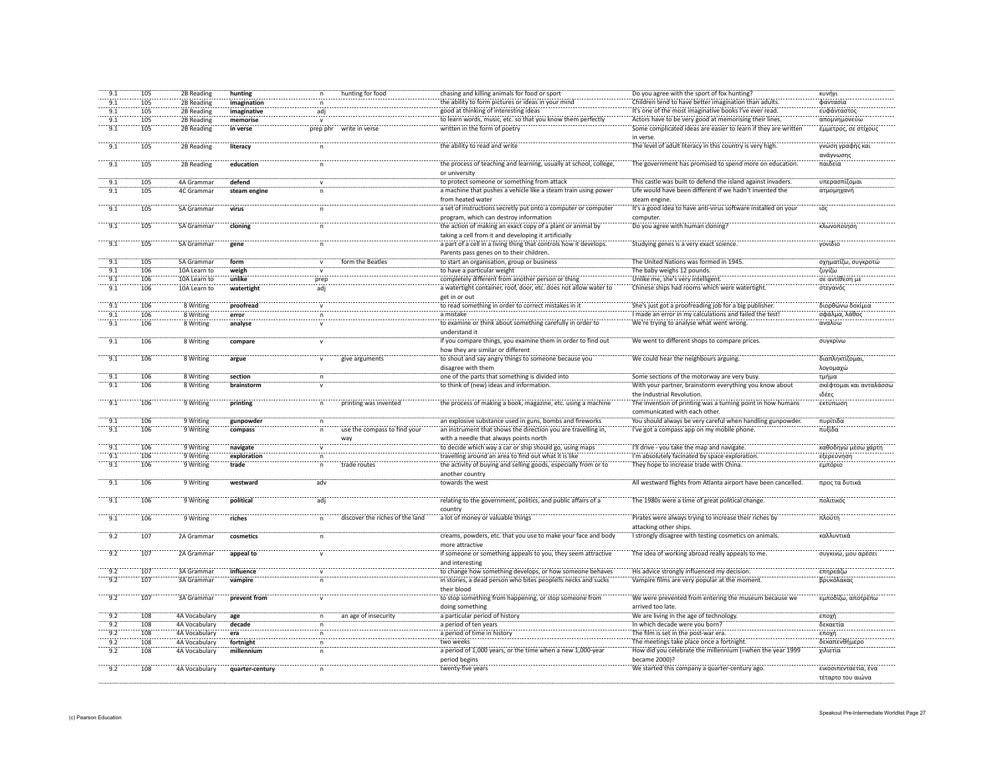| 9.1              | 105 | 2B Reading    | hunting         |              | hunting for food                | chasing and killing animals for food or sport                     | Do you agree with the sport of fox hunting?                    | κυνήγι                 |
|------------------|-----|---------------|-----------------|--------------|---------------------------------|-------------------------------------------------------------------|----------------------------------------------------------------|------------------------|
| 9.1              | 105 | 2B Reading    | imagination     | n            |                                 | the ability to form pictures or ideas in your mind                | Children tend to have better imagination than adults.          | φαντασία               |
| 9.1              | 105 | 2B Reading    | imaginative     | adj          |                                 | good at thinking of interesting ideas                             | It's one of the most imaginative books I've ever read.         | ευφάνταστος            |
| 9.1              | 105 | 2B Reading    | memorise        | $\mathbf{v}$ |                                 | to learn words, music, etc. so that you know them perfectly       | Actors have to be very good at memorising their lines.         | απομνημονεύω           |
| 9.1              | 105 |               |                 |              | write in verse                  | written in the form of poetry                                     | Some complicated ideas are easier to learn if they are written |                        |
|                  |     | 2B Reading    | in verse        | prep phr     |                                 |                                                                   |                                                                | έμμετρος, σε στίχους   |
|                  |     |               |                 |              |                                 |                                                                   | in verse.                                                      |                        |
| 9.1              | 105 | 2B Reading    | literacy        | n            |                                 | the ability to read and write                                     | The level of adult literacy in this country is very high.      | γνώση γραφής και       |
|                  |     |               |                 |              |                                 |                                                                   |                                                                | ανάγνωσης              |
| 9.1              | 105 | 2B Reading    | education       | $\mathsf{n}$ |                                 | the process of teaching and learning, usually at school, college, | The government has promised to spend more on education.        | παιδεία                |
|                  |     |               |                 |              |                                 | or university                                                     |                                                                |                        |
|                  |     |               |                 |              |                                 |                                                                   |                                                                |                        |
| 9.1              | 105 | 4A Grammar    | defend          |              |                                 | to protect someone or something from attack                       | This castle was built to defend the island against invaders.   | υπερασπίζομαι          |
| 9.1              | 105 | 4C Grammar    | steam engine    |              |                                 | a machine that pushes a vehicle like a steam train using power    | Life would have been different if we hadn't invented the       | ατμομηχανή             |
|                  |     |               |                 |              |                                 | from heated water                                                 | steam engine.                                                  |                        |
| 9.1              | 105 | 5A Grammar    | virus           |              |                                 | a set of instructions secretly put onto a computer or computer    | It's a good idea to have anti-virus software installed on your | ιός                    |
|                  |     |               |                 |              |                                 | program, which can destroy information                            | computer.                                                      |                        |
| $-9.1$           | 105 | 5A Grammar    | cloning         |              |                                 | the action of making an exact copy of a plant or animal by        | Do you agree with human cloning?                               | κλωνοποίησ             |
|                  |     |               |                 |              |                                 |                                                                   |                                                                |                        |
|                  |     |               |                 |              |                                 | taking a cell from it and developing it artificially              |                                                                |                        |
| $-9.1$           | 105 | 5A Grammar    | gene            |              |                                 | a part of a cell in a living thing that controls how it develops. | Studying genes is a very exact science                         | γονίδιο                |
|                  |     |               |                 |              |                                 | Parents pass genes on to their children.                          |                                                                |                        |
| 9.1              | 105 | 5A Grammar    | form            |              | form the Beatles                | to start an organisation, group or business                       | The United Nations was formed in 1945                          | σχηματίζω, συγκροτώ    |
| 9.1              | 106 | 10A Learn to  | weigh           |              |                                 | to have a particular weight                                       | The baby weighs 12 pounds.                                     | ζυγίζω                 |
| 9.1              | 106 | 10A Learn to  | unlike          |              |                                 | completely different from another person or thing                 | Unlike me, she's very intelligent.                             | σε αντίθεση με         |
|                  |     |               |                 | prep         |                                 |                                                                   |                                                                |                        |
| 9.1              | 106 | 10A Learn to  | watertight      | adj          |                                 | a watertight container, roof, door, etc. does not allow water to  | Chinese ships had rooms which were watertigl                   | στεγανός               |
|                  |     |               |                 |              |                                 | get in or out                                                     |                                                                |                        |
| 9.1              | 106 | 8 Writing     | proofread       |              |                                 | to read something in order to correct mistakes in it              | She's just got a proofreading job for a big publisher.         | διορθώνω δοκίμια       |
| 9.1              | 106 | 8 Writing     | error           | $\mathsf{n}$ |                                 | a mistake                                                         | I made an error in my calculations and failed the test!        | σφάλμα, λάθος          |
| 9.1              | 106 | 8 Writing     | analyse         |              |                                 | to examine or think about something carefully in order to         | We're trying to analyse what went wrong.                       | αναλύω                 |
|                  |     |               |                 |              |                                 | understand it                                                     |                                                                |                        |
|                  |     |               |                 |              |                                 |                                                                   |                                                                |                        |
| 9.1              | 106 | 8 Writing     | compare         | $\mathsf{v}$ |                                 | if you compare things, you examine them in order to find out      | We went to different shops to compare prices.                  | συγκρίνω               |
|                  |     |               |                 |              |                                 | how they are similar or different                                 |                                                                |                        |
| 9.1              | 106 | 8 Writing     | argue           | $\mathsf{v}$ | give arguments                  | to shout and say angry things to someone because you              | We could hear the neighbours arguing.                          | διαπληκτίζομαι,        |
|                  |     |               |                 |              |                                 | disagree with them                                                |                                                                | λογομαχώ               |
| $-9.1$           | 106 | 8 Writing     | section         |              |                                 | one of the parts that something is divided into                   | Some sections of the motorway are very busy.                   | τμήμα                  |
| 9.1              | 106 | 8 Writing     |                 |              |                                 | to think of (new) ideas and information.                          | With your partner, brainstorm everything you know about        | σκέφτομαι και ανταλάσσ |
|                  |     |               | brainstorm      |              |                                 |                                                                   |                                                                |                        |
|                  |     |               |                 |              |                                 |                                                                   | the Industrial Revolution.                                     | ιδέες                  |
| $-9.1$           | 106 | 9 Writing     | printing        |              | printing was invented           | the process of making a book, magazine, etc. using a machine      | The invention of printing was a turning point in how humans    | εκτύπωση               |
|                  |     |               |                 |              |                                 |                                                                   | communicated with each other.                                  |                        |
| $-9.1$           | 106 | 9 Writing     | gunpowder       |              |                                 | an explosive substance used in guns, bombs and fireworks          | You should always be very careful when handling gunpowder      | πυρίτιδα               |
| 9.1              | 106 | 9 Writing     | compass         |              | use the compass to find you     | an instrument that shows the direction you are travelling in,     | I've got a compass app on my mobile phone.                     | πυξίδα                 |
|                  |     |               |                 |              |                                 | with a needle that always points north                            |                                                                |                        |
|                  |     |               |                 |              | way                             |                                                                   |                                                                |                        |
| $-9.1$           | 106 | 9 Writing     | navigate        |              |                                 | to decide which way a car or ship should go, using maps           | I'll drive - you take the map and navigate.                    | καθοδηγώ μέσω χάρτη    |
| 9.1              | 106 | 9 Writing     | exploration     |              |                                 | travelling around an area to find out what it is like             | I'm absolutely facinated by space exploration                  | εξερεύνηση             |
| 9.1              | 106 | 9 Writing     | trade           |              | trade routes                    | the activity of buying and selling goods, especially from or to   | They hope to increase trade with China.                        | εμπόριο                |
|                  |     |               |                 |              |                                 | another country                                                   |                                                                |                        |
| $\overline{9.1}$ | 106 | 9 Writing     | westward        | adv          |                                 | towards the west                                                  | All westward flights from Atlanta airport have been cancelled  | προς τα δυτικά         |
|                  |     |               |                 |              |                                 |                                                                   |                                                                |                        |
|                  |     |               |                 |              |                                 |                                                                   |                                                                |                        |
| 9.1              | 106 | 9 Writing     | political       | adi          |                                 | relating to the government, politics, and public affairs of a     | The 1980s were a time of great political change.               | πολιτικός              |
|                  |     |               |                 |              |                                 | country                                                           |                                                                |                        |
| 9.1              | 106 | 9 Writing     | riches          | $\mathsf{n}$ | discover the riches of the land | a lot of money or valuable things                                 | Pirates were always trying to increase their riches by         | πλούτη                 |
|                  |     |               |                 |              |                                 |                                                                   | attacking other ships.                                         |                        |
| 9.2              | 107 | 2A Grammar    |                 |              |                                 | creams, powders, etc. that you use to make your face and body     | I strongly disagree with testing cosmetics on animals.         | καλλυντικά             |
|                  |     |               | cosmetics       | n            |                                 |                                                                   |                                                                |                        |
|                  |     |               |                 |              |                                 | more attractive                                                   |                                                                |                        |
| $-9.2$           | 107 | 2A Grammar    | appeal to       |              |                                 | if someone or something appeals to you, they seem attractive      | The idea of working abroad really appeals to me                | συγκινώ, μου αρέσε     |
|                  |     |               |                 |              |                                 | and interesting                                                   |                                                                |                        |
| 9.2              | 107 | 3A Grammar    | influence       |              |                                 | to change how something develops, or how someone behaves          | His advice strongly influenced my decision.                    | επηρεάζω               |
| 9.2              | 107 | 3A Grammar    | vampire         |              |                                 | in stories, a dead person who bites people s necks and sucks      | Vampire films are very popular at the moment                   | βρυκόλακας             |
|                  |     |               |                 |              |                                 |                                                                   |                                                                |                        |
|                  |     |               |                 |              |                                 | their blood                                                       |                                                                |                        |
| $-9.2$           | 107 | 3A Grammar    | prevent from    |              |                                 | to stop something from happening, or stop someone from            | We were prevented from entering the museum because we          | εμποδίζω, αποτρέπω     |
|                  |     |               |                 |              |                                 | doing something                                                   | arrived too late.                                              |                        |
| 9.2              | 108 | 4A Vocabulary | age             |              | an age of insecurity            | a particular period of history                                    | We are living in the age of technology.                        | εποχή                  |
| 9.2              | 108 | 4A Vocabulary | decade          |              |                                 | a period of ten years                                             | In which decade were you born?                                 | δεκαετία               |
|                  |     |               |                 |              |                                 |                                                                   |                                                                |                        |
| 9.2              | 108 | 4A Vocabulary | era             | $\mathsf{n}$ |                                 | a period of time in history                                       | The film is set in the post-war era.                           | εποχή                  |
| 9.2              | 108 | 4A Vocabulary | fortnight       | n            |                                 | two weeks                                                         | The meetings take place once a fortnight.                      | δεκαπενθήμερο          |
| 9.2              | 108 | 4A Vocabulary | millennium      |              |                                 | a period of 1,000 years, or the time when a new 1,000-year        | How did you celebrate the millennium (=when the year 1999      | χιλιετία               |
|                  |     |               |                 |              |                                 | period begins                                                     | became 2000)?                                                  |                        |
| 9.2              | 108 | 4A Vocabulary | quarter-century |              |                                 | twenty-five years                                                 | We started this company a quarter-century ago.                 | εικοσιπενταετία, ένα   |
|                  |     |               |                 |              |                                 |                                                                   |                                                                | τέταρτο του αιώνα      |
|                  |     |               |                 |              |                                 |                                                                   |                                                                |                        |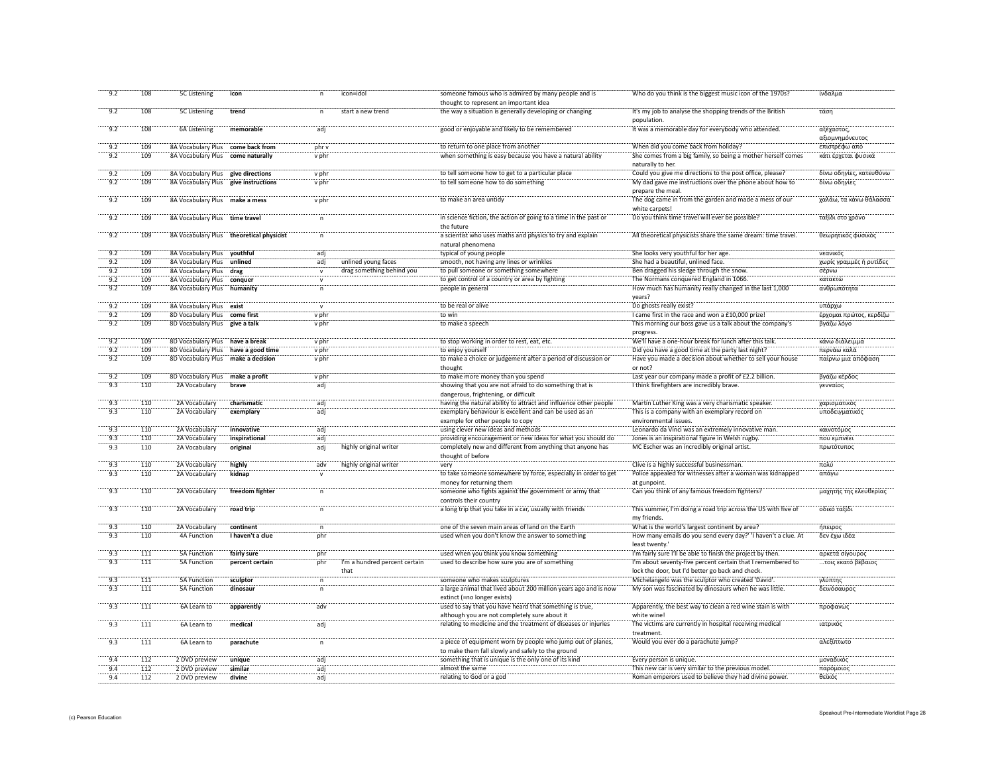| 9.2    | 108 | <b>5C Listening</b>                 | icon                                     |                     | icon=idol                     | someone famous who is admired by many people and is<br>thought to represent an important idea                    | Who do you think is the biggest music icon of the 1970s?                        | ίνδαλμα                       |
|--------|-----|-------------------------------------|------------------------------------------|---------------------|-------------------------------|------------------------------------------------------------------------------------------------------------------|---------------------------------------------------------------------------------|-------------------------------|
| 9.2    |     |                                     |                                          |                     | start a new trend             |                                                                                                                  | It's my job to analyse the shopping trends of the British                       |                               |
|        | 108 | 5C Listening                        | trend                                    | n                   |                               | the way a situation is generally developing or changing                                                          | population.                                                                     | τάση                          |
| 9.2    | 108 | 6A Listening                        | memorable                                | adj                 |                               | good or enjoyable and likely to be remembered                                                                    | It was a memorable day for everybody who attended.                              | αξέχαστος,<br>αξιομνημόνευτος |
| 9.2    | 109 | 8A Vocabulary Plus                  | come back from                           | $phr$ v             |                               | to return to one place from another                                                                              | When did you come back from holiday?                                            | επιστρέφω από                 |
| 9.2    | 109 | 8A Vocabulary Plus                  | come naturally                           | v phr               |                               | when something is easy because you have a natural ability                                                        | She comes from a big family, so being a mother herself comes                    | κάτι έρχεται φυσικό           |
|        |     |                                     |                                          |                     |                               |                                                                                                                  | naturally to her.                                                               |                               |
| 9.2    | 109 | 8A Vocabulary Plus                  | give directions                          | v phr               |                               | to tell someone how to get to a particular place                                                                 | Could you give me directions to the post office, please?                        | δίνω οδηγίες, κατευθύνω       |
| 9.2    | 109 | 8A Vocabulary Plus                  | give instructions                        | v phr               |                               | to tell someone how to do something                                                                              | My dad gave me instructions over the phone about how to                         | δίνω οδηγίες                  |
|        |     |                                     |                                          |                     |                               |                                                                                                                  | prepare the meal.                                                               |                               |
| $-9.2$ | 109 | 8A Vocabulary Plus make a mess      |                                          | v phr               |                               | to make an area untidy                                                                                           | The dog came in from the garden and made a mess of our<br>white carpets!        | χαλάω, τα κάνω θάλασσα        |
| $-9.2$ | 109 | 8A Vocabulary Plus time travel      |                                          |                     |                               | in science fiction, the action of going to a time in the past or                                                 | Do you think time travel will ever be possible?                                 | ταξίδι στο χρόνο              |
|        |     |                                     |                                          |                     |                               | the future                                                                                                       |                                                                                 |                               |
| 9.2    | 109 |                                     | 8A Vocabulary Plus theoretical physicist | $\mathsf{n}$        |                               | a scientist who uses maths and physics to try and explain                                                        | All theoretical physicists share the same dream: time travel.                   | θεωρητικός φυσικός            |
|        |     |                                     |                                          |                     |                               | natural phenomena                                                                                                |                                                                                 |                               |
| 9.2    | 109 | 8A Vocabulary Plus youthful         |                                          | adi                 |                               | typical of young people                                                                                          | She looks very youthful for her age.                                            | νεανικός                      |
| 9.2    | 109 | 8A Vocabulary Plus                  | unlined                                  | adj                 | unlined young faces           | smooth, not having any lines or wrinkles                                                                         | She had a beautiful, unlined face.                                              | χωρίς γραμμές ή ρυτίδες       |
| 9.2    | 109 | 8A Vocabulary Plus                  | drag                                     | $\mathsf{v}$        | drag something behind you     | to pull someone or something somewhere                                                                           | Ben dragged his sledge through the snow.                                        | σέρνω                         |
| 9.2    | 109 | 8A Vocabulary Plus                  | conquer                                  |                     |                               | to get control of a country or area by fighting                                                                  | The Normans conquered England in 1066.                                          | κατακτώ                       |
| 9.2    | 109 | 8A Vocabulary Plus humanity         |                                          | n                   |                               | people in general                                                                                                | How much has humanity really changed in the last 1,000                          | ανθρωπότητα                   |
|        |     |                                     |                                          |                     |                               |                                                                                                                  | years?                                                                          |                               |
| 9.2    | 109 | 8A Vocabulary Plus exist            |                                          | $\mathsf{v}$        |                               | to be real or alive                                                                                              | Do ghosts really exist?                                                         | υπάρχω                        |
| 9.2    | 109 | 8D Vocabulary Plus                  | come first                               | v phr               |                               | to win                                                                                                           | I came first in the race and won a £10,000 prize!                               | έρχομαι πρώτος, κερδίζω       |
| 9.2    | 109 | 8D Vocabulary Plus give a talk      |                                          | v phr               |                               | to make a speech                                                                                                 | This morning our boss gave us a talk about the company's                        | βγάζω λόγο                    |
|        |     |                                     |                                          |                     |                               |                                                                                                                  | progress.                                                                       |                               |
| 9.2    | 109 | 8D Vocabulary Plus have a break     |                                          | v phr               |                               | to stop working in order to rest, eat, etc.                                                                      | We'll have a one-hour break for lunch after this talk.                          | κάνω διάλειμμα                |
| 9.2    | 109 | 8D Vocabulary Plus have a good time |                                          | v phr               |                               | to enjoy yourself                                                                                                | Did you have a good time at the party last night?                               | περνάω καλά                   |
| 9.2    | 109 | 8D Vocabulary Plus                  | make a decision                          | v phr               |                               | to make a choice or judgement after a period of discussion or                                                    | Have you made a decision about whether to sell your house                       | παίρνω μια απόφαση            |
|        |     |                                     |                                          |                     |                               | thought                                                                                                          | or not?                                                                         |                               |
| 9.2    | 109 | <b>8D Vocabulary Plus</b>           | make a profit                            | $\frac{1}{2}$ v phr |                               | to make more money than you spend                                                                                | Last year our company made a profit of £2.2 billion                             | βγάζω κέρδος                  |
| 9.3    | 110 | 2A Vocabulary                       | brave                                    | adj                 |                               | showing that you are not afraid to do something that is                                                          | I think firefighters are incredibly brave.                                      | γενναίος                      |
|        |     |                                     |                                          |                     |                               | dangerous, frightening, or difficult                                                                             |                                                                                 |                               |
| 9.3    | 110 | 2A Vocabulary                       | charismatic                              |                     |                               | having the natural ability to attract and influence other people                                                 | Martin Luther King was a very charismatic speaker.                              | χαρισματικός                  |
| 9.3    | 110 | 2A Vocabulary                       | exemplary                                | adj                 |                               | exemplary behaviour is excellent and can be used as an                                                           | This is a company with an exemplary record on                                   | υποδειγματικό                 |
|        |     |                                     |                                          |                     |                               | example for other people to copy                                                                                 | environmental issues.                                                           |                               |
| $-9.3$ | 110 | 2A Vocabulary                       | innovative                               | adj                 |                               | using clever new ideas and methods                                                                               | Leonardo da Vinci was an extremely innovative man.                              | <br>καινοτόμος                |
| 9.3    | 110 |                                     | inspirational                            | <br>adj             |                               | providing encouragement or new ideas for what you should do                                                      | Jones is an inspirational figure in Welsh rugby.                                |                               |
| 9.3    |     | 2A Vocabulary                       |                                          |                     | highly original writer        |                                                                                                                  |                                                                                 | που εμπνέει                   |
|        | 110 | 2A Vocabulary                       | original                                 | adj                 |                               | completely new and different from anything that anyone has<br>thought of before                                  | MC Escher was an incredibly original artist.                                    | πρωτότυπος                    |
| 9.3    | 110 | 2A Vocabulary                       | highly                                   | adv                 | highly original writer        | very                                                                                                             | Clive is a highly successful businessman.                                       | πολύ                          |
| 9.3    | 110 | 2A Vocabulary                       | kidnap                                   |                     |                               | to take someone somewhere by force, especially in order to get                                                   | Police appealed for witnesses after a woman was kidnapped                       | απάγω                         |
|        |     |                                     |                                          |                     |                               | money for returning them                                                                                         | at gunpoint.                                                                    |                               |
| $-9.3$ | 110 | 2A Vocabulary                       | freedom fighter                          | n                   |                               | someone who fights against the government or army that<br>controls their country                                 | Can you think of any famous freedom fighters?                                   | μαχητής της ελευθερίας        |
|        |     |                                     |                                          |                     |                               |                                                                                                                  |                                                                                 |                               |
| 9.3    | 110 | 2A Vocabulary                       | road trip                                | $\mathsf{n}$        |                               | a long trip that you take in a car, usually with friends                                                         | This summer, I'm doing a road trip across the US with five of<br>my friends.    | οδικό ταξίδι                  |
| 9.3    | 110 | 2A Vocabulary                       | continent                                | $\mathsf{n}$        |                               | one of the seven main areas of land on the Earth                                                                 | What is the world's largest continent by area?                                  | ήπειρος                       |
| 9.3    | 110 | <b>4A Function</b>                  | I haven't a clue                         | phr                 |                               | used when you don't know the answer to something                                                                 | How many emails do you send every day?' 'I haven't a clue. At<br>least twenty.' | δεν έχω ιδέα                  |
| 9.3    | 111 | 5A Function                         | fairly sure                              | phr                 |                               | used when you think you know something                                                                           | I'm fairly sure I'll be able to finish the project by then.                     | αρκετά σίγουρος               |
| 9.3    | 111 |                                     |                                          |                     |                               | used to describe how sure you are of something                                                                   | I'm about seventy-five percent certain that I remembered to                     |                               |
|        |     | <b>5A Function</b>                  | percent certain                          | phr                 | I'm a hundred percent certain |                                                                                                                  |                                                                                 | τοις εκατό βέβαιος            |
|        |     |                                     |                                          |                     | that                          |                                                                                                                  | lock the door, but I'd better go back and check.                                |                               |
| 9.3    | 111 | <b>5A Function</b>                  | sculptor                                 |                     |                               | someone who makes sculptures                                                                                     | Michelangelo was the sculptor who created 'David'.                              | γλύπτης                       |
| 9.3    | 111 | 5A Function                         | dinosaur                                 | n                   |                               | a large animal that lived about 200 million years ago and is now<br>extinct (=no longer exists)                  | My son was fascinated by dinosaurs when he was little.                          | δεινόσαυρος                   |
| $-9.3$ | 111 | 6A Learn to                         | apparently                               | ädv                 |                               | used to say that you have heard that something is true,                                                          | Apparently, the best way to clean a red wine stain is with                      | προφανώς                      |
|        |     |                                     |                                          |                     |                               | although you are not completely sure about it                                                                    | white wine!                                                                     |                               |
| $-9.3$ | 111 | 6A Learn to                         | medical                                  | ädi                 |                               | relating to medicine and the treatment of diseases or injuries                                                   | The victims are currently in hospital receiving medical                         | ιατρικός                      |
|        |     |                                     |                                          |                     |                               |                                                                                                                  | treatment.                                                                      |                               |
| $-9.3$ | 111 | 6A Learn to                         | parachute                                | n                   |                               | a piece of equipment worn by people who jump out of planes,<br>to make them fall slowly and safely to the ground | Would you ever do a parachute jump?                                             | αλεξίπτωτο                    |
| 9.4    | 112 | 2 DVD preview                       | unique                                   | adj                 |                               | something that is unique is the only one of its kind                                                             | Every person is unique.                                                         | μοναδικός                     |
| 9.4    | 112 | 2 DVD preview                       | similar                                  | adj                 |                               | almost the same                                                                                                  | This new car is very similar to the previous model.                             | παρόμοιος                     |
|        | 112 | 2 DVD preview                       | divine                                   | adi                 |                               | relating to God or a god                                                                                         | Roman emperors used to believe they had divine power.                           | θεϊκός                        |
| 9.4    |     |                                     |                                          |                     |                               |                                                                                                                  |                                                                                 |                               |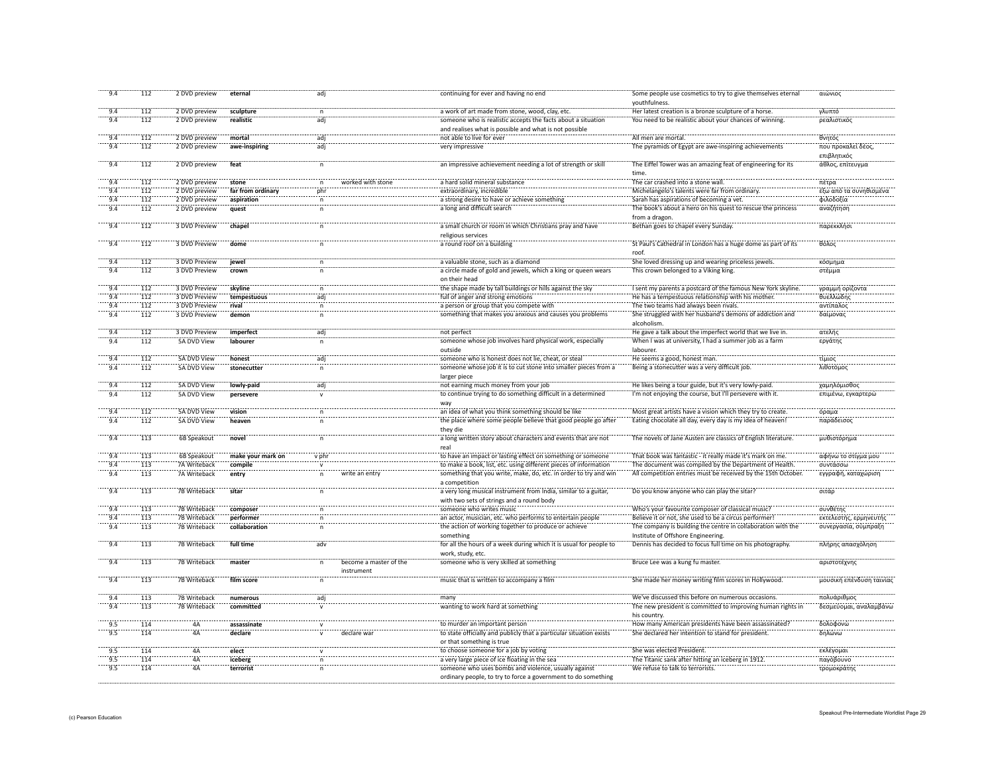| 9.4             | 112 | 2 DVD preview      | eternal           | adj          |                        | continuing for ever and having no end                               | Some people use cosmetics to try to give themselves eternal   | αιώνιος                  |
|-----------------|-----|--------------------|-------------------|--------------|------------------------|---------------------------------------------------------------------|---------------------------------------------------------------|--------------------------|
|                 |     |                    |                   |              |                        |                                                                     | youthfulness.                                                 |                          |
| 9.4             | 112 | 2 DVD preview      | sculpture         | $\mathsf{n}$ |                        | a work of art made from stone, wood, clay, etc.                     | Her latest creation is a bronze sculpture of a horse.         | γλυπτό                   |
| 9.4             | 112 | 2 DVD preview      | realistic         | adj          |                        | someone who is realistic accepts the facts about a situation        | You need to be realistic about your chances of winning        | ρεαλιστικός              |
|                 |     |                    |                   |              |                        | and realises what is possible and what is not possible              |                                                               |                          |
| 9.4             | 112 | 2 DVD preview      | mortal            | adj          |                        | not able to live for ever                                           | All men are mortal.                                           | θνητός                   |
| 9.4             | 112 | 2 DVD preview      | awe-inspiring     | adj          |                        | very impressive                                                     | The pyramids of Egypt are awe-inspiring achievements          | που προκαλεί δέος        |
|                 |     |                    |                   |              |                        |                                                                     |                                                               | επιβλητικός              |
| 9.4             | 112 | 2 DVD preview      | feat              |              |                        | an impressive achievement needing a lot of strength or ski          | The Eiffel Tower was an amazing feat of engineering for its   | άθλος, επίτευγμα         |
|                 |     |                    |                   |              |                        |                                                                     | time                                                          |                          |
| 9.4             | 112 | 2 DVD preview      | stone             |              | worked with stone      | a hard solid mineral substance                                      | The car crashed into a stone wall.                            | πέτρα                    |
| 9.4             | 112 | 2 DVD preview      | far from ordinary | phr          |                        | extraordinary, incredible                                           | Michelangelo's talents were far from ordinary                 | έξω από τα συνηθισμένα   |
| 9.4             | 112 | 2 DVD preview      | aspiration        |              |                        | a strong desire to have or achieve somethin                         | Sarah has aspirations of becoming a vet.                      | φιλοδοξία                |
| 9.4             | 112 | 2 DVD preview      | quest             |              |                        | a long and difficult search                                         | The book's about a hero on his quest to rescue the princess   | αναζήτηση                |
|                 |     |                    |                   |              |                        |                                                                     | from a dragon.                                                |                          |
| 9.4             | 112 | 3 DVD Preview      | chapel            |              |                        | a small church or room in which Christians pray and have            | Bethan goes to chapel every Sunday                            | παρεκκλήσ                |
|                 |     |                    |                   |              |                        | religious services                                                  |                                                               |                          |
| $-9.4$          | 112 | 3 DVD Preview      | dome              |              |                        | a round roof on a building                                          | St Paul's Cathedral in London has a huge dome as part of its  | θόλος                    |
|                 |     |                    |                   |              |                        |                                                                     | roof.                                                         |                          |
| 9.4             | 112 | 3 DVD Preview      | jewel             |              |                        | a valuable stone, such as a diamond                                 | She loved dressing up and wearing priceless jewels.           | κόσμημο                  |
| 9.4             | 112 | 3 DVD Preview      |                   |              |                        | a circle made of gold and jewels, which a king or queen wears       | This crown belonged to a Viking king.                         | στέμμα                   |
|                 |     |                    | crown             |              |                        |                                                                     |                                                               |                          |
|                 |     |                    |                   |              |                        | on their head                                                       |                                                               |                          |
| 9.4             | 112 | 3 DVD Preview      | skyline           | $\mathsf{n}$ |                        | the shape made by tall buildings or hills against the sky           | I sent my parents a postcard of the famous New York skyline.  | γραμμή ορίζοντα          |
| 9.4             | 112 | 3 DVD Preview      | tempestuous       | adj          |                        | full of anger and strong emotions                                   | He has a tempestuous relationship with his mother.            | θυελλώδης                |
| 9.4             | 112 | 3 DVD Preview      | rival             | $\mathsf{n}$ |                        | a person or group that you compete with                             | The two teams had always been rivals.                         | αντίπαλος                |
| 9.4             | 112 | 3 DVD Preview      | demon             | $\mathsf{n}$ |                        | something that makes you anxious and causes you problems            | She struggled with her husband's demons of addiction and      | δαίμονας                 |
|                 |     |                    |                   |              |                        |                                                                     | alcoholism.                                                   |                          |
| 9.4             | 112 | 3 DVD Preview      | imperfect         | adj          |                        | not perfect                                                         | He gave a talk about the imperfect world that we live in.     | ατελής                   |
| 9.4             | 112 | 5A DVD View        | labourer          | $\mathsf{n}$ |                        | someone whose job involves hard physical work, especially           | When I was at university, I had a summer job as a farm        | εργάτης                  |
|                 |     |                    |                   |              |                        | outside                                                             | lahourer                                                      |                          |
| 9.4             | 112 | 5A DVD View        | honest            | adj          |                        | someone who is honest does not lie, cheat, or steal                 | He seems a good, honest man.                                  | τίμιος                   |
| 9.4             | 112 | 5A DVD View        | stonecutter       | $\mathsf{n}$ |                        | someone whose job it is to cut stone into smaller pieces from a     | Being a stonecutter was a very difficult job.                 | λιθοτόμος                |
|                 |     |                    |                   |              |                        | larger piece                                                        |                                                               |                          |
| 9.4             | 112 | 5A DVD View        | lowly-paid        | adi          |                        | not earning much money from your job                                | He likes being a tour guide, but it's very lowly-paid.        | χαμηλόμισθος             |
| 9.4             | 112 | 5A DVD View        | persevere         |              |                        | to continue trying to do something difficult in a determined        | I'm not enjoying the course, but I'll persevere with it.      | επιμένω, εγκαρτερώ       |
|                 |     |                    |                   |              |                        | way                                                                 |                                                               |                          |
| 9.4             | 112 | 5A DVD View        | vision            |              |                        | an idea of what you think something should be like                  | Most great artists have a vision which they try to create.    | όραμα                    |
| 9.4             | 112 | <b>5A DVD View</b> | heaven            | n            |                        | the place where some people believe that good people go after       | Eating chocolate all day, every day is my idea of heaven!     | παράδεισος               |
|                 |     |                    |                   |              |                        | they die                                                            |                                                               |                          |
| $\frac{1}{9.4}$ | 113 | 6B Speakout        | novel             |              |                        | a long written story about characters and events that are not       | The novels of Jane Austen are classics of English literature. | μυθιστόρημα              |
|                 |     |                    |                   |              |                        | real                                                                |                                                               |                          |
| 9.4             | 113 | 6B Speakout        | make your mark on | v phr        |                        | to have an impact or lasting effect on something or someone         | That book was fantastic - it really made it's mark on me.     | αφήνω το στίγμα μου      |
| 9.4             | 113 | 7A Writeback       | compile           |              |                        | to make a book, list, etc. using different pieces of information    | The document was compiled by the Department of Health.        | συντάσσω                 |
| 9.4             | 113 | 7A Writeback       | entry             |              | write an entry         | something that you write, make, do, etc. in order to try and win    | All competition entries must be received by the 15th October. | εγγραφή, καταχώριση      |
|                 |     |                    |                   |              |                        | a competition                                                       |                                                               |                          |
| 9.4             | 113 | 7B Writeback       | sitar             |              |                        | a very long musical instrument from India, similar to a guitar,     | Do you know anyone who can play the sitar                     | σιτάρ                    |
|                 |     |                    |                   |              |                        | with two sets of strings and a round body                           |                                                               |                          |
|                 |     |                    |                   |              |                        | someone who writes music                                            | Who's your favourite composer of classical music?             | συνθέτης                 |
| 9.4             | 113 | 7B Writeback       | composer          | $\mathsf{n}$ |                        |                                                                     |                                                               |                          |
| 9.4             | 113 | 7B Writeback       | performer         | n            |                        | an actor, musician, etc. who performs to entertain people           | Believe it or not, she used to be a circus performer!         | εκτελεστής, ερμηνευτής   |
| 9.4             | 113 | 7B Writeback       | collaboration     |              |                        | the action of working together to produce or achieve                | The company is building the centre in collaboration with the  | συνεργασία, σύμπραξη     |
|                 |     |                    |                   |              |                        | something                                                           | Institute of Offshore Engineering.                            |                          |
| 9.4             | 113 | 7B Writeback       | full time         | adv          |                        | for all the hours of a week during which it is usual for people to  | Dennis has decided to focus full time on his photography.     | πλήρης απασχόληση        |
|                 |     |                    |                   |              |                        | work, study, etc.                                                   |                                                               |                          |
| 9.4             | 113 | 7B Writeback       | master            | n            | become a master of the | someone who is very skilled at something                            | Bruce Lee was a kung fu master.                               | αριστοτέχνης             |
|                 |     |                    |                   |              | instrument             |                                                                     |                                                               |                          |
| 9.4             | 113 | 7B Writeback       | film score        |              |                        | music that is written to accompany a film                           | She made her money writing film scores in Hollywood.          | μουσική επένδυση ταινίας |
|                 |     |                    |                   |              |                        |                                                                     |                                                               |                          |
| 9.4             | 113 | 7B Writeback       | numerous          | ad           |                        | many                                                                | We've discussed this before on numerous occasions.            | πολυάριθμος              |
| 9.4             | 113 | 7B Writeback       | committed         |              |                        | wanting to work hard at something                                   | The new president is committed to improving human rights in   | δεσμεύομαι, αναλαμβάνι   |
|                 |     |                    |                   |              |                        |                                                                     | his country.                                                  |                          |
| 9.5             | 114 | 4Ä                 | assassinate       |              |                        | to murder an important person                                       | How many American presidents have been assassinated?          | δολοφονώ                 |
| 9.5             | 114 | 4A                 | declare           |              | declare wa             | to state officially and publicly that a particular situation exists | She declared her intention to stand for president.            | δηλώνω                   |
|                 |     |                    |                   |              |                        | or that something is true                                           |                                                               |                          |
| $-9.5$          | 114 | 4Ä                 | elect             |              |                        | to choose someone for a job by voting                               | She was elected President                                     | εκλένομαι                |
| 9.5             | 114 | 4A                 | iceberg           |              |                        | a very large piece of ice floating in the sea                       | The Titanic sank after hitting an iceberg in 191.             | παγόβουνς                |
| $-9.5$          | 114 | 4Ä                 | terrorist         |              |                        | someone who uses bombs and violence, usually against                | We refuse to talk to terrorists.                              | τρομοκράτης              |
|                 |     |                    |                   |              |                        | ordinary people, to try to force a government to do something       |                                                               |                          |
|                 |     |                    |                   |              |                        |                                                                     |                                                               |                          |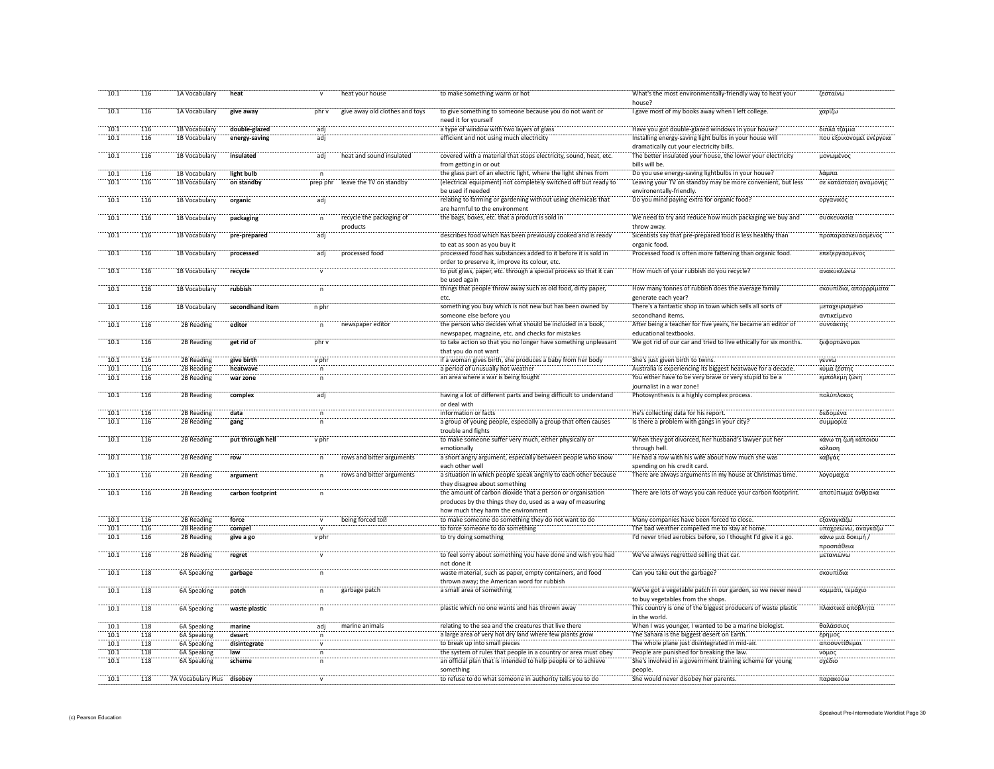| 10.1             | 116 | 1A Vocabulary             | heat             |              | heat your house                      | to make something warm or hot                                                                                            | What's the most environmentally-friendly way to heat your<br>house?                                 | ζεσταίνω                        |
|------------------|-----|---------------------------|------------------|--------------|--------------------------------------|--------------------------------------------------------------------------------------------------------------------------|-----------------------------------------------------------------------------------------------------|---------------------------------|
| 10.1             | 116 | 1A Vocabulary             | give away        | phr v        | give away old clothes and toys       | to give something to someone because you do not want or<br>need it for yourself                                          | I gave most of my books away when I left college.                                                   | χαρίζω                          |
| 10.1             | 116 | 1B Vocabulary             | double-glazed    | adj          |                                      | a type of window with two layers of glass                                                                                | Have you got double-glazed windows in your house?                                                   | διπλά τζάμια                    |
| 10.1             | 116 | 1B Vocabulary             | energy-saving    | adj          |                                      | efficient and not using much electricity                                                                                 | Installing energy-saving light bulbs in your house will<br>dramatically cut your electricity bills. | που εξοικονομεί ενέργεια        |
| 10.1             | 116 | 1B Vocabulary             | insulated        | adj          | heat and sound insulated             | covered with a material that stops electricity, sound, heat, etc.<br>from getting in or out                              | The better insulated your house, the lower your electricity<br>bills will be.                       | μονωμένος                       |
| $\frac{1}{10.1}$ | 116 | 1B Vocabulary             | light bulb       | n            |                                      | the glass part of an electric light, where the light shines from                                                         | Do you use energy-saving lightbulbs in your house?                                                  | λάμπα                           |
| 10.1             | 116 | 1B Vocabulary             | on standby       | prep phr     | leave the TV on standby              | (electrical equipment) not completely switched off but ready to                                                          | Leaving your TV on standby may be more convenient, but less                                         | σε κατάσταση αναμονής           |
|                  |     |                           |                  |              |                                      | be used if needed                                                                                                        | environentally-friendly.                                                                            |                                 |
| 10.1             | 116 | 1B Vocabulary             | organic          | adj          |                                      | relating to farming or gardening without using chemicals that<br>are harmful to the environment                          | Do you mind paying extra for organic food?                                                          | οργανικός                       |
| 10.1             | 116 | 1B Vocabulary             | packaging        | $\mathsf{n}$ | recycle the packaging of<br>products | the bags, boxes, etc. that a product is sold in                                                                          | We need to try and reduce how much packaging we buy and<br>throw away.                              | συσκευασία                      |
| 10.1             | 116 | 1B Vocabulary             | pre-prepared     | adj          |                                      | describes food which has been previously cooked and is ready<br>to eat as soon as you buy it                             | Sicentists say that pre-prepared food is less healthy than<br>organic food.                         | προπαρασκευασμένος              |
| 10.1             | 116 | 1B Vocabulary             | processed        | adj          | processed food                       | processed food has substances added to it before it is sold in                                                           | Processed food is often more fattening than organic food.                                           | επεξεργασμένος                  |
| 10.1             | 116 | 1B Vocabulary             | recycle          |              |                                      | order to preserve it, improve its colour, etc.<br>to put glass, paper, etc. through a special process so that it can     | How much of your rubbish do you recycle?                                                            | ανακυκλώνω                      |
|                  |     |                           |                  |              |                                      | be used again                                                                                                            |                                                                                                     |                                 |
| 10.1             | 116 | 1B Vocabulary             | rubbish          |              |                                      | things that people throw away such as old food, dirty paper,<br>etc.                                                     | How many tonnes of rubbish does the average family<br>generate each year?                           | σκουπίδια, απορρρίματα          |
| 10.1             | 116 | 1B Vocabulary             | secondhand item  | n phr        |                                      | something you buy which is not new but has been owned by                                                                 | There's a fantastic shop in town which sells all sorts of                                           | μεταχειρισμένο                  |
|                  |     |                           |                  |              |                                      | someone else before you                                                                                                  | secondhand items.                                                                                   | αντικείμενο                     |
| 10.1             | 116 | 2B Reading                | editor           | n            | newspaper editor                     | the person who decides what should be included in a book,<br>newspaper, magazine, etc. and checks for mistakes           | After being a teacher for five years, he became an editor of<br>educational textbooks.              | συντάκτης                       |
| 10.1             | 116 | 2B Reading                | get rid of       | phr v        |                                      | to take action so that you no longer have something unpleasant<br>that you do not want                                   | We got rid of our car and tried to live ethically for six months.                                   | ξεφορτώνομαι                    |
| 10.1             | 116 | 2B Reading                | give birth       | v phr        |                                      | if a woman gives birth, she produces a baby from her body                                                                | She's just given birth to twins.                                                                    | γεννώ                           |
| 10.1             | 116 | 2B Reading                | heatwave         | $\mathsf{n}$ |                                      | a period of unusually hot weather                                                                                        | Australia is experiencing its biggest heatwave for a decade.                                        | κύμα ζέστης                     |
| 10.1             | 116 | 2B Reading                |                  |              |                                      | an area where a war is being fought                                                                                      | You either have to be very brave or very stupid to be a                                             | εμπόλεμη ζώνη                   |
|                  |     |                           | war zone         | $\mathsf n$  |                                      |                                                                                                                          | journalist in a war zone!                                                                           |                                 |
| 10.1             | 116 | 2B Reading                | complex          | adj          |                                      | having a lot of different parts and being difficult to understand<br>or deal with                                        | Photosynthesis is a highly complex process.                                                         | πολύπλοκος                      |
| 10.1             | 116 | 2B Reading                | data             |              |                                      | information or facts                                                                                                     | He's collecting data for his report.                                                                | δεδομένα                        |
| 10.1             | 116 | 2B Reading                | gang             |              |                                      | a group of young people, especially a group that often causes<br>trouble and fights                                      | Is there a problem with gangs in your city                                                          | συμμορία                        |
| 10.1             | 116 | 2B Reading                | put through hell | v phr        |                                      | to make someone suffer very much, either physically or<br>emotionally                                                    | When they got divorced, her husband's lawyer put her<br>through hell.                               | κάνω τη ζωή κάποιου<br>κόλαση   |
| 10.1             | 116 | 2B Reading                | row              | $\mathsf{n}$ | rows and bitter arguments            | a short angry argument, especially between people who know<br>each other well                                            | He had a row with his wife about how much she was<br>spending on his credit card.                   | καβγάς                          |
| 10.1             | 116 | 2B Reading                | argument         | $\mathsf{n}$ | rows and bitter arguments            | a situation in which people speak angrily to each other because<br>they disagree about something                         | There are always arguments in my house at Christmas time.                                           | λογομαχία                       |
| 10.1             | 116 | 2B Reading                | carbon footprint |              |                                      | the amount of carbon dioxide that a person or organisation<br>produces by the things they do, used as a way of measuring | There are lots of ways you can reduce your carbon footprint.                                        | αποτύπωμα άνθρακα               |
|                  |     |                           |                  |              |                                      | how much they harm the environment                                                                                       |                                                                                                     |                                 |
| 10.1             | 116 | 2B Reading                | force            |              | being forced to                      | to make someone do something they do not want to do                                                                      | Many companies have been forced to close.                                                           | εξαναγκάζω                      |
| 10.1             | 116 | 2B Reading                | compel           | $\mathbf{v}$ |                                      | to force someone to do something                                                                                         | The bad weather compelled me to stay at home.                                                       | υποχρεώνω, αναγκάζω             |
| 10.1             | 116 | 2B Reading                | give a go        | v phr        |                                      | to try doing something                                                                                                   | I'd never tried aerobics before, so I thought I'd give it a go.                                     | κάνω μια δοκιμή /<br>προσπάθεια |
| 10.1             | 116 | 2B Reading                | regret           |              |                                      | to feel sorry about something you have done and wish you had<br>not done it                                              | We've always regretted selling that car.                                                            | μετανιώνω                       |
| 10.1             | 118 | 6A Speaking               | garbage          |              |                                      | waste material, such as paper, empty containers, and food<br>thrown away; the American word for rubbish                  | Can you take out the garbage?                                                                       | σκουπίδια                       |
| 10.1             | 118 | 6A Speaking               | patch            | $\mathsf{n}$ | garbage patch                        | a small area of something                                                                                                | We've got a vegetable patch in our garden, so we never need<br>to buy vegetables from the shops.    | κομμάτι, τεμάχιο                |
| 10.1             | 118 | 6A Speaking               | waste plastic    | $\sf n$      |                                      | plastic which no one wants and has thrown away                                                                           | This country is one of the biggest producers of waste plastic<br>in the world.                      | πλαστικά απόβλητα               |
| 10.1             | 118 | 6A Speaking               | marine           | adj          | marine animals                       | relating to the sea and the creatures that live there                                                                    | When I was younger, I wanted to be a marine biologist.                                              | θαλάσσιος                       |
| 10.1             | 118 | 6A Speaking               | desert           | n            |                                      | a large area of very hot dry land where few plants grow                                                                  | The Sahara is the biggest desert on Earth.                                                          | έρημος                          |
| 10.1             | 118 | 6A Speaking               | disintegrate     | $\mathsf{v}$ |                                      | to break up into small pieces                                                                                            | The whole plane just disintegrated in mid-air.                                                      | αποσυντίθεμαι                   |
| 10.1             | 118 | 6A Speaking               | law              | $\mathsf{n}$ |                                      | the system of rules that people in a country or area must obey                                                           | People are punished for breaking the law.                                                           | νόμος                           |
| 10.1             | 118 | 6A Speaking               | scheme           | n            |                                      | an official plan that is intended to help people or to achieve                                                           | She's involved in a government training scheme for young                                            | σχέδιο                          |
| 10.1             | 118 | <b>7A Vocabulary Plus</b> |                  |              |                                      | something<br>to refuse to do what someone in authority tells you to do                                                   | people.<br>She would never disobey her parents.                                                     | παρακούω                        |
|                  |     |                           | disobev          |              |                                      |                                                                                                                          |                                                                                                     |                                 |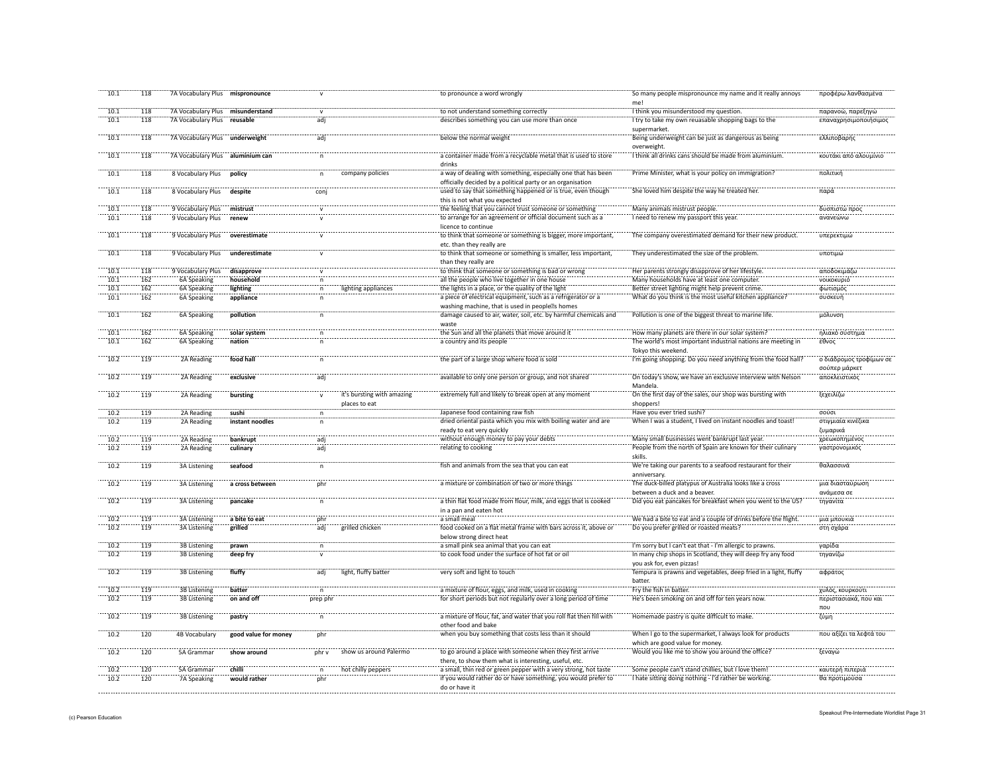| 10.1         | 118        | 7A Vocabulary Plus mispronounce     |                          |                         |                                             | to pronounce a word wrongly                                                                                               | So many people mispronounce my name and it really annoys<br>mel                             | προφέρω λανθασμένα                       |
|--------------|------------|-------------------------------------|--------------------------|-------------------------|---------------------------------------------|---------------------------------------------------------------------------------------------------------------------------|---------------------------------------------------------------------------------------------|------------------------------------------|
| 10.1         | 118        | 7A Vocabulary Plus misunderstand    |                          | $\mathbf{v}$            |                                             | to not understand something correctly                                                                                     | I think you misunderstood my question.                                                      | παρανοώ, παρεξηγώ                        |
| 10.1         | 118        | 7A Vocabulary Plus reusable         |                          | adj                     |                                             | describes something you can use more than once                                                                            | I try to take my own reuasable shopping bags to the<br>supermarket.                         | επαναχρησιμοποιήσιμος                    |
| 10.1         | 118        | 7A Vocabulary Plus underweight      |                          | adi                     |                                             | below the normal weight                                                                                                   | Being underweight can be just as dangerous as being<br>overweight.                          | ελλιποβαρής                              |
| 10.1         | 118        | 7A Vocabulary Plus aluminium can    |                          |                         |                                             | a container made from a recyclable metal that is used to store                                                            | I think all drinks cans should be made from aluminium.                                      | κουτάκι από αλουμίνιο                    |
| 10.1         | 118        | 8 Vocabulary Plus                   | policy                   | n                       | company policies                            | drinks<br>a way of dealing with something, especially one that has been                                                   | Prime Minister, what is your policy on immigration?                                         | πολιτική                                 |
| 10.1         | 118        | 8 Vocabulary Plus                   | despite                  | $\overline{con}$        |                                             | officially decided by a political party or an organisation<br>used to say that something happened or is true, even though | She loved him despite the way he treated her.                                               | παρά                                     |
| 10.1         | 118        | 9 Vocabulary Plus                   | mistrust                 |                         |                                             | this is not what you expected<br>the feeling that you cannot trust someone or something                                   | Many animals mistrust people                                                                | δυσπιστώ προς                            |
| 10.1         | 118        | 9 Vocabulary Plus                   | renew                    |                         |                                             | to arrange for an agreement or official document such as a                                                                | I need to renew my passport this year                                                       | ανανεώνω                                 |
|              |            |                                     |                          |                         |                                             | licence to continue                                                                                                       |                                                                                             |                                          |
| 10.1         | 118        | 9 Vocabulary Plus                   | overestimate             | $\overline{\mathsf{v}}$ |                                             | to think that someone or something is bigger, more important,<br>etc. than they really are                                | The company overestimated demand for their new product.                                     | υπερεκτιμώ                               |
| 10.1         | 118        | 9 Vocabulary Plus                   | underestimate            |                         |                                             | to think that someone or something is smaller, less important,<br>than they really are                                    | They underestimated the size of the problem.                                                | υποτιμώ                                  |
| 10.1         | 118        | 9 Vocabulary Plus                   | disapprove               |                         |                                             | to think that someone or something is bad or wrong                                                                        | Her parents strongly disapprove of her lifestyle.                                           | αποδοκιμάζω                              |
| 10.1         | 162        | 6A Speaking                         | household                | n                       |                                             | all the people who live together in one house                                                                             | Many households have at least one computer.                                                 | <b>VOLKOKUPLÓ</b>                        |
| 10.1         | 162        | 6A Speaking                         | lighting                 | n                       | lighting appliances                         | the lights in a place, or the quality of the light                                                                        | Better street lighting might help prevent crime.                                            | φωτισμός                                 |
| 10.1         | 162        | 6A Speaking                         | appliance                | $\overline{p}$          |                                             | a piece of electrical equipment, such as a refrigerator or a<br>washing machine, that is used in people s homes           | What do you think is the most useful kitchen appliance?                                     | συσκευή                                  |
| 10.1         | 162        | 6A Speaking                         | pollution                | n                       |                                             | damage caused to air, water, soil, etc. by harmful chemicals and<br>waste                                                 | Pollution is one of the biggest threat to marine life.                                      | μόλυνση                                  |
| 10.1         | 162        | 6A Speaking                         | solar system             |                         |                                             | the Sun and all the planets that move around it                                                                           | How many planets are there in our solar system?                                             | ηλιακό σύστημα                           |
| 10.1         | 162        | 6A Speaking                         | nation                   |                         |                                             | a country and its people                                                                                                  | The world's most important industrial nations are meeting in                                | έθνος                                    |
|              |            |                                     |                          |                         |                                             |                                                                                                                           | Tokyo this weekend.                                                                         |                                          |
| 10.2         | 119        | 2A Reading                          | food hall                |                         |                                             | the part of a large shop where food is sold                                                                               | I'm going shopping. Do you need anything from the food hall?                                | ο διάδρομος τροφίμων σε<br>σούπερ μάρκετ |
| 10.2         | 119        | 2A Reading                          | exclusive                | adi                     |                                             | available to only one person or group, and not shared                                                                     | On today's show, we have an exclusive interview with Nelson<br>Mandela.                     | αποκλειστικός                            |
| 10.2         | 119        | 2A Reading                          | bursting                 |                         | it's bursting with amazing<br>places to eat | extremely full and likely to break open at any moment                                                                     | On the first day of the sales, our shop was bursting with<br>shoppers!                      | ξεχειλίζω                                |
| 10.2         | 119        | 2A Reading                          | sushi                    | n                       |                                             | Japanese food containing raw fish                                                                                         | Have you ever tried sushi?                                                                  | σούσι                                    |
| 10.2         | 119        | 2A Reading                          | instant noodles          | n.                      |                                             | dried oriental pasta which you mix with boiling water and are                                                             | When I was a student, I lived on instant noodles and toast!                                 | στιγμιαία κινέζικα                       |
|              |            |                                     |                          |                         |                                             | ready to eat very quickly                                                                                                 |                                                                                             | ζυμαρικά                                 |
| 10.2         | 119        | 2A Reading                          | bankrupt                 | adi                     |                                             | without enough money to pay your debts                                                                                    | Many small businesses went bankrupt last year.                                              | χρεωκοπημένος                            |
| 10.2         | 119        | 2A Reading                          | culinary                 | adj                     |                                             | relating to cooking                                                                                                       | People from the north of Spain are known for their culinary<br>skills.                      | γαστρονομικός                            |
| 10.2         | 119        | <b>3A Listening</b>                 | seafood                  |                         |                                             | fish and animals from the sea that you can eat                                                                            | We're taking our parents to a seafood restaurant for their<br>anniversary.                  | θαλασσινά                                |
| 10.2         | 119        | <b>3A Listening</b>                 | a cross between          | phr                     |                                             | a mixture or combination of two or more things                                                                            | The duck-billed platypus of Australia looks like a cross<br>between a duck and a beaver.    | μια διασταύρωσ<br>ανάμεσα σε             |
| 10.2         | 119        | <b>3A Listening</b>                 | pancake                  |                         |                                             | a thin flat food made from flour, milk, and eggs that is cooked                                                           | Did you eat pancakes for breakfast when you went to the US?                                 | τηγανίτα                                 |
|              |            |                                     |                          |                         |                                             | in a pan and eaten hot<br>a small meal                                                                                    | We had a bite to eat and a couple of drinks before the flight                               |                                          |
| 10.2<br>10.2 | 119<br>119 | 3A Listening<br><b>3A Listening</b> | a bite to eat<br>grilled | phr<br>adj              | grilled chicker                             | food cooked on a flat metal frame with bars across it, above o                                                            | Do you prefer grilled or roasted meats?                                                     | μια μπουκιά<br>στη σχάρα                 |
|              |            |                                     |                          |                         |                                             | below strong direct heat                                                                                                  |                                                                                             |                                          |
| 10.2         | 119        | 3B Listening                        | prawn                    | n                       |                                             | a small pink sea animal that you can eat                                                                                  | I'm sorry but I can't eat that - I'm allergic to prawns.                                    | γαρίδα                                   |
| 10.2         | 119        | 3B Listening                        | deep fry                 |                         |                                             | to cook food under the surface of hot fat or oil                                                                          | In many chip shops in Scotland, they will deep fry any food<br>you ask for, even pizzas!    | τηγανίζω                                 |
| 10.2         | 119        | 3B Listening                        | fluffy                   | adj                     | light, fluffy batter                        | very soft and light to touch                                                                                              | Tempura is prawns and vegetables, deep fried in a light, fluffy<br><b>batter</b>            | αφράτος                                  |
| 10.2         | 119        | <b>3B Listening</b>                 | batter                   | $\mathsf{n}$            |                                             | a mixture of flour, eggs, and milk, used in cooking                                                                       | Fry the fish in batter.                                                                     | χυλός, κουρκούτι                         |
| 10.2         | 119        | 3B Listening                        | on and off               | prep phr                |                                             | for short periods but not regularly over a long period of time                                                            | He's been smoking on and off for ten years now.                                             | περιστασιακά, που και                    |
| 10.2         | 119        | <b>3B Listening</b>                 |                          | $\mathsf{n}$            |                                             | a mixture of flour, fat, and water that you roll flat then fill with                                                      | Homemade pastry is quite difficult to make.                                                 | $\pi$ <sup>OU</sup><br>ζύμη              |
|              |            |                                     | pastry                   |                         |                                             | other food and bake                                                                                                       |                                                                                             |                                          |
| 10.2         | 120        | 4B Vocabulary                       | good value for money     | `ohr                    |                                             | when you buy something that costs less than it should                                                                     | When I go to the supermarket, I always look for products<br>which are good value for money. | που αξίζει τα λεφτά του                  |
| 10.2         | 120        | 5A Grammar                          | show around              | phr v                   | show us around Palermo                      | to go around a place with someone when they first arrive                                                                  | Would you like me to show you around the office?                                            | ξεναγώ                                   |
|              |            |                                     |                          |                         |                                             |                                                                                                                           |                                                                                             |                                          |
| 10.2         | 120        | 5A Grammar                          | chilli                   | n                       | hot chilly peppers                          | there, to show them what is interesting, useful, etc.<br>a small, thin red or green pepper with a very strong, hot taste  | Some people can't stand chillies, but I love them!                                          | καυτερή πιπεριά                          |
| 10.2         | 120        | 7A Speaking                         | would rather             | phr                     |                                             | if you would rather do or have something, you would prefer to<br>do or have it                                            | I hate sitting doing nothing - I'd rather be working.                                       | θα προτιμούσα                            |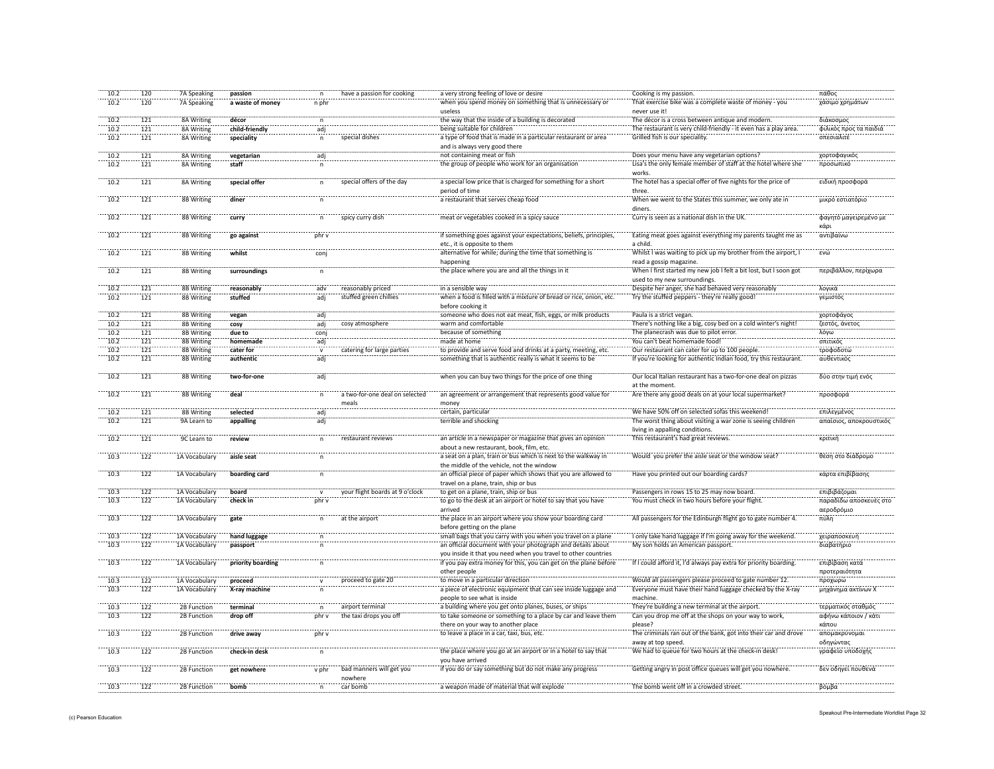| 10.2         | 120              | 7A Speaking   | passion           | $\mathsf{n}$   | have a passion for cooking      | a very strong feeling of love or desire                            | Cooking is my passion.                                                  | πάθος                   |
|--------------|------------------|---------------|-------------------|----------------|---------------------------------|--------------------------------------------------------------------|-------------------------------------------------------------------------|-------------------------|
| 10.2         | 120              | 7A Speaking   | a waste of money  | n phr          |                                 | when you spend money on something that is unnecessary or           | That exercise bike was a complete waste of money - you                  | χάσιμο χρημάτων         |
|              |                  |               |                   |                |                                 | useless                                                            | never use it!                                                           |                         |
| 10.2         | 121              | 8A Writing    | décor             | $\sf n$        |                                 | the way that the inside of a building is decorated                 | The décor is a cross between antique and modern.                        | διάκοσμος               |
| 10.2         | 121              | 8A Writing    | child-friendly    | adj            |                                 | being suitable for children                                        | The restaurant is very child-friendly - it even has a play area.        | φιλικός προς τα παιδιά  |
| 10.2         | 121              | 8A Writing    | speciality        | n              | special dishes                  | a type of food that is made in a particular restaurant or area     | Grilled fish is our speciality.                                         | σπεσιαλιτέ              |
|              |                  |               |                   |                |                                 | and is always very good there                                      |                                                                         |                         |
| 10.2         | 121              | 8A Writing    | vegetarian        | adj            |                                 | not containing meat or fish                                        | Does your menu have any vegetarian options?                             | χορτοφαγικός            |
| 10.2         | 121              | 8A Writing    | staff             |                |                                 | the group of people who work for an organisation                   | Lisa's the only female member of staff at the hotel where she           | προσωπικό               |
|              |                  |               |                   |                |                                 |                                                                    | works.                                                                  |                         |
| 10.2         | 121              | 8A Writing    | special offer     | $\mathsf{n}$   | special offers of the day       | a special low price that is charged for something for a short      | The hotel has a special offer of five nights for the price of           | ειδική προσφορά         |
|              |                  |               |                   |                |                                 | period of time                                                     | three.                                                                  |                         |
| 10.2         | 121              | 8B Writing    | diner             |                |                                 | a restaurant that serves cheap food                                | When we went to the States this summer, we only ate in                  | μικρό εστιατόριο        |
|              |                  |               |                   |                |                                 |                                                                    | diners.                                                                 |                         |
| 10.2         | 121              | 8B Writing    | curry             | n              | spicy curry dish                | meat or vegetables cooked in a spicy sauce                         | Curry is seen as a national dish in the UK.                             | φαγητό μαγειρεμένο με   |
|              |                  |               |                   |                |                                 |                                                                    |                                                                         | κάρι                    |
| 10.2         | 121              | 8B Writing    | go against        | phr v          |                                 | if something goes against your expectations, beliefs, principles,  | Eating meat goes against everything my parents taught me as             | αντιβαίνω               |
|              |                  |               |                   |                |                                 | etc., it is opposite to them                                       | a child.                                                                |                         |
| 10.2         | 121              | 8B Writing    | whilst            | conj           |                                 | alternative for while; during the time that something is           | Whilst I was waiting to pick up my brother from the airport, I          | ενώ                     |
|              |                  |               |                   |                |                                 | happening                                                          | read a gossip magazine.                                                 |                         |
| 10.2         | 121              | 8B Writing    | surroundings      | $\sf n$        |                                 | the place where you are and all the things in it                   | When I first started my new job I felt a bit lost, but I soon got       | περιβάλλον, περίχωρα    |
|              |                  |               |                   |                |                                 |                                                                    | used to my new surroundings.                                            |                         |
| 10.2         | 121              | 8B Writing    |                   |                | reasonably priced               | in a sensible way                                                  | Despite her anger, she had behaved very reasonably                      | λογικά                  |
| 10.2         |                  |               | reasonably        | adv            | stuffed green chillies          |                                                                    | Try the stuffed peppers - they're really good!                          | γεμιστός                |
|              | 121              | 8B Writing    | stuffed           | adj            |                                 | when a food is filled with a mixture of bread or rice, onion, etc. |                                                                         |                         |
| 10.2         | $\overline{121}$ | 8B Writing    |                   | adi            |                                 | before cooking it                                                  |                                                                         |                         |
| 10.2         |                  |               | vegan             |                |                                 | someone who does not eat meat, fish, eggs, or milk products        | Paula is a strict vegan.                                                | χορτοφάγος              |
|              | 121              | 8B Writing    | cosy              | adj            | cosy atmosphere                 | warm and comfortable                                               | There's nothing like a big, cosy bed on a cold winter's night!          | ζεστός, άνετος          |
| 10.2         | 121              | 8B Writing    | due to            | conj           |                                 | because of something                                               | The planecrash was due to pilot error.<br>You can't beat homemade food! | λόγω<br>σπιτικός        |
| 10.2         | 121              | 8B Writing    | homemade          | adj            |                                 | made at home                                                       |                                                                         | τροφοδοτώ               |
| 10.2<br>10.2 | 121              | 8B Writing    | cater for         | $\mathbf{v}$   | catering for large parties      | to provide and serve food and drinks at a party, meeting, etc.     | Our restaurant can cater for up to 100 people                           |                         |
|              | 121              | 8B Writing    | authentic         | adi            |                                 | something that is authentic really is what it seems to be          | If you're looking for authentic Indian food, try this restaurant.       | αυθεντικός              |
|              |                  |               |                   | adi            |                                 |                                                                    |                                                                         |                         |
| 10.2         | 121              | 8B Writing    | two-for-one       |                |                                 | when you can buy two things for the price of one thing             | Our local Italian restaurant has a two-for-one deal on pizzas           | δύο στην τιμή ενός      |
|              |                  |               |                   |                |                                 |                                                                    | at the moment.                                                          |                         |
| 10.2         | 121              | 8B Writing    | deal              | n              | a two-for-one deal on selecte   | an agreement or arrangement that represents good value for         | Are there any good deals on at your local supermarket?                  | προσφορά                |
|              |                  |               |                   |                | meals                           | money                                                              |                                                                         |                         |
| 10.2         | 121              | 8B Writing    | selected          | adi            |                                 | certain, particular                                                | We have 50% off on selected sofas this weekend!                         | επιλεγμένος             |
| 10.2         | 121              | 9A Learn to   | appalling         | adj            |                                 | terrible and shocking                                              | The worst thing about visiting a war zone is seeing children            | απαίσιος, αποκρουστικός |
|              |                  |               |                   |                |                                 |                                                                    | living in appalling conditions.                                         |                         |
| 10.2         | 121              | 9C Learn to   | review            | $\overline{p}$ | restaurant reviews              | an article in a newspaper or magazine that gives an opinion        | This restaurant's had great reviews.                                    | κριτική                 |
|              |                  |               |                   |                |                                 | about a new restaurant, book, film, etc.                           |                                                                         |                         |
| 10.3         | 122              | 1A Vocabulary | aisle seat        | n              |                                 | a seat on a plan, train or bus which is next to the walkway in     | Would you prefer the aisle seat or the window seat?                     | θέση στο διάδρομο       |
|              |                  |               |                   |                |                                 | the middle of the vehicle, not the window                          |                                                                         |                         |
| 10.3         | 122              | 1A Vocabulary | boarding card     | $\mathsf{n}$   |                                 | an official piece of paper which shows that you are allowed to     | Have you printed out our boarding cards?                                | κάρτα επιβίβασης        |
|              |                  |               |                   |                |                                 | travel on a plane, train, ship or bus                              |                                                                         |                         |
| 10.3         | 122              | 1A Vocabulary | board             | $\mathbf{v}$   | your flight boards at 9 o'clock | to get on a plane, train, ship or bus                              | Passengers in rows 15 to 25 may now board.                              | επιβιβάζομαι            |
| 10.3         | 122              | 1A Vocabulary | check in          | phr v          |                                 | to go to the desk at an airport or hotel to say that you have      | You must check in two hours before your flight.                         | παραδίδω αποσκευές στο  |
|              |                  |               |                   |                |                                 | arrived                                                            |                                                                         | αεροδρόμιο              |
| 10.3         | 122              | 1A Vocabulary | gate              | $\mathsf{n}$   | at the airport                  | the place in an airport where you show your boarding card          | All passengers for the Edinburgh flight go to gate number 4.            | πύλη                    |
|              |                  |               |                   |                |                                 | before getting on the plane                                        |                                                                         |                         |
| 10.3         | 122              | 1A Vocabulary | hand luggage      | n              |                                 | small bags that you carry with you when you travel on a plane      | I only take hand luggage if I'm going away for the weekend.             | χειραποσκευή            |
| 10.3         | 122              | 1A Vocabulary | passport          |                |                                 | an official document with your photograph and details about        | My son holds an American passport.                                      | διαβατήριο              |
|              |                  |               |                   |                |                                 | you inside it that you need when you travel to other countries     |                                                                         |                         |
| 10.3         | $\overline{122}$ | 1A Vocabulary | priority boarding |                |                                 | if you pay extra money for this, you can get on the plane before   | If I could afford it, I'd always pay extra for priority boarding.       | επιβίβαση κατά          |
|              |                  |               |                   |                |                                 | other people                                                       |                                                                         | προτεραιότητα           |
| 10.3         | 122              | 1A Vocabulary | proceed           |                | proceed to gate 20              | to move in a particular direction                                  | Would all passengers please proceed to gate number 12.                  | προχωρώ                 |
| 10.3         | $\overline{122}$ | 1A Vocabulary | X-ray machine     | n              |                                 | a piece of electronic equipment that can see inside luggage and    | Everyone must have their hand luggage checked by the X-ray              | μηχάνημα ακτίνων Χ      |
|              |                  |               |                   |                |                                 | people to see what is inside                                       | machine.                                                                |                         |
| 10.3         | 122              | 2B Function   | terminal          | $\mathsf{n}$   | airport terminal                | a building where you get onto planes, buses, or ships              | They're building a new terminal at the airport.                         | τερματικός σταθμός      |
| 10.3         | 122              | 2B Function   | drop off          | phr v          | the taxi drops you off          | to take someone or something to a place by car and leave them      | Can you drop me off at the shops on your way to work,                   | αφήνω κάποιον / κάτι    |
|              |                  |               |                   |                |                                 | there on your way to another place                                 | please?                                                                 | κάπου                   |
| 10.3         | 122              | 2B Function   | drive away        | phr v          |                                 | to leave a place in a car, taxi, bus, etc.                         | The criminals ran out of the bank, got into their car and drove         | απομακρύνομαι           |
|              |                  |               |                   |                |                                 |                                                                    | away at top speed.                                                      | οδηγώντας               |
| 10.3         | 122              | 2B Function   | check-in desk     | $\mathsf{n}$   |                                 | the place where you go at an airport or in a hotel to say that     | We had to queue for two hours at the check-in desk!                     | γραφείο υποδοχής        |
|              |                  |               |                   |                |                                 | you have arrived                                                   |                                                                         |                         |
| 10.3         | $\overline{122}$ | 2B Function   | get nowhere       | v phr          | bad manners will get you        | if you do or say something but do not make any progress            | Getting angry in post office queues will get you nowhere.               | δεν οδηγεί πουθενά      |
|              |                  |               |                   |                | nowhere                         |                                                                    |                                                                         |                         |
| 10.3         | 122              | 2B Function   | bomb              |                | car bomb                        | a weapon made of material that will explode                        | The bomb went off in a crowded street.                                  | βόμβα                   |
|              |                  |               |                   |                |                                 |                                                                    |                                                                         |                         |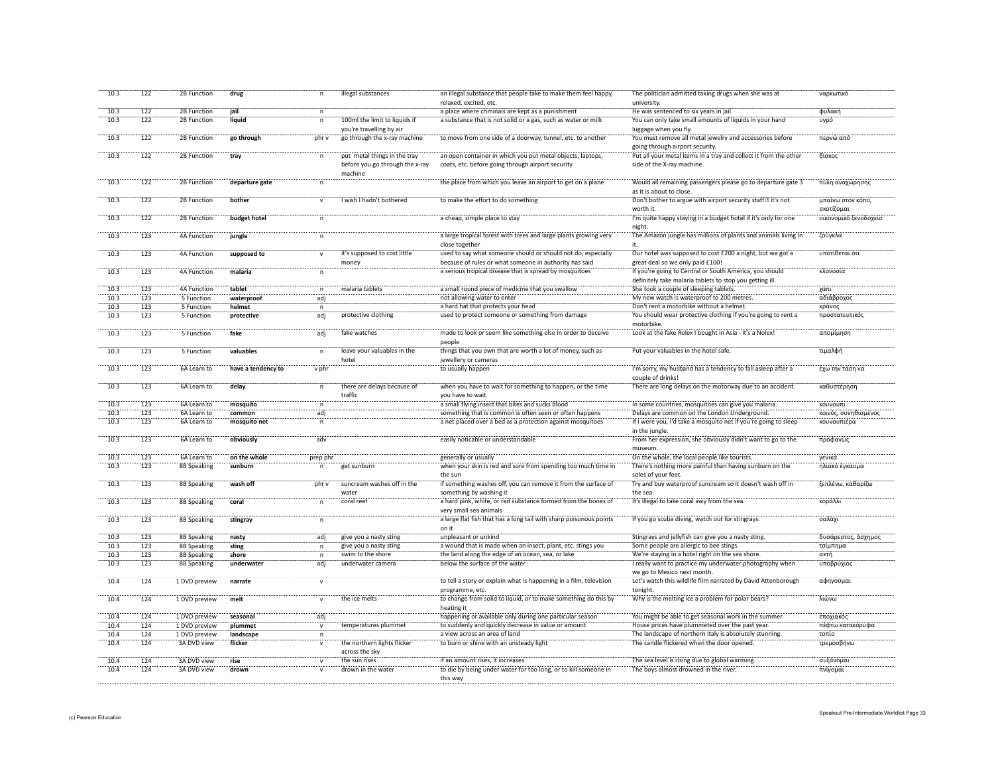| 10.3    | 122 | 2B Function        | drug               | n              | illegal substances              | an illegal substance that people take to make them feel happy,     | The politician admitted taking drugs when she was at             | ναρκωτικό             |
|---------|-----|--------------------|--------------------|----------------|---------------------------------|--------------------------------------------------------------------|------------------------------------------------------------------|-----------------------|
|         |     |                    |                    |                |                                 | relaxed, excited, etc.                                             | university.                                                      |                       |
| 10.3    | 122 | 2B Function        | jail               | $\mathsf{n}$   |                                 | a place where criminals are kept as a punishment                   | He was sentenced to six years in jail.                           | φυλακή                |
| 10.3    | 122 | 2B Function        | liquid             | $\mathsf{n}$   | 100ml the limit to liquids if   | a substance that is not solid or a gas, such as water or milk      | You can only take small amounts of liquids in your hand          | υγρό                  |
|         |     |                    |                    |                | you're travelling by air        |                                                                    | luggage when you fly.                                            |                       |
| 10.3    | 122 | 2B Function        | go through         | phr v          | go through the x-ray machine    | to move from one side of a doorway, tunnel, etc. to another        | You must remove all metal jewelry and accessories before         | περνώ από             |
|         |     |                    |                    |                |                                 |                                                                    |                                                                  |                       |
|         |     |                    |                    |                |                                 |                                                                    | going through airport security.                                  |                       |
| 10.3    | 122 | 2B Function        | tray               | $\sf n$        | put metal things in the tray    | an open container in which you put metal objects, laptops,         | Put all your metal items in a tray and collect it from the other | δίσκος                |
|         |     |                    |                    |                | before you go through the x-ray | coats, etc. before going through airport security                  | side of the X-ray machine.                                       |                       |
|         |     |                    |                    |                | machine                         |                                                                    |                                                                  |                       |
| 10.3    | 122 | 2B Function        | departure gate     |                |                                 | the place from which you leave an airport to get on a plane        | Would all remaining passengers please go to departure gate 3     | πύλη αναχώρησης       |
|         |     |                    |                    |                |                                 |                                                                    | as it is about to close.                                         |                       |
|         |     |                    |                    |                | I wish I hadn't bothered        | to make the effort to do something                                 | Don't bother to argue with airport security staff it's not       |                       |
| 10.3    | 122 | 2B Function        | bother             | $\mathbf{v}$   |                                 |                                                                    |                                                                  | μπαίνω στον κόπο,     |
|         |     |                    |                    |                |                                 |                                                                    | worth it.                                                        | σκοτίζομαι            |
| 10.3    | 122 | 2B Function        | budget hotel       | $\sf n$        |                                 | a cheap, simple place to stay                                      | I'm quite happy staying in a budget hotel if it's only for one   | οικονομικό ξενοδοχείο |
|         |     |                    |                    |                |                                 |                                                                    | night.                                                           |                       |
| 10.3    | 123 | <b>4A Function</b> | jungle             | $\overline{p}$ |                                 | a large tropical forest with trees and large plants growing very   | The Amazon jungle has millions of plants and animals living in   | ζούγκλα               |
|         |     |                    |                    |                |                                 | close together                                                     | it.                                                              |                       |
| 10.3    | 123 | 4A Function        | supposed to        |                | it's supposed to cost little    | used to say what someone should or should not do, especially       | Our hotel was supposed to cost £200 a night, but we got a        | υποτίθεται ότ         |
|         |     |                    |                    |                |                                 | because of rules or what someone in authority has said             | great deal so we only paid £100!                                 |                       |
|         |     |                    |                    |                | money                           |                                                                    |                                                                  |                       |
| 10.3    | 123 | 4A Function        | malaria            |                |                                 | a serious tropical disease that is spread by mosquitoes            | If you're going to Central or South America, you should          | ελονοσία              |
|         |     |                    |                    |                |                                 |                                                                    | definitely take malaria tablets to stop you getting ill.         |                       |
| 10.3    | 123 | 4A Function        | tablet             |                | malaria tablets                 | a small round piece of medicine that you swallow                   | She took a couple of sleeping tablets.                           | χάπι                  |
| 10.3    | 123 | 5 Function         | waterproof         | adj            |                                 | not allowing water to enter                                        | My new watch is waterproof to 200 metres.                        | αδιάβροχοι            |
| 10.3    | 123 | 5 Function         | helmet             | $\mathsf{n}$   |                                 | a hard hat that protects your head"                                | Don't rent a motorbike without a helmet.                         | κράνος                |
| $-10.3$ | 123 | 5 Function         | protective         | ädi            | protective clothing             | used to protect someone or something from damage                   | You should wear protective clothing if you're going to rent a    | προστατευτικό         |
|         |     |                    |                    |                |                                 |                                                                    |                                                                  |                       |
|         |     |                    |                    |                |                                 |                                                                    | motorbike.                                                       |                       |
| 10.3    | 123 | 5 Function         | fake               | adj            | fake watches                    | made to look or seem like something else in order to deceive       | Look at the fake Rolex I bought in Asia - it's a Nolex!          | απομίμηση             |
|         |     |                    |                    |                |                                 | neonle                                                             |                                                                  |                       |
| 10.3    | 123 | 5 Function         | valuables          | $\mathsf{n}$   | leave your valuables in the     | things that you own that are worth a lot of money, such as         | Put your valuables in the hotel safe.                            | τιμαλφή               |
|         |     |                    |                    |                | hotel                           | jewellery or cameras                                               |                                                                  |                       |
| 10.3    | 123 | 6A Learn to        | have a tendency to | v phr          |                                 | to usually happen                                                  | I'm sorry, my husband has a tendency to fall asleep after a      | έχω την τάση να       |
|         |     |                    |                    |                |                                 |                                                                    | couple of drinks!                                                |                       |
| 10.3    | 123 |                    |                    |                | there are delays because of     | when you have to wait for something to happen, or the time         | There are long delays on the motorway due to an accident.        | καθυστέρηση           |
|         |     | 6A Learn to        | delay              | $\mathsf{n}$   |                                 |                                                                    |                                                                  |                       |
|         |     |                    |                    |                | traffic                         | vou have to wait                                                   |                                                                  |                       |
| 10.3    | 123 | 6A Learn to        | mosquito           | $\mathsf{n}$   |                                 | a small flying insect that bites and sucks blood                   | In some countries, mosquitoes can give you malaria.              | κουνούπι              |
| 10.3    | 123 | 6A Learn to        | common             | adj            |                                 | something that is common is often seen or often happens            | Delays are common on the London Underground.                     | κοινός, συνηθισμένος  |
| 10.3    | 123 | 6A Learn to        | mosquito net       | $\mathsf{n}$   |                                 | a net placed over a bed as a protection against mosquitoes         | If I were you, I'd take a mosquito net if you're going to sleep  | κουνουπιέρα           |
|         |     |                    |                    |                |                                 |                                                                    | in the jungle.                                                   |                       |
| 10.3    | 123 | 6A Learn to        | obviously          | adv            |                                 | easily noticable or understandable                                 | From her expression, she obviously didn't want to go to the      | προφανώς              |
|         |     |                    |                    |                |                                 |                                                                    | museum.                                                          |                       |
|         |     |                    |                    |                |                                 |                                                                    |                                                                  |                       |
| 10.3    | 123 | 6A Learn to        | on the whole       | prep phi       |                                 | generally or usually                                               | On the whole, the local people like tourists.                    | γενικά                |
| 10.3    | 123 | 8B Speaking        | sunburn            |                | get sunburn                     | when your skin is red and sore from spending too much time in      | There's nothing more painful than having sunburn on the          | ηλιακό έγκαυμο        |
|         |     |                    |                    |                |                                 | the sur                                                            | soles of your feet.                                              |                       |
| 10.3    | 123 | 8B Speaking        | wash off           | phr v          | suncream washes off in the      | if something washes off, you can remove it from the surface of     | Try and buy waterproof suncream so it doesn't wash off in        | ξεπλένω, καθαρίζω     |
|         |     |                    |                    |                | water                           | something by washing it                                            | the sea.                                                         |                       |
| 10.3    | 123 | 8B Speaking        | coral              | $\mathsf{n}$   | coral reef                      | a hard pink, white, or red substance formed from the bones of      | It's illegal to take coral awy from the sea.                     | κοράλλι               |
|         |     |                    |                    |                |                                 | very small sea animals                                             |                                                                  |                       |
|         |     |                    |                    |                |                                 |                                                                    |                                                                  |                       |
| 10.3    | 123 | <b>8B Speaking</b> | stingray           | 'n             |                                 | a large flat fish that has a long tail with sharp poisonous points | If you go scuba diving, watch out for stingrays.                 | σαλάχι                |
|         |     |                    |                    |                |                                 | on it                                                              |                                                                  |                       |
| 10.3    | 123 | <b>8B Speaking</b> | nasty              | adj            | give you a nasty sting          | unpleasant or unkind                                               | Stingrays and jellyfish can give you a nasty sting.              | δυσάρεστος, άσχημος   |
| 10.3    | 123 | 8B Speaking        | sting              | $\sf n$        | give you a nasty sting          | a wound that is made when an insect, plant, etc. stings you        | Some people are allergic to bee stings                           | τσίμπημα              |
| 10.3    | 123 | <b>8B Speaking</b> | shore              | $\mathsf{n}$   | swim to the shore               | the land along the edge of an ocean, sea, or lake                  | We're staying in a hotel right on the sea shore.                 | ακτή                  |
| 10.3    | 123 | 8B Speaking        | underwater         | adj            | underwater camera               | below the surface of the water                                     | I really want to practice my underwater photography when         | υποβρύχιος            |
|         |     |                    |                    |                |                                 |                                                                    | we go to Mexico next month.                                      |                       |
|         |     |                    |                    |                |                                 |                                                                    |                                                                  |                       |
| 10.4    | 124 | 1 DVD preview      | narrate            | $\mathsf{v}$   |                                 | to tell a story or explain what is happening in a film, television | Let's watch this wildlife film narrated by David Attenborough    | αφηγούμαι             |
|         |     |                    |                    |                |                                 | programme, etc.                                                    | tonight.                                                         |                       |
| 10.4    | 124 | 1 DVD preview      | melt               |                | the ice melts                   | to change from solid to liquid, or to make something do this by    | Why is the melting ice a problem for polar bears?                | λιώνω                 |
|         |     |                    |                    |                |                                 | heating it                                                         |                                                                  |                       |
| 10.4    | 124 | 1 DVD preview      | seasonal           | adi            |                                 | happening or available only during one particular season           | You might be able to get seasonal work in the summer.            | εποχιακό              |
| 10.4    | 124 | 1 DVD preview      | plummet            |                | temperatures plummet            | to suddenly and quickly decrease in value or amount                | House prices have plummeted over the past year.                  | πέφτω κατακόρυφο      |
| 10.4    | 124 | 1 DVD preview      | landscape          |                |                                 | a view across an area of land                                      | The landscape of northern Italy is absolutely stunning.          | τοπίο                 |
|         |     |                    |                    |                | the northern lights flicker     |                                                                    |                                                                  |                       |
| 10.4    | 124 | 3A DVD view        | flicker            |                |                                 | to burn or shine with an unsteady light                            | The candle flickered when the door opened.                       | τρεμοσβήνω            |
|         |     |                    |                    |                | across the sky                  |                                                                    |                                                                  |                       |
| 10.4    | 124 | 3A DVD view        | rise               |                | the sun rises                   | if an amount rises, it increases                                   | The sea level is rising due to global warming.                   | αυξάνομαι             |
| 10.4    | 124 | 3A DVD view        | drown              |                | drown in the water              | to die by being under water for too long, or to kill someone in    | The boys almost drowned in the river.                            | πνίγομαι              |
|         |     |                    |                    |                |                                 | this way                                                           |                                                                  |                       |
|         |     |                    |                    |                |                                 |                                                                    |                                                                  |                       |